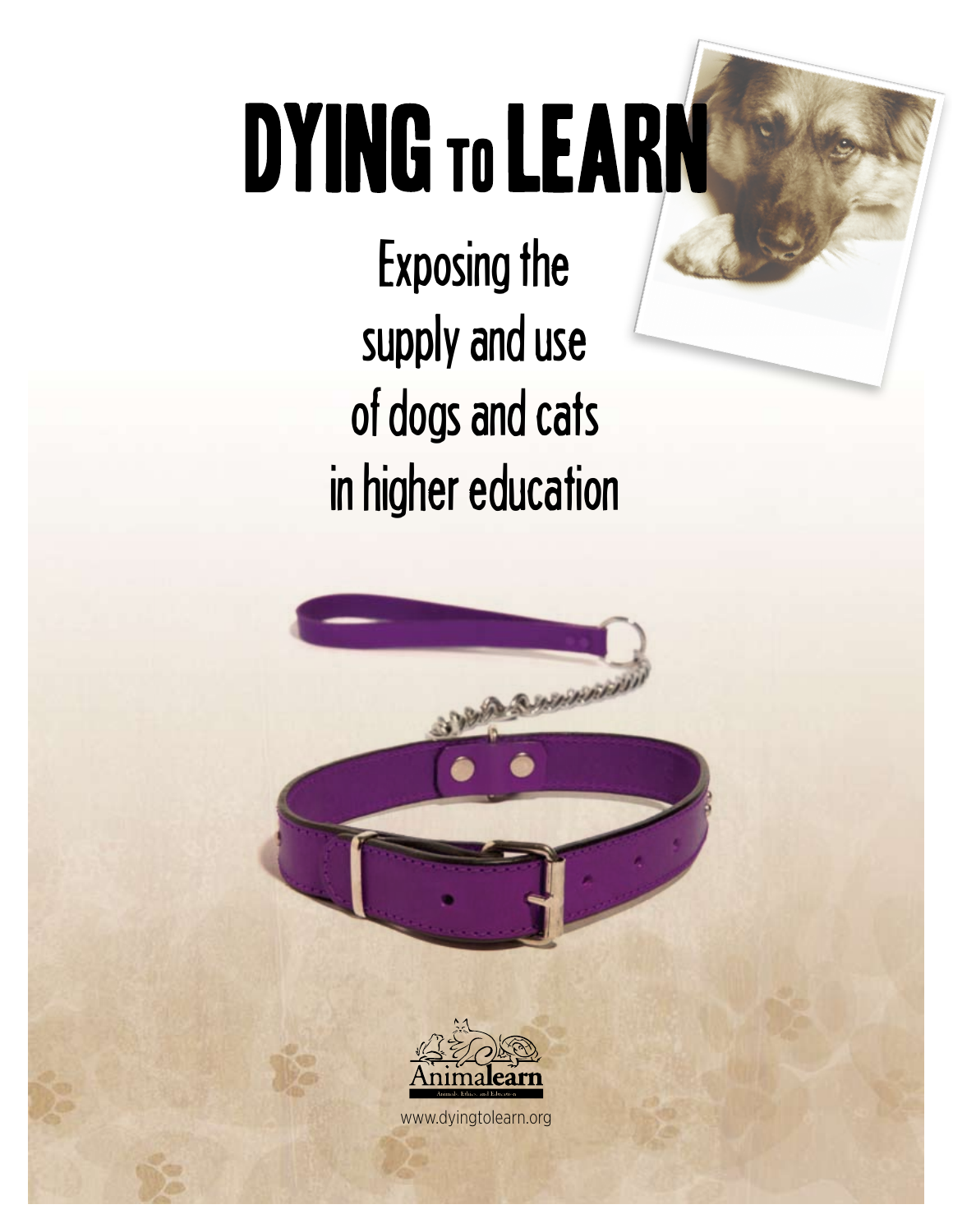# DYING TO LEARN

Exposing the supply and use of dogs and cats in higher education





www.dyingtolearn.org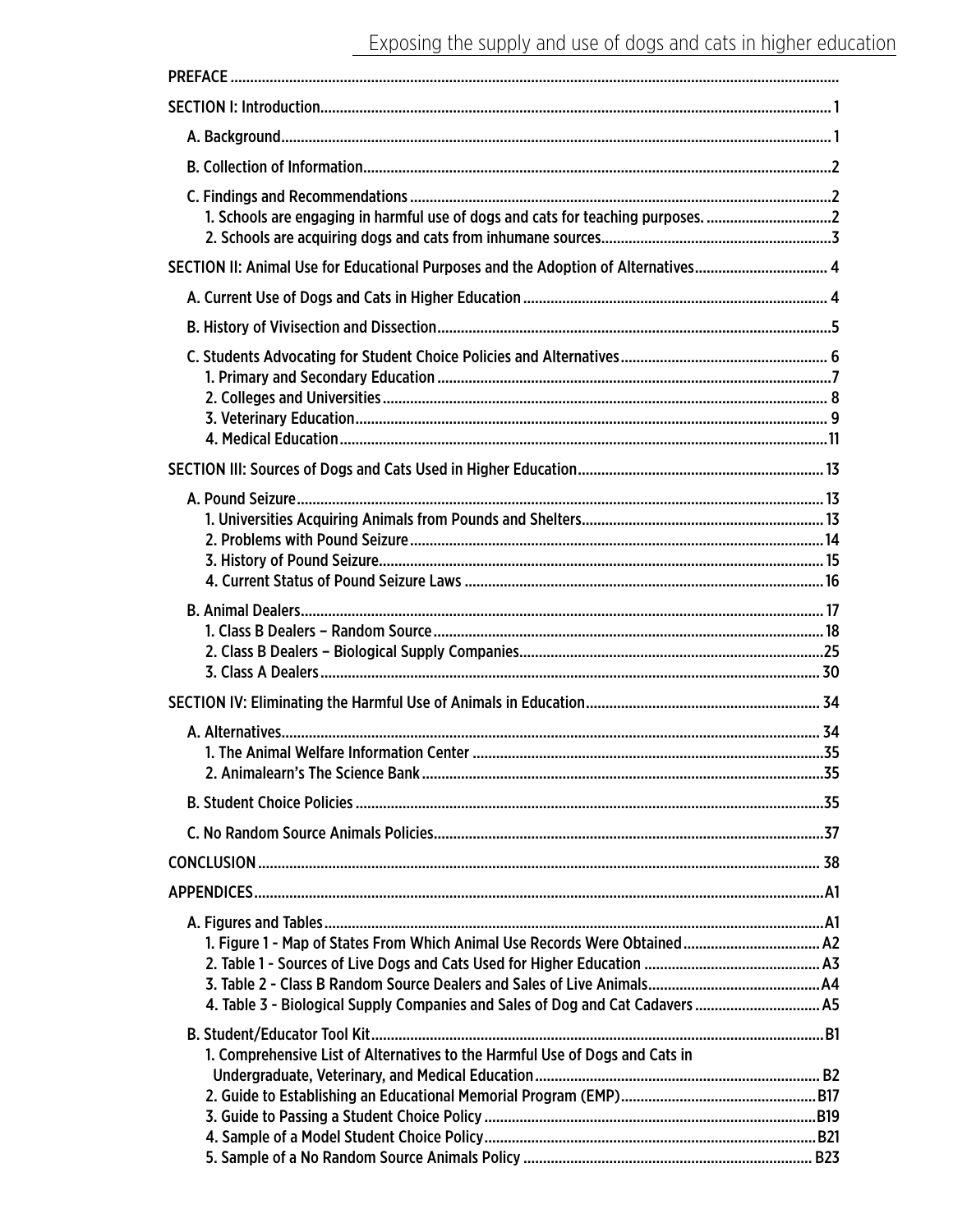| 1. Schools are engaging in harmful use of dogs and cats for teaching purposes.     |  |
|------------------------------------------------------------------------------------|--|
|                                                                                    |  |
| SECTION II: Animal Use for Educational Purposes and the Adoption of Alternatives 4 |  |
|                                                                                    |  |
|                                                                                    |  |
|                                                                                    |  |
|                                                                                    |  |
|                                                                                    |  |
|                                                                                    |  |
|                                                                                    |  |
|                                                                                    |  |
|                                                                                    |  |
|                                                                                    |  |
|                                                                                    |  |
|                                                                                    |  |
|                                                                                    |  |
|                                                                                    |  |
|                                                                                    |  |
|                                                                                    |  |
|                                                                                    |  |
|                                                                                    |  |
|                                                                                    |  |
|                                                                                    |  |
|                                                                                    |  |
|                                                                                    |  |
|                                                                                    |  |
|                                                                                    |  |
| 1. Figure 1 - Map of States From Which Animal Use Records Were Obtained A2         |  |
|                                                                                    |  |
| 4. Table 3 - Biological Supply Companies and Sales of Dog and Cat Cadavers  A5     |  |
|                                                                                    |  |
| 1. Comprehensive List of Alternatives to the Harmful Use of Dogs and Cats in       |  |
|                                                                                    |  |
|                                                                                    |  |
|                                                                                    |  |
|                                                                                    |  |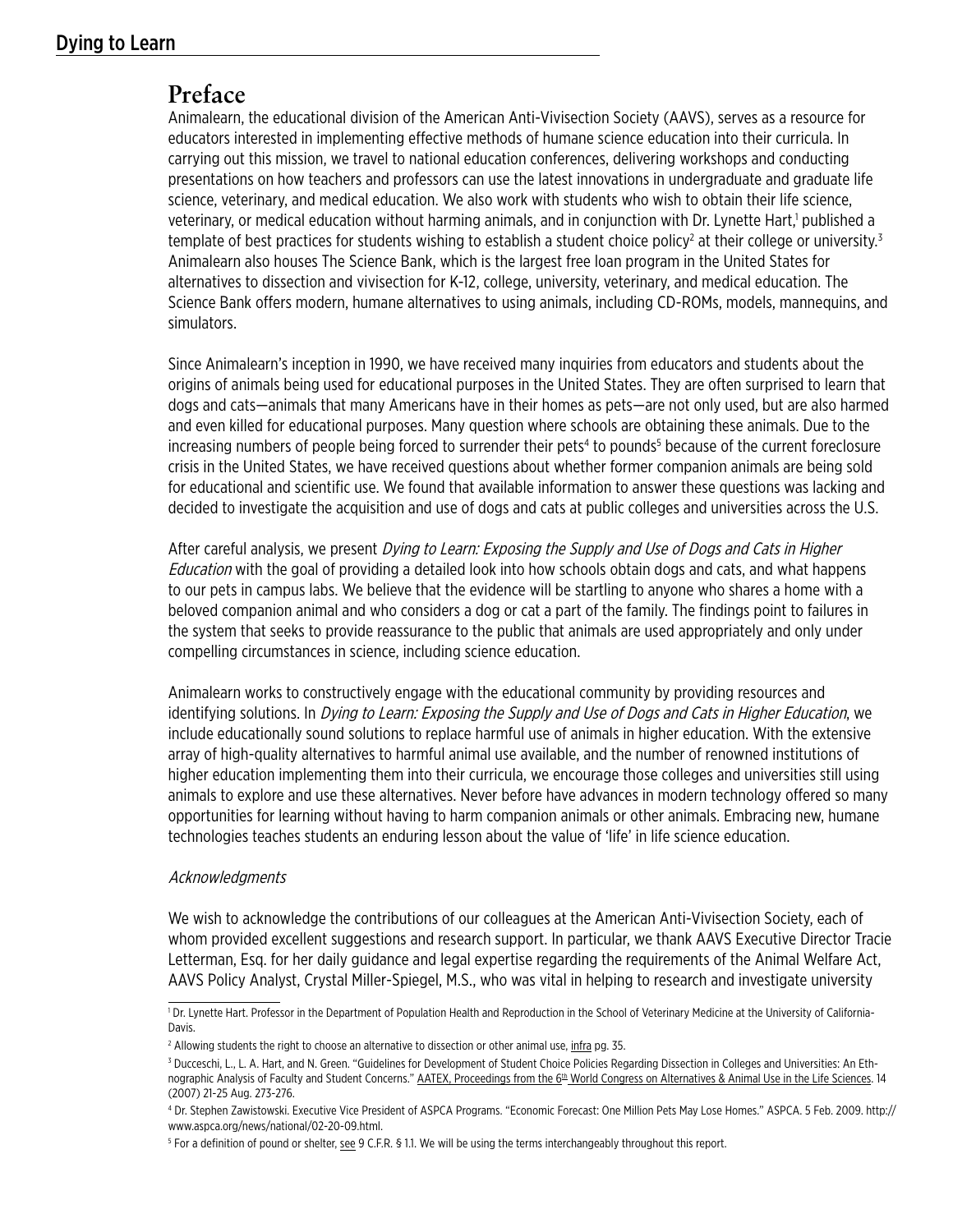# Dying to Learn

# **Preface**

Animalearn, the educational division of the American Anti-Vivisection Society (AAVS), serves as a resource for educators interested in implementing effective methods of humane science education into their curricula. In carrying out this mission, we travel to national education conferences, delivering workshops and conducting presentations on how teachers and professors can use the latest innovations in undergraduate and graduate life science, veterinary, and medical education. We also work with students who wish to obtain their life science, veterinary, or medical education without harming animals, and in conjunction with Dr. Lynette Hart,<sup>1</sup> published a template of best practices for students wishing to establish a student choice policy<sup>2</sup> at their college or university.<sup>3</sup> Animalearn also houses The Science Bank, which is the largest free loan program in the United States for alternatives to dissection and vivisection for K-12, college, university, veterinary, and medical education. The Science Bank offers modern, humane alternatives to using animals, including CD-ROMs, models, mannequins, and simulators.

Since Animalearn's inception in 1990, we have received many inquiries from educators and students about the origins of animals being used for educational purposes in the United States. They are often surprised to learn that dogs and cats—animals that many Americans have in their homes as pets—are not only used, but are also harmed and even killed for educational purposes. Many question where schools are obtaining these animals. Due to the increasing numbers of people being forced to surrender their pets<sup>4</sup> to pounds<sup>5</sup> because of the current foreclosure crisis in the United States, we have received questions about whether former companion animals are being sold for educational and scientific use. We found that available information to answer these questions was lacking and decided to investigate the acquisition and use of dogs and cats at public colleges and universities across the U.S.

After careful analysis, we present *Dying to Learn: Exposing the Supply and Use of Dogs and Cats in Higher* Education with the goal of providing a detailed look into how schools obtain dogs and cats, and what happens to our pets in campus labs. We believe that the evidence will be startling to anyone who shares a home with a beloved companion animal and who considers a dog or cat a part of the family. The findings point to failures in the system that seeks to provide reassurance to the public that animals are used appropriately and only under compelling circumstances in science, including science education.

Animalearn works to constructively engage with the educational community by providing resources and identifying solutions. In Dying to Learn: Exposing the Supply and Use of Dogs and Cats in Higher Education, we include educationally sound solutions to replace harmful use of animals in higher education. With the extensive array of high-quality alternatives to harmful animal use available, and the number of renowned institutions of higher education implementing them into their curricula, we encourage those colleges and universities still using animals to explore and use these alternatives. Never before have advances in modern technology offered so many opportunities for learning without having to harm companion animals or other animals. Embracing new, humane technologies teaches students an enduring lesson about the value of 'life' in life science education.

#### Acknowledgments

We wish to acknowledge the contributions of our colleagues at the American Anti-Vivisection Society, each of whom provided excellent suggestions and research support. In particular, we thank AAVS Executive Director Tracie Letterman, Esq. for her daily guidance and legal expertise regarding the requirements of the Animal Welfare Act, AAVS Policy Analyst, Crystal Miller-Spiegel, M.S., who was vital in helping to research and investigate university

<sup>&</sup>lt;sup>1</sup> Dr. Lynette Hart. Professor in the Department of Population Health and Reproduction in the School of Veterinary Medicine at the University of California-Davis.

<sup>&</sup>lt;sup>2</sup> Allowing students the right to choose an alternative to dissection or other animal use, <u>infra</u> pg. 35.

<sup>3</sup> Ducceschi, L., L. A. Hart, and N. Green. "Guidelines for Development of Student Choice Policies Regarding Dissection in Colleges and Universities: An Ethnographic Analysis of Faculty and Student Concerns." AATEX, Proceedings from the 6<sup>th</sup> World Congress on Alternatives & Animal Use in the Life Sciences. 14 (2007) 21-25 Aug. 273-276.

<sup>4</sup> Dr. Stephen Zawistowski. Executive Vice President of ASPCA Programs. "Economic Forecast: One Million Pets May Lose Homes." ASPCA. 5 Feb. 2009. http:// www.aspca.org/news/national/02-20-09.html.

<sup>&</sup>lt;sup>5</sup> For a definition of pound or shelter, see 9 C.F.R. § 1.1. We will be using the terms interchangeably throughout this report.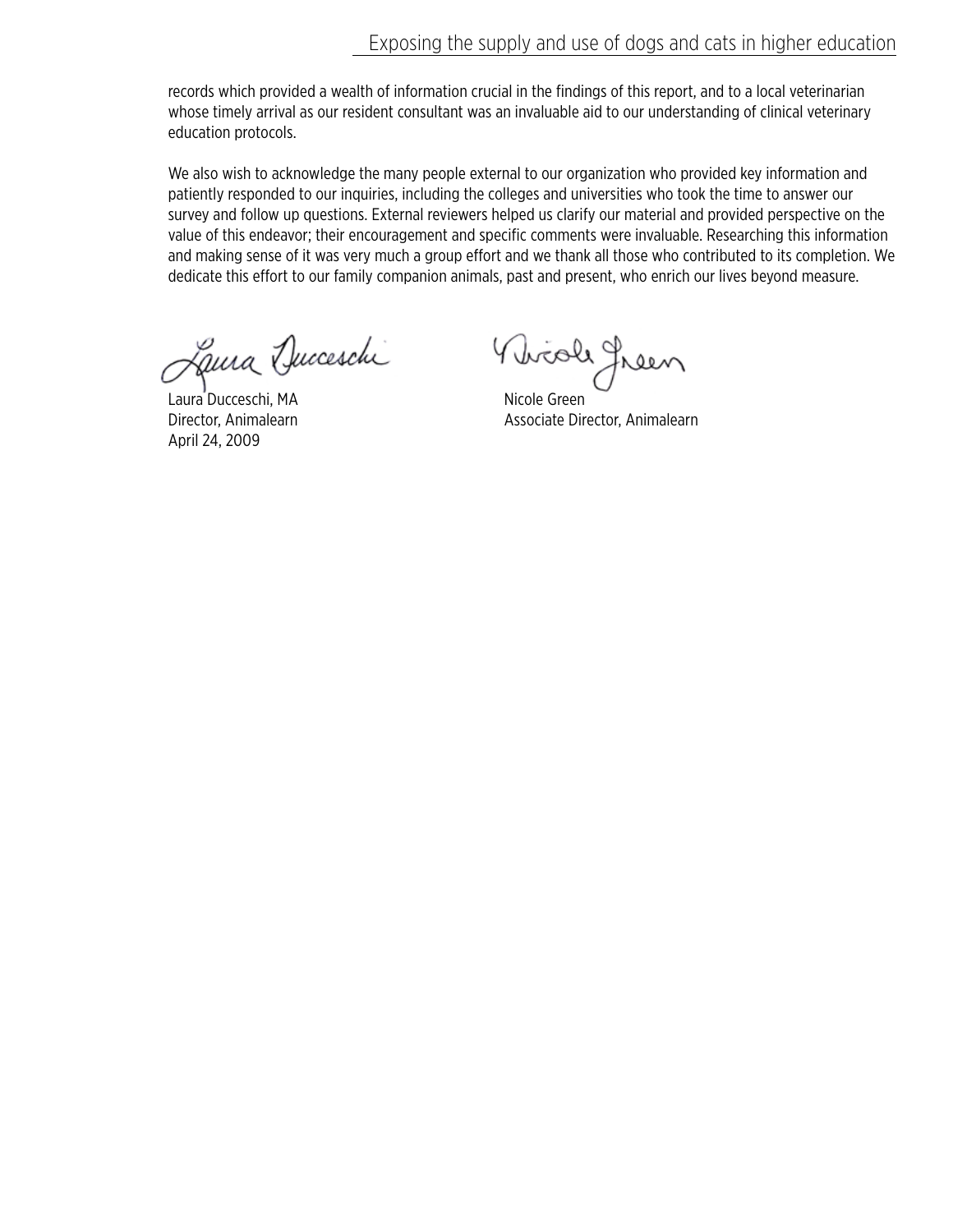records which provided a wealth of information crucial in the findings of this report, and to a local veterinarian whose timely arrival as our resident consultant was an invaluable aid to our understanding of clinical veterinary education protocols.

We also wish to acknowledge the many people external to our organization who provided key information and patiently responded to our inquiries, including the colleges and universities who took the time to answer our survey and follow up questions. External reviewers helped us clarify our material and provided perspective on the value of this endeavor; their encouragement and specific comments were invaluable. Researching this information and making sense of it was very much a group effort and we thank all those who contributed to its completion. We dedicate this effort to our family companion animals, past and present, who enrich our lives beyond measure.

Laura Ducceschi Vivioli Jreen Laura Ducceschi

April 24, 2009

Director, Animalearn **Associate Director**, Animalearn Associate Director, Animalearn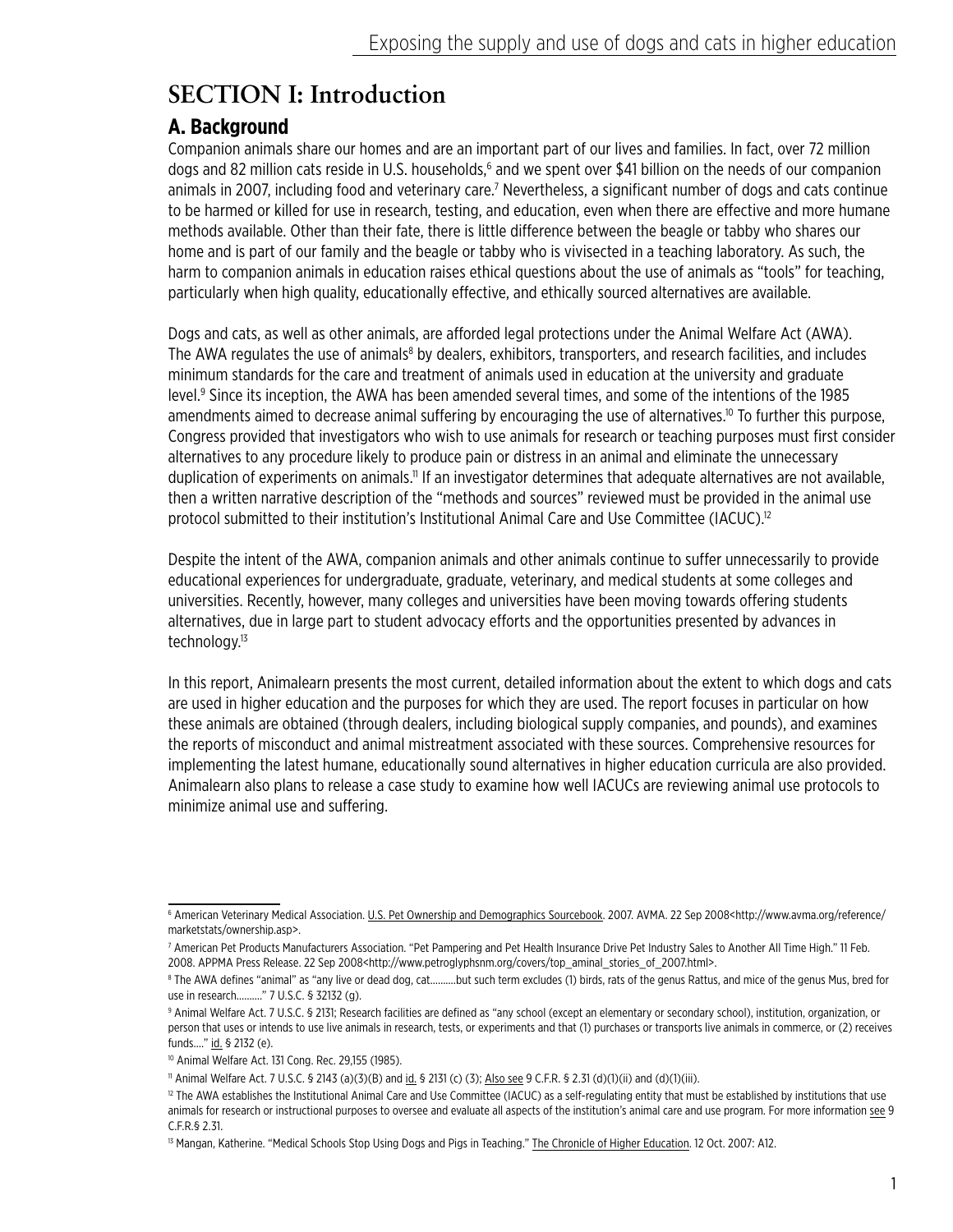# **SECTION I: Introduction**

# **A. Background**

Companion animals share our homes and are an important part of our lives and families. In fact, over 72 million dogs and 82 million cats reside in U.S. households,<sup>6</sup> and we spent over \$41 billion on the needs of our companion animals in 2007, including food and veterinary care.<sup>7</sup> Nevertheless, a significant number of dogs and cats continue to be harmed or killed for use in research, testing, and education, even when there are effective and more humane methods available. Other than their fate, there is little difference between the beagle or tabby who shares our home and is part of our family and the beagle or tabby who is vivisected in a teaching laboratory. As such, the harm to companion animals in education raises ethical questions about the use of animals as "tools" for teaching, particularly when high quality, educationally effective, and ethically sourced alternatives are available.

Dogs and cats, as well as other animals, are afforded legal protections under the Animal Welfare Act (AWA). The AWA regulates the use of animals<sup>8</sup> by dealers, exhibitors, transporters, and research facilities, and includes minimum standards for the care and treatment of animals used in education at the university and graduate level.<sup>9</sup> Since its inception, the AWA has been amended several times, and some of the intentions of the 1985 amendments aimed to decrease animal suffering by encouraging the use of alternatives.<sup>10</sup> To further this purpose, Congress provided that investigators who wish to use animals for research or teaching purposes must first consider alternatives to any procedure likely to produce pain or distress in an animal and eliminate the unnecessary duplication of experiments on animals.<sup>11</sup> If an investigator determines that adequate alternatives are not available, then a written narrative description of the "methods and sources" reviewed must be provided in the animal use protocol submitted to their institution's Institutional Animal Care and Use Committee (IACUC).<sup>12</sup>

Despite the intent of the AWA, companion animals and other animals continue to suffer unnecessarily to provide educational experiences for undergraduate, graduate, veterinary, and medical students at some colleges and universities. Recently, however, many colleges and universities have been moving towards offering students alternatives, due in large part to student advocacy efforts and the opportunities presented by advances in technology.<sup>13</sup>

In this report, Animalearn presents the most current, detailed information about the extent to which dogs and cats are used in higher education and the purposes for which they are used. The report focuses in particular on how these animals are obtained (through dealers, including biological supply companies, and pounds), and examines the reports of misconduct and animal mistreatment associated with these sources. Comprehensive resources for implementing the latest humane, educationally sound alternatives in higher education curricula are also provided. Animalearn also plans to release a case study to examine how well IACUCs are reviewing animal use protocols to minimize animal use and suffering.

<sup>6</sup> American Veterinary Medical Association. U.S. Pet Ownership and Demographics Sourcebook. 2007. AVMA. 22 Sep 2008<http://www.avma.org/reference/ marketstats/ownership.asp>.

<sup>7</sup> American Pet Products Manufacturers Association. "Pet Pampering and Pet Health Insurance Drive Pet Industry Sales to Another All Time High." 11 Feb. 2008. APPMA Press Release. 22 Sep 2008<http://www.petroglyphsnm.org/covers/top\_aminal\_stories\_of\_2007.html>.

<sup>8</sup> The AWA defines "animal" as "any live or dead dog, cat……….but such term excludes (1) birds, rats of the genus Rattus, and mice of the genus Mus, bred for use in research………." 7 U.S.C. § 32132 (g).

<sup>9</sup> Animal Welfare Act. 7 U.S.C. § 2131; Research facilities are defined as "any school (except an elementary or secondary school), institution, organization, or person that uses or intends to use live animals in research, tests, or experiments and that (1) purchases or transports live animals in commerce, or (2) receives funds…." id. § 2132 (e).

<sup>10</sup> Animal Welfare Act. 131 Cong. Rec. 29,155 (1985).

<sup>11</sup> Animal Welfare Act. 7 U.S.C. § 2143 (a)(3)(B) and id. § 2131 (c) (3); Also see 9 C.F.R. § 2.31 (d)(1)(ii) and (d)(1)(iii).

<sup>&</sup>lt;sup>12</sup> The AWA establishes the Institutional Animal Care and Use Committee (IACUC) as a self-regulating entity that must be established by institutions that use animals for research or instructional purposes to oversee and evaluate all aspects of the institution's animal care and use program. For more information see 9 C.F.R.§ 2.31.

<sup>&</sup>lt;sup>13</sup> Mangan, Katherine. "Medical Schools Stop Using Dogs and Pigs in Teaching." The Chronicle of Higher Education. 12 Oct. 2007: A12.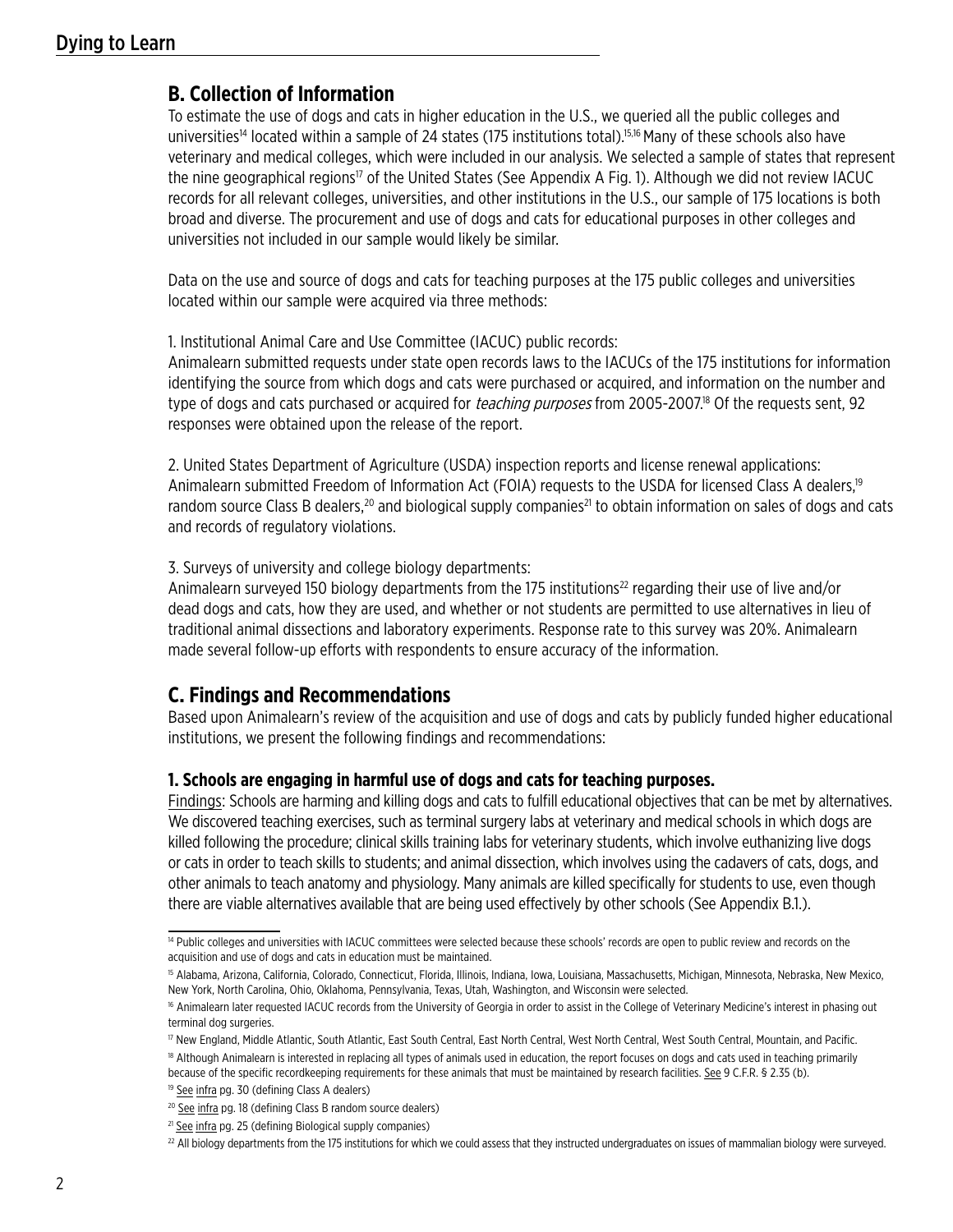# **B. Collection of Information**

To estimate the use of dogs and cats in higher education in the U.S., we queried all the public colleges and universities<sup>14</sup> located within a sample of 24 states (175 institutions total).<sup>15,16</sup> Many of these schools also have veterinary and medical colleges, which were included in our analysis. We selected a sample of states that represent the nine geographical regions<sup>17</sup> of the United States (See Appendix A Fig. 1). Although we did not review IACUC records for all relevant colleges, universities, and other institutions in the U.S., our sample of 175 locations is both broad and diverse. The procurement and use of dogs and cats for educational purposes in other colleges and universities not included in our sample would likely be similar.

Data on the use and source of dogs and cats for teaching purposes at the 175 public colleges and universities located within our sample were acquired via three methods:

1. Institutional Animal Care and Use Committee (IACUC) public records:

Animalearn submitted requests under state open records laws to the IACUCs of the 175 institutions for information identifying the source from which dogs and cats were purchased or acquired, and information on the number and type of dogs and cats purchased or acquired for *teaching purposes* from 2005-2007.<sup>18</sup> Of the requests sent, 92 responses were obtained upon the release of the report.

2. United States Department of Agriculture (USDA) inspection reports and license renewal applications: Animalearn submitted Freedom of Information Act (FOIA) requests to the USDA for licensed Class A dealers,<sup>19</sup> random source Class B dealers,<sup>20</sup> and biological supply companies<sup>21</sup> to obtain information on sales of dogs and cats and records of regulatory violations.

3. Surveys of university and college biology departments:

Animalearn surveyed 150 biology departments from the 175 institutions<sup>22</sup> regarding their use of live and/or dead dogs and cats, how they are used, and whether or not students are permitted to use alternatives in lieu of traditional animal dissections and laboratory experiments. Response rate to this survey was 20%. Animalearn made several follow-up efforts with respondents to ensure accuracy of the information.

# **C. Findings and Recommendations**

Based upon Animalearn's review of the acquisition and use of dogs and cats by publicly funded higher educational institutions, we present the following findings and recommendations:

#### **1. Schools are engaging in harmful use of dogs and cats for teaching purposes.**

Findings: Schools are harming and killing dogs and cats to fulfill educational objectives that can be met by alternatives. We discovered teaching exercises, such as terminal surgery labs at veterinary and medical schools in which dogs are killed following the procedure; clinical skills training labs for veterinary students, which involve euthanizing live dogs or cats in order to teach skills to students; and animal dissection, which involves using the cadavers of cats, dogs, and other animals to teach anatomy and physiology. Many animals are killed specifically for students to use, even though there are viable alternatives available that are being used effectively by other schools (See Appendix B.1.).

<sup>&</sup>lt;sup>14</sup> Public colleges and universities with IACUC committees were selected because these schools' records are open to public review and records on the acquisition and use of dogs and cats in education must be maintained.

<sup>&</sup>lt;sup>15</sup> Alabama, Arizona, California, Colorado, Connecticut, Florida, Illinois, Indiana, Iowa, Louisiana, Massachusetts, Michigan, Minnesota, Nebraska, New Mexico, New York, North Carolina, Ohio, Oklahoma, Pennsylvania, Texas, Utah, Washington, and Wisconsin were selected.

<sup>&</sup>lt;sup>16</sup> Animalearn later requested IACUC records from the University of Georgia in order to assist in the College of Veterinary Medicine's interest in phasing out terminal dog surgeries.

<sup>17</sup> New England, Middle Atlantic, South Atlantic, East South Central, East North Central, West North Central, West South Central, Mountain, and Pacific.

<sup>&</sup>lt;sup>18</sup> Although Animalearn is interested in replacing all types of animals used in education, the report focuses on dogs and cats used in teaching primarily because of the specific recordkeeping requirements for these animals that must be maintained by research facilities. See 9 C.F.R. § 2.35 (b).

<sup>&</sup>lt;sup>19</sup> See infra pg. 30 (defining Class A dealers)

<sup>&</sup>lt;sup>20</sup> See infra pg. 18 (defining Class B random source dealers)

<sup>&</sup>lt;sup>21</sup> See infra pg. 25 (defining Biological supply companies)

<sup>&</sup>lt;sup>22</sup> All biology departments from the 175 institutions for which we could assess that they instructed undergraduates on issues of mammalian biology were surveyed.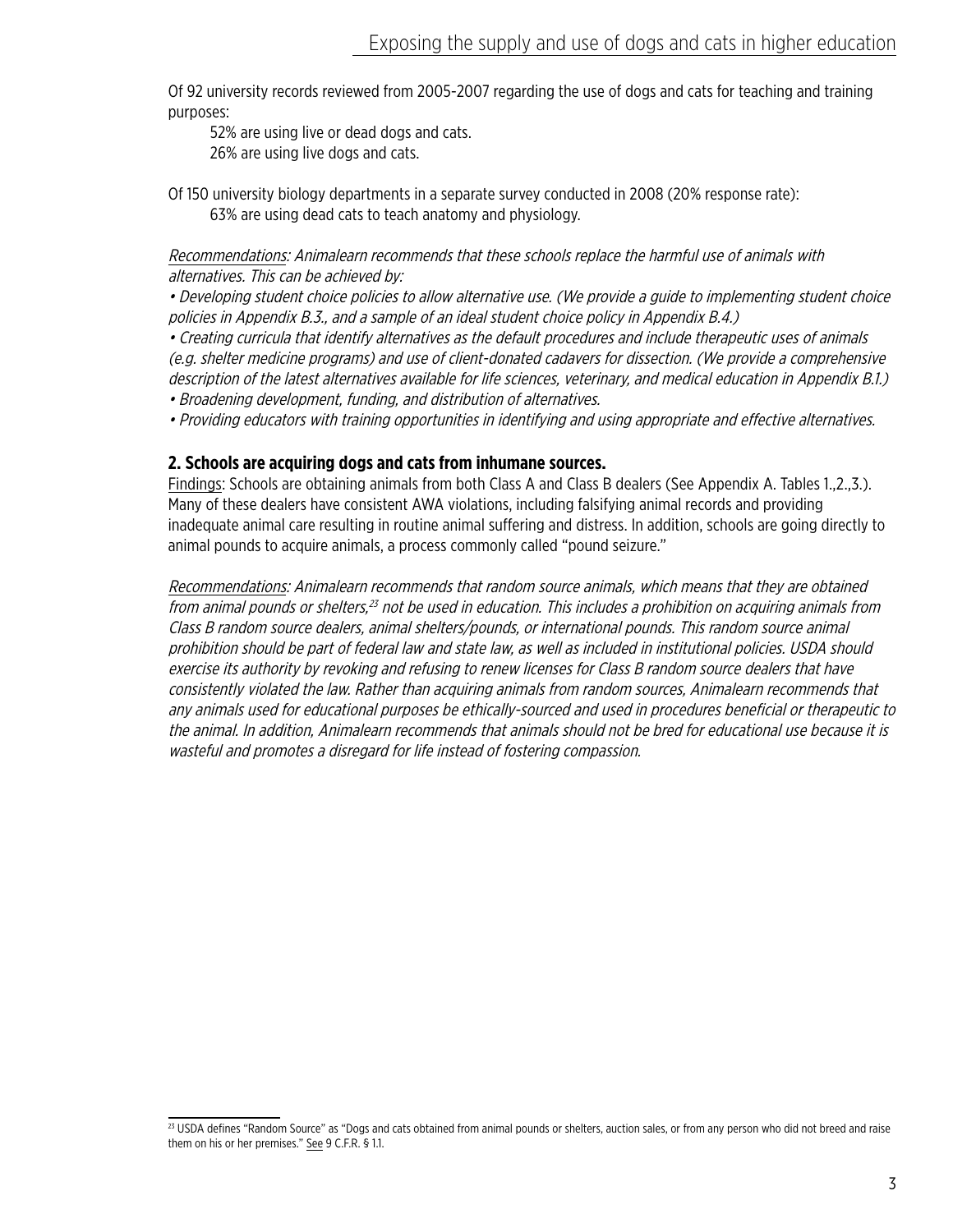Of 92 university records reviewed from 2005-2007 regarding the use of dogs and cats for teaching and training purposes:

52% are using live or dead dogs and cats.

26% are using live dogs and cats.

Of 150 university biology departments in a separate survey conducted in 2008 (20% response rate): 63% are using dead cats to teach anatomy and physiology.

Recommendations: Animalearn recommends that these schools replace the harmful use of animals with alternatives. This can be achieved by:

• Developing student choice policies to allow alternative use. (We provide a guide to implementing student choice policies in Appendix B.3., and a sample of an ideal student choice policy in Appendix B.4.)

• Creating curricula that identify alternatives as the default procedures and include therapeutic uses of animals (e.g. shelter medicine programs) and use of client-donated cadavers for dissection. (We provide a comprehensive description of the latest alternatives available for life sciences, veterinary, and medical education in Appendix B.1.)

- Broadening development, funding, and distribution of alternatives.
- Providing educators with training opportunities in identifying and using appropriate and effective alternatives.

#### **2. Schools are acquiring dogs and cats from inhumane sources.**

Findings: Schools are obtaining animals from both Class A and Class B dealers (See Appendix A. Tables 1.,2.,3.). Many of these dealers have consistent AWA violations, including falsifying animal records and providing inadequate animal care resulting in routine animal suffering and distress. In addition, schools are going directly to animal pounds to acquire animals, a process commonly called "pound seizure."

Recommendations: Animalearn recommends that random source animals, which means that they are obtained from animal pounds or shelters,<sup>23</sup> not be used in education. This includes a prohibition on acquiring animals from Class B random source dealers, animal shelters/pounds, or international pounds. This random source animal prohibition should be part of federal law and state law, as well as included in institutional policies. USDA should exercise its authority by revoking and refusing to renew licenses for Class B random source dealers that have consistently violated the law. Rather than acquiring animals from random sources, Animalearn recommends that any animals used for educational purposes be ethically-sourced and used in procedures beneficial or therapeutic to the animal. In addition, Animalearn recommends that animals should not be bred for educational use because it is wasteful and promotes a disregard for life instead of fostering compassion.

<sup>&</sup>lt;sup>23</sup> USDA defines "Random Source" as "Dogs and cats obtained from animal pounds or shelters, auction sales, or from any person who did not breed and raise them on his or her premises." See 9 C.F.R. § 1.1.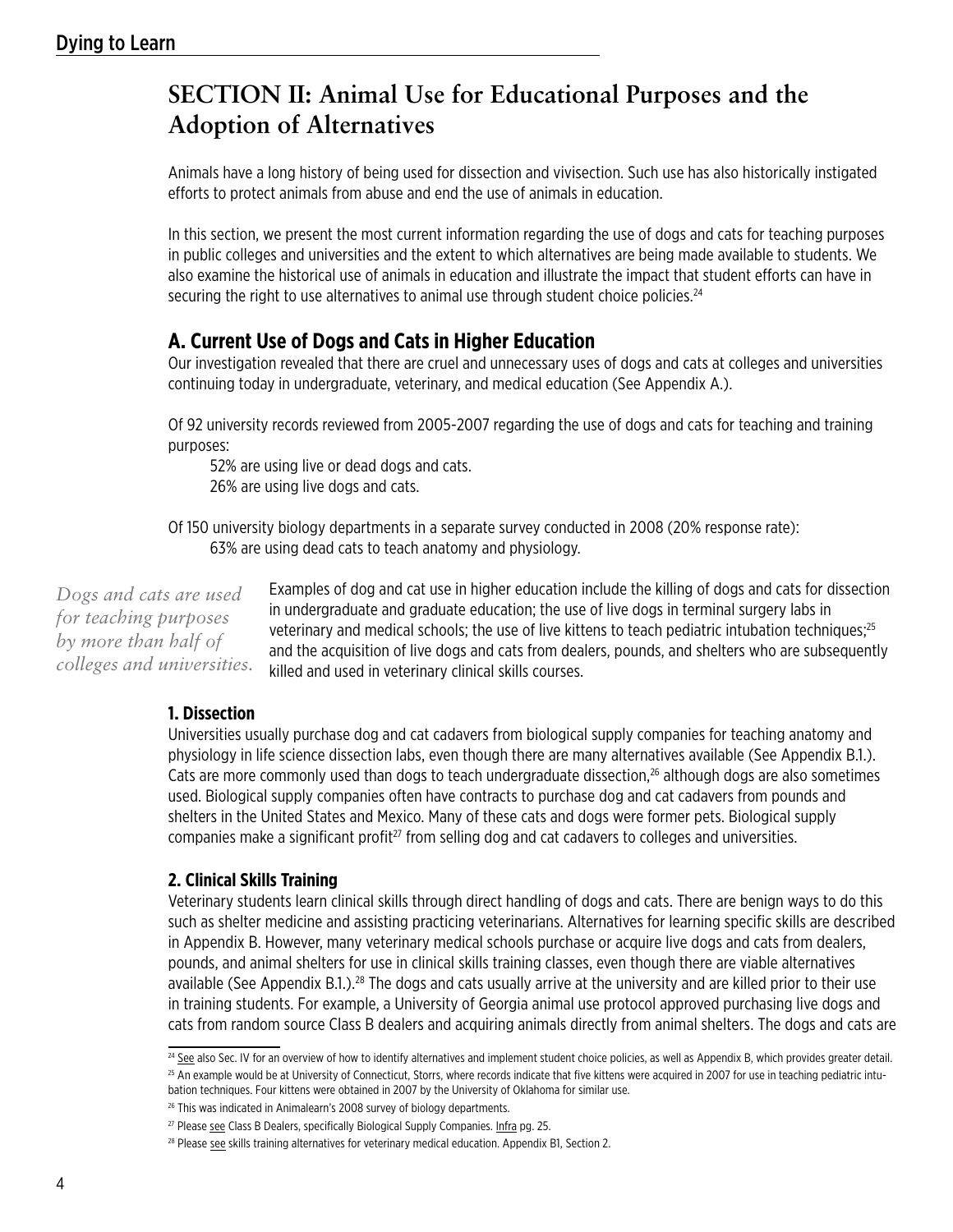# **SECTION II: Animal Use for Educational Purposes and the Adoption of Alternatives**

Animals have a long history of being used for dissection and vivisection. Such use has also historically instigated efforts to protect animals from abuse and end the use of animals in education.

In this section, we present the most current information regarding the use of dogs and cats for teaching purposes in public colleges and universities and the extent to which alternatives are being made available to students. We also examine the historical use of animals in education and illustrate the impact that student efforts can have in securing the right to use alternatives to animal use through student choice policies.<sup>24</sup>

# **A. Current Use of Dogs and Cats in Higher Education**

Our investigation revealed that there are cruel and unnecessary uses of dogs and cats at colleges and universities continuing today in undergraduate, veterinary, and medical education (See Appendix A.).

Of 92 university records reviewed from 2005-2007 regarding the use of dogs and cats for teaching and training purposes:

52% are using live or dead dogs and cats. 26% are using live dogs and cats.

Of 150 university biology departments in a separate survey conducted in 2008 (20% response rate): 63% are using dead cats to teach anatomy and physiology.

*Dogs and cats are used for teaching purposes by more than half of colleges and universities.*

Examples of dog and cat use in higher education include the killing of dogs and cats for dissection in undergraduate and graduate education; the use of live dogs in terminal surgery labs in veterinary and medical schools; the use of live kittens to teach pediatric intubation techniques;<sup>25</sup> and the acquisition of live dogs and cats from dealers, pounds, and shelters who are subsequently killed and used in veterinary clinical skills courses.

## **1. Dissection**

Universities usually purchase dog and cat cadavers from biological supply companies for teaching anatomy and physiology in life science dissection labs, even though there are many alternatives available (See Appendix B.1.). Cats are more commonly used than dogs to teach undergraduate dissection,<sup>26</sup> although dogs are also sometimes used. Biological supply companies often have contracts to purchase dog and cat cadavers from pounds and shelters in the United States and Mexico. Many of these cats and dogs were former pets. Biological supply companies make a significant profit<sup>27</sup> from selling dog and cat cadavers to colleges and universities.

#### **2. Clinical Skills Training**

Veterinary students learn clinical skills through direct handling of dogs and cats. There are benign ways to do this such as shelter medicine and assisting practicing veterinarians. Alternatives for learning specific skills are described in Appendix B. However, many veterinary medical schools purchase or acquire live dogs and cats from dealers, pounds, and animal shelters for use in clinical skills training classes, even though there are viable alternatives available (See Appendix B.1.).<sup>28</sup> The dogs and cats usually arrive at the university and are killed prior to their use in training students. For example, a University of Georgia animal use protocol approved purchasing live dogs and cats from random source Class B dealers and acquiring animals directly from animal shelters. The dogs and cats are

<sup>&</sup>lt;sup>24</sup> See also Sec. IV for an overview of how to identify alternatives and implement student choice policies, as well as Appendix B, which provides greater detail. <sup>25</sup> An example would be at University of Connecticut, Storrs, where records indicate that five kittens were acquired in 2007 for use in teaching pediatric intubation techniques. Four kittens were obtained in 2007 by the University of Oklahoma for similar use.

<sup>&</sup>lt;sup>26</sup> This was indicated in Animalearn's 2008 survey of biology departments.

<sup>&</sup>lt;sup>27</sup> Please see Class B Dealers, specifically Biological Supply Companies. Infra pg. 25.

<sup>&</sup>lt;sup>28</sup> Please see skills training alternatives for veterinary medical education. Appendix B1, Section 2.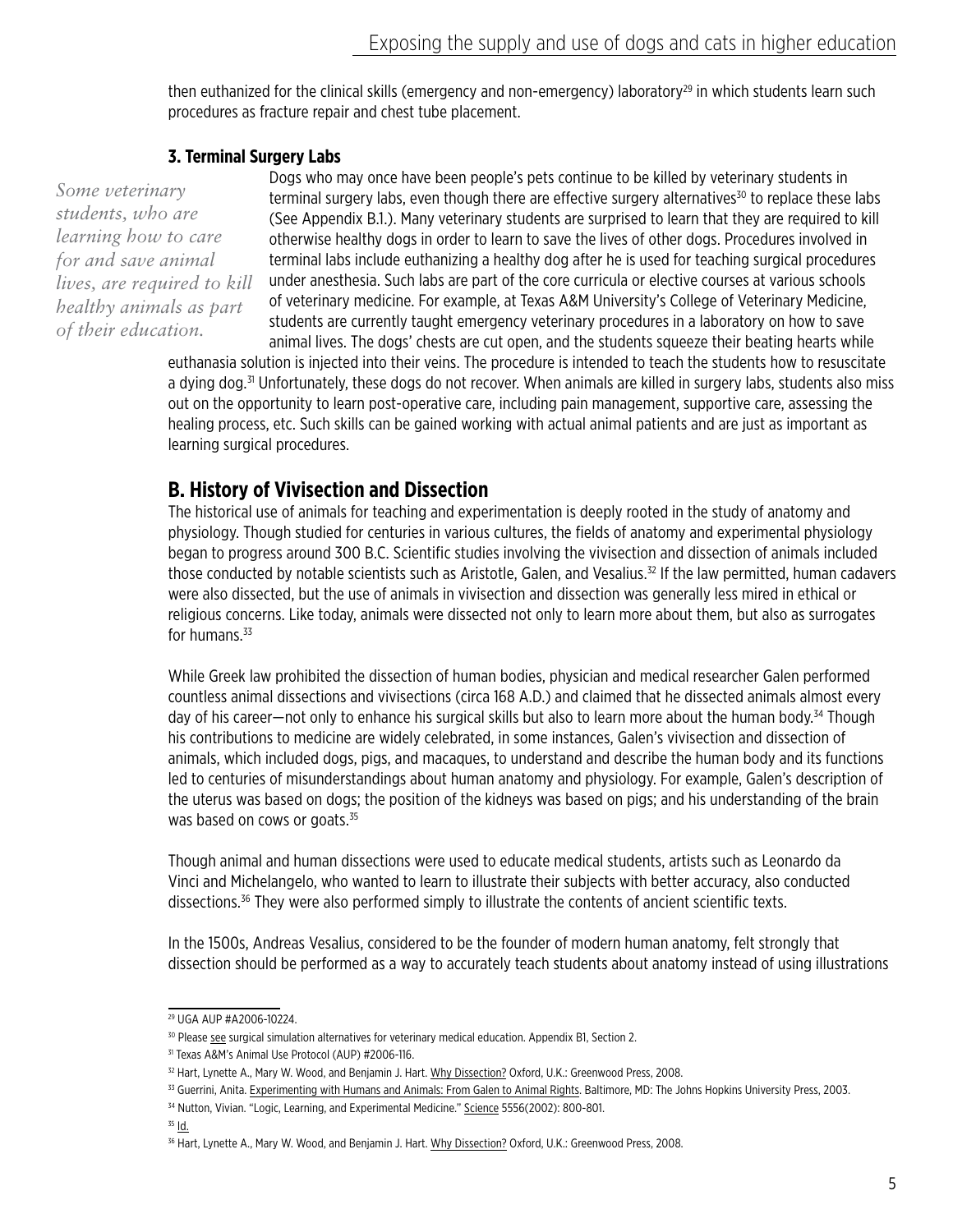then euthanized for the clinical skills (emergency and non-emergency) laboratory<sup>29</sup> in which students learn such procedures as fracture repair and chest tube placement.

#### **3. Terminal Surgery Labs**

*Some veterinary students, who are learning how to care for and save animal lives, are required to kill healthy animals as part of their education.*

Dogs who may once have been people's pets continue to be killed by veterinary students in terminal surgery labs, even though there are effective surgery alternatives $30$  to replace these labs (See Appendix B.1.). Many veterinary students are surprised to learn that they are required to kill otherwise healthy dogs in order to learn to save the lives of other dogs. Procedures involved in terminal labs include euthanizing a healthy dog after he is used for teaching surgical procedures under anesthesia. Such labs are part of the core curricula or elective courses at various schools of veterinary medicine. For example, at Texas A&M University's College of Veterinary Medicine, students are currently taught emergency veterinary procedures in a laboratory on how to save animal lives. The dogs' chests are cut open, and the students squeeze their beating hearts while

euthanasia solution is injected into their veins. The procedure is intended to teach the students how to resuscitate a dying dog.<sup>31</sup> Unfortunately, these dogs do not recover. When animals are killed in surgery labs, students also miss out on the opportunity to learn post-operative care, including pain management, supportive care, assessing the healing process, etc. Such skills can be gained working with actual animal patients and are just as important as learning surgical procedures.

# **B. History of Vivisection and Dissection**

The historical use of animals for teaching and experimentation is deeply rooted in the study of anatomy and physiology. Though studied for centuries in various cultures, the fields of anatomy and experimental physiology began to progress around 300 B.C. Scientific studies involving the vivisection and dissection of animals included those conducted by notable scientists such as Aristotle, Galen, and Vesalius.<sup>32</sup> If the law permitted, human cadavers were also dissected, but the use of animals in vivisection and dissection was generally less mired in ethical or religious concerns. Like today, animals were dissected not only to learn more about them, but also as surrogates for humans. $33$ 

While Greek law prohibited the dissection of human bodies, physician and medical researcher Galen performed countless animal dissections and vivisections (circa 168 A.D.) and claimed that he dissected animals almost every day of his career—not only to enhance his surgical skills but also to learn more about the human body.<sup>34</sup> Though his contributions to medicine are widely celebrated, in some instances, Galen's vivisection and dissection of animals, which included dogs, pigs, and macaques, to understand and describe the human body and its functions led to centuries of misunderstandings about human anatomy and physiology. For example, Galen's description of the uterus was based on dogs; the position of the kidneys was based on pigs; and his understanding of the brain was based on cows or goats.<sup>35</sup>

Though animal and human dissections were used to educate medical students, artists such as Leonardo da Vinci and Michelangelo, who wanted to learn to illustrate their subjects with better accuracy, also conducted dissections.<sup>36</sup> They were also performed simply to illustrate the contents of ancient scientific texts.

In the 1500s, Andreas Vesalius, considered to be the founder of modern human anatomy, felt strongly that dissection should be performed as a way to accurately teach students about anatomy instead of using illustrations

<sup>29</sup> UGA AUP #A2006-10224.

<sup>&</sup>lt;sup>30</sup> Please see surgical simulation alternatives for veterinary medical education. Appendix B1, Section 2.

<sup>31</sup> Texas A&M's Animal Use Protocol (AUP) #2006-116.

<sup>32</sup> Hart, Lynette A., Mary W. Wood, and Benjamin J. Hart. Why Dissection? Oxford, U.K.: Greenwood Press, 2008.

<sup>33</sup> Guerrini, Anita. Experimenting with Humans and Animals: From Galen to Animal Rights. Baltimore, MD: The Johns Hopkins University Press, 2003.

<sup>&</sup>lt;sup>34</sup> Nutton, Vivian. "Logic, Learning, and Experimental Medicine." Science 5556(2002): 800-801.

 $35$  Id.

<sup>&</sup>lt;sup>36</sup> Hart, Lynette A., Mary W. Wood, and Benjamin J. Hart. Why Dissection? Oxford, U.K.: Greenwood Press, 2008.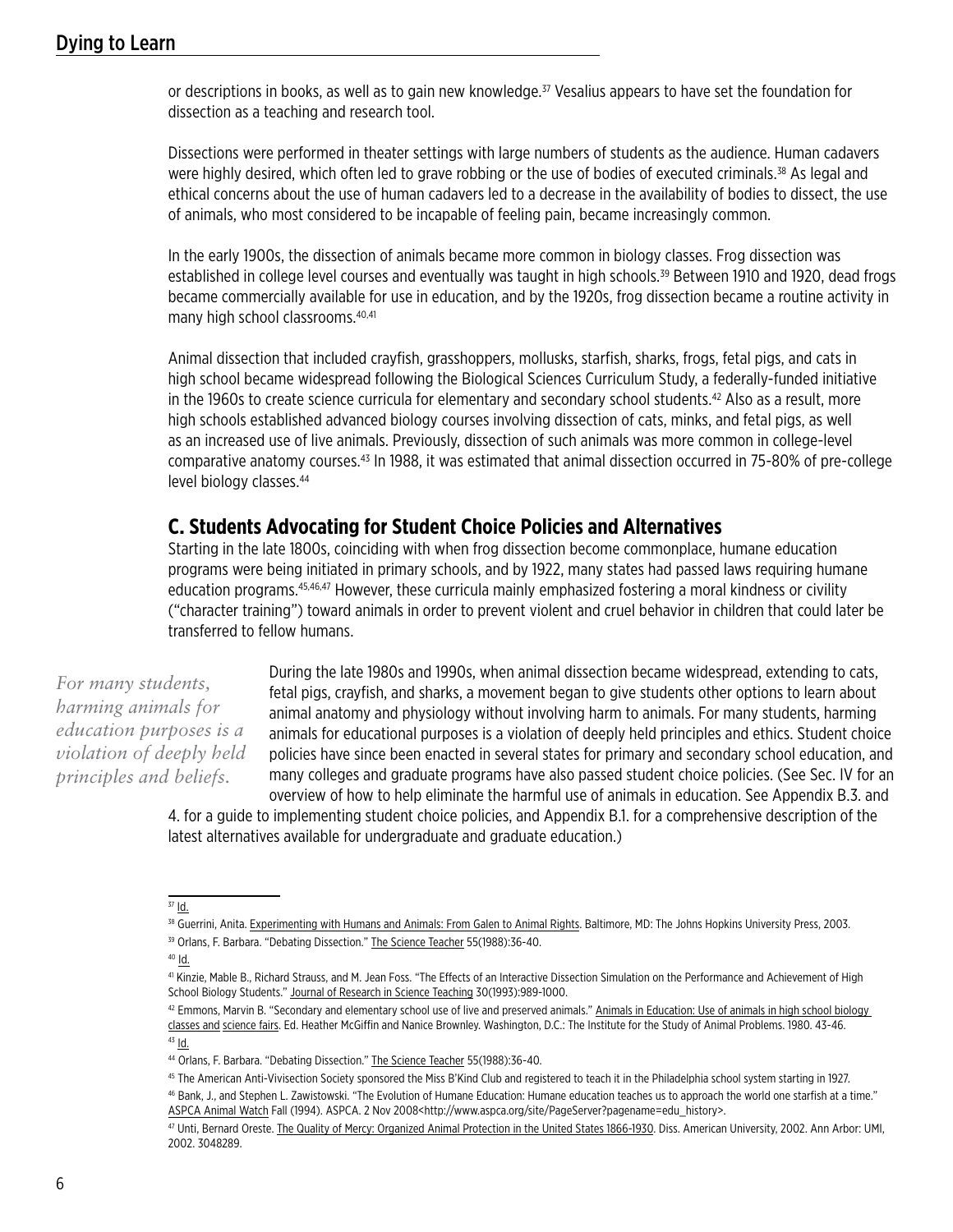or descriptions in books, as well as to gain new knowledge.<sup>37</sup> Vesalius appears to have set the foundation for dissection as a teaching and research tool.

Dissections were performed in theater settings with large numbers of students as the audience. Human cadavers were highly desired, which often led to grave robbing or the use of bodies of executed criminals.<sup>38</sup> As legal and ethical concerns about the use of human cadavers led to a decrease in the availability of bodies to dissect, the use of animals, who most considered to be incapable of feeling pain, became increasingly common.

In the early 1900s, the dissection of animals became more common in biology classes. Frog dissection was established in college level courses and eventually was taught in high schools.<sup>39</sup> Between 1910 and 1920, dead frogs became commercially available for use in education, and by the 1920s, frog dissection became a routine activity in many high school classrooms.40,41

Animal dissection that included crayfish, grasshoppers, mollusks, starfish, sharks, frogs, fetal pigs, and cats in high school became widespread following the Biological Sciences Curriculum Study, a federally-funded initiative in the 1960s to create science curricula for elementary and secondary school students.42 Also as a result, more high schools established advanced biology courses involving dissection of cats, minks, and fetal pigs, as well as an increased use of live animals. Previously, dissection of such animals was more common in college-level comparative anatomy courses.<sup>43</sup> In 1988, it was estimated that animal dissection occurred in 75-80% of pre-college level biology classes.<sup>44</sup>

# **C. Students Advocating for Student Choice Policies and Alternatives**

Starting in the late 1800s, coinciding with when frog dissection become commonplace, humane education programs were being initiated in primary schools, and by 1922, many states had passed laws requiring humane education programs.<sup>45,46,47</sup> However, these curricula mainly emphasized fostering a moral kindness or civility ("character training") toward animals in order to prevent violent and cruel behavior in children that could later be transferred to fellow humans.

*For many students, harming animals for education purposes is a violation of deeply held principles and beliefs.*

During the late 1980s and 1990s, when animal dissection became widespread, extending to cats, fetal pigs, crayfish, and sharks, a movement began to give students other options to learn about animal anatomy and physiology without involving harm to animals. For many students, harming animals for educational purposes is a violation of deeply held principles and ethics. Student choice policies have since been enacted in several states for primary and secondary school education, and many colleges and graduate programs have also passed student choice policies. (See Sec. IV for an overview of how to help eliminate the harmful use of animals in education. See Appendix B.3. and

4. for a guide to implementing student choice policies, and Appendix B.1. for a comprehensive description of the latest alternatives available for undergraduate and graduate education.)

 $37$  Id.

<sup>38</sup> Guerrini, Anita. Experimenting with Humans and Animals: From Galen to Animal Rights. Baltimore, MD: The Johns Hopkins University Press, 2003. <sup>39</sup> Orlans, F. Barbara. "Debating Dissection." The Science Teacher 55(1988):36-40.

 $40$   $\underline{\mathsf{Id}}$ .

<sup>41</sup> Kinzie, Mable B., Richard Strauss, and M. Jean Foss. "The Effects of an Interactive Dissection Simulation on the Performance and Achievement of High School Biology Students." Journal of Research in Science Teaching 30(1993):989-1000.

<sup>42</sup> Emmons, Marvin B. "Secondary and elementary school use of live and preserved animals." Animals in Education: Use of animals in high school biology classes and science fairs. Ed. Heather McGiffin and Nanice Brownley. Washington, D.C.: The Institute for the Study of Animal Problems. 1980. 43-46.  $43$  Id.

<sup>44</sup> Orlans, F. Barbara. "Debating Dissection." The Science Teacher 55(1988):36-40.

<sup>45</sup> The American Anti-Vivisection Society sponsored the Miss B'Kind Club and registered to teach it in the Philadelphia school system starting in 1927.

<sup>46</sup> Bank, J., and Stephen L. Zawistowski. "The Evolution of Humane Education: Humane education teaches us to approach the world one starfish at a time." ASPCA Animal Watch Fall (1994). ASPCA. 2 Nov 2008<http://www.aspca.org/site/PageServer?pagename=edu\_history>.

<sup>47</sup> Unti, Bernard Oreste. The Quality of Mercy: Organized Animal Protection in the United States 1866-1930. Diss. American University, 2002. Ann Arbor: UMI, 2002. 3048289.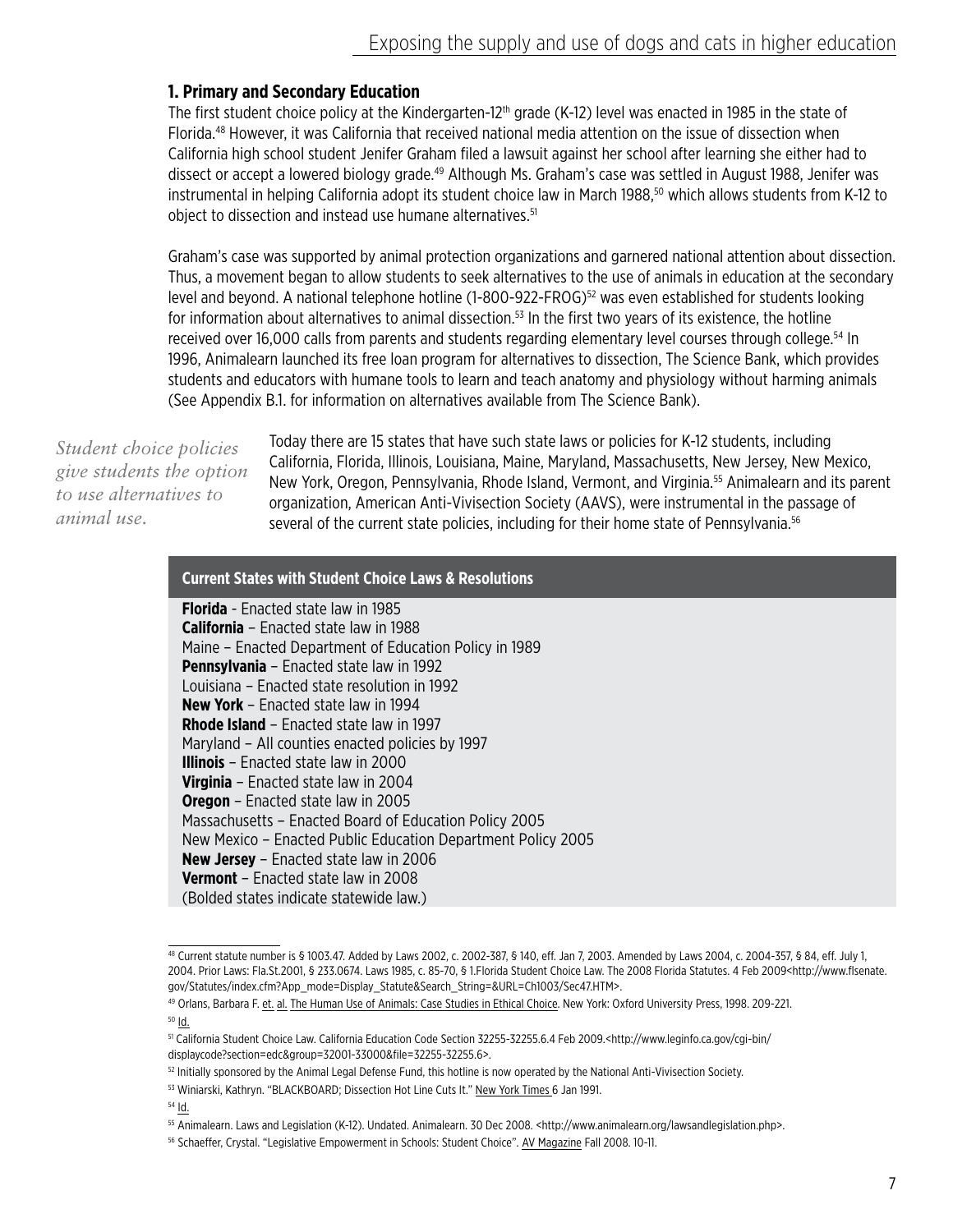#### **1. Primary and Secondary Education**

The first student choice policy at the Kindergarten-12<sup>th</sup> grade (K-12) level was enacted in 1985 in the state of Florida.48 However, it was California that received national media attention on the issue of dissection when California high school student Jenifer Graham filed a lawsuit against her school after learning she either had to dissect or accept a lowered biology grade.<sup>49</sup> Although Ms. Graham's case was settled in August 1988, Jenifer was instrumental in helping California adopt its student choice law in March 1988,<sup>50</sup> which allows students from K-12 to object to dissection and instead use humane alternatives.<sup>51</sup>

Graham's case was supported by animal protection organizations and garnered national attention about dissection. Thus, a movement began to allow students to seek alternatives to the use of animals in education at the secondary level and beyond. A national telephone hotline  $(1-800-922-FROG)^{52}$  was even established for students looking for information about alternatives to animal dissection.<sup>53</sup> In the first two vears of its existence, the hotline received over 16,000 calls from parents and students regarding elementary level courses through college.<sup>54</sup> In 1996, Animalearn launched its free loan program for alternatives to dissection, The Science Bank, which provides students and educators with humane tools to learn and teach anatomy and physiology without harming animals (See Appendix B.1. for information on alternatives available from The Science Bank).

*Student choice policies give students the option to use alternatives to animal use.*

Today there are 15 states that have such state laws or policies for K-12 students, including California, Florida, Illinois, Louisiana, Maine, Maryland, Massachusetts, New Jersey, New Mexico, New York, Oregon, Pennsylvania, Rhode Island, Vermont, and Virginia.55 Animalearn and its parent organization, American Anti-Vivisection Society (AAVS), were instrumental in the passage of several of the current state policies, including for their home state of Pennsylvania.<sup>56</sup>

#### **Current States with Student Choice Laws & Resolutions**

**Florida** - Enacted state law in 1985 **California** – Enacted state law in 1988 Maine – Enacted Department of Education Policy in 1989 **Pennsylvania** – Enacted state law in 1992 Louisiana – Enacted state resolution in 1992 **New York** – Enacted state law in 1994 **Rhode Island** – Enacted state law in 1997 Maryland – All counties enacted policies by 1997 **Illinois** – Enacted state law in 2000 **Virginia** – Enacted state law in 2004 **Oregon** – Enacted state law in 2005 Massachusetts – Enacted Board of Education Policy 2005 New Mexico – Enacted Public Education Department Policy 2005 **New Jersey** – Enacted state law in 2006 **Vermont** – Enacted state law in 2008 (Bolded states indicate statewide law.)

<sup>54</sup> Id.

<sup>48</sup> Current statute number is § 1003.47. Added by Laws 2002, c. 2002-387, § 140, eff. Jan 7, 2003. Amended by Laws 2004, c. 2004-357, § 84, eff. July 1, 2004. Prior Laws: Fla.St.2001, § 233.0674. Laws 1985, c. 85-70, § 1.Florida Student Choice Law. The 2008 Florida Statutes. 4 Feb 2009<http://www.flsenate. gov/Statutes/index.cfm?App\_mode=Display\_Statute&Search\_String=&URL=Ch1003/Sec47.HTM>.

<sup>49</sup> Orlans, Barbara F. et. al. The Human Use of Animals: Case Studies in Ethical Choice. New York: Oxford University Press, 1998. 209-221.  $50$   $\underline{Id}$ .

<sup>51</sup> California Student Choice Law. California Education Code Section 32255-32255.6.4 Feb 2009.<http://www.leginfo.ca.gov/cgi-bin/ displaycode?section=edc&group=32001-33000&file=32255-32255.6>.

<sup>52</sup> Initially sponsored by the Animal Legal Defense Fund, this hotline is now operated by the National Anti-Vivisection Society.

<sup>53</sup> Winiarski, Kathryn. "BLACKBOARD; Dissection Hot Line Cuts It." New York Times 6 Jan 1991.

<sup>55</sup> Animalearn. Laws and Legislation (K-12). Undated. Animalearn. 30 Dec 2008. <http://www.animalearn.org/lawsandlegislation.php>.

<sup>56</sup> Schaeffer, Crystal. "Legislative Empowerment in Schools: Student Choice". AV Magazine Fall 2008. 10-11.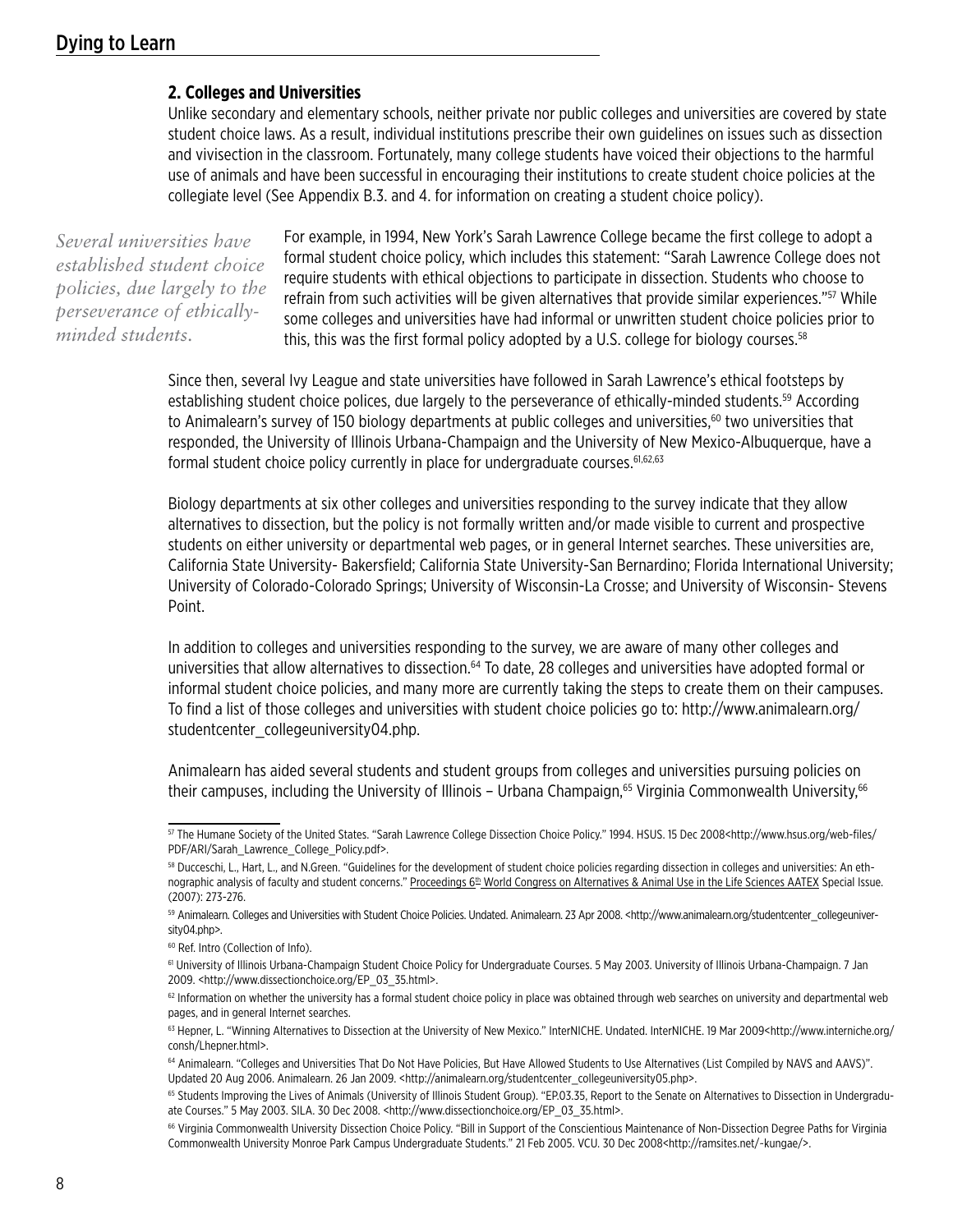#### **2. Colleges and Universities**

Unlike secondary and elementary schools, neither private nor public colleges and universities are covered by state student choice laws. As a result, individual institutions prescribe their own guidelines on issues such as dissection and vivisection in the classroom. Fortunately, many college students have voiced their objections to the harmful use of animals and have been successful in encouraging their institutions to create student choice policies at the collegiate level (See Appendix B.3. and 4. for information on creating a student choice policy).

*Several universities have established student choice policies, due largely to the perseverance of ethicallyminded students.*

For example, in 1994, New York's Sarah Lawrence College became the first college to adopt a formal student choice policy, which includes this statement: "Sarah Lawrence College does not require students with ethical objections to participate in dissection. Students who choose to refrain from such activities will be given alternatives that provide similar experiences."<sup>57</sup> While some colleges and universities have had informal or unwritten student choice policies prior to this, this was the first formal policy adopted by a U.S. college for biology courses.<sup>58</sup>

Since then, several Ivy League and state universities have followed in Sarah Lawrence's ethical footsteps by establishing student choice polices, due largely to the perseverance of ethically-minded students.<sup>59</sup> According to Animalearn's survey of 150 biology departments at public colleges and universities,<sup>60</sup> two universities that responded, the University of Illinois Urbana-Champaign and the University of New Mexico-Albuquerque, have a formal student choice policy currently in place for undergraduate courses.<sup>61,62,63</sup>

Biology departments at six other colleges and universities responding to the survey indicate that they allow alternatives to dissection, but the policy is not formally written and/or made visible to current and prospective students on either university or departmental web pages, or in general Internet searches. These universities are, California State University- Bakersfield; California State University-San Bernardino; Florida International University; University of Colorado-Colorado Springs; University of Wisconsin-La Crosse; and University of Wisconsin- Stevens Point.

In addition to colleges and universities responding to the survey, we are aware of many other colleges and universities that allow alternatives to dissection.<sup>64</sup> To date, 28 colleges and universities have adopted formal or informal student choice policies, and many more are currently taking the steps to create them on their campuses. To find a list of those colleges and universities with student choice policies go to: http://www.animalearn.org/ studentcenter\_collegeuniversity04.php.

Animalearn has aided several students and student groups from colleges and universities pursuing policies on their campuses, including the University of Illinois – Urbana Champaign,<sup>65</sup> Virginia Commonwealth University,<sup>66</sup>

<sup>57</sup> The Humane Society of the United States. "Sarah Lawrence College Dissection Choice Policy." 1994. HSUS. 15 Dec 2008<http://www.hsus.org/web-files/ PDF/ARI/Sarah\_Lawrence\_College\_Policy.pdf>.

<sup>58</sup> Ducceschi, L., Hart, L., and N.Green. "Guidelines for the development of student choice policies regarding dissection in colleges and universities: An ethnographic analysis of faculty and student concerns." Proceedings 6<sup>th</sup> World Congress on Alternatives & Animal Use in the Life Sciences AATEX Special Issue. (2007): 273-276.

<sup>59</sup> Animalearn. Colleges and Universities with Student Choice Policies. Undated. Animalearn. 23 Apr 2008. <http://www.animalearn.org/studentcenter\_collegeuniversity04.php>.

<sup>60</sup> Ref. Intro (Collection of Info).

<sup>61</sup> University of Illinois Urbana-Champaign Student Choice Policy for Undergraduate Courses. 5 May 2003. University of Illinois Urbana-Champaign. 7 Jan 2009. <http://www.dissectionchoice.org/EP\_03\_35.html>.

 $62$  Information on whether the university has a formal student choice policy in place was obtained through web searches on university and departmental web pages, and in general Internet searches.

<sup>63</sup> Hepner, L. "Winning Alternatives to Dissection at the University of New Mexico." InterNICHE. Undated. InterNICHE. 19 Mar 2009<http://www.interniche.org/ consh/Lhepner.html>.

<sup>&</sup>lt;sup>64</sup> Animalearn. "Colleges and Universities That Do Not Have Policies, But Have Allowed Students to Use Alternatives (List Compiled by NAVS and AAVS)". Updated 20 Aug 2006. Animalearn. 26 Jan 2009. <http://animalearn.org/studentcenter\_collegeuniversity05.php>.

<sup>&</sup>lt;sup>65</sup> Students Improving the Lives of Animals (University of Illinois Student Group). "EP.03.35, Report to the Senate on Alternatives to Dissection in Undergraduate Courses." 5 May 2003. SILA. 30 Dec 2008. <http://www.dissectionchoice.org/EP\_03\_35.html>.

<sup>66</sup> Virginia Commonwealth University Dissection Choice Policy. "Bill in Support of the Conscientious Maintenance of Non-Dissection Degree Paths for Virginia Commonwealth University Monroe Park Campus Undergraduate Students." 21 Feb 2005. VCU. 30 Dec 2008<http://ramsites.net/-kungae/>.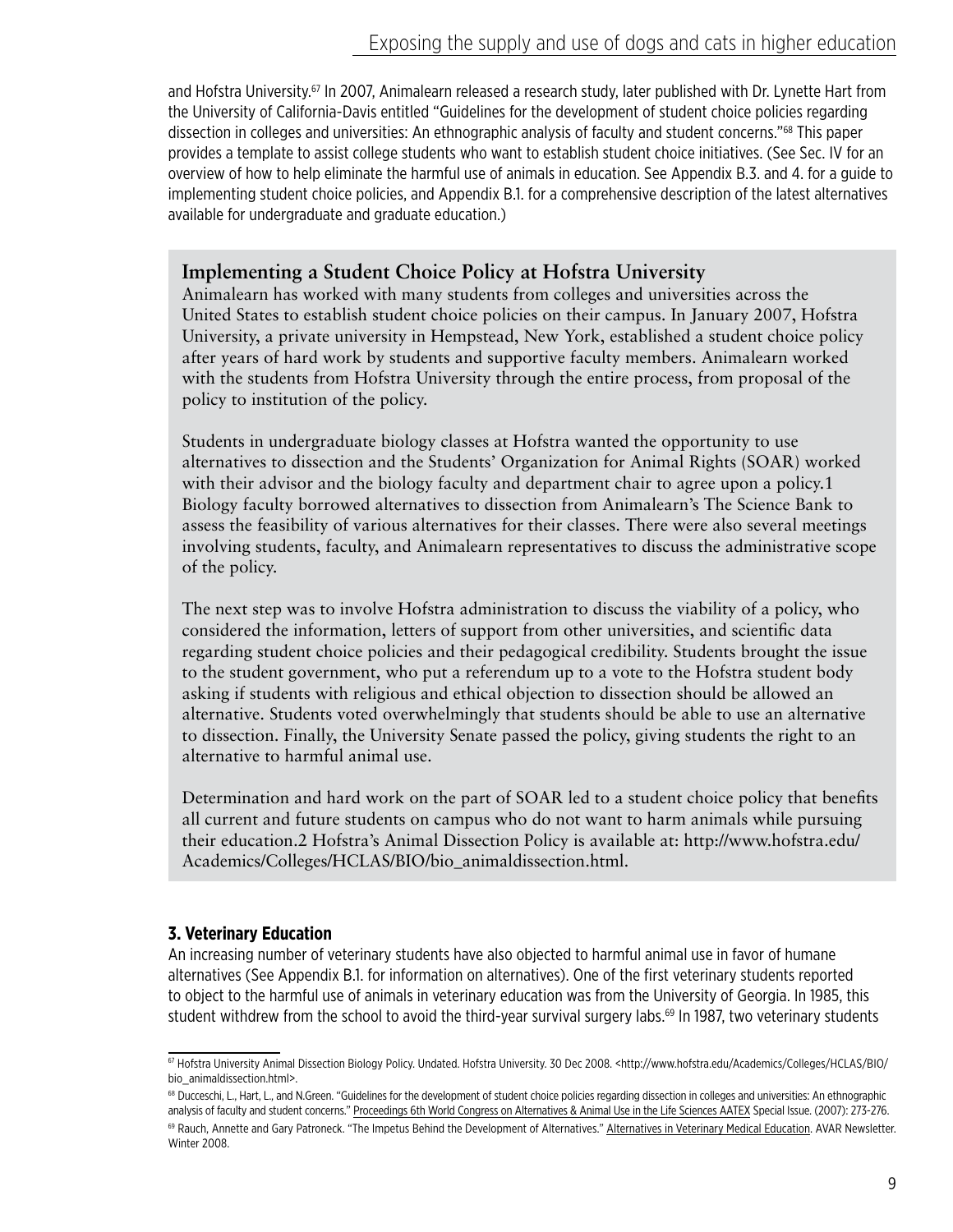and Hofstra University.67 In 2007, Animalearn released a research study, later published with Dr. Lynette Hart from the University of California-Davis entitled "Guidelines for the development of student choice policies regarding dissection in colleges and universities: An ethnographic analysis of faculty and student concerns."68 This paper provides a template to assist college students who want to establish student choice initiatives. (See Sec. IV for an overview of how to help eliminate the harmful use of animals in education. See Appendix B.3. and 4. for a guide to implementing student choice policies, and Appendix B.1. for a comprehensive description of the latest alternatives available for undergraduate and graduate education.)

# **Implementing a Student Choice Policy at Hofstra University**

Animalearn has worked with many students from colleges and universities across the United States to establish student choice policies on their campus. In January 2007, Hofstra University, a private university in Hempstead, New York, established a student choice policy after years of hard work by students and supportive faculty members. Animalearn worked with the students from Hofstra University through the entire process, from proposal of the policy to institution of the policy.

Students in undergraduate biology classes at Hofstra wanted the opportunity to use alternatives to dissection and the Students' Organization for Animal Rights (SOAR) worked with their advisor and the biology faculty and department chair to agree upon a policy.1 Biology faculty borrowed alternatives to dissection from Animalearn's The Science Bank to assess the feasibility of various alternatives for their classes. There were also several meetings involving students, faculty, and Animalearn representatives to discuss the administrative scope of the policy.

The next step was to involve Hofstra administration to discuss the viability of a policy, who considered the information, letters of support from other universities, and scientific data regarding student choice policies and their pedagogical credibility. Students brought the issue to the student government, who put a referendum up to a vote to the Hofstra student body asking if students with religious and ethical objection to dissection should be allowed an alternative. Students voted overwhelmingly that students should be able to use an alternative to dissection. Finally, the University Senate passed the policy, giving students the right to an alternative to harmful animal use.

Determination and hard work on the part of SOAR led to a student choice policy that benefits all current and future students on campus who do not want to harm animals while pursuing their education.2 Hofstra's Animal Dissection Policy is available at: http://www.hofstra.edu/ Academics/Colleges/HCLAS/BIO/bio\_animaldissection.html.

## **3. Veterinary Education**

An increasing number of veterinary students have also objected to harmful animal use in favor of humane alternatives (See Appendix B.1. for information on alternatives). One of the first veterinary students reported to object to the harmful use of animals in veterinary education was from the University of Georgia. In 1985, this student withdrew from the school to avoid the third-year survival surgery labs.<sup>69</sup> In 1987, two veterinary students

<sup>67</sup> Hofstra University Animal Dissection Biology Policy. Undated. Hofstra University. 30 Dec 2008. <http://www.hofstra.edu/Academics/Colleges/HCLAS/BIO/ bio\_animaldissection.html>.

<sup>&</sup>lt;sup>68</sup> Ducceschi, L., Hart, L., and N.Green. "Guidelines for the development of student choice policies regarding dissection in colleges and universities: An ethnographic analysis of faculty and student concerns." Proceedings 6th World Congress on Alternatives & Animal Use in the Life Sciences AATEX Special Issue. (2007): 273-276. 69 Rauch, Annette and Gary Patroneck. "The Impetus Behind the Development of Alternatives." Alternatives in Veterinary Medical Education. AVAR Newsletter. Winter 2008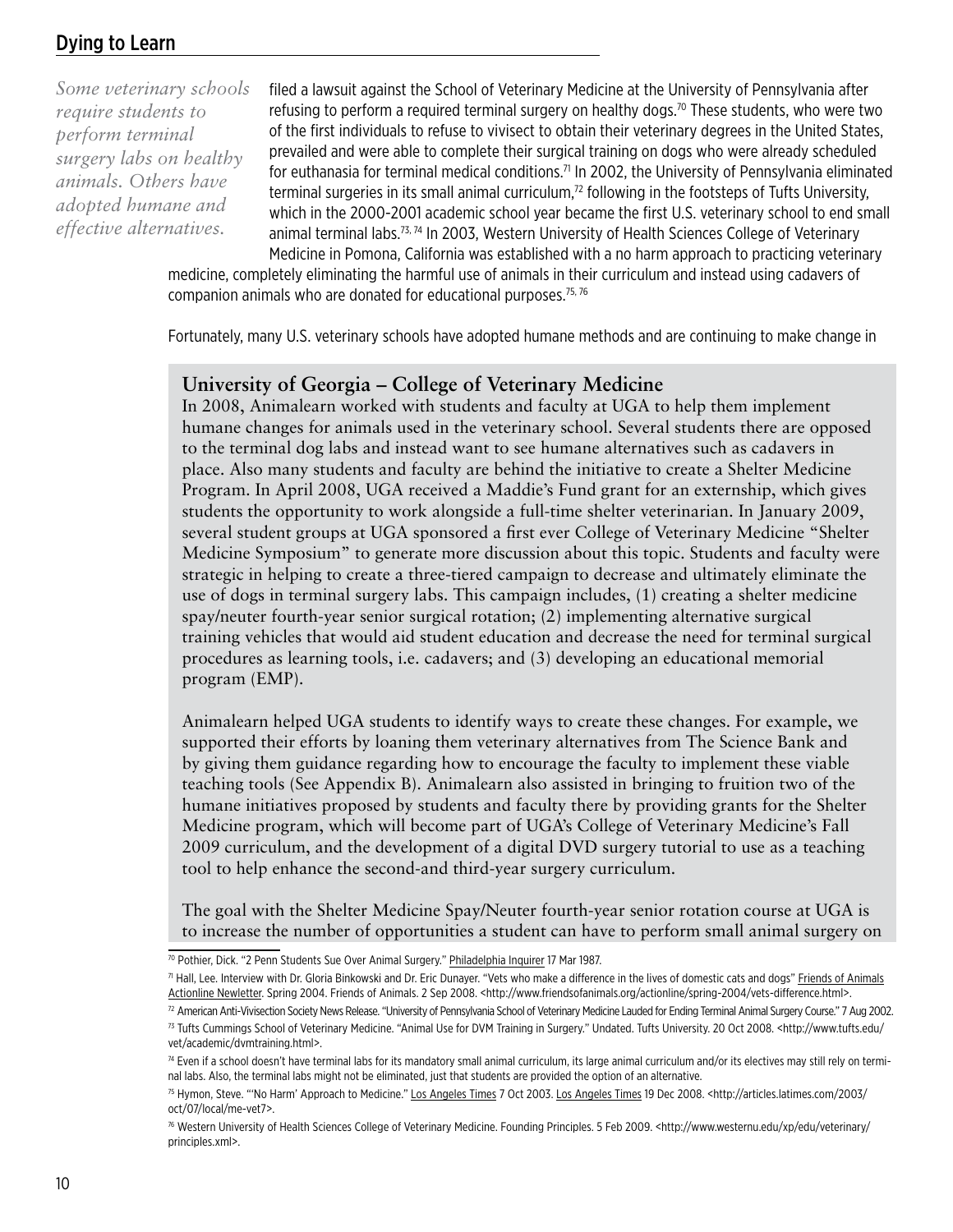# Dying to Learn

*Some veterinary schools require students to perform terminal surgery labs on healthy animals. Others have adopted humane and effective alternatives.*

filed a lawsuit against the School of Veterinary Medicine at the University of Pennsylvania after refusing to perform a required terminal surgery on healthy dogs.<sup>70</sup> These students, who were two of the first individuals to refuse to vivisect to obtain their veterinary degrees in the United States, prevailed and were able to complete their surgical training on dogs who were already scheduled for euthanasia for terminal medical conditions.<sup>71</sup> In 2002, the University of Pennsylvania eliminated terminal surgeries in its small animal curriculum, $<sup>72</sup>$  following in the footsteps of Tufts University,</sup> which in the 2000-2001 academic school year became the first U.S. veterinary school to end small animal terminal labs.<sup>73, 74</sup> In 2003, Western University of Health Sciences College of Veterinary Medicine in Pomona, California was established with a no harm approach to practicing veterinary

medicine, completely eliminating the harmful use of animals in their curriculum and instead using cadavers of companion animals who are donated for educational purposes.<sup>75, 76</sup>

Fortunately, many U.S. veterinary schools have adopted humane methods and are continuing to make change in

#### **University of Georgia – College of Veterinary Medicine**

In 2008, Animalearn worked with students and faculty at UGA to help them implement humane changes for animals used in the veterinary school. Several students there are opposed to the terminal dog labs and instead want to see humane alternatives such as cadavers in place. Also many students and faculty are behind the initiative to create a Shelter Medicine Program. In April 2008, UGA received a Maddie's Fund grant for an externship, which gives students the opportunity to work alongside a full-time shelter veterinarian. In January 2009, several student groups at UGA sponsored a first ever College of Veterinary Medicine "Shelter Medicine Symposium" to generate more discussion about this topic. Students and faculty were strategic in helping to create a three-tiered campaign to decrease and ultimately eliminate the use of dogs in terminal surgery labs. This campaign includes, (1) creating a shelter medicine spay/neuter fourth-year senior surgical rotation; (2) implementing alternative surgical training vehicles that would aid student education and decrease the need for terminal surgical procedures as learning tools, i.e. cadavers; and (3) developing an educational memorial program (EMP).

Animalearn helped UGA students to identify ways to create these changes. For example, we supported their efforts by loaning them veterinary alternatives from The Science Bank and by giving them guidance regarding how to encourage the faculty to implement these viable teaching tools (See Appendix B). Animalearn also assisted in bringing to fruition two of the humane initiatives proposed by students and faculty there by providing grants for the Shelter Medicine program, which will become part of UGA's College of Veterinary Medicine's Fall 2009 curriculum, and the development of a digital DVD surgery tutorial to use as a teaching tool to help enhance the second-and third-year surgery curriculum.

The goal with the Shelter Medicine Spay/Neuter fourth-year senior rotation course at UGA is to increase the number of opportunities a student can have to perform small animal surgery on

<sup>70</sup> Pothier, Dick. "2 Penn Students Sue Over Animal Surgery." Philadelphia Inquirer 17 Mar 1987.

<sup>71</sup> Hall, Lee. Interview with Dr. Gloria Binkowski and Dr. Eric Dunayer. "Vets who make a difference in the lives of domestic cats and dogs" Friends of Animals Actionline Newletter. Spring 2004. Friends of Animals. 2 Sep 2008. <http://www.friendsofanimals.org/actionline/spring-2004/vets-difference.html>.

<sup>&</sup>lt;sup>72</sup> American Anti-Vivisection Society News Release. "University of Pennsylvania School of Veterinary Medicine Lauded for Ending Terminal Animal Surgery Course." 7 Aug 2002. 73 Tufts Cummings School of Veterinary Medicine. "Animal Use for DVM Training in Surgery." Undated. Tufts University. 20 Oct 2008. < http://www.tufts.edu/ vet/academic/dvmtraining.html>.

<sup>&</sup>lt;sup>74</sup> Even if a school doesn't have terminal labs for its mandatory small animal curriculum, its large animal curriculum and/or its electives may still rely on terminal labs. Also, the terminal labs might not be eliminated, just that students are provided the option of an alternative.

<sup>75</sup> Hymon, Steve. "'No Harm' Approach to Medicine." Los Angeles Times 7 Oct 2003. Los Angeles Times 19 Dec 2008. <http://articles.latimes.com/2003/ oct/07/local/me-vet7>.

<sup>76</sup> Western University of Health Sciences College of Veterinary Medicine. Founding Principles. 5 Feb 2009. <http://www.westernu.edu/xp/edu/veterinary/ principles.xml>.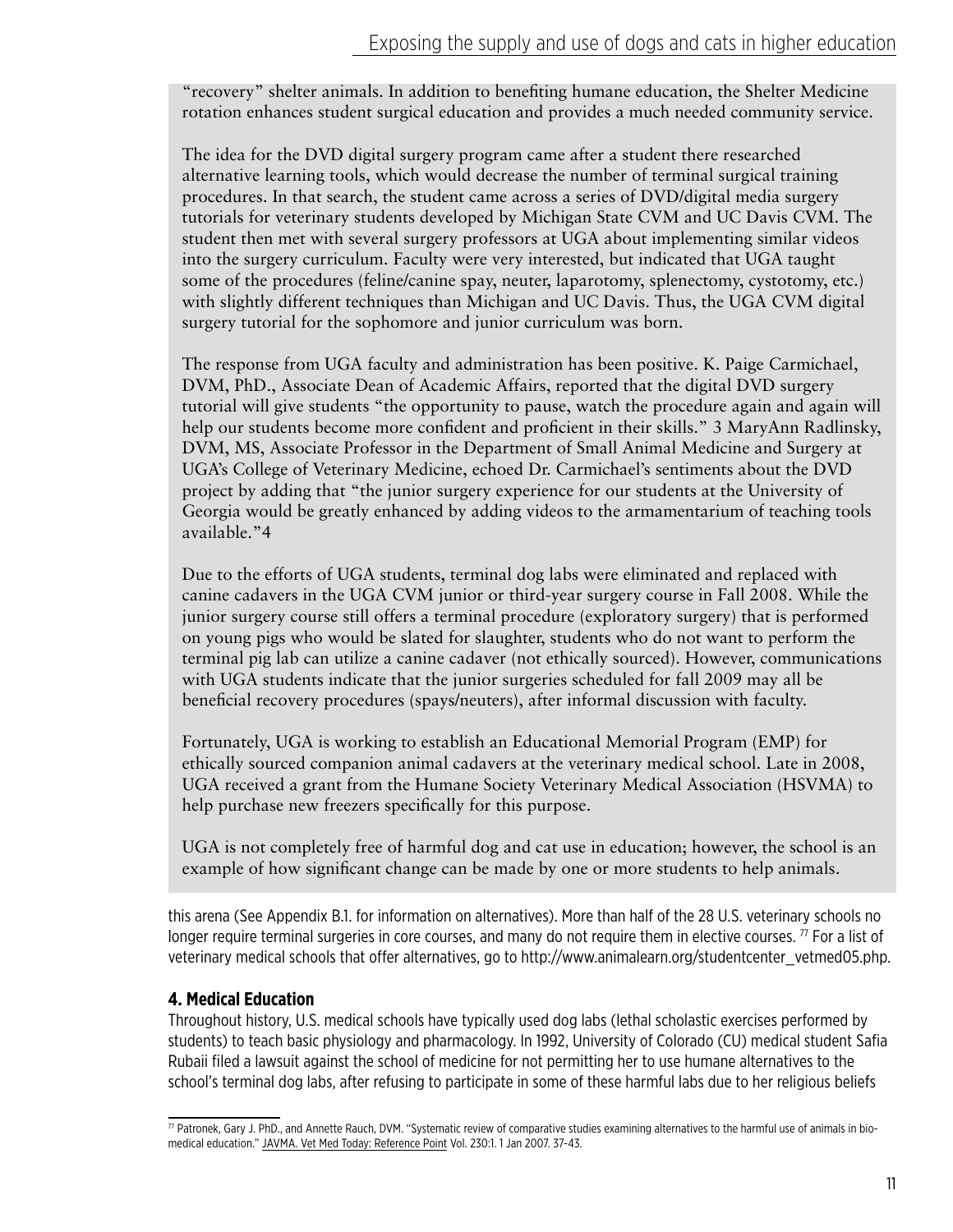"recovery" shelter animals. In addition to benefiting humane education, the Shelter Medicine rotation enhances student surgical education and provides a much needed community service.

The idea for the DVD digital surgery program came after a student there researched alternative learning tools, which would decrease the number of terminal surgical training procedures. In that search, the student came across a series of DVD/digital media surgery tutorials for veterinary students developed by Michigan State CVM and UC Davis CVM. The student then met with several surgery professors at UGA about implementing similar videos into the surgery curriculum. Faculty were very interested, but indicated that UGA taught some of the procedures (feline/canine spay, neuter, laparotomy, splenectomy, cystotomy, etc.) with slightly different techniques than Michigan and UC Davis. Thus, the UGA CVM digital surgery tutorial for the sophomore and junior curriculum was born.

The response from UGA faculty and administration has been positive. K. Paige Carmichael, DVM, PhD., Associate Dean of Academic Affairs, reported that the digital DVD surgery tutorial will give students "the opportunity to pause, watch the procedure again and again will help our students become more confident and proficient in their skills." 3 MaryAnn Radlinsky, DVM, MS, Associate Professor in the Department of Small Animal Medicine and Surgery at UGA's College of Veterinary Medicine, echoed Dr. Carmichael's sentiments about the DVD project by adding that "the junior surgery experience for our students at the University of Georgia would be greatly enhanced by adding videos to the armamentarium of teaching tools available."4

Due to the efforts of UGA students, terminal dog labs were eliminated and replaced with canine cadavers in the UGA CVM junior or third-year surgery course in Fall 2008. While the junior surgery course still offers a terminal procedure (exploratory surgery) that is performed on young pigs who would be slated for slaughter, students who do not want to perform the terminal pig lab can utilize a canine cadaver (not ethically sourced). However, communications with UGA students indicate that the junior surgeries scheduled for fall 2009 may all be beneficial recovery procedures (spays/neuters), after informal discussion with faculty.

Fortunately, UGA is working to establish an Educational Memorial Program (EMP) for ethically sourced companion animal cadavers at the veterinary medical school. Late in 2008, UGA received a grant from the Humane Society Veterinary Medical Association (HSVMA) to help purchase new freezers specifically for this purpose.

UGA is not completely free of harmful dog and cat use in education; however, the school is an example of how significant change can be made by one or more students to help animals.

this arena (See Appendix B.1. for information on alternatives). More than half of the 28 U.S. veterinary schools no longer require terminal surgeries in core courses, and many do not require them in elective courses.  $\frac{7}{7}$  For a list of veterinary medical schools that offer alternatives, go to http://www.animalearn.org/studentcenter\_vetmed05.php.

## **4. Medical Education**

Throughout history, U.S. medical schools have typically used dog labs (lethal scholastic exercises performed by students) to teach basic physiology and pharmacology. In 1992, University of Colorado (CU) medical student Safia Rubaii filed a lawsuit against the school of medicine for not permitting her to use humane alternatives to the school's terminal dog labs, after refusing to participate in some of these harmful labs due to her religious beliefs

 $77$  Patronek, Gary J. PhD., and Annette Rauch, DVM. "Systematic review of comparative studies examining alternatives to the harmful use of animals in biomedical education." JAVMA. Vet Med Today: Reference Point Vol. 230:1. 1 Jan 2007. 37-43.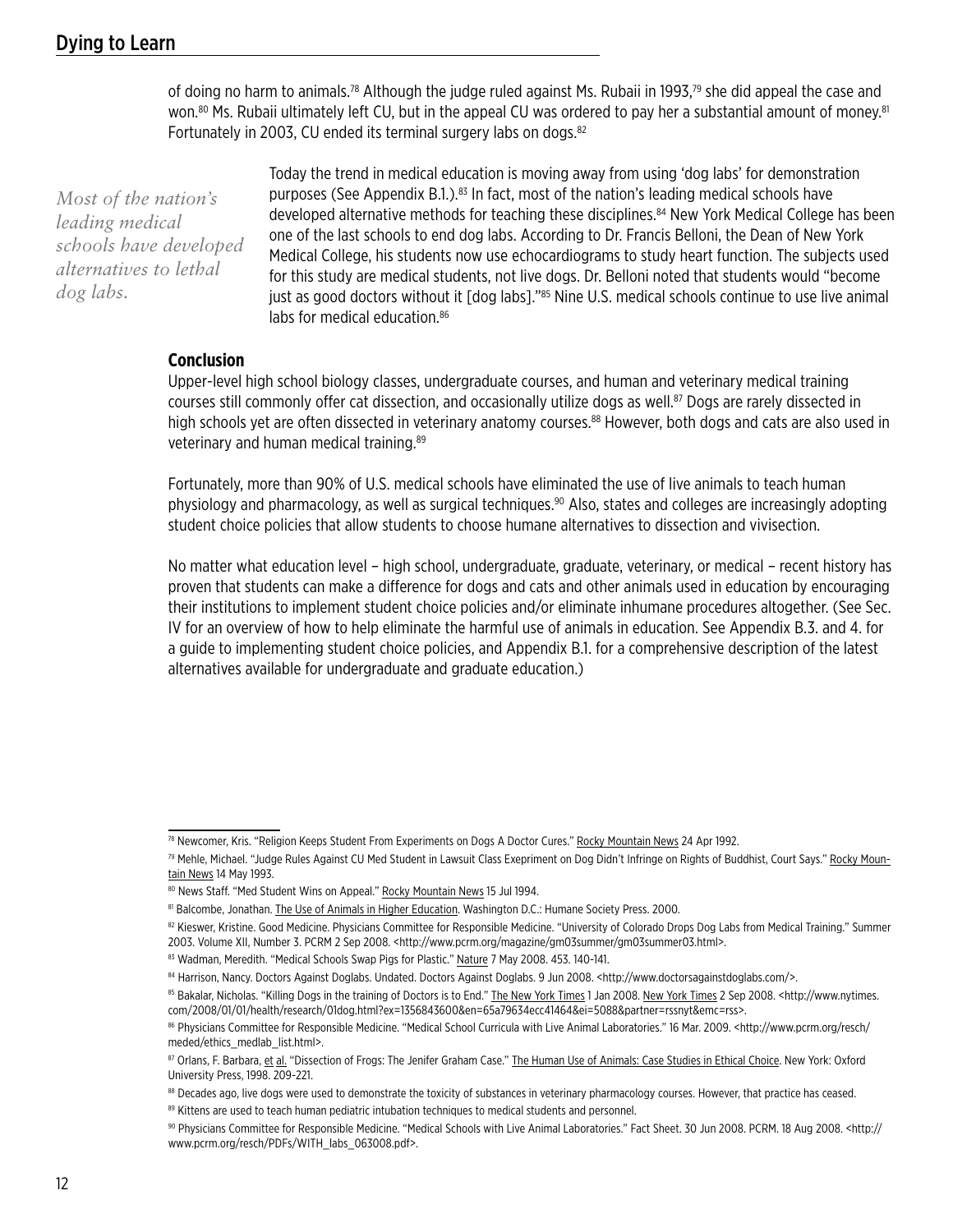of doing no harm to animals.<sup>78</sup> Although the judge ruled against Ms. Rubaii in 1993,<sup>79</sup> she did appeal the case and won.<sup>80</sup> Ms. Rubaii ultimately left CU, but in the appeal CU was ordered to pay her a substantial amount of money.<sup>81</sup> Fortunately in 2003, CU ended its terminal surgery labs on dogs.<sup>82</sup>

*Most of the nation's leading medical schools have developed alternatives to lethal dog labs.*

Today the trend in medical education is moving away from using 'dog labs' for demonstration purposes (See Appendix B.1.).83 In fact, most of the nation's leading medical schools have developed alternative methods for teaching these disciplines.84 New York Medical College has been one of the last schools to end dog labs. According to Dr. Francis Belloni, the Dean of New York Medical College, his students now use echocardiograms to study heart function. The subjects used for this study are medical students, not live dogs. Dr. Belloni noted that students would "become just as good doctors without it [dog labs]."85 Nine U.S. medical schools continue to use live animal labs for medical education  $86$ 

#### **Conclusion**

Upper-level high school biology classes, undergraduate courses, and human and veterinary medical training courses still commonly offer cat dissection, and occasionally utilize dogs as well.<sup>87</sup> Dogs are rarely dissected in high schools yet are often dissected in veterinary anatomy courses.<sup>88</sup> However, both dogs and cats are also used in veterinary and human medical training.<sup>89</sup>

Fortunately, more than 90% of U.S. medical schools have eliminated the use of live animals to teach human physiology and pharmacology, as well as surgical techniques.<sup>90</sup> Also, states and colleges are increasingly adopting student choice policies that allow students to choose humane alternatives to dissection and vivisection.

No matter what education level – high school, undergraduate, graduate, veterinary, or medical – recent history has proven that students can make a difference for dogs and cats and other animals used in education by encouraging their institutions to implement student choice policies and/or eliminate inhumane procedures altogether. (See Sec. IV for an overview of how to help eliminate the harmful use of animals in education. See Appendix B.3. and 4. for a guide to implementing student choice policies, and Appendix B.1. for a comprehensive description of the latest alternatives available for undergraduate and graduate education.)

89 Kittens are used to teach human pediatric intubation techniques to medical students and personnel.

<sup>78</sup> Newcomer, Kris. "Religion Keeps Student From Experiments on Dogs A Doctor Cures." Rocky Mountain News 24 Apr 1992.

<sup>79</sup> Mehle, Michael. "Judge Rules Against CU Med Student in Lawsuit Class Exepriment on Dog Didn't Infringe on Rights of Buddhist, Court Says." Rocky Mountain News 14 May 1993.

<sup>80</sup> News Staff. "Med Student Wins on Appeal." Rocky Mountain News 15 Jul 1994.

<sup>81</sup> Balcombe, Jonathan. The Use of Animals in Higher Education. Washington D.C.: Humane Society Press. 2000.

<sup>82</sup> Kieswer, Kristine. Good Medicine. Physicians Committee for Responsible Medicine. "University of Colorado Drops Dog Labs from Medical Training." Summer 2003. Volume XII, Number 3. PCRM 2 Sep 2008. <http://www.pcrm.org/magazine/gm03summer/gm03summer03.html>.

<sup>83</sup> Wadman, Meredith. "Medical Schools Swap Pigs for Plastic." Nature 7 May 2008. 453. 140-141.

<sup>84</sup> Harrison, Nancy. Doctors Against Doglabs. Undated. Doctors Against Doglabs. 9 Jun 2008. <http://www.doctorsagainstdoglabs.com/>.

<sup>85</sup> Bakalar, Nicholas. "Killing Dogs in the training of Doctors is to End." The New York Times 1 Jan 2008. New York Times 2 Sep 2008. < http://www.nytimes. com/2008/01/01/health/research/01dog.html?ex=1356843600&en=65a79634ecc41464&ei=5088&partner=rssnyt&emc=rss>.

<sup>86</sup> Physicians Committee for Responsible Medicine. "Medical School Curricula with Live Animal Laboratories." 16 Mar. 2009. <http://www.pcrm.org/resch/ meded/ethics\_medlab\_list.html>.

<sup>87</sup> Orlans, F. Barbara, et al. "Dissection of Frogs: The Jenifer Graham Case." The Human Use of Animals: Case Studies in Ethical Choice. New York: Oxford University Press, 1998. 209-221.

<sup>88</sup> Decades ago, live dogs were used to demonstrate the toxicity of substances in veterinary pharmacology courses. However, that practice has ceased.

<sup>90</sup> Physicians Committee for Responsible Medicine. "Medical Schools with Live Animal Laboratories." Fact Sheet. 30 Jun 2008. PCRM. 18 Aug 2008. < http:// www.pcrm.org/resch/PDFs/WITH\_labs\_063008.pdf>.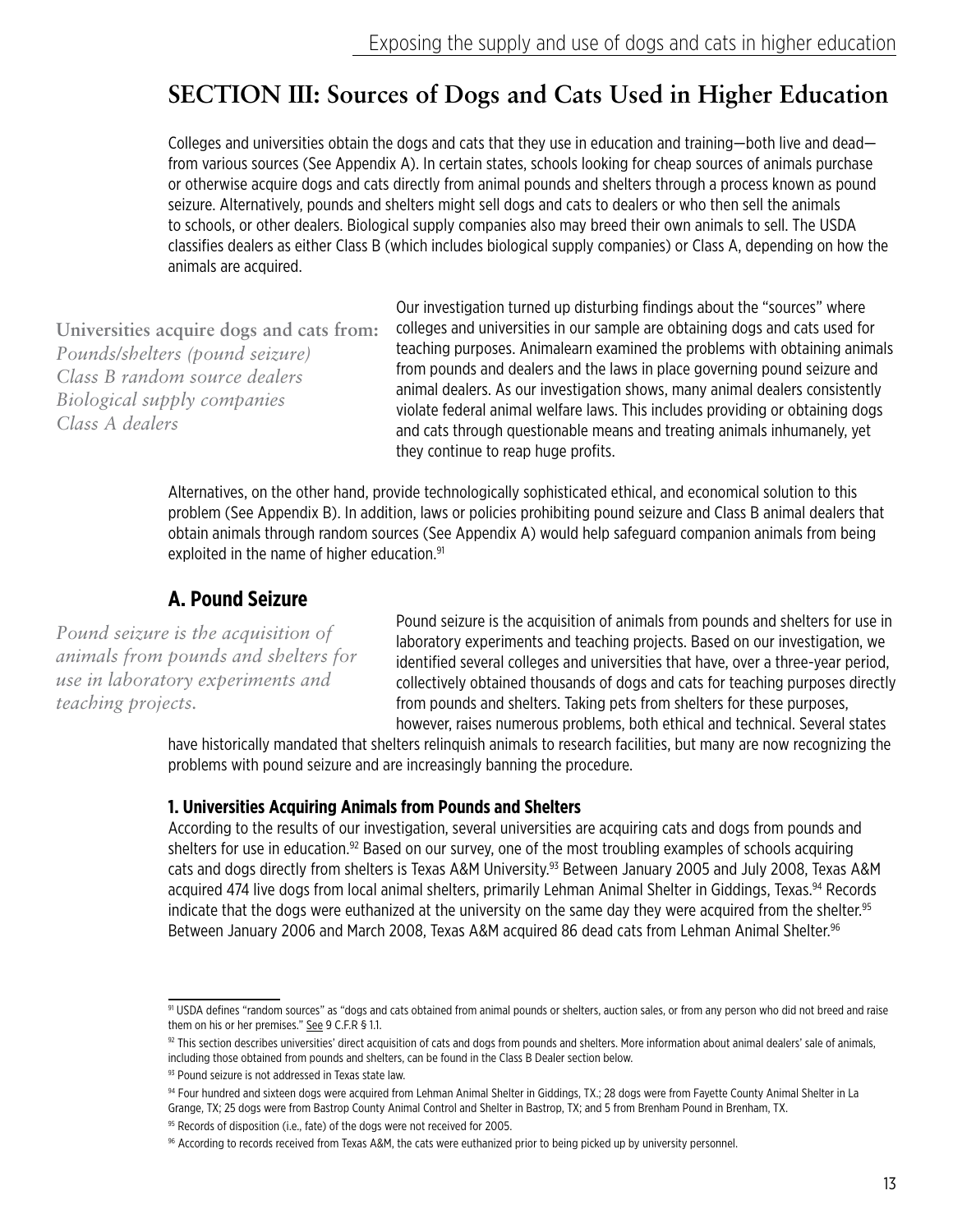# **SECTION III: Sources of Dogs and Cats Used in Higher Education**

Colleges and universities obtain the dogs and cats that they use in education and training—both live and dead from various sources (See Appendix A). In certain states, schools looking for cheap sources of animals purchase or otherwise acquire dogs and cats directly from animal pounds and shelters through a process known as pound seizure. Alternatively, pounds and shelters might sell dogs and cats to dealers or who then sell the animals to schools, or other dealers. Biological supply companies also may breed their own animals to sell. The USDA classifies dealers as either Class B (which includes biological supply companies) or Class A, depending on how the animals are acquired.

**Universities acquire dogs and cats from:** *Pounds/shelters (pound seizure) Class B random source dealers Biological supply companies Class A dealers*

Our investigation turned up disturbing findings about the "sources" where colleges and universities in our sample are obtaining dogs and cats used for teaching purposes. Animalearn examined the problems with obtaining animals from pounds and dealers and the laws in place governing pound seizure and animal dealers. As our investigation shows, many animal dealers consistently violate federal animal welfare laws. This includes providing or obtaining dogs and cats through questionable means and treating animals inhumanely, yet they continue to reap huge profits.

Alternatives, on the other hand, provide technologically sophisticated ethical, and economical solution to this problem (See Appendix B). In addition, laws or policies prohibiting pound seizure and Class B animal dealers that obtain animals through random sources (See Appendix A) would help safeguard companion animals from being exploited in the name of higher education.<sup>91</sup>

# **A. Pound Seizure**

*Pound seizure is the acquisition of animals from pounds and shelters for use in laboratory experiments and teaching projects.*

Pound seizure is the acquisition of animals from pounds and shelters for use in laboratory experiments and teaching projects. Based on our investigation, we identified several colleges and universities that have, over a three-year period, collectively obtained thousands of dogs and cats for teaching purposes directly from pounds and shelters. Taking pets from shelters for these purposes, however, raises numerous problems, both ethical and technical. Several states

have historically mandated that shelters relinquish animals to research facilities, but many are now recognizing the problems with pound seizure and are increasingly banning the procedure.

#### **1. Universities Acquiring Animals from Pounds and Shelters**

According to the results of our investigation, several universities are acquiring cats and dogs from pounds and shelters for use in education.<sup>92</sup> Based on our survey, one of the most troubling examples of schools acquiring cats and dogs directly from shelters is Texas A&M University.93 Between January 2005 and July 2008, Texas A&M acquired 474 live dogs from local animal shelters, primarily Lehman Animal Shelter in Giddings, Texas.<sup>94</sup> Records indicate that the dogs were euthanized at the university on the same day they were acquired from the shelter.<sup>95</sup> Between January 2006 and March 2008, Texas A&M acquired 86 dead cats from Lehman Animal Shelter.<sup>96</sup>

<sup>91</sup> USDA defines "random sources" as "dogs and cats obtained from animal pounds or shelters, auction sales, or from any person who did not breed and raise them on his or her premises." See 9 C.F.R § 1.1.

<sup>92</sup> This section describes universities' direct acquisition of cats and dogs from pounds and shelters. More information about animal dealers' sale of animals, including those obtained from pounds and shelters, can be found in the Class B Dealer section below.

<sup>93</sup> Pound seizure is not addressed in Texas state law.

<sup>94</sup> Four hundred and sixteen dogs were acquired from Lehman Animal Shelter in Giddings, TX.; 28 dogs were from Fayette County Animal Shelter in La

Grange, TX; 25 dogs were from Bastrop County Animal Control and Shelter in Bastrop, TX; and 5 from Brenham Pound in Brenham, TX.

<sup>&</sup>lt;sup>95</sup> Records of disposition (i.e., fate) of the dogs were not received for 2005.

<sup>96</sup> According to records received from Texas A&M, the cats were euthanized prior to being picked up by university personnel.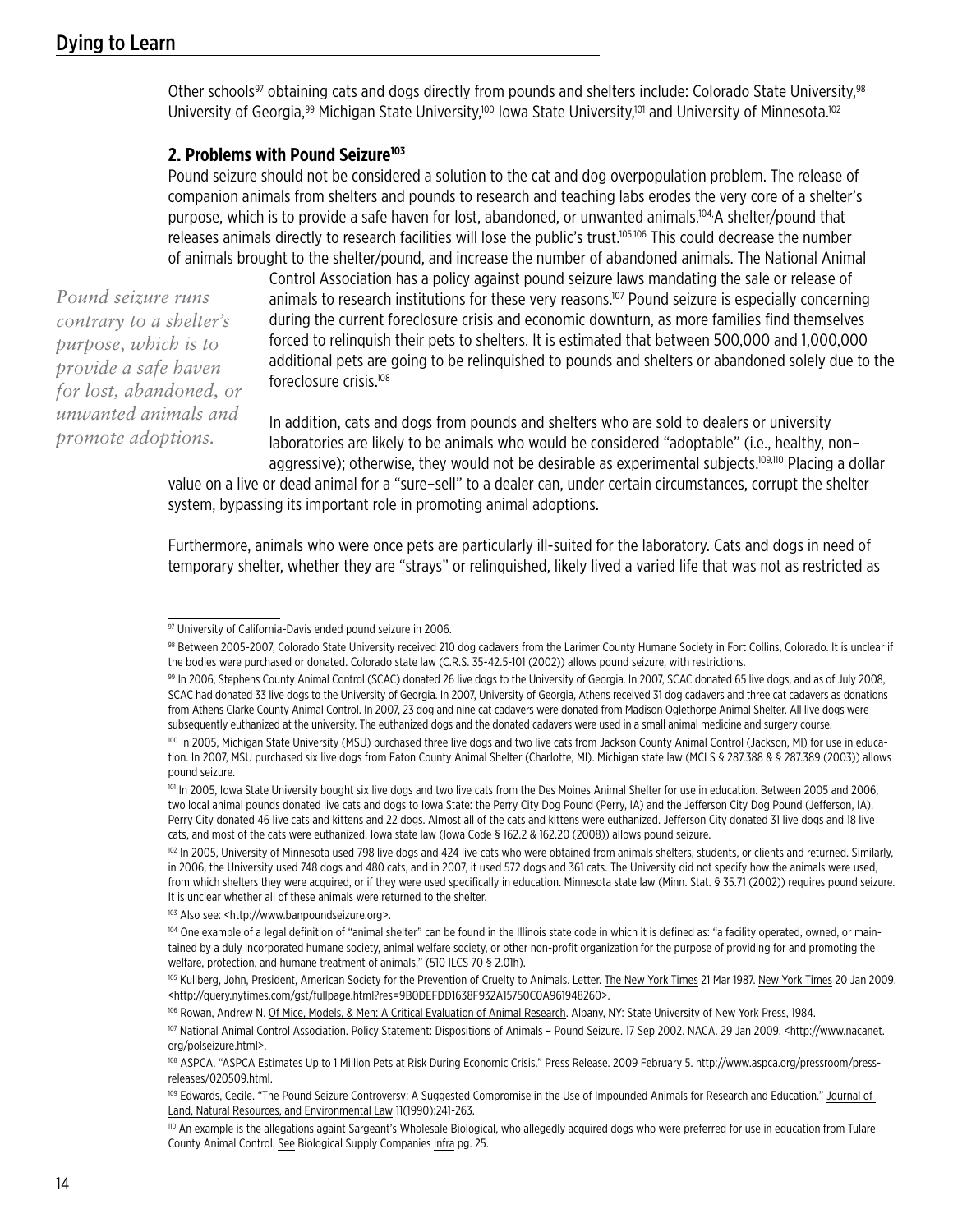Other schools<sup>97</sup> obtaining cats and dogs directly from pounds and shelters include: Colorado State University,<sup>98</sup> University of Georgia,<sup>99</sup> Michigan State University,<sup>100</sup> Iowa State University,<sup>101</sup> and University of Minnesota.<sup>102</sup>

#### **2. Problems with Pound Seizure103**

Pound seizure should not be considered a solution to the cat and dog overpopulation problem. The release of companion animals from shelters and pounds to research and teaching labs erodes the very core of a shelter's purpose, which is to provide a safe haven for lost, abandoned, or unwanted animals.104,A shelter/pound that releases animals directly to research facilities will lose the public's trust.105,106 This could decrease the number of animals brought to the shelter/pound, and increase the number of abandoned animals. The National Animal

*Pound seizure runs contrary to a shelter's purpose, which is to provide a safe haven for lost, abandoned, or unwanted animals and promote adoptions.*

Control Association has a policy against pound seizure laws mandating the sale or release of animals to research institutions for these very reasons.<sup>107</sup> Pound seizure is especially concerning during the current foreclosure crisis and economic downturn, as more families find themselves forced to relinquish their pets to shelters. It is estimated that between 500,000 and 1,000,000 additional pets are going to be relinquished to pounds and shelters or abandoned solely due to the foreclosure crisis.108

In addition, cats and dogs from pounds and shelters who are sold to dealers or university laboratories are likely to be animals who would be considered "adoptable" (i.e., healthy, non– aggressive); otherwise, they would not be desirable as experimental subjects.<sup>109,110</sup> Placing a dollar

value on a live or dead animal for a "sure–sell" to a dealer can, under certain circumstances, corrupt the shelter system, bypassing its important role in promoting animal adoptions.

Furthermore, animals who were once pets are particularly ill-suited for the laboratory. Cats and dogs in need of temporary shelter, whether they are "strays" or relinquished, likely lived a varied life that was not as restricted as

98 Between 2005-2007, Colorado State University received 210 dog cadavers from the Larimer County Humane Society in Fort Collins, Colorado. It is unclear if the bodies were purchased or donated. Colorado state law (C.R.S. 35-42.5-101 (2002)) allows pound seizure, with restrictions.

99 In 2006, Stephens County Animal Control (SCAC) donated 26 live dogs to the University of Georgia. In 2007, SCAC donated 65 live dogs, and as of July 2008, SCAC had donated 33 live dogs to the University of Georgia. In 2007, University of Georgia, Athens received 31 dog cadavers and three cat cadavers as donations from Athens Clarke County Animal Control. In 2007, 23 dog and nine cat cadavers were donated from Madison Oglethorpe Animal Shelter. All live dogs were subsequently euthanized at the university. The euthanized dogs and the donated cadavers were used in a small animal medicine and surgery course.

<sup>97</sup> University of California-Davis ended pound seizure in 2006.

<sup>100</sup> In 2005, Michigan State University (MSU) purchased three live dogs and two live cats from Jackson County Animal Control (Jackson, MI) for use in education. In 2007, MSU purchased six live dogs from Eaton County Animal Shelter (Charlotte, MI). Michigan state law (MCLS § 287.388 & § 287.389 (2003)) allows pound seizure.

<sup>&</sup>lt;sup>101</sup> In 2005, Iowa State University bought six live dogs and two live cats from the Des Moines Animal Shelter for use in education. Between 2005 and 2006, two local animal pounds donated live cats and dogs to Iowa State: the Perry City Dog Pound (Perry, IA) and the Jefferson City Dog Pound (Jefferson, IA). Perry City donated 46 live cats and kittens and 22 dogs. Almost all of the cats and kittens were euthanized. Jefferson City donated 31 live dogs and 18 live cats, and most of the cats were euthanized. Iowa state law (Iowa Code § 162.2 & 162.20 (2008)) allows pound seizure.

<sup>&</sup>lt;sup>102</sup> In 2005, University of Minnesota used 798 live dogs and 424 live cats who were obtained from animals shelters, students, or clients and returned. Similarly, in 2006, the University used 748 dogs and 480 cats, and in 2007, it used 572 dogs and 361 cats. The University did not specify how the animals were used, from which shelters they were acquired, or if they were used specifically in education. Minnesota state law (Minn. Stat. § 35.71 (2002)) requires pound seizure. It is unclear whether all of these animals were returned to the shelter.

<sup>103</sup> Also see: <http://www.banpoundseizure.org>.

<sup>104</sup> One example of a legal definition of "animal shelter" can be found in the Illinois state code in which it is defined as: "a facility operated, owned, or maintained by a duly incorporated humane society, animal welfare society, or other non-profit organization for the purpose of providing for and promoting the welfare, protection, and humane treatment of animals." (510 ILCS 70 § 2.01h).

<sup>&</sup>lt;sup>105</sup> Kullberg, John, President, American Society for the Prevention of Cruelty to Animals. Letter. The New York Times 21 Mar 1987. New York Times 20 Jan 2009. <http://query.nytimes.com/gst/fullpage.html?res=9B0DEFDD1638F932A15750C0A961948260>.

<sup>106</sup> Rowan, Andrew N. Of Mice, Models, & Men: A Critical Evaluation of Animal Research. Albany, NY: State University of New York Press, 1984.

<sup>107</sup> National Animal Control Association. Policy Statement: Dispositions of Animals – Pound Seizure. 17 Sep 2002. NACA. 29 Jan 2009. <http://www.nacanet. org/polseizure.html>.

<sup>&</sup>lt;sup>108</sup> ASPCA. "ASPCA Estimates Up to 1 Million Pets at Risk During Economic Crisis." Press Release. 2009 February 5. http://www.aspca.org/pressroom/pressreleases/020509.html.

<sup>&</sup>lt;sup>109</sup> Edwards, Cecile. "The Pound Seizure Controversy: A Suggested Compromise in the Use of Impounded Animals for Research and Education." Journal of Land, Natural Resources, and Environmental Law 11(1990):241-263.

<sup>110</sup> An example is the allegations againt Sargeant's Wholesale Biological, who allegedly acquired dogs who were preferred for use in education from Tulare County Animal Control. See Biological Supply Companies infra pg. 25.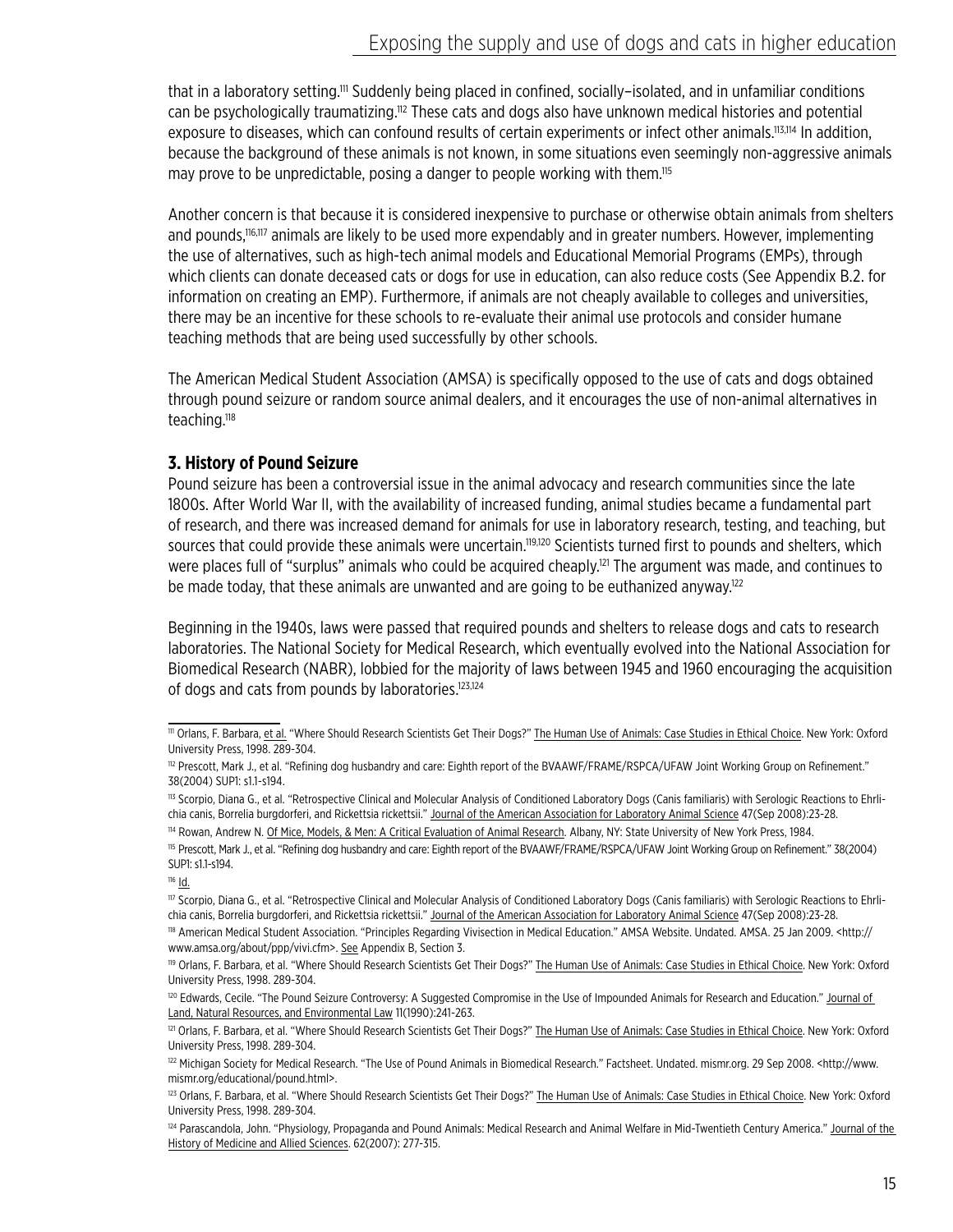that in a laboratory setting.<sup>111</sup> Suddenly being placed in confined, socially–isolated, and in unfamiliar conditions can be psychologically traumatizing.112 These cats and dogs also have unknown medical histories and potential exposure to diseases, which can confound results of certain experiments or infect other animals.<sup>113,114</sup> In addition, because the background of these animals is not known, in some situations even seemingly non-aggressive animals may prove to be unpredictable, posing a danger to people working with them.<sup>115</sup>

Another concern is that because it is considered inexpensive to purchase or otherwise obtain animals from shelters and pounds,116,117 animals are likely to be used more expendably and in greater numbers. However, implementing the use of alternatives, such as high-tech animal models and Educational Memorial Programs (EMPs), through which clients can donate deceased cats or dogs for use in education, can also reduce costs (See Appendix B.2. for information on creating an EMP). Furthermore, if animals are not cheaply available to colleges and universities, there may be an incentive for these schools to re-evaluate their animal use protocols and consider humane teaching methods that are being used successfully by other schools.

The American Medical Student Association (AMSA) is specifically opposed to the use of cats and dogs obtained through pound seizure or random source animal dealers, and it encourages the use of non-animal alternatives in teaching.<sup>118</sup>

#### **3. History of Pound Seizure**

Pound seizure has been a controversial issue in the animal advocacy and research communities since the late 1800s. After World War II, with the availability of increased funding, animal studies became a fundamental part of research, and there was increased demand for animals for use in laboratory research, testing, and teaching, but sources that could provide these animals were uncertain.<sup>119,120</sup> Scientists turned first to pounds and shelters, which were places full of "surplus" animals who could be acquired cheaply.<sup>121</sup> The argument was made, and continues to be made today, that these animals are unwanted and are going to be euthanized anyway. $122$ 

Beginning in the 1940s, laws were passed that required pounds and shelters to release dogs and cats to research laboratories. The National Society for Medical Research, which eventually evolved into the National Association for Biomedical Research (NABR), lobbied for the majority of laws between 1945 and 1960 encouraging the acquisition of dogs and cats from pounds by laboratories.123,124

<sup>&</sup>lt;sup>111</sup> Orlans, F. Barbara, et al. "Where Should Research Scientists Get Their Dogs?" The Human Use of Animals: Case Studies in Ethical Choice. New York: Oxford University Press, 1998. 289-304.

<sup>112</sup> Prescott, Mark J., et al. "Refining dog husbandry and care: Eighth report of the BVAAWF/FRAME/RSPCA/UFAW Joint Working Group on Refinement." 38(2004) SUP1: s1.1-s194.

<sup>113</sup> Scorpio, Diana G., et al. "Retrospective Clinical and Molecular Analysis of Conditioned Laboratory Dogs (Canis familiaris) with Serologic Reactions to Ehrlichia canis, Borrelia burgdorferi, and Rickettsia rickettsii." Journal of the American Association for Laboratory Animal Science 47(Sep 2008):23-28.

<sup>&</sup>lt;sup>114</sup> Rowan, Andrew N. Of Mice, Models, & Men: A Critical Evaluation of Animal Research. Albany, NY: State University of New York Press, 1984.

<sup>&</sup>lt;sup>115</sup> Prescott, Mark J., et al. "Refining dog husbandry and care: Eighth report of the BVAAWF/FRAME/RSPCA/UFAW Joint Working Group on Refinement." 38(2004) SUP1: s1.1-s194.

 $116$  <u>Id.</u>

<sup>117</sup> Scorpio, Diana G., et al. "Retrospective Clinical and Molecular Analysis of Conditioned Laboratory Dogs (Canis familiaris) with Serologic Reactions to Ehrlichia canis, Borrelia burgdorferi, and Rickettsia rickettsii." Journal of the American Association for Laboratory Animal Science 47(Sep 2008):23-28.

<sup>118</sup> American Medical Student Association. "Principles Regarding Vivisection in Medical Education." AMSA Website. Undated. AMSA. 25 Jan 2009. <http:// www.amsa.org/about/ppp/vivi.cfm>. See Appendix B, Section 3.

<sup>119</sup> Orlans, F. Barbara, et al. "Where Should Research Scientists Get Their Dogs?" The Human Use of Animals: Case Studies in Ethical Choice. New York: Oxford University Press, 1998. 289-304.

<sup>&</sup>lt;sup>120</sup> Edwards, Cecile. "The Pound Seizure Controversy: A Suggested Compromise in the Use of Impounded Animals for Research and Education." Journal of Land, Natural Resources, and Environmental Law 11(1990):241-263.

<sup>&</sup>lt;sup>121</sup> Orlans, F. Barbara, et al. "Where Should Research Scientists Get Their Dogs?" The Human Use of Animals: Case Studies in Ethical Choice. New York: Oxford University Press, 1998. 289-304.

<sup>&</sup>lt;sup>122</sup> Michigan Society for Medical Research. "The Use of Pound Animals in Biomedical Research." Factsheet. Undated. mismr.org. 29 Sep 2008. <http://www. mismr.org/educational/pound.html>.

<sup>123</sup> Orlans, F. Barbara, et al. "Where Should Research Scientists Get Their Dogs?" The Human Use of Animals: Case Studies in Ethical Choice. New York: Oxford University Press, 1998. 289-304.

<sup>124</sup> Parascandola, John. "Physiology, Propaganda and Pound Animals: Medical Research and Animal Welfare in Mid-Twentieth Century America." Journal of the History of Medicine and Allied Sciences. 62(2007): 277-315.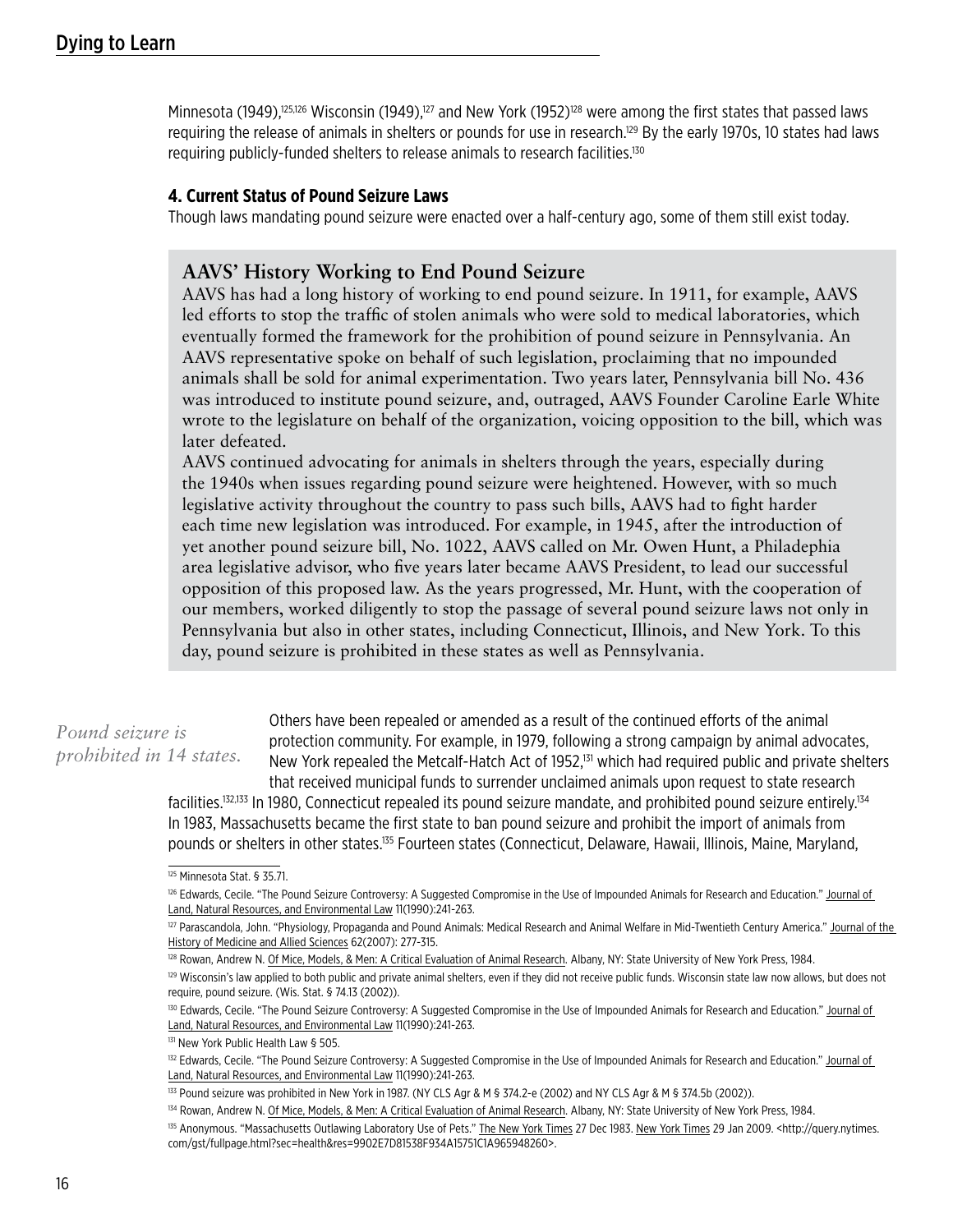Minnesota (1949),<sup>125,126</sup> Wisconsin (1949),<sup>127</sup> and New York (1952)<sup>128</sup> were among the first states that passed laws requiring the release of animals in shelters or pounds for use in research.129 By the early 1970s, 10 states had laws requiring publicly-funded shelters to release animals to research facilities.<sup>130</sup>

#### **4. Current Status of Pound Seizure Laws**

Though laws mandating pound seizure were enacted over a half-century ago, some of them still exist today.

## **AAVS' History Working to End Pound Seizure**

AAVS has had a long history of working to end pound seizure. In 1911, for example, AAVS led efforts to stop the traffic of stolen animals who were sold to medical laboratories, which eventually formed the framework for the prohibition of pound seizure in Pennsylvania. An AAVS representative spoke on behalf of such legislation, proclaiming that no impounded animals shall be sold for animal experimentation. Two years later, Pennsylvania bill No. 436 was introduced to institute pound seizure, and, outraged, AAVS Founder Caroline Earle White wrote to the legislature on behalf of the organization, voicing opposition to the bill, which was later defeated.

AAVS continued advocating for animals in shelters through the years, especially during the 1940s when issues regarding pound seizure were heightened. However, with so much legislative activity throughout the country to pass such bills, AAVS had to fight harder each time new legislation was introduced. For example, in 1945, after the introduction of yet another pound seizure bill, No. 1022, AAVS called on Mr. Owen Hunt, a Philadephia area legislative advisor, who five years later became AAVS President, to lead our successful opposition of this proposed law. As the years progressed, Mr. Hunt, with the cooperation of our members, worked diligently to stop the passage of several pound seizure laws not only in Pennsylvania but also in other states, including Connecticut, Illinois, and New York. To this day, pound seizure is prohibited in these states as well as Pennsylvania.

# *Pound seizure is prohibited in 14 states.*

Others have been repealed or amended as a result of the continued efforts of the animal protection community. For example, in 1979, following a strong campaign by animal advocates, New York repealed the Metcalf-Hatch Act of 1952,<sup>131</sup> which had required public and private shelters that received municipal funds to surrender unclaimed animals upon request to state research

facilities.132,133 In 1980, Connecticut repealed its pound seizure mandate, and prohibited pound seizure entirely.134 In 1983, Massachusetts became the first state to ban pound seizure and prohibit the import of animals from pounds or shelters in other states.<sup>135</sup> Fourteen states (Connecticut, Delaware, Hawaii, Illinois, Maine, Maryland,

<sup>125</sup> Minnesota Stat. § 35.71.

<sup>&</sup>lt;sup>126</sup> Edwards, Cecile. "The Pound Seizure Controversy: A Suggested Compromise in the Use of Impounded Animals for Research and Education." Journal of Land, Natural Resources, and Environmental Law 11(1990):241-263.

<sup>127</sup> Parascandola, John. "Physiology, Propaganda and Pound Animals: Medical Research and Animal Welfare in Mid-Twentieth Century America." Journal of the History of Medicine and Allied Sciences 62(2007): 277-315.

<sup>128</sup> Rowan, Andrew N. Of Mice, Models, & Men: A Critical Evaluation of Animal Research. Albany, NY: State University of New York Press, 1984.

<sup>&</sup>lt;sup>129</sup> Wisconsin's law applied to both public and private animal shelters, even if they did not receive public funds. Wisconsin state law now allows, but does not require, pound seizure. (Wis. Stat. § 74.13 (2002)).

<sup>&</sup>lt;sup>130</sup> Edwards, Cecile. "The Pound Seizure Controversy: A Suggested Compromise in the Use of Impounded Animals for Research and Education." Journal of Land, Natural Resources, and Environmental Law 11(1990):241-263.

<sup>131</sup> New York Public Health Law § 505.

<sup>&</sup>lt;sup>132</sup> Edwards, Cecile. "The Pound Seizure Controversy: A Suggested Compromise in the Use of Impounded Animals for Research and Education." Journal of Land, Natural Resources, and Environmental Law 11(1990):241-263.

<sup>133</sup> Pound seizure was prohibited in New York in 1987. (NY CLS Agr & M § 374.2-e (2002) and NY CLS Agr & M § 374.5b (2002)).

<sup>134</sup> Rowan, Andrew N. Of Mice, Models, & Men: A Critical Evaluation of Animal Research. Albany, NY: State University of New York Press, 1984.

<sup>135</sup> Anonymous. "Massachusetts Outlawing Laboratory Use of Pets." The New York Times 27 Dec 1983. New York Times 29 Jan 2009. < http://query.nytimes. com/gst/fullpage.html?sec=health&res=9902E7D81538F934A15751C1A965948260>.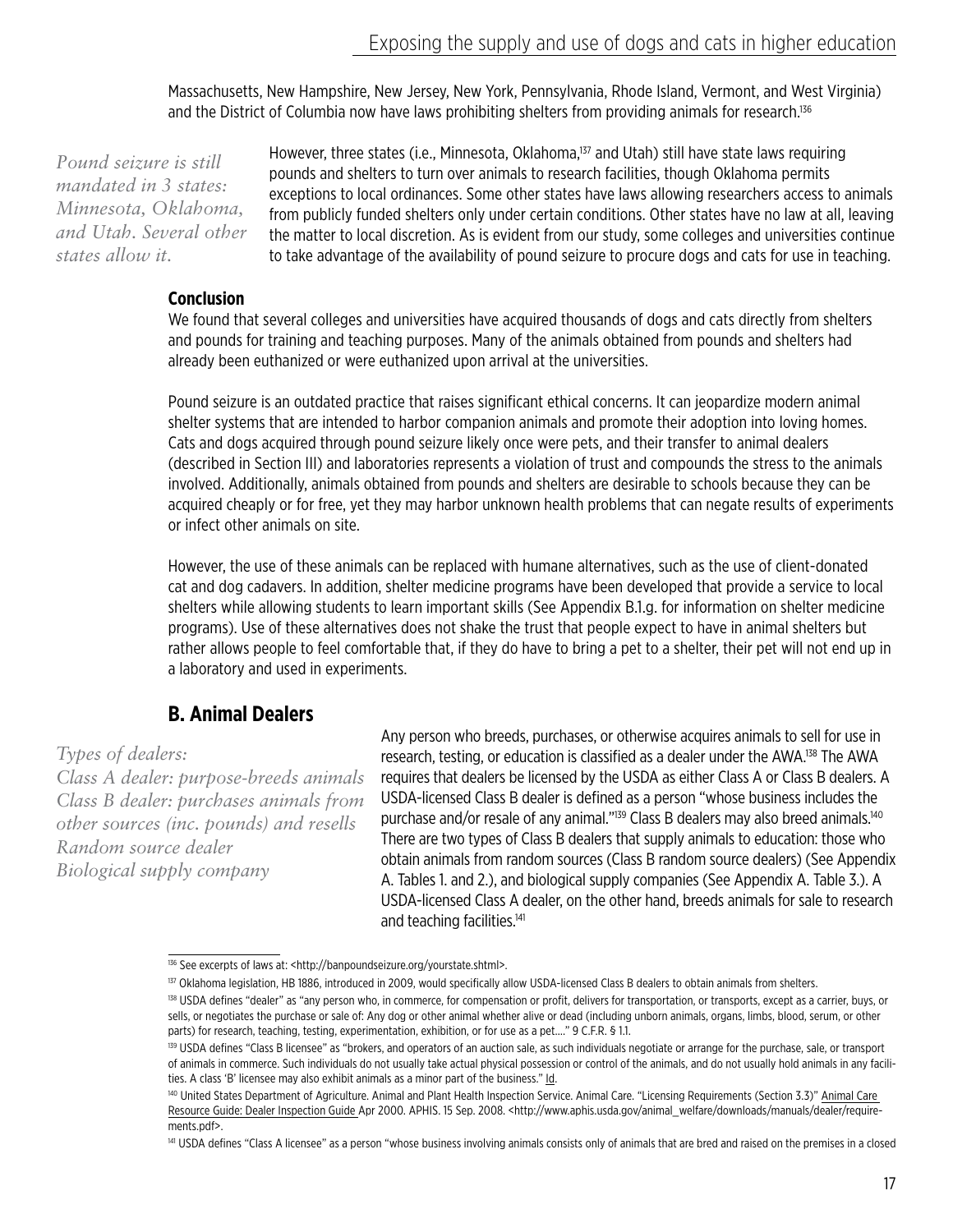Massachusetts, New Hampshire, New Jersey, New York, Pennsylvania, Rhode Island, Vermont, and West Virginia) and the District of Columbia now have laws prohibiting shelters from providing animals for research.<sup>136</sup>

*Pound seizure is still mandated in 3 states: Minnesota, Oklahoma, and Utah. Several other states allow it.*

However, three states (i.e., Minnesota, Oklahoma,<sup>137</sup> and Utah) still have state laws requiring pounds and shelters to turn over animals to research facilities, though Oklahoma permits exceptions to local ordinances. Some other states have laws allowing researchers access to animals from publicly funded shelters only under certain conditions. Other states have no law at all, leaving the matter to local discretion. As is evident from our study, some colleges and universities continue to take advantage of the availability of pound seizure to procure dogs and cats for use in teaching.

#### **Conclusion**

We found that several colleges and universities have acquired thousands of dogs and cats directly from shelters and pounds for training and teaching purposes. Many of the animals obtained from pounds and shelters had already been euthanized or were euthanized upon arrival at the universities.

Pound seizure is an outdated practice that raises significant ethical concerns. It can jeopardize modern animal shelter systems that are intended to harbor companion animals and promote their adoption into loving homes. Cats and dogs acquired through pound seizure likely once were pets, and their transfer to animal dealers (described in Section III) and laboratories represents a violation of trust and compounds the stress to the animals involved. Additionally, animals obtained from pounds and shelters are desirable to schools because they can be acquired cheaply or for free, yet they may harbor unknown health problems that can negate results of experiments or infect other animals on site.

However, the use of these animals can be replaced with humane alternatives, such as the use of client-donated cat and dog cadavers. In addition, shelter medicine programs have been developed that provide a service to local shelters while allowing students to learn important skills (See Appendix B.1.g. for information on shelter medicine programs). Use of these alternatives does not shake the trust that people expect to have in animal shelters but rather allows people to feel comfortable that, if they do have to bring a pet to a shelter, their pet will not end up in a laboratory and used in experiments.

# **B. Animal Dealers**

*Types of dealers:*

*Class A dealer: purpose-breeds animals Class B dealer: purchases animals from other sources (inc. pounds) and resells Random source dealer Biological supply company*

Any person who breeds, purchases, or otherwise acquires animals to sell for use in research, testing, or education is classified as a dealer under the AWA.138 The AWA requires that dealers be licensed by the USDA as either Class A or Class B dealers. A USDA-licensed Class B dealer is defined as a person "whose business includes the purchase and/or resale of any animal."139 Class B dealers may also breed animals.140 There are two types of Class B dealers that supply animals to education: those who obtain animals from random sources (Class B random source dealers) (See Appendix A. Tables 1. and 2.), and biological supply companies (See Appendix A. Table 3.). A USDA-licensed Class A dealer, on the other hand, breeds animals for sale to research and teaching facilities.<sup>141</sup>

<sup>136</sup> See excerpts of laws at: <http://banpoundseizure.org/yourstate.shtml>.

<sup>&</sup>lt;sup>137</sup> Oklahoma legislation, HB 1886, introduced in 2009, would specifically allow USDA-licensed Class B dealers to obtain animals from shelters.

<sup>138</sup> USDA defines "dealer" as "any person who, in commerce, for compensation or profit, delivers for transportation, or transports, except as a carrier, buys, or sells, or negotiates the purchase or sale of: Any dog or other animal whether alive or dead (including unborn animals, organs, limbs, blood, serum, or other parts) for research, teaching, testing, experimentation, exhibition, or for use as a pet...." 9 C.F.R. § 1.1.

<sup>&</sup>lt;sup>139</sup> USDA defines "Class B licensee" as "brokers, and operators of an auction sale, as such individuals negotiate or arrange for the purchase, sale, or transport of animals in commerce. Such individuals do not usually take actual physical possession or control of the animals, and do not usually hold animals in any facilities. A class 'B' licensee may also exhibit animals as a minor part of the business." Id.

<sup>140</sup> United States Department of Agriculture. Animal and Plant Health Inspection Service. Animal Care. "Licensing Requirements (Section 3.3)" Animal Care Resource Guide: Dealer Inspection Guide Apr 2000. APHIS. 15 Sep. 2008. <http://www.aphis.usda.gov/animal\_welfare/downloads/manuals/dealer/requirements.pdf>.

<sup>141</sup> USDA defines "Class A licensee" as a person "whose business involving animals consists only of animals that are bred and raised on the premises in a closed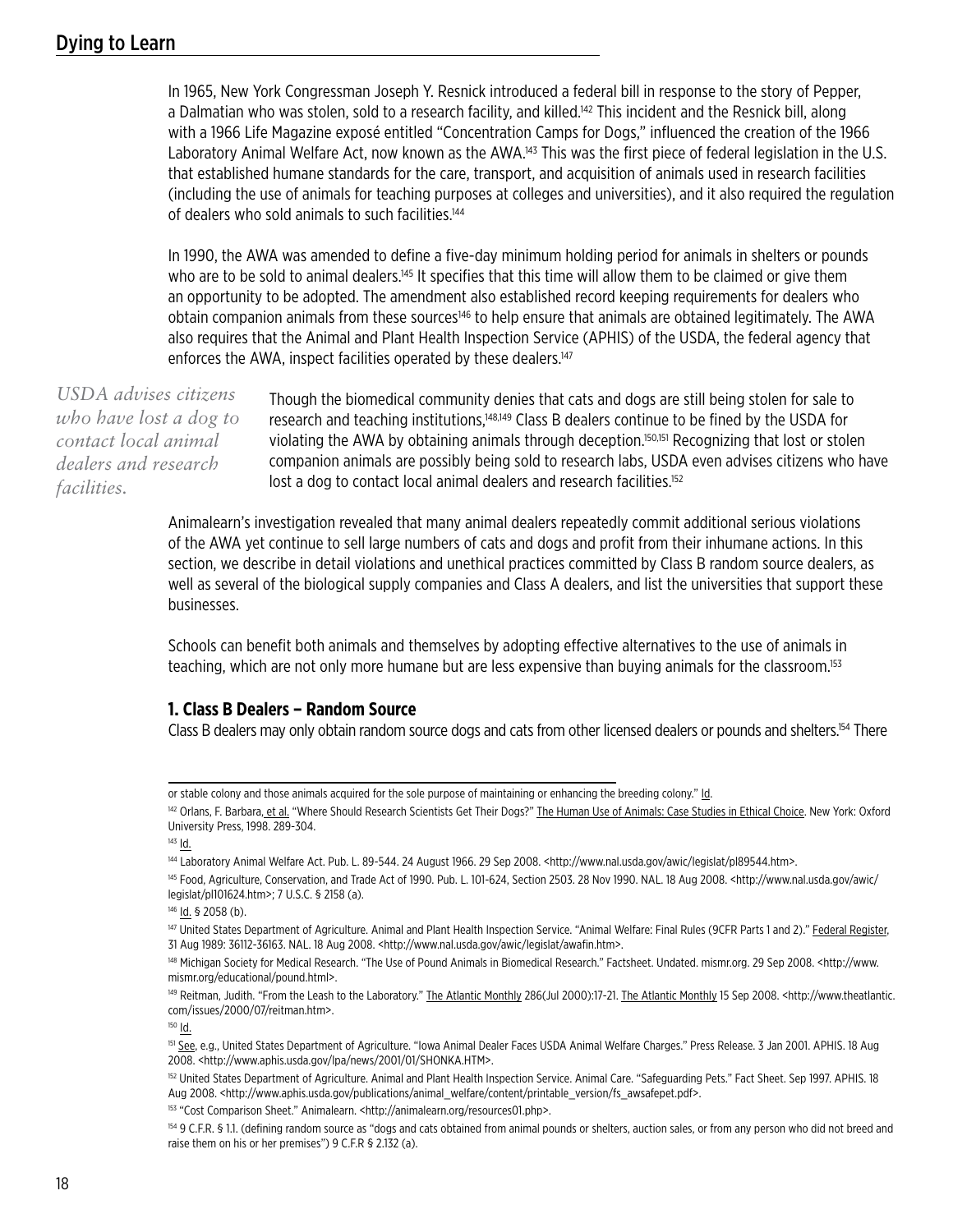In 1965, New York Congressman Joseph Y. Resnick introduced a federal bill in response to the story of Pepper, a Dalmatian who was stolen, sold to a research facility, and killed.<sup>142</sup> This incident and the Resnick bill, along with a 1966 Life Magazine exposé entitled "Concentration Camps for Dogs," influenced the creation of the 1966 Laboratory Animal Welfare Act, now known as the AWA.<sup>143</sup> This was the first piece of federal legislation in the U.S. that established humane standards for the care, transport, and acquisition of animals used in research facilities (including the use of animals for teaching purposes at colleges and universities), and it also required the regulation of dealers who sold animals to such facilities.<sup>144</sup>

In 1990, the AWA was amended to define a five-day minimum holding period for animals in shelters or pounds who are to be sold to animal dealers.<sup>145</sup> It specifies that this time will allow them to be claimed or give them an opportunity to be adopted. The amendment also established record keeping requirements for dealers who obtain companion animals from these sources146 to help ensure that animals are obtained legitimately. The AWA also requires that the Animal and Plant Health Inspection Service (APHIS) of the USDA, the federal agency that enforces the AWA, inspect facilities operated by these dealers.<sup>147</sup>

*USDA advises citizens who have lost a dog to contact local animal dealers and research facilities.*

Though the biomedical community denies that cats and dogs are still being stolen for sale to research and teaching institutions,<sup>148,149</sup> Class B dealers continue to be fined by the USDA for violating the AWA by obtaining animals through deception.150,151 Recognizing that lost or stolen companion animals are possibly being sold to research labs, USDA even advises citizens who have lost a dog to contact local animal dealers and research facilities.<sup>152</sup>

Animalearn's investigation revealed that many animal dealers repeatedly commit additional serious violations of the AWA yet continue to sell large numbers of cats and dogs and profit from their inhumane actions. In this section, we describe in detail violations and unethical practices committed by Class B random source dealers, as well as several of the biological supply companies and Class A dealers, and list the universities that support these businesses.

Schools can benefit both animals and themselves by adopting effective alternatives to the use of animals in teaching, which are not only more humane but are less expensive than buying animals for the classroom.<sup>153</sup>

#### **1. Class B Dealers – Random Source**

Class B dealers may only obtain random source dogs and cats from other licensed dealers or pounds and shelters.154 There

 $150$   $\underline{Id}$ .

or stable colony and those animals acquired for the sole purpose of maintaining or enhancing the breeding colony." Id.

<sup>142</sup> Orlans, F. Barbara, et al. "Where Should Research Scientists Get Their Dogs?" The Human Use of Animals: Case Studies in Ethical Choice. New York: Oxford University Press, 1998. 289-304.

<sup>143</sup> Id.

<sup>144</sup> Laboratory Animal Welfare Act. Pub. L. 89-544. 24 August 1966. 29 Sep 2008. <http://www.nal.usda.gov/awic/legislat/pl89544.htm>.

<sup>145</sup> Food, Agriculture, Conservation, and Trade Act of 1990. Pub. L. 101-624, Section 2503. 28 Nov 1990. NAL. 18 Aug 2008. <http://www.nal.usda.gov/awic/ legislat/pl101624.htm>; 7 U.S.C. § 2158 (a).

<sup>146</sup> Id. § 2058 (b).

<sup>147</sup> United States Department of Agriculture. Animal and Plant Health Inspection Service. "Animal Welfare: Final Rules (9CFR Parts 1 and 2)." Federal Register, 31 Aug 1989: 36112-36163. NAL. 18 Aug 2008. <http://www.nal.usda.gov/awic/legislat/awafin.htm>.

<sup>148</sup> Michigan Society for Medical Research. "The Use of Pound Animals in Biomedical Research." Factsheet. Undated. mismr.org. 29 Sep 2008. <http://www. mismr.org/educational/pound.html>.

<sup>&</sup>lt;sup>149</sup> Reitman, Judith. "From the Leash to the Laboratory." The Atlantic Monthly 286(Jul 2000):17-21. The Atlantic Monthly 15 Sep 2008. <http://www.theatlantic. com/issues/2000/07/reitman.htm>.

<sup>151</sup> See, e.g., United States Department of Agriculture. "Iowa Animal Dealer Faces USDA Animal Welfare Charges." Press Release. 3 Jan 2001. APHIS. 18 Aug 2008. <http://www.aphis.usda.gov/lpa/news/2001/01/SHONKA.HTM>.

<sup>152</sup> United States Department of Agriculture. Animal and Plant Health Inspection Service. Animal Care. "Safeguarding Pets." Fact Sheet. Sep 1997. APHIS. 18 Aug 2008. <http://www.aphis.usda.gov/publications/animal\_welfare/content/printable\_version/fs\_awsafepet.pdf>.

<sup>153 &</sup>quot;Cost Comparison Sheet." Animalearn. <http://animalearn.org/resources01.php>.

<sup>154 9</sup> C.F.R. § 1.1. (defining random source as "dogs and cats obtained from animal pounds or shelters, auction sales, or from any person who did not breed and raise them on his or her premises") 9 C.F.R § 2.132 (a).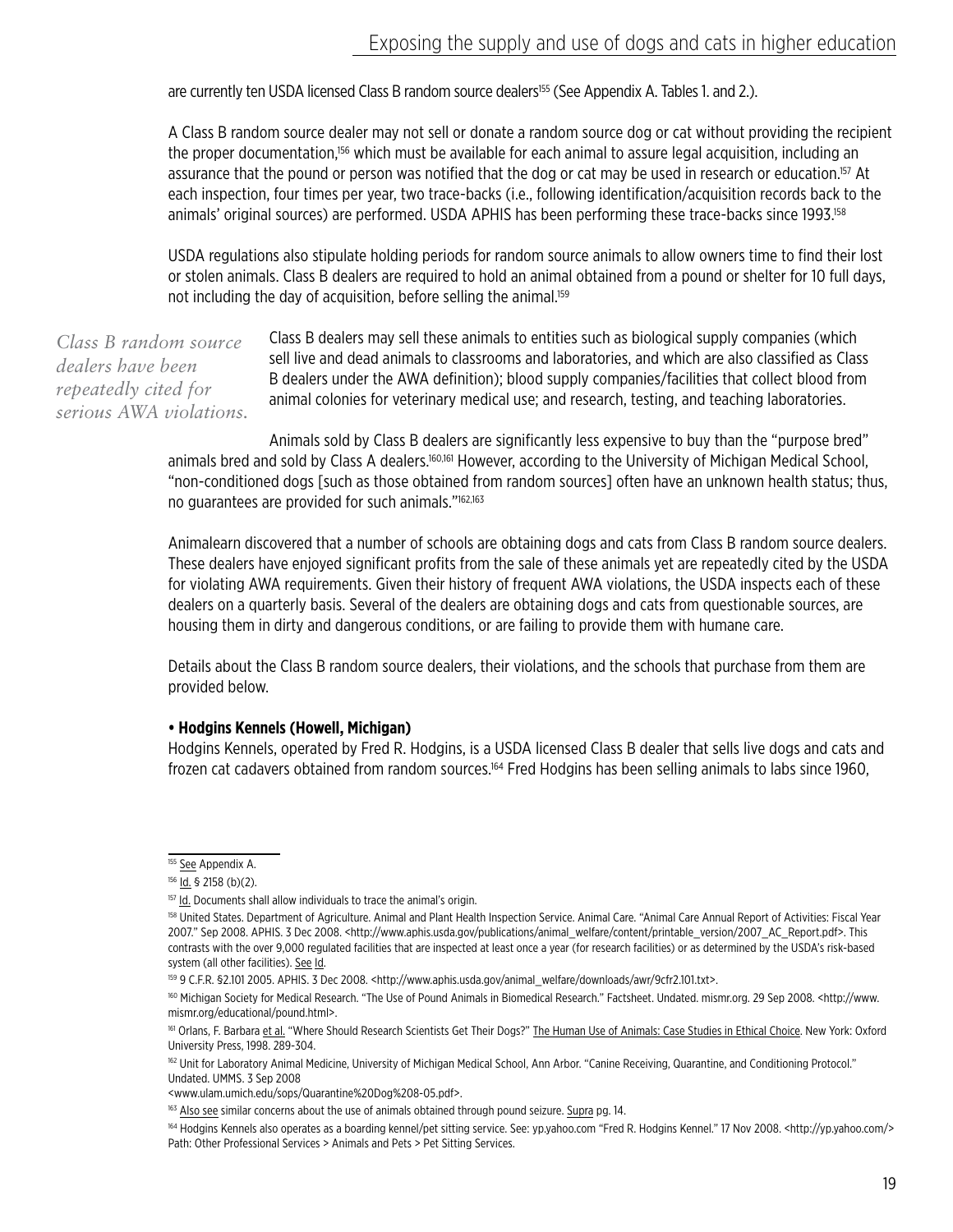are currently ten USDA licensed Class B random source dealers<sup>155</sup> (See Appendix A. Tables 1. and 2.).

A Class B random source dealer may not sell or donate a random source dog or cat without providing the recipient the proper documentation,<sup>156</sup> which must be available for each animal to assure legal acquisition, including an assurance that the pound or person was notified that the dog or cat may be used in research or education.<sup>157</sup> At each inspection, four times per year, two trace-backs (i.e., following identification/acquisition records back to the animals' original sources) are performed. USDA APHIS has been performing these trace-backs since 1993.158

USDA regulations also stipulate holding periods for random source animals to allow owners time to find their lost or stolen animals. Class B dealers are required to hold an animal obtained from a pound or shelter for 10 full days, not including the day of acquisition, before selling the animal.<sup>159</sup>

*Class B random source dealers have been repeatedly cited for serious AWA violations.* Class B dealers may sell these animals to entities such as biological supply companies (which sell live and dead animals to classrooms and laboratories, and which are also classified as Class B dealers under the AWA definition); blood supply companies/facilities that collect blood from animal colonies for veterinary medical use; and research, testing, and teaching laboratories.

Animals sold by Class B dealers are significantly less expensive to buy than the "purpose bred" animals bred and sold by Class A dealers.<sup>160,161</sup> However, according to the University of Michigan Medical School, "non-conditioned dogs [such as those obtained from random sources] often have an unknown health status; thus, no guarantees are provided for such animals."162,163

Animalearn discovered that a number of schools are obtaining dogs and cats from Class B random source dealers. These dealers have enjoyed significant profits from the sale of these animals yet are repeatedly cited by the USDA for violating AWA requirements. Given their history of frequent AWA violations, the USDA inspects each of these dealers on a quarterly basis. Several of the dealers are obtaining dogs and cats from questionable sources, are housing them in dirty and dangerous conditions, or are failing to provide them with humane care.

Details about the Class B random source dealers, their violations, and the schools that purchase from them are provided below.

#### **• Hodgins Kennels (Howell, Michigan)**

Hodgins Kennels, operated by Fred R. Hodgins, is a USDA licensed Class B dealer that sells live dogs and cats and frozen cat cadavers obtained from random sources.164 Fred Hodgins has been selling animals to labs since 1960,

<sup>&</sup>lt;sup>155</sup> See Appendix A.

<sup>156 &</sup>lt;u>Id.</u> § 2158 (b)(2).

<sup>&</sup>lt;sup>157</sup> Id. Documents shall allow individuals to trace the animal's origin.

<sup>&</sup>lt;sup>158</sup> United States. Department of Agriculture. Animal and Plant Health Inspection Service. Animal Care. "Animal Care Annual Report of Activities: Fiscal Year 2007." Sep 2008. APHIS. 3 Dec 2008. <http://www.aphis.usda.gov/publications/animal\_welfare/content/printable\_version/2007\_AC\_Report.pdf>. This contrasts with the over 9,000 regulated facilities that are inspected at least once a year (for research facilities) or as determined by the USDA's risk-based system (all other facilities). See Id.

<sup>159 9</sup> C.F.R. §2.101 2005. APHIS. 3 Dec 2008. <http://www.aphis.usda.gov/animal\_welfare/downloads/awr/9cfr2.101.txt>.

<sup>160</sup> Michigan Society for Medical Research. "The Use of Pound Animals in Biomedical Research." Factsheet. Undated. mismr.org. 29 Sep 2008. <http://www. mismr.org/educational/pound.html>.

<sup>161</sup> Orlans, F. Barbara et al. "Where Should Research Scientists Get Their Dogs?" The Human Use of Animals: Case Studies in Ethical Choice. New York: Oxford University Press, 1998. 289-304.

<sup>162</sup> Unit for Laboratory Animal Medicine, University of Michigan Medical School, Ann Arbor. "Canine Receiving, Quarantine, and Conditioning Protocol." Undated. UMMS. 3 Sep 2008

<sup>&</sup>lt;www.ulam.umich.edu/sops/Quarantine%20Dog%208-05.pdf>.

<sup>163</sup> Also see similar concerns about the use of animals obtained through pound seizure. Supra pg. 14.

<sup>164</sup> Hodgins Kennels also operates as a boarding kennel/pet sitting service. See: yp.yahoo.com "Fred R. Hodgins Kennel." 17 Nov 2008. <http://yp.yahoo.com/> Path: Other Professional Services > Animals and Pets > Pet Sitting Services.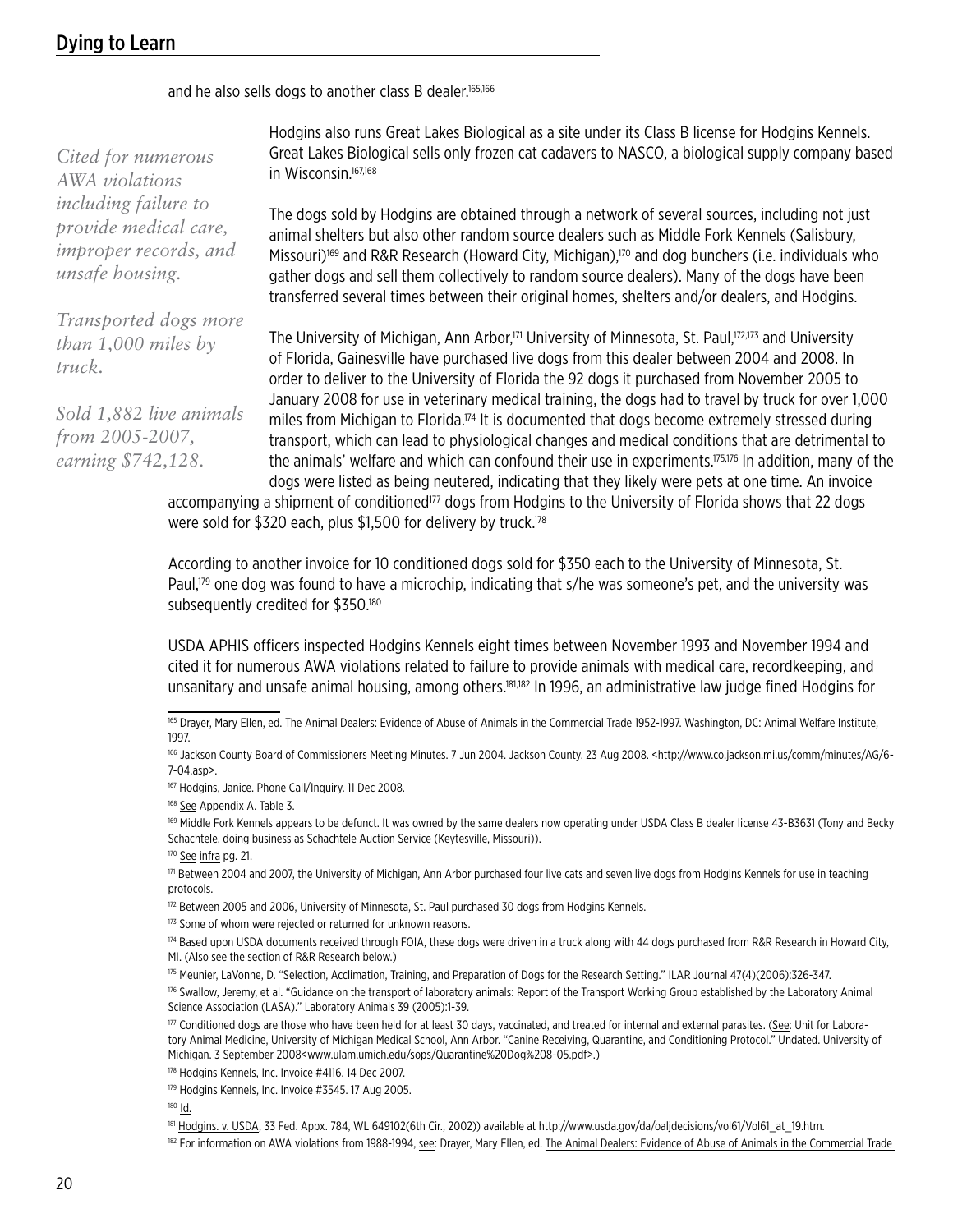# Dying to Learn

and he also sells dogs to another class B dealer.165,166

*Cited for numerous AWA violations including failure to provide medical care, improper records, and unsafe housing.*

*Transported dogs more than 1,000 miles by truck.*

*Sold 1,882 live animals from 2005-2007, earning \$742,128.*

Hodgins also runs Great Lakes Biological as a site under its Class B license for Hodgins Kennels. Great Lakes Biological sells only frozen cat cadavers to NASCO, a biological supply company based in Wisconsin.167,168

The dogs sold by Hodgins are obtained through a network of several sources, including not just animal shelters but also other random source dealers such as Middle Fork Kennels (Salisbury, Missouri)<sup>169</sup> and R&R Research (Howard City, Michigan),<sup>170</sup> and dog bunchers (i.e. individuals who gather dogs and sell them collectively to random source dealers). Many of the dogs have been transferred several times between their original homes, shelters and/or dealers, and Hodgins.

The University of Michigan, Ann Arbor,171 University of Minnesota, St. Paul,172,173 and University of Florida, Gainesville have purchased live dogs from this dealer between 2004 and 2008. In order to deliver to the University of Florida the 92 dogs it purchased from November 2005 to January 2008 for use in veterinary medical training, the dogs had to travel by truck for over 1,000 miles from Michigan to Florida.174 It is documented that dogs become extremely stressed during transport, which can lead to physiological changes and medical conditions that are detrimental to the animals' welfare and which can confound their use in experiments.<sup>175,176</sup> In addition, many of the dogs were listed as being neutered, indicating that they likely were pets at one time. An invoice

accompanying a shipment of conditioned<sup>177</sup> dogs from Hodgins to the University of Florida shows that 22 dogs were sold for \$320 each, plus \$1,500 for delivery by truck.<sup>178</sup>

According to another invoice for 10 conditioned dogs sold for \$350 each to the University of Minnesota, St. Paul,179 one dog was found to have a microchip, indicating that s/he was someone's pet, and the university was subsequently credited for \$350.180

USDA APHIS officers inspected Hodgins Kennels eight times between November 1993 and November 1994 and cited it for numerous AWA violations related to failure to provide animals with medical care, recordkeeping, and unsanitary and unsafe animal housing, among others.181,182 In 1996, an administrative law judge fined Hodgins for

<sup>180</sup> Id.

<sup>165</sup> Drayer, Mary Ellen, ed. The Animal Dealers: Evidence of Abuse of Animals in the Commercial Trade 1952-1997. Washington, DC: Animal Welfare Institute, 1997.

<sup>166</sup> Jackson County Board of Commissioners Meeting Minutes. 7 Jun 2004. Jackson County. 23 Aug 2008. <http://www.co.jackson.mi.us/comm/minutes/AG/6- 7-04.asp>.

<sup>167</sup> Hodgins, Janice. Phone Call/Inquiry. 11 Dec 2008.

<sup>168</sup> See Appendix A. Table 3.

<sup>169</sup> Middle Fork Kennels appears to be defunct. It was owned by the same dealers now operating under USDA Class B dealer license 43-B3631 (Tony and Becky Schachtele, doing business as Schachtele Auction Service (Keytesville, Missouri)).

<sup>170</sup> See infra pg. 21.

<sup>&</sup>lt;sup>171</sup> Between 2004 and 2007, the University of Michigan, Ann Arbor purchased four live cats and seven live dogs from Hodgins Kennels for use in teaching protocols.

<sup>172</sup> Between 2005 and 2006, University of Minnesota, St. Paul purchased 30 dogs from Hodgins Kennels.

<sup>173</sup> Some of whom were rejected or returned for unknown reasons.

 $174$  Based upon USDA documents received through FOIA, these dogs were driven in a truck along with 44 dogs purchased from R&R Research in Howard City, MI. (Also see the section of R&R Research below.)

<sup>175</sup> Meunier, LaVonne, D. "Selection, Acclimation, Training, and Preparation of Dogs for the Research Setting." ILAR Journal 47(4)(2006):326-347.

<sup>176</sup> Swallow, Jeremy, et al. "Guidance on the transport of laboratory animals: Report of the Transport Working Group established by the Laboratory Animal Science Association (LASA)." Laboratory Animals 39 (2005):1-39.

<sup>177</sup> Conditioned dogs are those who have been held for at least 30 days, vaccinated, and treated for internal and external parasites. (See: Unit for Laboratory Animal Medicine, University of Michigan Medical School, Ann Arbor. "Canine Receiving, Quarantine, and Conditioning Protocol." Undated. University of Michigan. 3 September 2008<www.ulam.umich.edu/sops/Quarantine%20Dog%208-05.pdf>.)

<sup>178</sup> Hodgins Kennels, Inc. Invoice #4116. 14 Dec 2007.

<sup>179</sup> Hodgins Kennels, Inc. Invoice #3545. 17 Aug 2005.

<sup>&</sup>lt;sup>181</sup> Hodgins. v. USDA, 33 Fed. Appx. 784, WL 649102(6th Cir., 2002)) available at http://www.usda.gov/da/oaljdecisions/vol61/Vol61\_at\_19.htm.

<sup>182</sup> For information on AWA violations from 1988-1994, see: Drayer, Mary Ellen, ed. The Animal Dealers: Evidence of Abuse of Animals in the Commercial Trade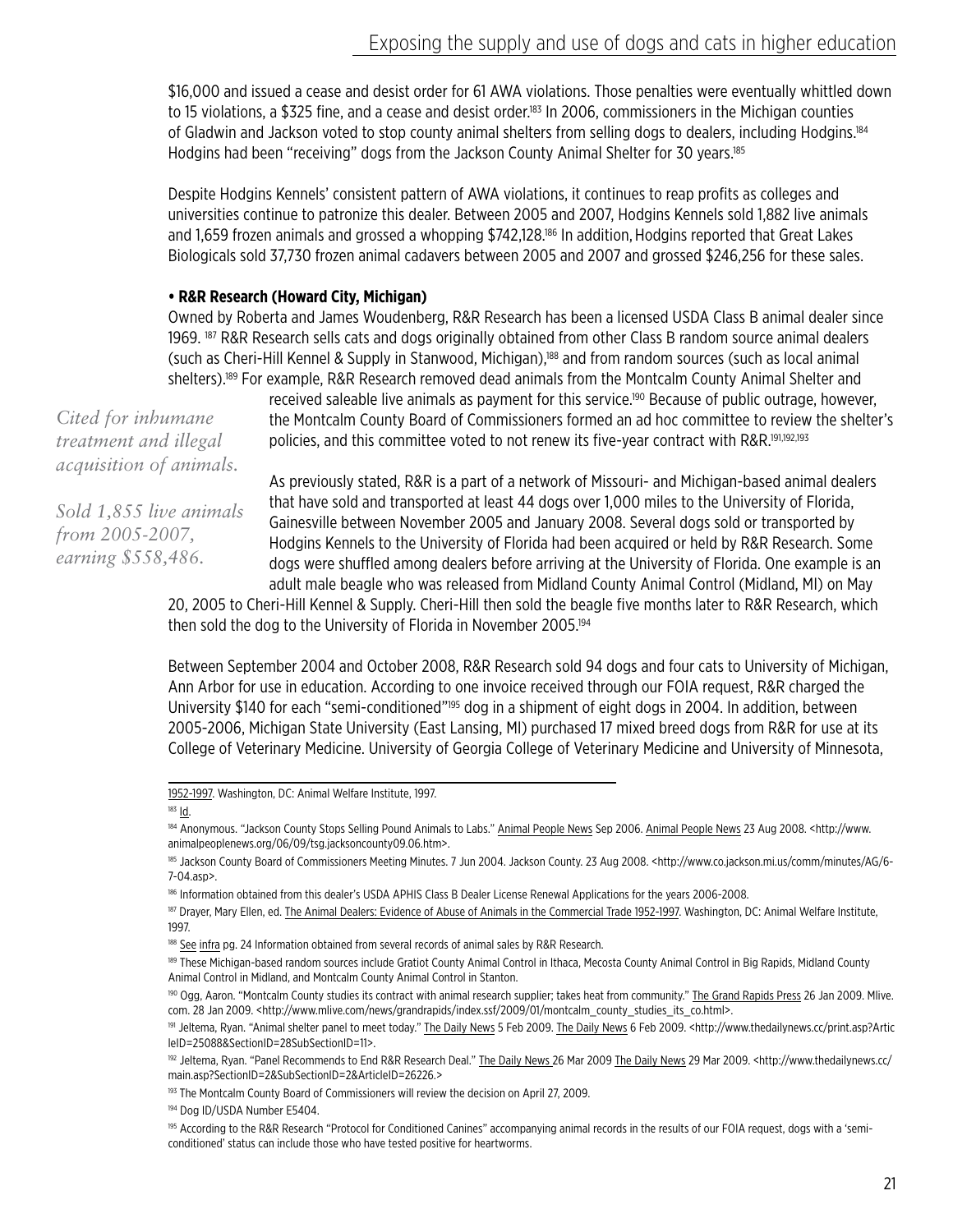\$16,000 and issued a cease and desist order for 61 AWA violations. Those penalties were eventually whittled down to 15 violations, a \$325 fine, and a cease and desist order.<sup>183</sup> In 2006, commissioners in the Michigan counties of Gladwin and Jackson voted to stop county animal shelters from selling dogs to dealers, including Hodgins.<sup>184</sup> Hodgins had been "receiving" dogs from the Jackson County Animal Shelter for 30 years.<sup>185</sup>

Despite Hodgins Kennels' consistent pattern of AWA violations, it continues to reap profits as colleges and universities continue to patronize this dealer. Between 2005 and 2007, Hodgins Kennels sold 1,882 live animals and 1,659 frozen animals and grossed a whopping \$742,128.<sup>186</sup> In addition, Hodgins reported that Great Lakes Biologicals sold 37,730 frozen animal cadavers between 2005 and 2007 and grossed \$246,256 for these sales.

#### **• R&R Research (Howard City, Michigan)**

Owned by Roberta and James Woudenberg, R&R Research has been a licensed USDA Class B animal dealer since 1969. <sup>187</sup> R&R Research sells cats and dogs originally obtained from other Class B random source animal dealers (such as Cheri-Hill Kennel & Supply in Stanwood, Michigan),<sup>188</sup> and from random sources (such as local animal shelters).189 For example, R&R Research removed dead animals from the Montcalm County Animal Shelter and

*Cited for inhumane treatment and illegal acquisition of animals.*

*Sold 1,855 live animals from 2005-2007, earning \$558,486.*

received saleable live animals as payment for this service.<sup>190</sup> Because of public outrage, however, the Montcalm County Board of Commissioners formed an ad hoc committee to review the shelter's policies, and this committee voted to not renew its five-year contract with R&R.<sup>191,192,193</sup>

As previously stated, R&R is a part of a network of Missouri- and Michigan-based animal dealers that have sold and transported at least 44 dogs over 1,000 miles to the University of Florida, Gainesville between November 2005 and January 2008. Several dogs sold or transported by Hodgins Kennels to the University of Florida had been acquired or held by R&R Research. Some dogs were shuffled among dealers before arriving at the University of Florida. One example is an adult male beagle who was released from Midland County Animal Control (Midland, MI) on May

20, 2005 to Cheri-Hill Kennel & Supply. Cheri-Hill then sold the beagle five months later to R&R Research, which then sold the dog to the University of Florida in November 2005.<sup>194</sup>

Between September 2004 and October 2008, R&R Research sold 94 dogs and four cats to University of Michigan, Ann Arbor for use in education. According to one invoice received through our FOIA request, R&R charged the University \$140 for each "semi-conditioned"<sup>195</sup> dog in a shipment of eight dogs in 2004. In addition, between 2005-2006, Michigan State University (East Lansing, MI) purchased 17 mixed breed dogs from R&R for use at its College of Veterinary Medicine. University of Georgia College of Veterinary Medicine and University of Minnesota,

1952-1997. Washington, DC: Animal Welfare Institute, 1997.

 $183$   $\underline{Id}$ .

<sup>184</sup> Anonymous. "Jackson County Stops Selling Pound Animals to Labs." Animal People News Sep 2006. Animal People News 23 Aug 2008. < http://www. animalpeoplenews.org/06/09/tsg.jacksoncounty09.06.htm>.

<sup>185</sup> Jackson County Board of Commissioners Meeting Minutes. 7 Jun 2004. Jackson County. 23 Aug 2008. <http://www.co.jackson.mi.us/comm/minutes/AG/6- 7-04.asp>.

<sup>186</sup> Information obtained from this dealer's USDA APHIS Class B Dealer License Renewal Applications for the years 2006-2008.

<sup>&</sup>lt;sup>187</sup> Drayer, Mary Ellen, ed. The Animal Dealers: Evidence of Abuse of Animals in the Commercial Trade 1952-1997. Washington, DC: Animal Welfare Institute, 1997.

<sup>188</sup> See infra pg. 24 Information obtained from several records of animal sales by R&R Research.

<sup>&</sup>lt;sup>189</sup> These Michigan-based random sources include Gratiot County Animal Control in Ithaca, Mecosta County Animal Control in Big Rapids, Midland County Animal Control in Midland, and Montcalm County Animal Control in Stanton.

<sup>&</sup>lt;sup>190</sup> Ogg, Aaron. "Montcalm County studies its contract with animal research supplier; takes heat from community." The Grand Rapids Press 26 Jan 2009. Mlive. com. 28 Jan 2009. <http://www.mlive.com/news/grandrapids/index.ssf/2009/01/montcalm\_county\_studies\_its\_co.html>.

<sup>191</sup> Jeltema, Ryan. "Animal shelter panel to meet today." The Daily News 5 Feb 2009. The Daily News 6 Feb 2009. <http://www.thedailynews.cc/print.asp?Artic leID=25088&SectionID=28SubSectionID=11>.

<sup>&</sup>lt;sup>192</sup> Jeltema, Ryan. "Panel Recommends to End R&R Research Deal." <u>The Daily News 26 Mar 2009 The Daily News</u> 29 Mar 2009. <http://www.thedailynews.cc/ main.asp?SectionID=2&SubSectionID=2&ArticleID=26226.>

<sup>193</sup> The Montcalm County Board of Commissioners will review the decision on April 27, 2009.

<sup>194</sup> Dog ID/USDA Number E5404.

<sup>195</sup> According to the R&R Research "Protocol for Conditioned Canines" accompanying animal records in the results of our FOIA request, dogs with a 'semiconditioned' status can include those who have tested positive for heartworms.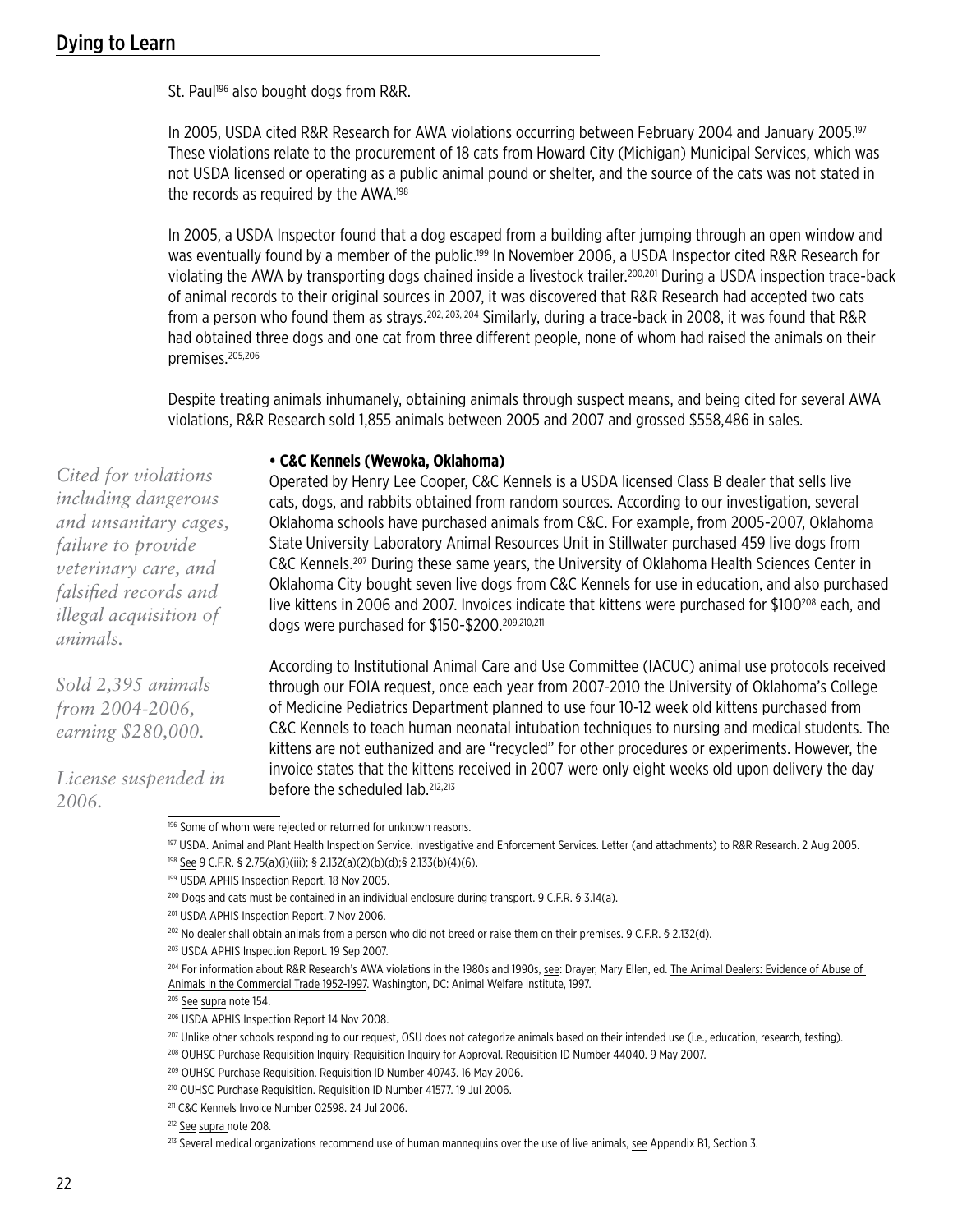St. Paul<sup>196</sup> also bought dogs from R&R.

In 2005, USDA cited R&R Research for AWA violations occurring between February 2004 and January 2005.<sup>197</sup> These violations relate to the procurement of 18 cats from Howard City (Michigan) Municipal Services, which was not USDA licensed or operating as a public animal pound or shelter, and the source of the cats was not stated in the records as required by the AWA.198

In 2005, a USDA Inspector found that a dog escaped from a building after jumping through an open window and was eventually found by a member of the public.<sup>199</sup> In November 2006, a USDA Inspector cited R&R Research for violating the AWA by transporting dogs chained inside a livestock trailer.<sup>200,201</sup> During a USDA inspection trace-back of animal records to their original sources in 2007, it was discovered that R&R Research had accepted two cats from a person who found them as strays.202, 203, 204 Similarly, during a trace-back in 2008, it was found that R&R had obtained three dogs and one cat from three different people, none of whom had raised the animals on their premises.205,206

Despite treating animals inhumanely, obtaining animals through suspect means, and being cited for several AWA violations, R&R Research sold 1,855 animals between 2005 and 2007 and grossed \$558,486 in sales.

#### **• C&C Kennels (Wewoka, Oklahoma)**

Operated by Henry Lee Cooper, C&C Kennels is a USDA licensed Class B dealer that sells live cats, dogs, and rabbits obtained from random sources. According to our investigation, several Oklahoma schools have purchased animals from C&C. For example, from 2005-2007, Oklahoma State University Laboratory Animal Resources Unit in Stillwater purchased 459 live dogs from C&C Kennels.207 During these same years, the University of Oklahoma Health Sciences Center in Oklahoma City bought seven live dogs from C&C Kennels for use in education, and also purchased live kittens in 2006 and 2007. Invoices indicate that kittens were purchased for \$100<sup>208</sup> each, and dogs were purchased for \$150-\$200.209,210,211

According to Institutional Animal Care and Use Committee (IACUC) animal use protocols received through our FOIA request, once each year from 2007-2010 the University of Oklahoma's College of Medicine Pediatrics Department planned to use four 10-12 week old kittens purchased from C&C Kennels to teach human neonatal intubation techniques to nursing and medical students. The kittens are not euthanized and are "recycled" for other procedures or experiments. However, the invoice states that the kittens received in 2007 were only eight weeks old upon delivery the day before the scheduled lab.212,213

197 USDA. Animal and Plant Health Inspection Service. Investigative and Enforcement Services. Letter (and attachments) to R&R Research. 2 Aug 2005.

*Cited for violations including dangerous and unsanitary cages, failure to provide veterinary care, and falsified records and illegal acquisition of animals.*

*Sold 2,395 animals from 2004-2006, earning \$280,000.*

*License suspended in 2006.*

<sup>196</sup> Some of whom were rejected or returned for unknown reasons.

<sup>198</sup> See 9 C.F.R. § 2.75(a)(i)(iii); § 2.132(a)(2)(b)(d);§ 2.133(b)(4)(6).

<sup>199</sup> USDA APHIS Inspection Report. 18 Nov 2005.

<sup>200</sup> Dogs and cats must be contained in an individual enclosure during transport. 9 C.F.R. § 3.14(a).

<sup>201</sup> USDA APHIS Inspection Report. 7 Nov 2006.

<sup>202</sup> No dealer shall obtain animals from a person who did not breed or raise them on their premises. 9 C.F.R. § 2.132(d).

<sup>203</sup> USDA APHIS Inspection Report. 19 Sep 2007.

<sup>204</sup> For information about R&R Research's AWA violations in the 1980s and 1990s, see: Drayer, Mary Ellen, ed. The Animal Dealers: Evidence of Abuse of Animals in the Commercial Trade 1952-1997. Washington, DC: Animal Welfare Institute, 1997.

<sup>205</sup> See supra note 154.

<sup>206</sup> USDA APHIS Inspection Report 14 Nov 2008.

<sup>&</sup>lt;sup>207</sup> Unlike other schools responding to our request, OSU does not categorize animals based on their intended use (i.e., education, research, testing).

<sup>208</sup> OUHSC Purchase Requisition Inquiry-Requisition Inquiry for Approval. Requisition ID Number 44040. 9 May 2007.

<sup>209</sup> OUHSC Purchase Requisition. Requisition ID Number 40743. 16 May 2006.

<sup>210</sup> OUHSC Purchase Requisition. Requisition ID Number 41577. 19 Jul 2006.

<sup>&</sup>lt;sup>211</sup> C&C Kennels Invoice Number 02598. 24 Jul 2006.

<sup>&</sup>lt;sup>212</sup> See supra note 208.

<sup>&</sup>lt;sup>213</sup> Several medical organizations recommend use of human mannequins over the use of live animals, see Appendix B1, Section 3.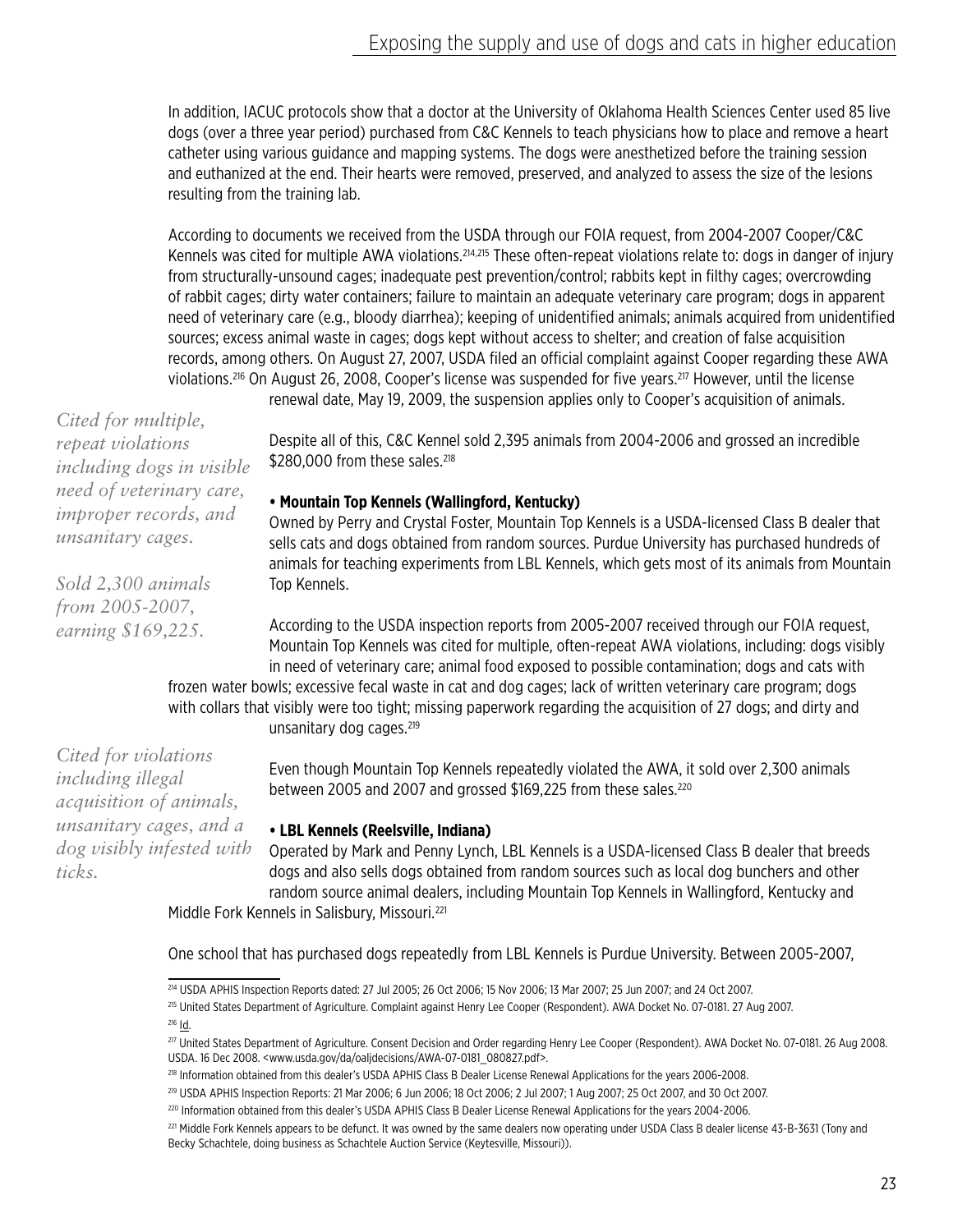In addition, IACUC protocols show that a doctor at the University of Oklahoma Health Sciences Center used 85 live dogs (over a three year period) purchased from C&C Kennels to teach physicians how to place and remove a heart catheter using various guidance and mapping systems. The dogs were anesthetized before the training session and euthanized at the end. Their hearts were removed, preserved, and analyzed to assess the size of the lesions resulting from the training lab.

According to documents we received from the USDA through our FOIA request, from 2004-2007 Cooper/C&C Kennels was cited for multiple AWA violations.<sup>214,215</sup> These often-repeat violations relate to: dogs in danger of injury from structurally-unsound cages; inadequate pest prevention/control; rabbits kept in filthy cages; overcrowding of rabbit cages; dirty water containers; failure to maintain an adequate veterinary care program; dogs in apparent need of veterinary care (e.g., bloody diarrhea); keeping of unidentified animals; animals acquired from unidentified sources; excess animal waste in cages; dogs kept without access to shelter; and creation of false acquisition records, among others. On August 27, 2007, USDA filed an official complaint against Cooper regarding these AWA violations.216 On August 26, 2008, Cooper's license was suspended for five years.217 However, until the license

renewal date, May 19, 2009, the suspension applies only to Cooper's acquisition of animals.

*Cited for multiple, repeat violations including dogs in visible need of veterinary care, improper records, and unsanitary cages.*

*Sold 2,300 animals from 2005-2007, earning \$169,225.*

*Cited for violations including illegal* 

*ticks.*

*acquisition of animals, unsanitary cages, and a*  Despite all of this, C&C Kennel sold 2,395 animals from 2004-2006 and grossed an incredible \$280,000 from these sales.<sup>218</sup>

#### **• Mountain Top Kennels (Wallingford, Kentucky)**

Owned by Perry and Crystal Foster, Mountain Top Kennels is a USDA-licensed Class B dealer that sells cats and dogs obtained from random sources. Purdue University has purchased hundreds of animals for teaching experiments from LBL Kennels, which gets most of its animals from Mountain Top Kennels.

According to the USDA inspection reports from 2005-2007 received through our FOIA request, Mountain Top Kennels was cited for multiple, often-repeat AWA violations, including: dogs visibly in need of veterinary care; animal food exposed to possible contamination; dogs and cats with frozen water bowls; excessive fecal waste in cat and dog cages; lack of written veterinary care program; dogs

with collars that visibly were too tight; missing paperwork regarding the acquisition of 27 dogs; and dirty and unsanitary dog cages.<sup>219</sup>

> Even though Mountain Top Kennels repeatedly violated the AWA, it sold over 2,300 animals between 2005 and 2007 and grossed \$169,225 from these sales.<sup>220</sup>

#### **• LBL Kennels (Reelsville, Indiana)**

Operated by Mark and Penny Lynch, LBL Kennels is a USDA-licensed Class B dealer that breeds dogs and also sells dogs obtained from random sources such as local dog bunchers and other random source animal dealers, including Mountain Top Kennels in Wallingford, Kentucky and Middle Fork Kennels in Salisbury, Missouri.<sup>221</sup> *dog visibly infested with* 

One school that has purchased dogs repeatedly from LBL Kennels is Purdue University. Between 2005-2007,

215 United States Department of Agriculture. Complaint against Henry Lee Cooper (Respondent). AWA Docket No. 07-0181. 27 Aug 2007. <sup>216</sup> Id.

<sup>214</sup> USDA APHIS Inspection Reports dated: 27 Jul 2005; 26 Oct 2006; 15 Nov 2006; 13 Mar 2007; 25 Jun 2007; and 24 Oct 2007.

<sup>217</sup> United States Department of Agriculture. Consent Decision and Order regarding Henry Lee Cooper (Respondent). AWA Docket No. 07-0181. 26 Aug 2008. USDA. 16 Dec 2008. <www.usda.gov/da/oaljdecisions/AWA-07-0181\_080827.pdf>.

<sup>218</sup> Information obtained from this dealer's USDA APHIS Class B Dealer License Renewal Applications for the years 2006-2008.

<sup>219</sup> USDA APHIS Inspection Reports: 21 Mar 2006; 6 Jun 2006; 18 Oct 2006; 2 Jul 2007; 1 Aug 2007; 25 Oct 2007, and 30 Oct 2007.

<sup>220</sup> Information obtained from this dealer's USDA APHIS Class B Dealer License Renewal Applications for the years 2004-2006.

<sup>&</sup>lt;sup>221</sup> Middle Fork Kennels appears to be defunct. It was owned by the same dealers now operating under USDA Class B dealer license 43-B-3631 (Tony and Becky Schachtele, doing business as Schachtele Auction Service (Keytesville, Missouri)).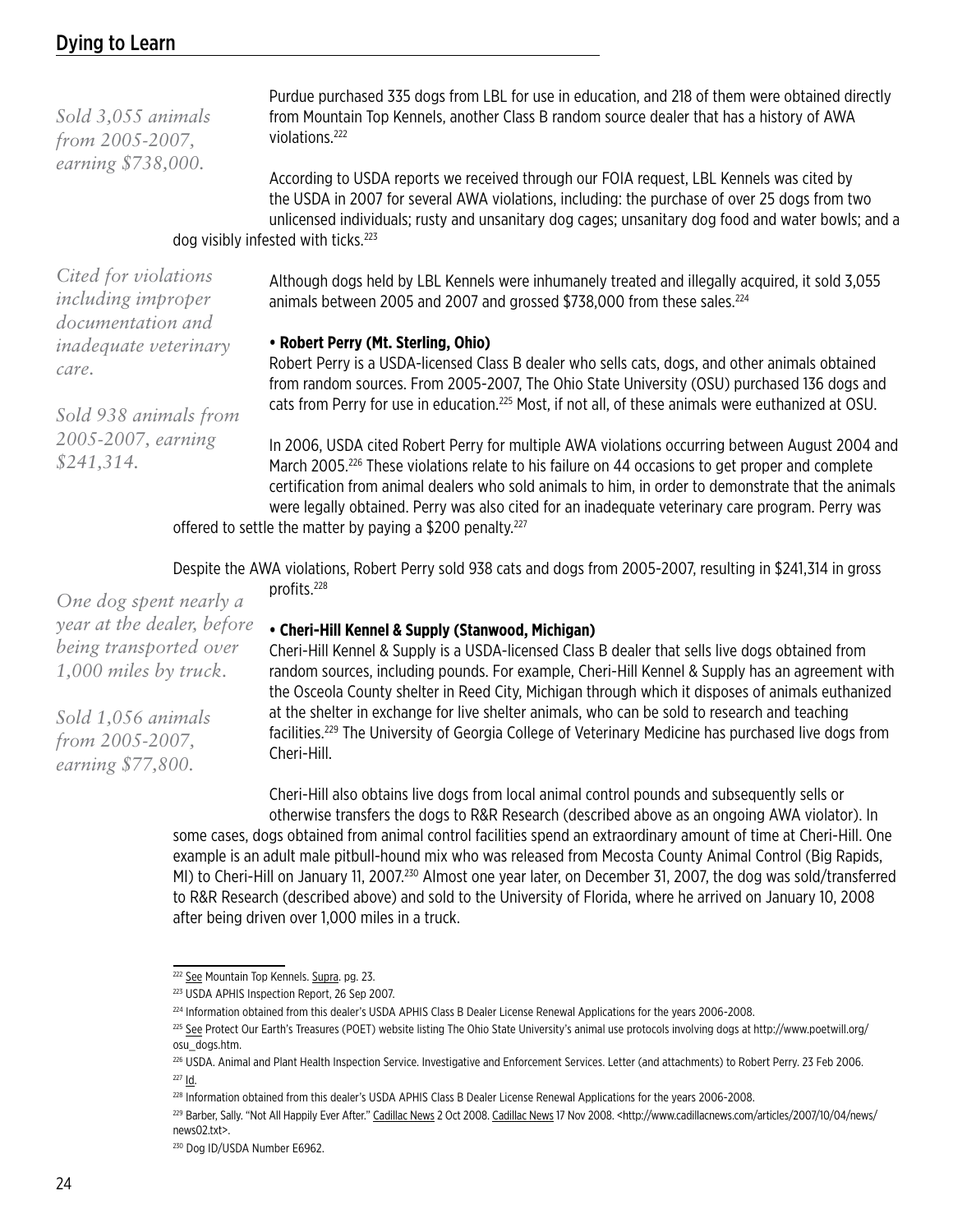| Sold 3,055 animals<br>from 2005-2007,<br>earning \$738,000.            | Purdue purchased 335 dogs from LBL for use in education, and 218 of them were obtained directly<br>from Mountain Top Kennels, another Class B random source dealer that has a history of AWA<br>violations. <sup>222</sup>                                                                                                                                                                                                                                                               |
|------------------------------------------------------------------------|------------------------------------------------------------------------------------------------------------------------------------------------------------------------------------------------------------------------------------------------------------------------------------------------------------------------------------------------------------------------------------------------------------------------------------------------------------------------------------------|
|                                                                        | According to USDA reports we received through our FOIA request, LBL Kennels was cited by<br>the USDA in 2007 for several AWA violations, including: the purchase of over 25 dogs from two<br>unlicensed individuals; rusty and unsanitary dog cages; unsanitary dog food and water bowls; and a<br>dog visibly infested with ticks. <sup>223</sup>                                                                                                                                       |
| Cited for violations<br><i>including improper</i><br>documentation and | Although dogs held by LBL Kennels were inhumanely treated and illegally acquired, it sold 3,055<br>animals between 2005 and 2007 and grossed \$738,000 from these sales. <sup>224</sup>                                                                                                                                                                                                                                                                                                  |
| <i>inadequate veterinary</i><br>care.<br>Sold 938 animals from         | • Robert Perry (Mt. Sterling, Ohio)<br>Robert Perry is a USDA-licensed Class B dealer who sells cats, dogs, and other animals obtained<br>from random sources. From 2005-2007, The Ohio State University (OSU) purchased 136 dogs and<br>cats from Perry for use in education. <sup>225</sup> Most, if not all, of these animals were euthanized at OSU.                                                                                                                                 |
| 2005-2007, earning<br>\$241,314.                                       | In 2006, USDA cited Robert Perry for multiple AWA violations occurring between August 2004 and<br>March 2005. <sup>226</sup> These violations relate to his failure on 44 occasions to get proper and complete<br>certification from animal dealers who sold animals to him, in order to demonstrate that the animals<br>were legally obtained. Perry was also cited for an inadequate veterinary care program. Perry was<br>offered to settle the matter by naving a $0.00$ negaty $22$ |

offered to settle the matter by paying a \$200 penalty.

Despite the AWA violations, Robert Perry sold 938 cats and dogs from 2005-2007, resulting in \$241,314 in gross profits.228

*One dog spent nearly a year at the dealer, before being transported over 1,000 miles by truck.*

*Sold 1,056 animals from 2005-2007, earning \$77,800.*

#### **• Cheri-Hill Kennel & Supply (Stanwood, Michigan)**

Cheri-Hill Kennel & Supply is a USDA-licensed Class B dealer that sells live dogs obtained from random sources, including pounds. For example, Cheri-Hill Kennel & Supply has an agreement with the Osceola County shelter in Reed City, Michigan through which it disposes of animals euthanized at the shelter in exchange for live shelter animals, who can be sold to research and teaching facilities.229 The University of Georgia College of Veterinary Medicine has purchased live dogs from Cheri-Hill.

Cheri-Hill also obtains live dogs from local animal control pounds and subsequently sells or otherwise transfers the dogs to R&R Research (described above as an ongoing AWA violator). In some cases, dogs obtained from animal control facilities spend an extraordinary amount of time at Cheri-Hill. One example is an adult male pitbull-hound mix who was released from Mecosta County Animal Control (Big Rapids, MI) to Cheri-Hill on January 11, 2007.230 Almost one year later, on December 31, 2007, the dog was sold/transferred to R&R Research (described above) and sold to the University of Florida, where he arrived on January 10, 2008

after being driven over 1,000 miles in a truck.

<sup>&</sup>lt;sup>222</sup> See Mountain Top Kennels. Supra. pg. 23.

<sup>223</sup> USDA APHIS Inspection Report, 26 Sep 2007.

<sup>224</sup> Information obtained from this dealer's USDA APHIS Class B Dealer License Renewal Applications for the years 2006-2008.

<sup>225</sup> See Protect Our Earth's Treasures (POET) website listing The Ohio State University's animal use protocols involving dogs at http://www.poetwill.org/ osu\_dogs.htm.

<sup>226</sup> USDA. Animal and Plant Health Inspection Service. Investigative and Enforcement Services. Letter (and attachments) to Robert Perry. 23 Feb 2006. <sup>227</sup> Id.

<sup>228</sup> Information obtained from this dealer's USDA APHIS Class B Dealer License Renewal Applications for the years 2006-2008.

<sup>&</sup>lt;sup>229</sup> Barber, Sally. "Not All Happily Ever After." Cadillac News 2 Oct 2008. Cadillac News 17 Nov 2008. <http://www.cadillacnews.com/articles/2007/10/04/news/ news02.txt>.

<sup>230</sup> Dog ID/USDA Number E6962.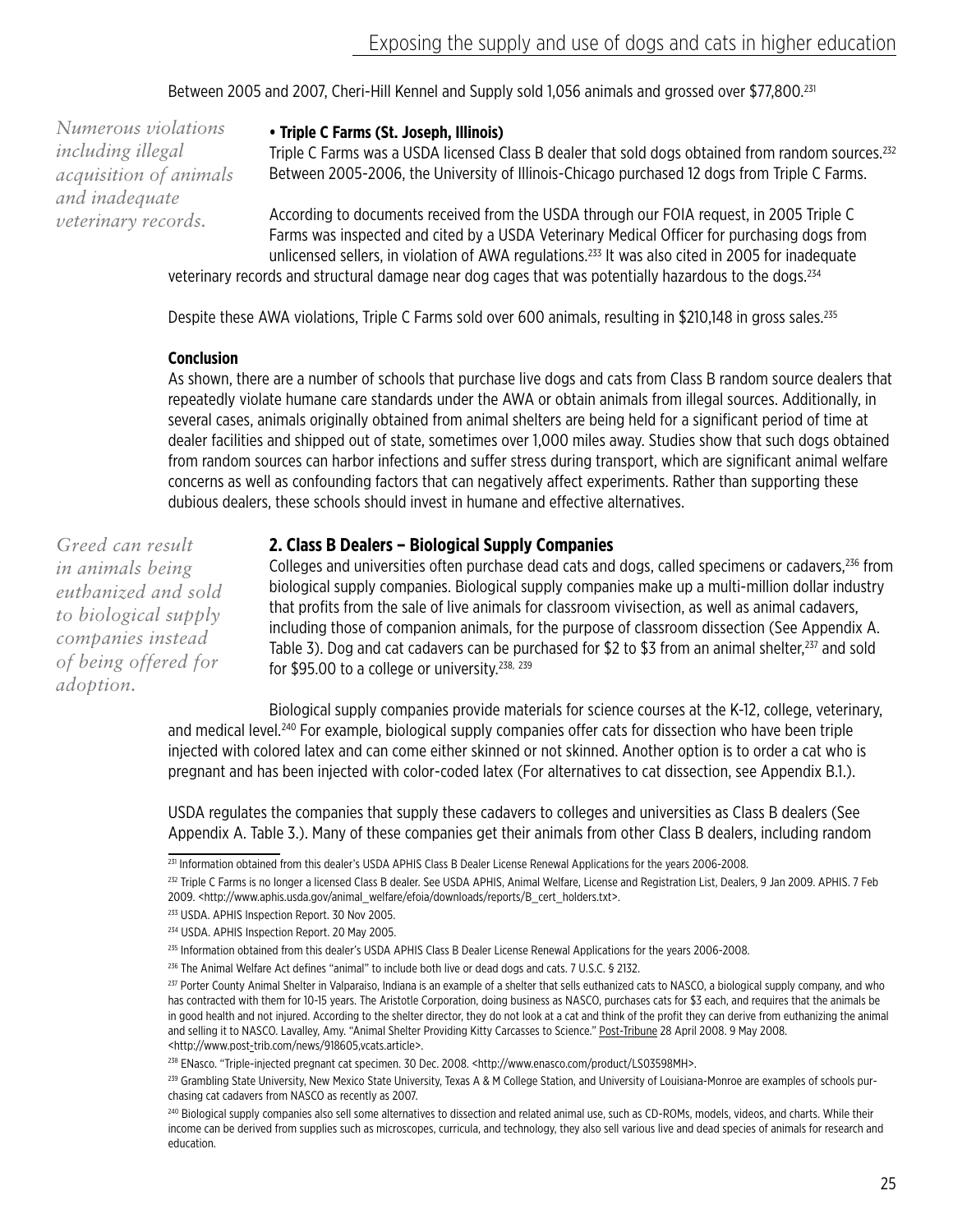Between 2005 and 2007, Cheri-Hill Kennel and Supply sold 1,056 animals and grossed over \$77,800.231

*Numerous violations including illegal acquisition of animals and inadequate veterinary records.*

#### **• Triple C Farms (St. Joseph, Illinois)**

Triple C Farms was a USDA licensed Class B dealer that sold dogs obtained from random sources.<sup>232</sup> Between 2005-2006, the University of Illinois-Chicago purchased 12 dogs from Triple C Farms.

According to documents received from the USDA through our FOIA request, in 2005 Triple C Farms was inspected and cited by a USDA Veterinary Medical Officer for purchasing dogs from unlicensed sellers, in violation of AWA regulations.<sup>233</sup> It was also cited in 2005 for inadequate veterinary records and structural damage near dog cages that was potentially hazardous to the dogs.234

Despite these AWA violations, Triple C Farms sold over 600 animals, resulting in \$210,148 in gross sales.<sup>235</sup>

#### **Conclusion**

As shown, there are a number of schools that purchase live dogs and cats from Class B random source dealers that repeatedly violate humane care standards under the AWA or obtain animals from illegal sources. Additionally, in several cases, animals originally obtained from animal shelters are being held for a significant period of time at dealer facilities and shipped out of state, sometimes over 1,000 miles away. Studies show that such dogs obtained from random sources can harbor infections and suffer stress during transport, which are significant animal welfare concerns as well as confounding factors that can negatively affect experiments. Rather than supporting these dubious dealers, these schools should invest in humane and effective alternatives.

*Greed can result in animals being euthanized and sold to biological supply companies instead of being offered for adoption.*

#### **2. Class B Dealers – Biological Supply Companies**

Colleges and universities often purchase dead cats and dogs, called specimens or cadavers,236 from biological supply companies. Biological supply companies make up a multi-million dollar industry that profits from the sale of live animals for classroom vivisection, as well as animal cadavers, including those of companion animals, for the purpose of classroom dissection (See Appendix A. Table 3). Dog and cat cadavers can be purchased for \$2 to \$3 from an animal shelter,<sup>237</sup> and sold for \$95.00 to a college or university.<sup>238, 239</sup>

Biological supply companies provide materials for science courses at the K-12, college, veterinary, and medical level.240 For example, biological supply companies offer cats for dissection who have been triple injected with colored latex and can come either skinned or not skinned. Another option is to order a cat who is pregnant and has been injected with color-coded latex (For alternatives to cat dissection, see Appendix B.1.).

USDA regulates the companies that supply these cadavers to colleges and universities as Class B dealers (See Appendix A. Table 3.). Many of these companies get their animals from other Class B dealers, including random

<sup>&</sup>lt;sup>231</sup> Information obtained from this dealer's USDA APHIS Class B Dealer License Renewal Applications for the years 2006-2008.

<sup>&</sup>lt;sup>232</sup> Triple C Farms is no longer a licensed Class B dealer. See USDA APHIS, Animal Welfare, License and Registration List, Dealers, 9 Jan 2009. APHIS. 7 Feb 2009. <http://www.aphis.usda.gov/animal\_welfare/efoia/downloads/reports/B\_cert\_holders.txt>.

<sup>233</sup> USDA. APHIS Inspection Report. 30 Nov 2005.

<sup>234</sup> USDA. APHIS Inspection Report. 20 May 2005.

<sup>&</sup>lt;sup>235</sup> Information obtained from this dealer's USDA APHIS Class B Dealer License Renewal Applications for the years 2006-2008.

<sup>&</sup>lt;sup>236</sup> The Animal Welfare Act defines "animal" to include both live or dead dogs and cats. 7 U.S.C. § 2132.

<sup>&</sup>lt;sup>237</sup> Porter County Animal Shelter in Valparaiso, Indiana is an example of a shelter that sells euthanized cats to NASCO, a biological supply company, and who has contracted with them for 10-15 years. The Aristotle Corporation, doing business as NASCO, purchases cats for \$3 each, and requires that the animals be in good health and not injured. According to the shelter director, they do not look at a cat and think of the profit they can derive from euthanizing the animal and selling it to NASCO. Lavalley, Amy. "Animal Shelter Providing Kitty Carcasses to Science." Post-Tribune 28 April 2008. 9 May 2008. <http://www.post-trib.com/news/918605,vcats.article>.

<sup>238</sup> ENasco. "Triple-injected pregnant cat specimen. 30 Dec. 2008. <http://www.enasco.com/product/LS03598MH>.

<sup>239</sup> Grambling State University, New Mexico State University, Texas A & M College Station, and University of Louisiana-Monroe are examples of schools purchasing cat cadavers from NASCO as recently as 2007.

<sup>240</sup> Biological supply companies also sell some alternatives to dissection and related animal use, such as CD-ROMs, models, videos, and charts. While their income can be derived from supplies such as microscopes, curricula, and technology, they also sell various live and dead species of animals for research and education.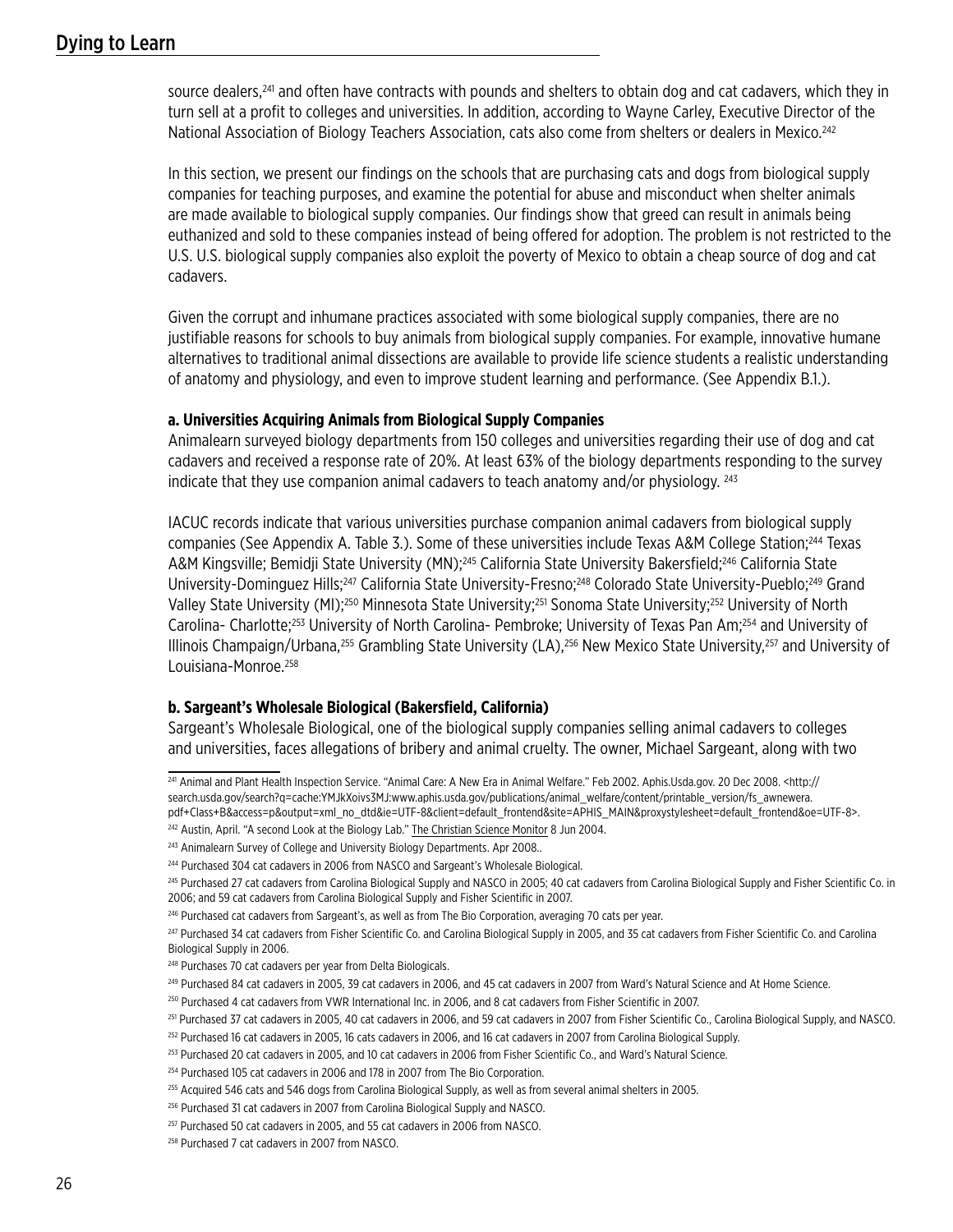source dealers,<sup>241</sup> and often have contracts with pounds and shelters to obtain dog and cat cadavers, which they in turn sell at a profit to colleges and universities. In addition, according to Wayne Carley, Executive Director of the National Association of Biology Teachers Association, cats also come from shelters or dealers in Mexico.242

In this section, we present our findings on the schools that are purchasing cats and dogs from biological supply companies for teaching purposes, and examine the potential for abuse and misconduct when shelter animals are made available to biological supply companies. Our findings show that greed can result in animals being euthanized and sold to these companies instead of being offered for adoption. The problem is not restricted to the U.S. U.S. biological supply companies also exploit the poverty of Mexico to obtain a cheap source of dog and cat cadavers.

Given the corrupt and inhumane practices associated with some biological supply companies, there are no justifiable reasons for schools to buy animals from biological supply companies. For example, innovative humane alternatives to traditional animal dissections are available to provide life science students a realistic understanding of anatomy and physiology, and even to improve student learning and performance. (See Appendix B.1.).

#### **a. Universities Acquiring Animals from Biological Supply Companies**

Animalearn surveyed biology departments from 150 colleges and universities regarding their use of dog and cat cadavers and received a response rate of 20%. At least 63% of the biology departments responding to the survey indicate that they use companion animal cadavers to teach anatomy and/or physiology.  $^{243}$ 

IACUC records indicate that various universities purchase companion animal cadavers from biological supply companies (See Appendix A. Table 3.). Some of these universities include Texas A&M College Station;244 Texas A&M Kingsville; Bemidji State University (MN);<sup>245</sup> California State University Bakersfield;<sup>246</sup> California State University-Dominguez Hills;<sup>247</sup> California State University-Fresno;<sup>248</sup> Colorado State University-Pueblo;<sup>249</sup> Grand Valley State University (MI);<sup>250</sup> Minnesota State University;<sup>251</sup> Sonoma State University;<sup>252</sup> University of North Carolina- Charlotte;253 University of North Carolina- Pembroke; University of Texas Pan Am;254 and University of Illinois Champaign/Urbana,255 Grambling State University (LA),256 New Mexico State University,257 and University of Louisiana-Monroe.<sup>258</sup>

#### **b. Sargeant's Wholesale Biological (Bakersfield, California)**

Sargeant's Wholesale Biological, one of the biological supply companies selling animal cadavers to colleges and universities, faces allegations of bribery and animal cruelty. The owner, Michael Sargeant, along with two

241 Animal and Plant Health Inspection Service. "Animal Care: A New Era in Animal Welfare." Feb 2002. Aphis.Usda.gov. 20 Dec 2008. <http:// search.usda.gov/search?q=cache:YMJkXoivs3MJ:www.aphis.usda.gov/publications/animal\_welfare/content/printable\_version/fs\_awnewera. pdf+Class+B&access=p&output=xml\_no\_dtd&ie=UTF-8&client=default\_frontend&site=APHIS\_MAIN&proxystylesheet=default\_frontend&oe=UTF-8>.

<sup>&</sup>lt;sup>242</sup> Austin, April. "A second Look at the Biology Lab." The Christian Science Monitor 8 Jun 2004.

<sup>&</sup>lt;sup>243</sup> Animalearn Survey of College and University Biology Departments. Apr 2008..

<sup>&</sup>lt;sup>244</sup> Purchased 304 cat cadavers in 2006 from NASCO and Sargeant's Wholesale Biological.

<sup>&</sup>lt;sup>245</sup> Purchased 27 cat cadavers from Carolina Biological Supply and NASCO in 2005; 40 cat cadavers from Carolina Biological Supply and Fisher Scientific Co. in 2006; and 59 cat cadavers from Carolina Biological Supply and Fisher Scientific in 2007.

<sup>&</sup>lt;sup>246</sup> Purchased cat cadavers from Sargeant's, as well as from The Bio Corporation, averaging 70 cats per year.

<sup>247</sup> Purchased 34 cat cadavers from Fisher Scientific Co. and Carolina Biological Supply in 2005, and 35 cat cadavers from Fisher Scientific Co. and Carolina Biological Supply in 2006.

<sup>&</sup>lt;sup>248</sup> Purchases 70 cat cadavers per year from Delta Biologicals.

<sup>249</sup> Purchased 84 cat cadavers in 2005, 39 cat cadavers in 2006, and 45 cat cadavers in 2007 from Ward's Natural Science and At Home Science.

<sup>250</sup> Purchased 4 cat cadavers from VWR International Inc. in 2006, and 8 cat cadavers from Fisher Scientific in 2007.

<sup>&</sup>lt;sup>251</sup> Purchased 37 cat cadavers in 2005, 40 cat cadavers in 2006, and 59 cat cadavers in 2007 from Fisher Scientific Co., Carolina Biological Supply, and NASCO.

<sup>252</sup> Purchased 16 cat cadavers in 2005, 16 cats cadavers in 2006, and 16 cat cadavers in 2007 from Carolina Biological Supply.

<sup>253</sup> Purchased 20 cat cadavers in 2005, and 10 cat cadavers in 2006 from Fisher Scientific Co., and Ward's Natural Science.

<sup>254</sup> Purchased 105 cat cadavers in 2006 and 178 in 2007 from The Bio Corporation.

<sup>255</sup> Acquired 546 cats and 546 dogs from Carolina Biological Supply, as well as from several animal shelters in 2005.

<sup>&</sup>lt;sup>256</sup> Purchased 31 cat cadavers in 2007 from Carolina Biological Supply and NASCO.

<sup>&</sup>lt;sup>257</sup> Purchased 50 cat cadavers in 2005, and 55 cat cadavers in 2006 from NASCO.

<sup>258</sup> Purchased 7 cat cadavers in 2007 from NASCO.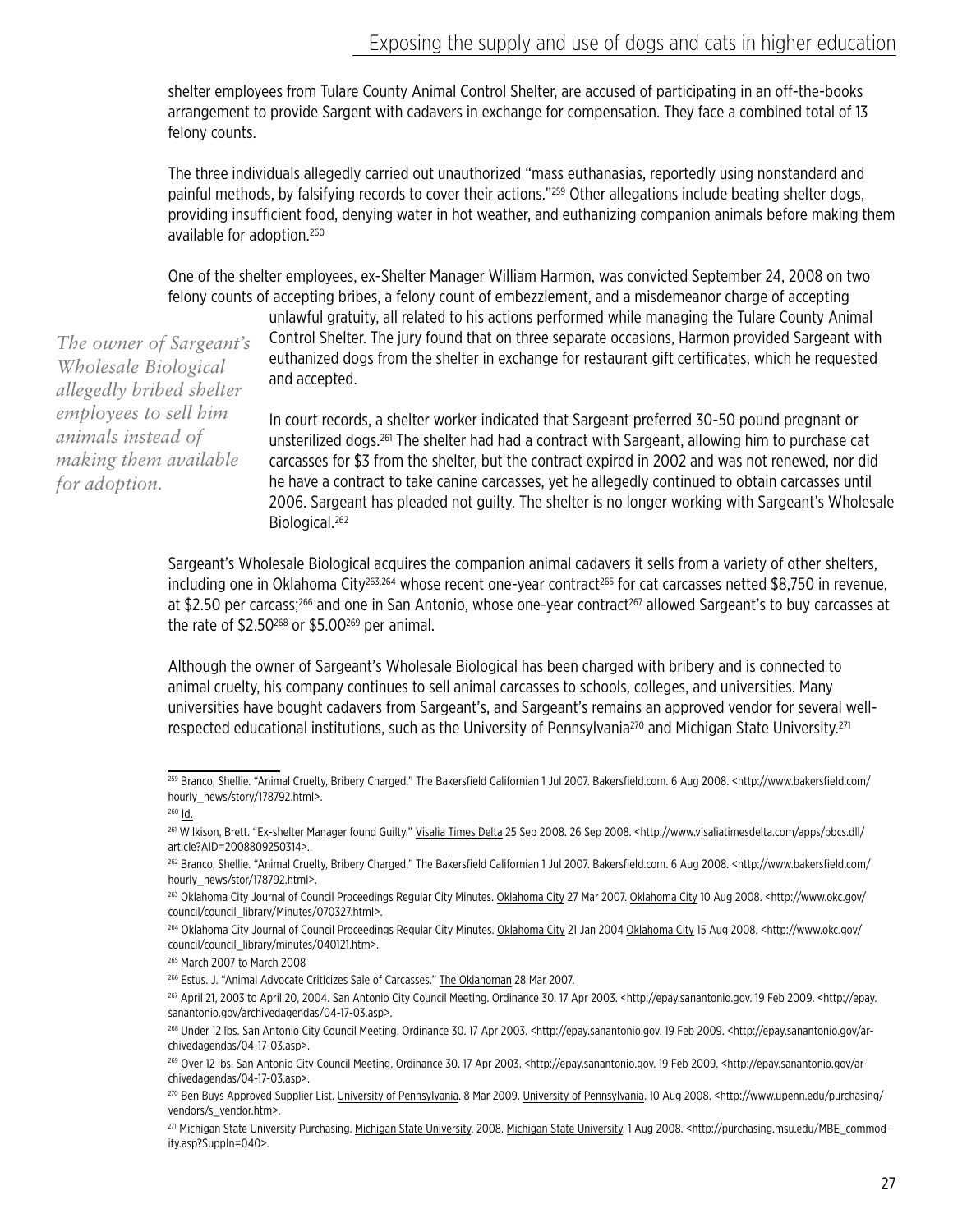shelter employees from Tulare County Animal Control Shelter, are accused of participating in an off-the-books arrangement to provide Sargent with cadavers in exchange for compensation. They face a combined total of 13 felony counts.

The three individuals allegedly carried out unauthorized "mass euthanasias, reportedly using nonstandard and painful methods, by falsifying records to cover their actions."259 Other allegations include beating shelter dogs, providing insufficient food, denying water in hot weather, and euthanizing companion animals before making them available for adoption.260

One of the shelter employees, ex-Shelter Manager William Harmon, was convicted September 24, 2008 on two felony counts of accepting bribes, a felony count of embezzlement, and a misdemeanor charge of accepting

unlawful gratuity, all related to his actions performed while managing the Tulare County Animal Control Shelter. The jury found that on three separate occasions, Harmon provided Sargeant with euthanized dogs from the shelter in exchange for restaurant gift certificates, which he requested and accepted.

In court records, a shelter worker indicated that Sargeant preferred 30-50 pound pregnant or unsterilized dogs.261 The shelter had had a contract with Sargeant, allowing him to purchase cat carcasses for \$3 from the shelter, but the contract expired in 2002 and was not renewed, nor did he have a contract to take canine carcasses, yet he allegedly continued to obtain carcasses until 2006. Sargeant has pleaded not guilty. The shelter is no longer working with Sargeant's Wholesale Biological.262

Sargeant's Wholesale Biological acquires the companion animal cadavers it sells from a variety of other shelters, including one in Oklahoma City<sup>263,264</sup> whose recent one-year contract<sup>265</sup> for cat carcasses netted \$8,750 in revenue, at \$2.50 per carcass;<sup>266</sup> and one in San Antonio, whose one-year contract<sup>267</sup> allowed Sargeant's to buy carcasses at the rate of  $$2.50^{268}$  or  $$5.00^{269}$  per animal.

Although the owner of Sargeant's Wholesale Biological has been charged with bribery and is connected to animal cruelty, his company continues to sell animal carcasses to schools, colleges, and universities. Many universities have bought cadavers from Sargeant's, and Sargeant's remains an approved vendor for several wellrespected educational institutions, such as the University of Pennsylvania<sup>270</sup> and Michigan State University.<sup>271</sup>

*The owner of Sargeant's Wholesale Biological allegedly bribed shelter employees to sell him animals instead of making them available for adoption.* 

<sup>&</sup>lt;sup>259</sup> Branco, Shellie. "Animal Cruelty, Bribery Charged." The Bakersfield Californian 1 Jul 2007. Bakersfield.com. 6 Aug 2008. <http://www.bakersfield.com/ hourly\_news/story/178792.html>.

<sup>260</sup> Id.

<sup>&</sup>lt;sup>261</sup> Wilkison, Brett. "Ex-shelter Manager found Guilty." Visalia Times Delta 25 Sep 2008. 26 Sep 2008. <http://www.visaliatimesdelta.com/apps/pbcs.dll/ article?AID=2008809250314>..

<sup>&</sup>lt;sup>262</sup> Branco, Shellie. "Animal Cruelty, Bribery Charged." The Bakersfield Californian 1 Jul 2007. Bakersfield.com. 6 Aug 2008. <http://www.bakersfield.com/ hourly\_news/stor/178792.html>.

<sup>&</sup>lt;sup>263</sup> Oklahoma City Journal of Council Proceedings Regular City Minutes. Oklahoma City 27 Mar 2007. Oklahoma City 10 Aug 2008. <http://www.okc.gov/ council/council\_library/Minutes/070327.html>.

<sup>&</sup>lt;sup>264</sup> Oklahoma City Journal of Council Proceedings Regular City Minutes. Oklahoma City 21 Jan 2004 Oklahoma City 15 Aug 2008. <http://www.okc.gov/ council/council\_library/minutes/040121.htm>.

<sup>265</sup> March 2007 to March 2008

<sup>266</sup> Estus. J. "Animal Advocate Criticizes Sale of Carcasses." The Oklahoman 28 Mar 2007.

<sup>267</sup> April 21, 2003 to April 20, 2004. San Antonio City Council Meeting. Ordinance 30. 17 Apr 2003. <http://epay.sanantonio.gov. 19 Feb 2009. <http://epay. sanantonio.gov/archivedagendas/04-17-03.asp>.

<sup>268</sup> Under 12 lbs. San Antonio City Council Meeting. Ordinance 30. 17 Apr 2003. <http://epay.sanantonio.gov. 19 Feb 2009. <http://epay.sanantonio.gov/archivedagendas/04-17-03.asp>.

<sup>269</sup> Over 12 lbs. San Antonio City Council Meeting. Ordinance 30. 17 Apr 2003. <http://epay.sanantonio.gov. 19 Feb 2009. <http://epay.sanantonio.gov/archivedagendas/04-17-03.asp>.

<sup>270</sup> Ben Buys Approved Supplier List. University of Pennsylvania. 8 Mar 2009. University of Pennsylvania. 10 Aug 2008. <http://www.upenn.edu/purchasing/ vendors/s\_vendor.htm>.

<sup>271</sup> Michigan State University Purchasing. Michigan State University. 2008. Michigan State University. 1 Aug 2008. < http://purchasing.msu.edu/MBE\_commodity.asp?SuppIn=040>.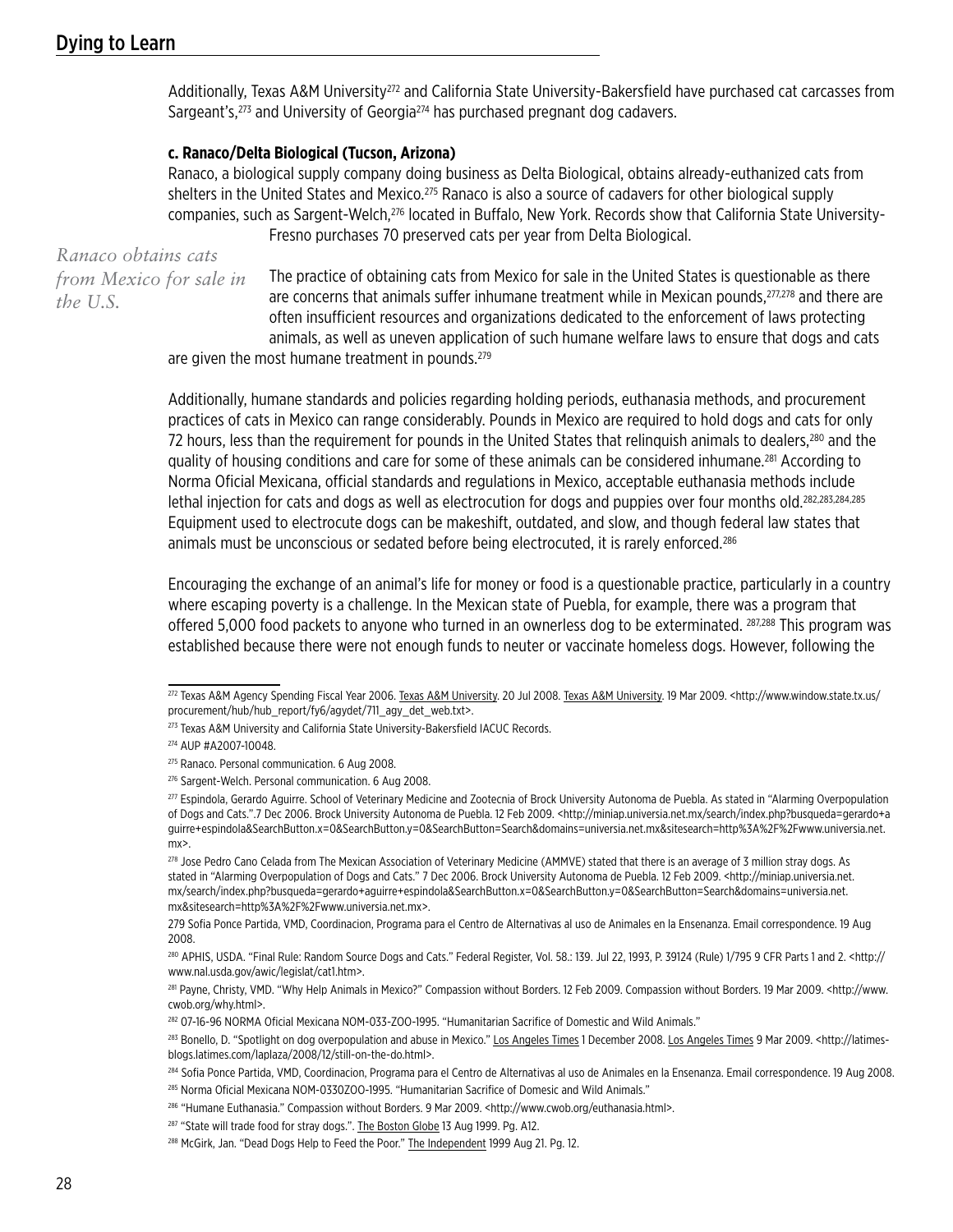Additionally, Texas A&M University<sup>272</sup> and California State University-Bakersfield have purchased cat carcasses from Sargeant's,<sup>273</sup> and University of Georgia<sup>274</sup> has purchased pregnant dog cadavers.

#### **c. Ranaco/Delta Biological (Tucson, Arizona)**

Ranaco, a biological supply company doing business as Delta Biological, obtains already-euthanized cats from shelters in the United States and Mexico.<sup>275</sup> Ranaco is also a source of cadavers for other biological supply companies, such as Sargent-Welch,276 located in Buffalo, New York. Records show that California State University-Fresno purchases 70 preserved cats per year from Delta Biological.

*Ranaco obtains cats from Mexico for sale in the U.S.*

The practice of obtaining cats from Mexico for sale in the United States is questionable as there are concerns that animals suffer inhumane treatment while in Mexican pounds,<sup>277,278</sup> and there are often insufficient resources and organizations dedicated to the enforcement of laws protecting animals, as well as uneven application of such humane welfare laws to ensure that dogs and cats

are given the most humane treatment in pounds.<sup>279</sup>

Additionally, humane standards and policies regarding holding periods, euthanasia methods, and procurement practices of cats in Mexico can range considerably. Pounds in Mexico are required to hold dogs and cats for only 72 hours, less than the requirement for pounds in the United States that relinquish animals to dealers,<sup>280</sup> and the quality of housing conditions and care for some of these animals can be considered inhumane.<sup>281</sup> According to Norma Oficial Mexicana, official standards and regulations in Mexico, acceptable euthanasia methods include lethal injection for cats and dogs as well as electrocution for dogs and puppies over four months old.282,283,284,285 Equipment used to electrocute dogs can be makeshift, outdated, and slow, and though federal law states that animals must be unconscious or sedated before being electrocuted, it is rarely enforced.286

Encouraging the exchange of an animal's life for money or food is a questionable practice, particularly in a country where escaping poverty is a challenge. In the Mexican state of Puebla, for example, there was a program that offered 5,000 food packets to anyone who turned in an ownerless dog to be exterminated. 287,288 This program was established because there were not enough funds to neuter or vaccinate homeless dogs. However, following the

<sup>272</sup> Texas A&M Agency Spending Fiscal Year 2006. Texas A&M University. 20 Jul 2008. Texas A&M University. 19 Mar 2009. <http://www.window.state.tx.us/ procurement/hub/hub\_report/fy6/agydet/711\_agy\_det\_web.txt>.

<sup>&</sup>lt;sup>273</sup> Texas A&M University and California State University-Bakersfield IACUC Records.

<sup>274</sup> AUP #A2007-10048.

<sup>275</sup> Ranaco. Personal communication. 6 Aug 2008.

<sup>276</sup> Sargent-Welch. Personal communication. 6 Aug 2008.

<sup>277</sup> Espindola, Gerardo Aguirre. School of Veterinary Medicine and Zootecnia of Brock University Autonoma de Puebla. As stated in "Alarming Overpopulation of Dogs and Cats.".7 Dec 2006. Brock University Autonoma de Puebla. 12 Feb 2009. <http://miniap.universia.net.mx/search/index.php?busqueda=gerardo+a guirre+espindola&SearchButton.x=0&SearchButton.y=0&SearchButton=Search&domains=universia.net.mx&sitesearch=http%3A%2F%2Fwww.universia.net. mx>.

<sup>278</sup> Jose Pedro Cano Celada from The Mexican Association of Veterinary Medicine (AMMVE) stated that there is an average of 3 million stray dogs. As stated in "Alarming Overpopulation of Dogs and Cats." 7 Dec 2006. Brock University Autonoma de Puebla. 12 Feb 2009. <http://miniap.universia.net. mx/search/index.php?busqueda=gerardo+aguirre+espindola&SearchButton.x=0&SearchButton.y=0&SearchButton=Search&domains=universia.net. mx&sitesearch=http%3A%2F%2Fwww.universia.net.mx>.

<sup>279</sup> Sofia Ponce Partida, VMD, Coordinacion, Programa para el Centro de Alternativas al uso de Animales en la Ensenanza. Email correspondence. 19 Aug 2008.

<sup>280</sup> APHIS, USDA. "Final Rule: Random Source Dogs and Cats." Federal Register, Vol. 58.: 139. Jul 22, 1993, P. 39124 (Rule) 1/795 9 CFR Parts 1 and 2. <http:// www.nal.usda.gov/awic/legislat/cat1.htm>.

<sup>&</sup>lt;sup>281</sup> Payne, Christy, VMD. "Why Help Animals in Mexico?" Compassion without Borders. 12 Feb 2009. Compassion without Borders. 19 Mar 2009. <http://www. cwob.org/why.html>.

<sup>282 07-16-96</sup> NORMA Oficial Mexicana NOM-033-ZOO-1995. "Humanitarian Sacrifice of Domestic and Wild Animals."

<sup>283</sup> Bonello, D. "Spotlight on dog overpopulation and abuse in Mexico." Los Angeles Times 1 December 2008. Los Angeles Times 9 Mar 2009. <http://latimesblogs.latimes.com/laplaza/2008/12/still-on-the-do.html>.

<sup>284</sup> Sofia Ponce Partida, VMD, Coordinacion, Programa para el Centro de Alternativas al uso de Animales en la Ensenanza. Email correspondence. 19 Aug 2008. 285 Norma Oficial Mexicana NOM-0330ZOO-1995. "Humanitarian Sacrifice of Domesic and Wild Animals."

<sup>286 &</sup>quot;Humane Euthanasia." Compassion without Borders. 9 Mar 2009. <http://www.cwob.org/euthanasia.html>.

<sup>&</sup>lt;sup>287</sup> "State will trade food for stray dogs.". The Boston Globe 13 Aug 1999. Pg. A12.

<sup>288</sup> McGirk, Jan. "Dead Dogs Help to Feed the Poor." The Independent 1999 Aug 21. Pg. 12.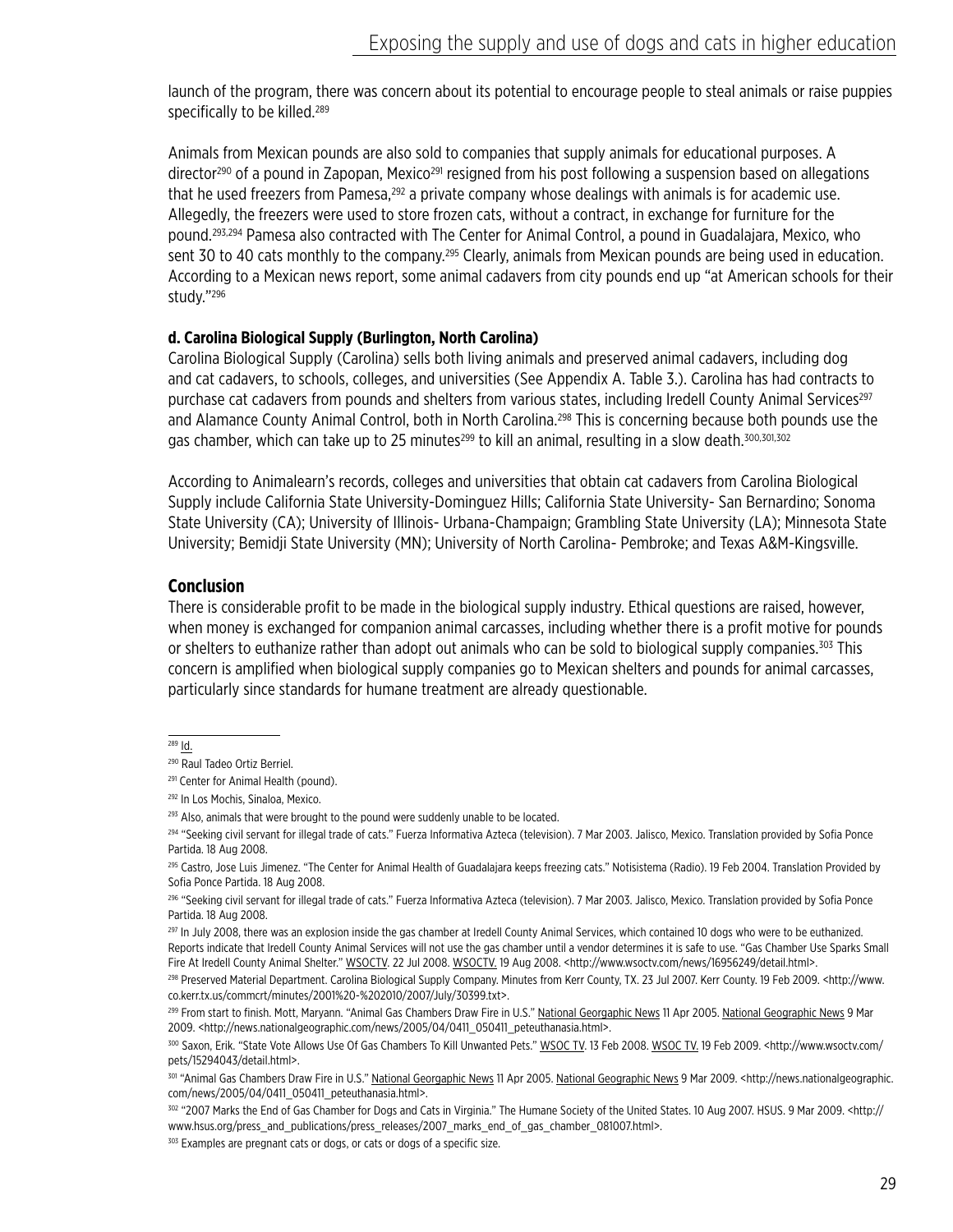launch of the program, there was concern about its potential to encourage people to steal animals or raise puppies specifically to be killed.<sup>289</sup>

Animals from Mexican pounds are also sold to companies that supply animals for educational purposes. A director<sup>290</sup> of a pound in Zapopan, Mexico<sup>291</sup> resigned from his post following a suspension based on allegations that he used freezers from Pamesa,<sup>292</sup> a private company whose dealings with animals is for academic use. Allegedly, the freezers were used to store frozen cats, without a contract, in exchange for furniture for the pound.293,294 Pamesa also contracted with The Center for Animal Control, a pound in Guadalajara, Mexico, who sent 30 to 40 cats monthly to the company.<sup>295</sup> Clearly, animals from Mexican pounds are being used in education. According to a Mexican news report, some animal cadavers from city pounds end up "at American schools for their study."296

#### **d. Carolina Biological Supply (Burlington, North Carolina)**

Carolina Biological Supply (Carolina) sells both living animals and preserved animal cadavers, including dog and cat cadavers, to schools, colleges, and universities (See Appendix A. Table 3.). Carolina has had contracts to purchase cat cadavers from pounds and shelters from various states, including Iredell County Animal Services<sup>297</sup> and Alamance County Animal Control, both in North Carolina.<sup>298</sup> This is concerning because both pounds use the gas chamber, which can take up to 25 minutes<sup>299</sup> to kill an animal, resulting in a slow death.<sup>300,301,302</sup>

According to Animalearn's records, colleges and universities that obtain cat cadavers from Carolina Biological Supply include California State University-Dominguez Hills; California State University- San Bernardino; Sonoma State University (CA); University of Illinois- Urbana-Champaign; Grambling State University (LA); Minnesota State University; Bemidji State University (MN); University of North Carolina- Pembroke; and Texas A&M-Kingsville.

#### **Conclusion**

There is considerable profit to be made in the biological supply industry. Ethical questions are raised, however, when money is exchanged for companion animal carcasses, including whether there is a profit motive for pounds or shelters to euthanize rather than adopt out animals who can be sold to biological supply companies.<sup>303</sup> This concern is amplified when biological supply companies go to Mexican shelters and pounds for animal carcasses, particularly since standards for humane treatment are already questionable.

<sup>289</sup> Id.

<sup>290</sup> Raul Tadeo Ortiz Berriel.

<sup>&</sup>lt;sup>291</sup> Center for Animal Health (pound).

<sup>292</sup> In Los Mochis, Sinaloa, Mexico.

<sup>&</sup>lt;sup>293</sup> Also, animals that were brought to the pound were suddenly unable to be located.

<sup>294 &</sup>quot;Seeking civil servant for illegal trade of cats." Fuerza Informativa Azteca (television). 7 Mar 2003. Jalisco, Mexico. Translation provided by Sofia Ponce Partida. 18 Aug 2008.

<sup>295</sup> Castro, Jose Luis Jimenez. "The Center for Animal Health of Guadalajara keeps freezing cats." Notisistema (Radio). 19 Feb 2004. Translation Provided by Sofia Ponce Partida. 18 Aug 2008.

<sup>296 &</sup>quot;Seeking civil servant for illegal trade of cats." Fuerza Informativa Azteca (television). 7 Mar 2003. Jalisco, Mexico. Translation provided by Sofia Ponce Partida. 18 Aug 2008.

<sup>&</sup>lt;sup>297</sup> In July 2008, there was an explosion inside the gas chamber at Iredell County Animal Services, which contained 10 dogs who were to be euthanized. Reports indicate that Iredell County Animal Services will not use the gas chamber until a vendor determines it is safe to use. "Gas Chamber Use Sparks Small Fire At Iredell County Animal Shelter." WSOCTV. 22 Jul 2008. WSOCTV. 19 Aug 2008. <http://www.wsoctv.com/news/16956249/detail.html>.

<sup>298</sup> Preserved Material Department. Carolina Biological Supply Company. Minutes from Kerr County, TX. 23 Jul 2007. Kerr County. 19 Feb 2009. <http://www. co.kerr.tx.us/commcrt/minutes/2001%20-%202010/2007/July/30399.txt>.

<sup>299</sup> From start to finish. Mott, Maryann. "Animal Gas Chambers Draw Fire in U.S." National Georgaphic News 11 Apr 2005. National Geographic News 9 Mar 2009. <http://news.nationalgeographic.com/news/2005/04/0411\_050411\_peteuthanasia.html>.

<sup>300</sup> Saxon, Erik. "State Vote Allows Use Of Gas Chambers To Kill Unwanted Pets." WSOC TV. 13 Feb 2008. WSOC TV. 19 Feb 2009. <http://www.wsoctv.com/ pets/15294043/detail.html>.

<sup>301 &</sup>quot;Animal Gas Chambers Draw Fire in U.S." National Georgaphic News 11 Apr 2005. National Geographic News 9 Mar 2009. <http://news.nationalgeographic. com/news/2005/04/0411\_050411\_peteuthanasia.html>.

<sup>302 &</sup>quot;2007 Marks the End of Gas Chamber for Dogs and Cats in Virginia." The Humane Society of the United States. 10 Aug 2007. HSUS. 9 Mar 2009. < http:// www.hsus.org/press\_and\_publications/press\_releases/2007\_marks\_end\_of\_gas\_chamber\_081007.html>.

<sup>&</sup>lt;sup>303</sup> Examples are pregnant cats or dogs, or cats or dogs of a specific size.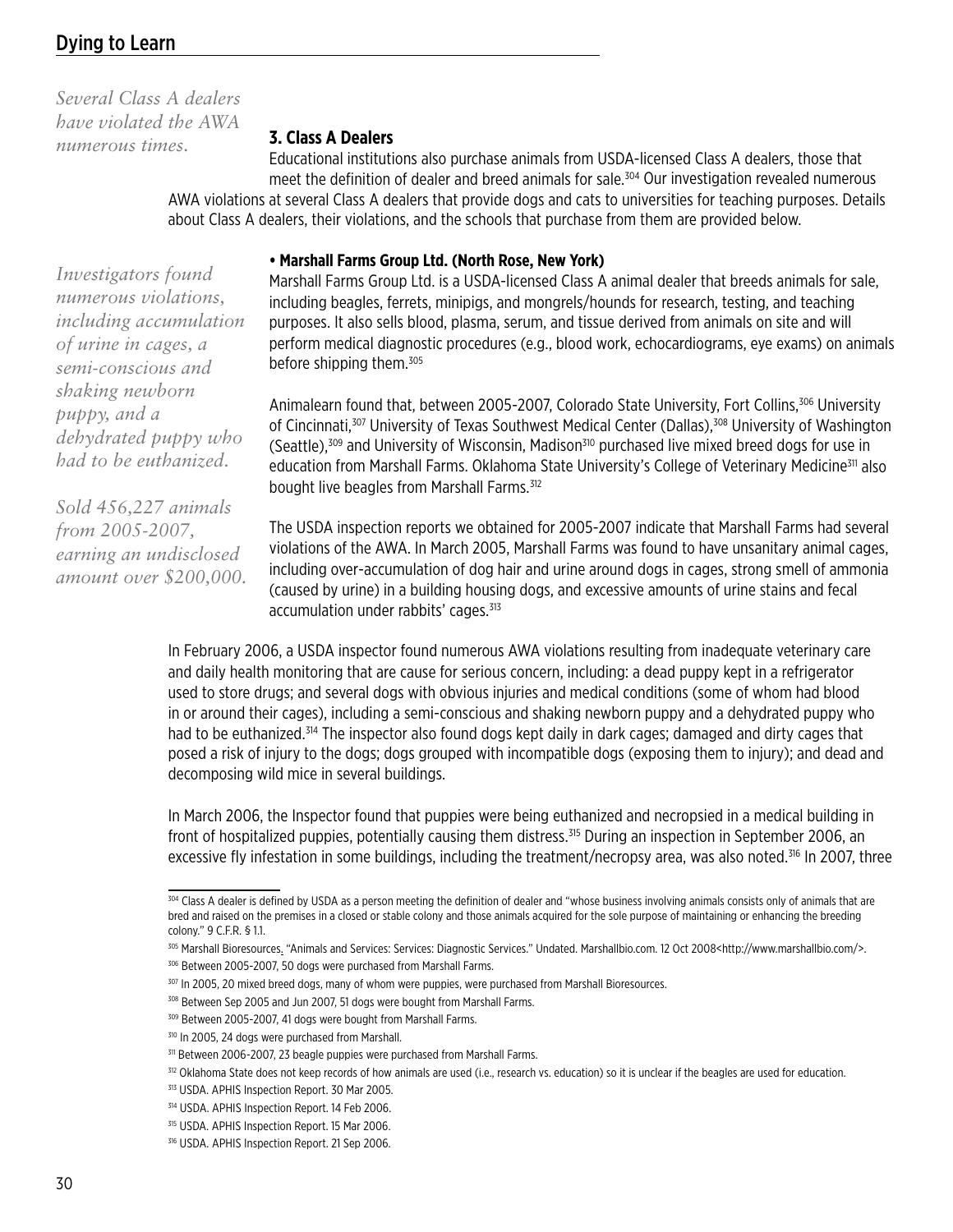*Several Class A dealers have violated the AWA numerous times.*

#### **3. Class A Dealers**

Educational institutions also purchase animals from USDA-licensed Class A dealers, those that meet the definition of dealer and breed animals for sale.304 Our investigation revealed numerous AWA violations at several Class A dealers that provide dogs and cats to universities for teaching purposes. Details about Class A dealers, their violations, and the schools that purchase from them are provided below.

#### **• Marshall Farms Group Ltd. (North Rose, New York)**

Marshall Farms Group Ltd. is a USDA-licensed Class A animal dealer that breeds animals for sale, including beagles, ferrets, minipigs, and mongrels/hounds for research, testing, and teaching purposes. It also sells blood, plasma, serum, and tissue derived from animals on site and will perform medical diagnostic procedures (e.g., blood work, echocardiograms, eye exams) on animals before shipping them.305

Animalearn found that, between 2005-2007, Colorado State University, Fort Collins,306 University of Cincinnati,<sup>307</sup> University of Texas Southwest Medical Center (Dallas),<sup>308</sup> University of Washington (Seattle),<sup>309</sup> and University of Wisconsin, Madison<sup>310</sup> purchased live mixed breed dogs for use in education from Marshall Farms. Oklahoma State University's College of Veterinary Medicine<sup>311</sup> also bought live beagles from Marshall Farms.<sup>312</sup>

The USDA inspection reports we obtained for 2005-2007 indicate that Marshall Farms had several violations of the AWA. In March 2005, Marshall Farms was found to have unsanitary animal cages, including over-accumulation of dog hair and urine around dogs in cages, strong smell of ammonia (caused by urine) in a building housing dogs, and excessive amounts of urine stains and fecal accumulation under rabbits' cages.<sup>313</sup>

In February 2006, a USDA inspector found numerous AWA violations resulting from inadequate veterinary care and daily health monitoring that are cause for serious concern, including: a dead puppy kept in a refrigerator used to store drugs; and several dogs with obvious injuries and medical conditions (some of whom had blood in or around their cages), including a semi-conscious and shaking newborn puppy and a dehydrated puppy who had to be euthanized.314 The inspector also found dogs kept daily in dark cages; damaged and dirty cages that posed a risk of injury to the dogs; dogs grouped with incompatible dogs (exposing them to injury); and dead and decomposing wild mice in several buildings.

In March 2006, the Inspector found that puppies were being euthanized and necropsied in a medical building in front of hospitalized puppies, potentially causing them distress.<sup>315</sup> During an inspection in September 2006, an excessive fly infestation in some buildings, including the treatment/necropsy area, was also noted.<sup>316</sup> In 2007, three

306 Between 2005-2007, 50 dogs were purchased from Marshall Farms.

*Investigators found numerous violations, including accumulation of urine in cages, a semi-conscious and shaking newborn puppy, and a dehydrated puppy who had to be euthanized.* 

*Sold 456,227 animals from 2005-2007, earning an undisclosed amount over \$200,000.*

<sup>304</sup> Class A dealer is defined by USDA as a person meeting the definition of dealer and "whose business involving animals consists only of animals that are bred and raised on the premises in a closed or stable colony and those animals acquired for the sole purpose of maintaining or enhancing the breeding colony." 9 C.F.R. § 1.1.

<sup>305</sup> Marshall Bioresources. "Animals and Services: Services: Diagnostic Services." Undated. Marshallbio.com. 12 Oct 2008<http://www.marshallbio.com/>.

<sup>307</sup> In 2005, 20 mixed breed dogs, many of whom were puppies, were purchased from Marshall Bioresources.

<sup>&</sup>lt;sup>308</sup> Between Sep 2005 and Jun 2007, 51 dogs were bought from Marshall Farms.

<sup>309</sup> Between 2005-2007, 41 dogs were bought from Marshall Farms.

<sup>&</sup>lt;sup>310</sup> In 2005, 24 dogs were purchased from Marshall.

<sup>&</sup>lt;sup>311</sup> Between 2006-2007, 23 beagle puppies were purchased from Marshall Farms.

<sup>&</sup>lt;sup>312</sup> Oklahoma State does not keep records of how animals are used (i.e., research vs. education) so it is unclear if the beagles are used for education.

<sup>313</sup> USDA. APHIS Inspection Report. 30 Mar 2005.

<sup>314</sup> USDA. APHIS Inspection Report. 14 Feb 2006.

<sup>315</sup> USDA. APHIS Inspection Report. 15 Mar 2006.

<sup>316</sup> USDA. APHIS Inspection Report. 21 Sep 2006.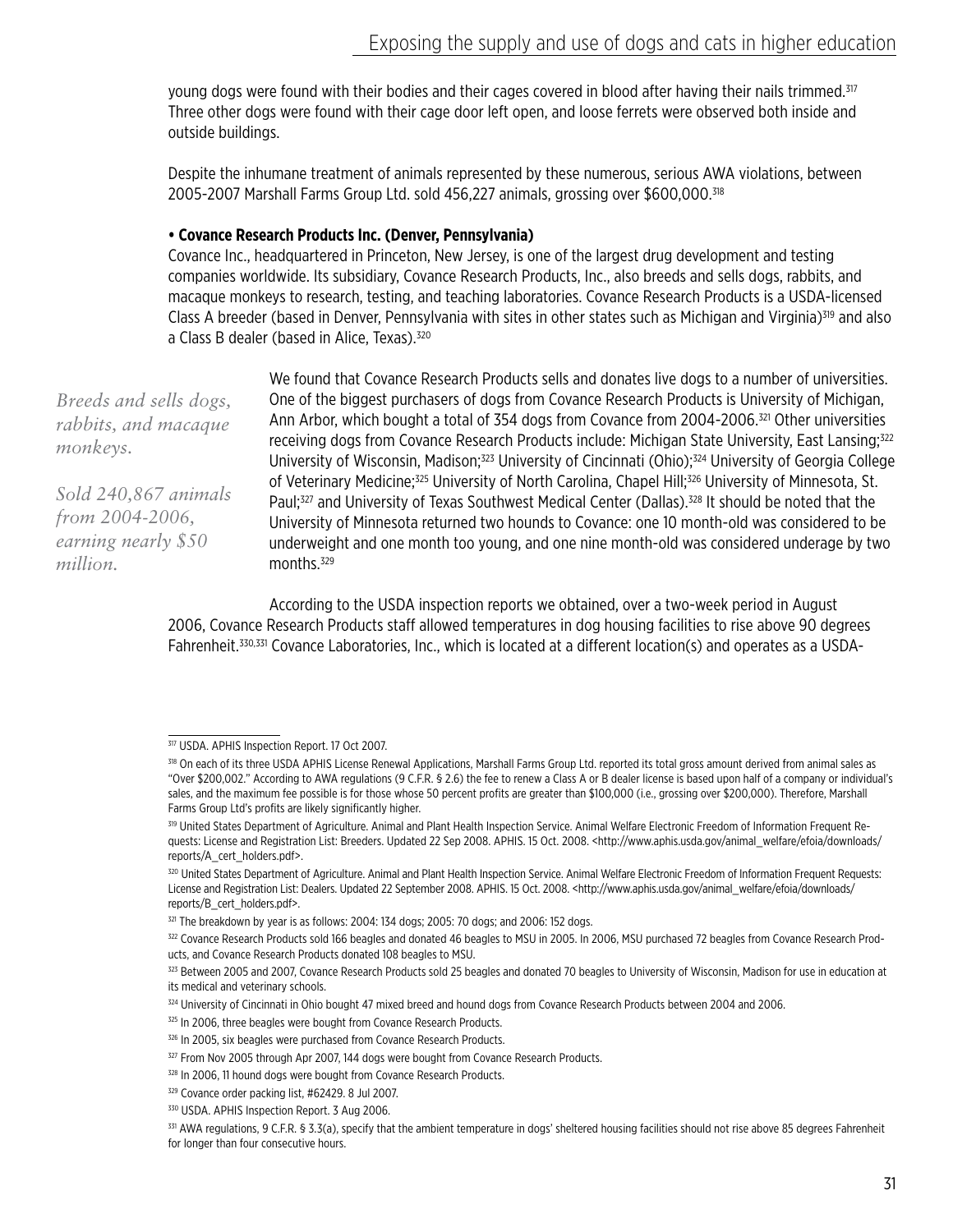young dogs were found with their bodies and their cages covered in blood after having their nails trimmed.<sup>317</sup> Three other dogs were found with their cage door left open, and loose ferrets were observed both inside and outside buildings.

Despite the inhumane treatment of animals represented by these numerous, serious AWA violations, between 2005-2007 Marshall Farms Group Ltd. sold 456,227 animals, grossing over \$600,000.318

#### **• Covance Research Products Inc. (Denver, Pennsylvania)**

Covance Inc., headquartered in Princeton, New Jersey, is one of the largest drug development and testing companies worldwide. Its subsidiary, Covance Research Products, Inc., also breeds and sells dogs, rabbits, and macaque monkeys to research, testing, and teaching laboratories. Covance Research Products is a USDA-licensed Class A breeder (based in Denver, Pennsylvania with sites in other states such as Michigan and Virginia)<sup>319</sup> and also a Class B dealer (based in Alice, Texas).<sup>320</sup>

*Breeds and sells dogs, rabbits, and macaque monkeys.*

*Sold 240,867 animals from 2004-2006, earning nearly \$50 million.*

We found that Covance Research Products sells and donates live dogs to a number of universities. One of the biggest purchasers of dogs from Covance Research Products is University of Michigan, Ann Arbor, which bought a total of 354 dogs from Covance from 2004-2006.321 Other universities receiving dogs from Covance Research Products include: Michigan State University, East Lansing;<sup>322</sup> University of Wisconsin, Madison;<sup>323</sup> University of Cincinnati (Ohio);<sup>324</sup> University of Georgia College of Veterinary Medicine;<sup>325</sup> University of North Carolina, Chapel Hill;<sup>326</sup> University of Minnesota, St. Paul;<sup>327</sup> and University of Texas Southwest Medical Center (Dallas).<sup>328</sup> It should be noted that the University of Minnesota returned two hounds to Covance: one 10 month-old was considered to be underweight and one month too young, and one nine month-old was considered underage by two months.<sup>329</sup>

According to the USDA inspection reports we obtained, over a two-week period in August 2006, Covance Research Products staff allowed temperatures in dog housing facilities to rise above 90 degrees Fahrenheit.330,331 Covance Laboratories, Inc., which is located at a different location(s) and operates as a USDA-

<sup>317</sup> USDA. APHIS Inspection Report. 17 Oct 2007.

<sup>&</sup>lt;sup>318</sup> On each of its three USDA APHIS License Renewal Applications, Marshall Farms Group Ltd. reported its total gross amount derived from animal sales as "Over \$200,002." According to AWA regulations (9 C.F.R. § 2.6) the fee to renew a Class A or B dealer license is based upon half of a company or individual's sales, and the maximum fee possible is for those whose 50 percent profits are greater than \$100,000 (i.e., grossing over \$200,000). Therefore, Marshall Farms Group Ltd's profits are likely significantly higher.

<sup>&</sup>lt;sup>319</sup> United States Department of Agriculture. Animal and Plant Health Inspection Service. Animal Welfare Electronic Freedom of Information Frequent Requests: License and Registration List: Breeders. Updated 22 Sep 2008. APHIS. 15 Oct. 2008. <http://www.aphis.usda.gov/animal\_welfare/efoia/downloads/ reports/A\_cert\_holders.pdf>.

<sup>320</sup> United States Department of Agriculture. Animal and Plant Health Inspection Service. Animal Welfare Electronic Freedom of Information Frequent Requests: License and Registration List: Dealers. Updated 22 September 2008. APHIS. 15 Oct. 2008. <http://www.aphis.usda.gov/animal\_welfare/efoia/downloads/ reports/B\_cert\_holders.pdf>.

<sup>321</sup> The breakdown by year is as follows: 2004: 134 dogs; 2005: 70 dogs; and 2006: 152 dogs.

<sup>322</sup> Covance Research Products sold 166 beagles and donated 46 beagles to MSU in 2005. In 2006, MSU purchased 72 beagles from Covance Research Products, and Covance Research Products donated 108 beagles to MSU.

 $323$  Between 2005 and 2007, Covance Research Products sold 25 beagles and donated 70 beagles to University of Wisconsin, Madison for use in education at its medical and veterinary schools.

<sup>324</sup> University of Cincinnati in Ohio bought 47 mixed breed and hound dogs from Covance Research Products between 2004 and 2006.

<sup>325</sup> In 2006, three beagles were bought from Covance Research Products.

<sup>&</sup>lt;sup>326</sup> In 2005, six beagles were purchased from Covance Research Products.

<sup>&</sup>lt;sup>327</sup> From Nov 2005 through Apr 2007, 144 dogs were bought from Covance Research Products.

<sup>328</sup> In 2006, 11 hound dogs were bought from Covance Research Products.

<sup>329</sup> Covance order packing list, #62429. 8 Jul 2007.

<sup>330</sup> USDA. APHIS Inspection Report. 3 Aug 2006.

<sup>331</sup> AWA regulations, 9 C.F.R. § 3.3(a), specify that the ambient temperature in dogs' sheltered housing facilities should not rise above 85 degrees Fahrenheit for longer than four consecutive hours.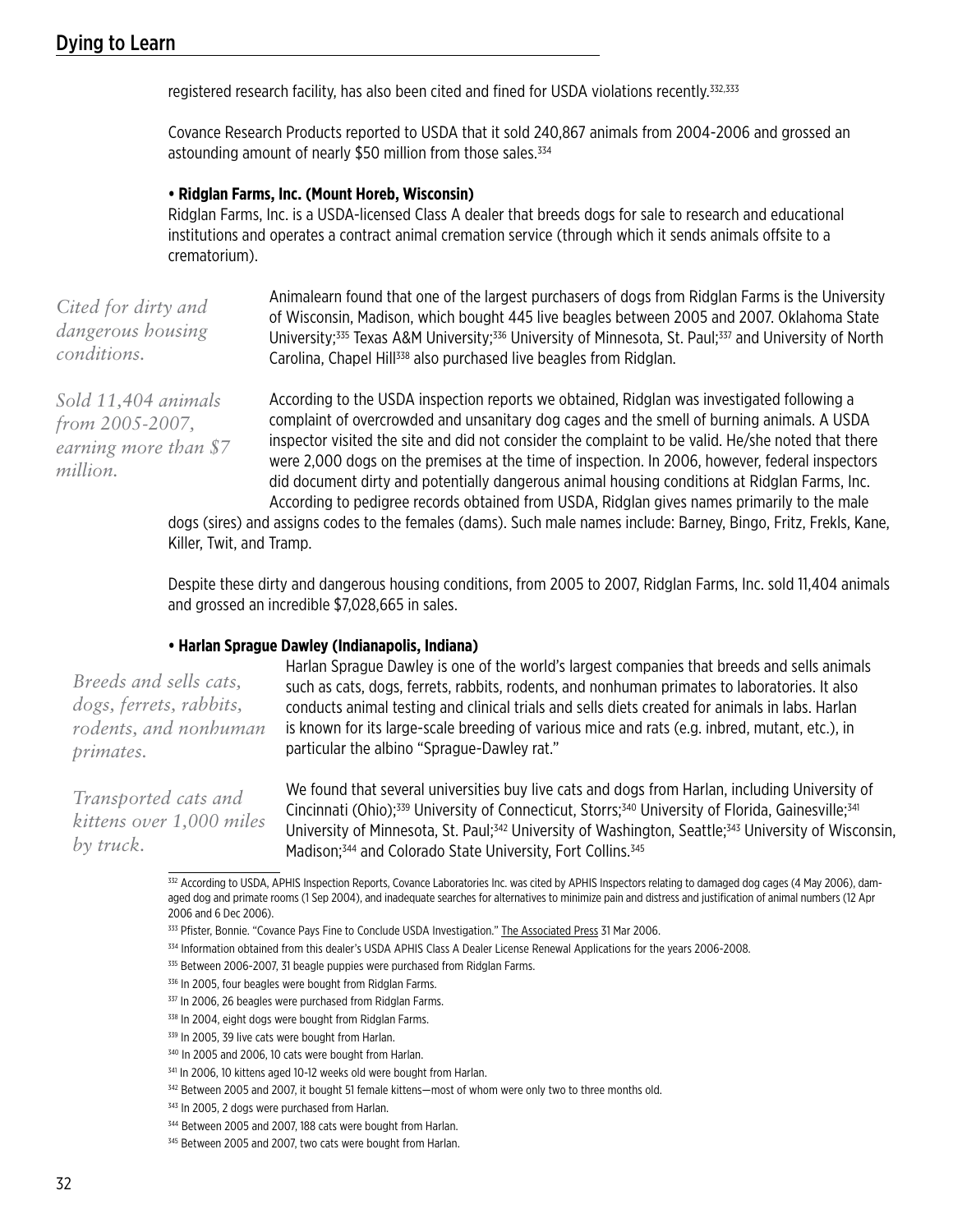registered research facility, has also been cited and fined for USDA violations recently.<sup>332,333</sup>

Covance Research Products reported to USDA that it sold 240,867 animals from 2004-2006 and grossed an astounding amount of nearly \$50 million from those sales.<sup>334</sup>

#### **• Ridglan Farms, Inc. (Mount Horeb, Wisconsin)**

Ridglan Farms, Inc. is a USDA-licensed Class A dealer that breeds dogs for sale to research and educational institutions and operates a contract animal cremation service (through which it sends animals offsite to a crematorium).

| Cited for dirty and | Animalearn found that one of the largest purchasers of dogs from Ridglan Farms is the University                                          |
|---------------------|-------------------------------------------------------------------------------------------------------------------------------------------|
|                     | of Wisconsin, Madison, which bought 445 live beagles between 2005 and 2007. Oklahoma State                                                |
| dangerous housing   | University; <sup>335</sup> Texas A&M University; <sup>336</sup> University of Minnesota, St. Paul; <sup>337</sup> and University of North |
| <i>conditions.</i>  | Carolina, Chapel Hill <sup>338</sup> also purchased live beagles from Ridglan.                                                            |

*Sold 11,404 animals from 2005-2007, earning more than \$7 million.*

According to the USDA inspection reports we obtained, Ridglan was investigated following a complaint of overcrowded and unsanitary dog cages and the smell of burning animals. A USDA inspector visited the site and did not consider the complaint to be valid. He/she noted that there were 2,000 dogs on the premises at the time of inspection. In 2006, however, federal inspectors did document dirty and potentially dangerous animal housing conditions at Ridglan Farms, Inc. According to pedigree records obtained from USDA, Ridglan gives names primarily to the male

dogs (sires) and assigns codes to the females (dams). Such male names include: Barney, Bingo, Fritz, Frekls, Kane, Killer, Twit, and Tramp.

Despite these dirty and dangerous housing conditions, from 2005 to 2007, Ridglan Farms, Inc. sold 11,404 animals and grossed an incredible \$7,028,665 in sales.

#### **• Harlan Sprague Dawley (Indianapolis, Indiana)**

*Breeds and sells cats, dogs, ferrets, rabbits, rodents, and nonhuman primates.*

*Transported cats and kittens over 1,000 miles by truck.*

Harlan Sprague Dawley is one of the world's largest companies that breeds and sells animals such as cats, dogs, ferrets, rabbits, rodents, and nonhuman primates to laboratories. It also conducts animal testing and clinical trials and sells diets created for animals in labs. Harlan is known for its large-scale breeding of various mice and rats (e.g. inbred, mutant, etc.), in particular the albino "Sprague-Dawley rat."

We found that several universities buy live cats and dogs from Harlan, including University of Cincinnati (Ohio);<sup>339</sup> University of Connecticut, Storrs;<sup>340</sup> University of Florida, Gainesville;<sup>341</sup> University of Minnesota, St. Paul;<sup>342</sup> University of Washington, Seattle;<sup>343</sup> University of Wisconsin, Madison:<sup>344</sup> and Colorado State University, Fort Collins.<sup>345</sup>

<sup>332</sup> According to USDA, APHIS Inspection Reports, Covance Laboratories Inc. was cited by APHIS Inspectors relating to damaged dog cages (4 May 2006), damaged dog and primate rooms (1 Sep 2004), and inadequate searches for alternatives to minimize pain and distress and justification of animal numbers (12 Apr 2006 and 6 Dec 2006).

<sup>333</sup> Pfister, Bonnie. "Covance Pays Fine to Conclude USDA Investigation." The Associated Press 31 Mar 2006.

<sup>334</sup> Information obtained from this dealer's USDA APHIS Class A Dealer License Renewal Applications for the years 2006-2008.

<sup>335</sup> Between 2006-2007, 31 beagle puppies were purchased from Ridglan Farms.

<sup>336</sup> In 2005, four beagles were bought from Ridglan Farms.

<sup>337</sup> In 2006, 26 beagles were purchased from Ridglan Farms.

<sup>338</sup> In 2004, eight dogs were bought from Ridglan Farms.

<sup>339</sup> In 2005, 39 live cats were bought from Harlan.

<sup>&</sup>lt;sup>340</sup> In 2005 and 2006, 10 cats were bought from Harlan.

<sup>341</sup> In 2006, 10 kittens aged 10-12 weeks old were bought from Harlan.

<sup>&</sup>lt;sup>342</sup> Between 2005 and 2007, it bought 51 female kittens—most of whom were only two to three months old.

<sup>&</sup>lt;sup>343</sup> In 2005, 2 dogs were purchased from Harlan.

<sup>&</sup>lt;sup>344</sup> Between 2005 and 2007, 188 cats were bought from Harlan.

<sup>&</sup>lt;sup>345</sup> Between 2005 and 2007, two cats were bought from Harlan.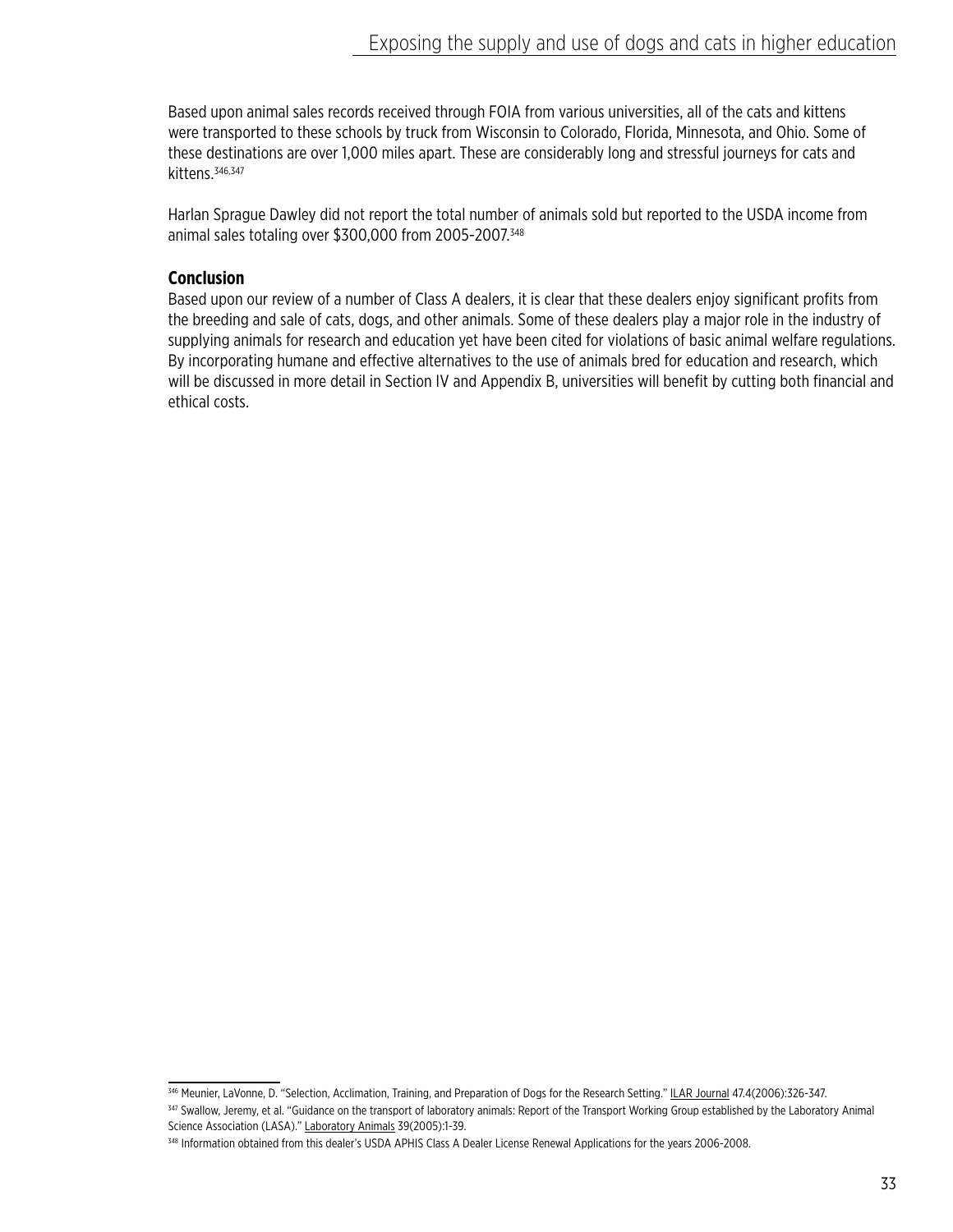Based upon animal sales records received through FOIA from various universities, all of the cats and kittens were transported to these schools by truck from Wisconsin to Colorado, Florida, Minnesota, and Ohio. Some of these destinations are over 1,000 miles apart. These are considerably long and stressful journeys for cats and kittens.<sup>346,347</sup>

Harlan Sprague Dawley did not report the total number of animals sold but reported to the USDA income from animal sales totaling over \$300,000 from 2005-2007.<sup>348</sup>

## **Conclusion**

Based upon our review of a number of Class A dealers, it is clear that these dealers enjoy significant profits from the breeding and sale of cats, dogs, and other animals. Some of these dealers play a major role in the industry of supplying animals for research and education yet have been cited for violations of basic animal welfare regulations. By incorporating humane and effective alternatives to the use of animals bred for education and research, which will be discussed in more detail in Section IV and Appendix B, universities will benefit by cutting both financial and ethical costs.

<sup>346</sup> Meunier, LaVonne, D. "Selection, Acclimation, Training, and Preparation of Dogs for the Research Setting." ILAR Journal 47.4(2006):326-347.

<sup>347</sup> Swallow, Jeremy, et al. "Guidance on the transport of laboratory animals: Report of the Transport Working Group established by the Laboratory Animal Science Association (LASA)." Laboratory Animals 39(2005):1-39.

<sup>348</sup> Information obtained from this dealer's USDA APHIS Class A Dealer License Renewal Applications for the years 2006-2008.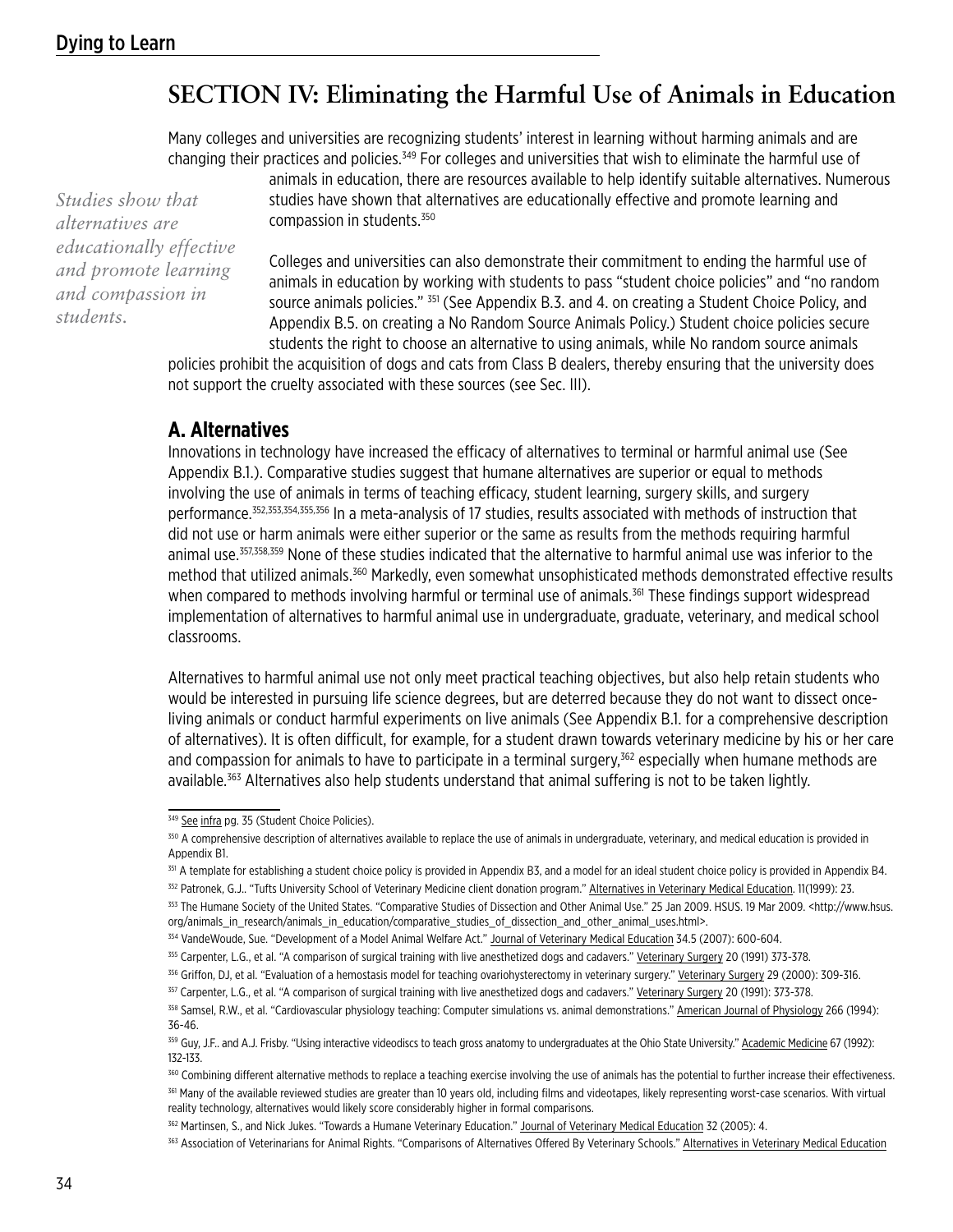# **SECTION IV: Eliminating the Harmful Use of Animals in Education**

Many colleges and universities are recognizing students' interest in learning without harming animals and are changing their practices and policies.349 For colleges and universities that wish to eliminate the harmful use of

*Studies show that alternatives are educationally effective and promote learning and compassion in students.*

animals in education, there are resources available to help identify suitable alternatives. Numerous studies have shown that alternatives are educationally effective and promote learning and compassion in students.350

Colleges and universities can also demonstrate their commitment to ending the harmful use of animals in education by working with students to pass "student choice policies" and "no random source animals policies." 351 (See Appendix B.3. and 4. on creating a Student Choice Policy, and Appendix B.5. on creating a No Random Source Animals Policy.) Student choice policies secure students the right to choose an alternative to using animals, while No random source animals

policies prohibit the acquisition of dogs and cats from Class B dealers, thereby ensuring that the university does not support the cruelty associated with these sources (see Sec. III).

# **A. Alternatives**

Innovations in technology have increased the efficacy of alternatives to terminal or harmful animal use (See Appendix B.1.). Comparative studies suggest that humane alternatives are superior or equal to methods involving the use of animals in terms of teaching efficacy, student learning, surgery skills, and surgery performance.352,353,354,355,356 In a meta-analysis of 17 studies, results associated with methods of instruction that did not use or harm animals were either superior or the same as results from the methods requiring harmful animal use.357,358,359 None of these studies indicated that the alternative to harmful animal use was inferior to the method that utilized animals.<sup>360</sup> Markedly, even somewhat unsophisticated methods demonstrated effective results when compared to methods involving harmful or terminal use of animals.<sup>361</sup> These findings support widespread implementation of alternatives to harmful animal use in undergraduate, graduate, veterinary, and medical school classrooms.

Alternatives to harmful animal use not only meet practical teaching objectives, but also help retain students who would be interested in pursuing life science degrees, but are deterred because they do not want to dissect onceliving animals or conduct harmful experiments on live animals (See Appendix B.1. for a comprehensive description of alternatives). It is often difficult, for example, for a student drawn towards veterinary medicine by his or her care and compassion for animals to have to participate in a terminal surgery,<sup>362</sup> especially when humane methods are available.363 Alternatives also help students understand that animal suffering is not to be taken lightly.

<sup>349</sup> See infra pg. 35 (Student Choice Policies).

<sup>&</sup>lt;sup>350</sup> A comprehensive description of alternatives available to replace the use of animals in undergraduate, veterinary, and medical education is provided in Appendix B1.

<sup>&</sup>lt;sup>351</sup> A template for establishing a student choice policy is provided in Appendix B3, and a model for an ideal student choice policy is provided in Appendix B4.

<sup>&</sup>lt;sup>352</sup> Patronek, G.J.. "Tufts University School of Veterinary Medicine client donation program." Alternatives in Veterinary Medical Education. 11(1999): 23.

<sup>353</sup> The Humane Society of the United States. "Comparative Studies of Dissection and Other Animal Use." 25 Jan 2009. HSUS. 19 Mar 2009. < http://www.hsus. org/animals\_in\_research/animals\_in\_education/comparative\_studies\_of\_dissection\_and\_other\_animal\_uses.html>.

<sup>&</sup>lt;sup>354</sup> VandeWoude, Sue. "Development of a Model Animal Welfare Act." Journal of Veterinary Medical Education 34.5 (2007): 600-604.

<sup>355</sup> Carpenter, L.G., et al. "A comparison of surgical training with live anesthetized dogs and cadavers." Veterinary Surgery 20 (1991) 373-378.

<sup>356</sup> Griffon, DJ, et al. "Evaluation of a hemostasis model for teaching ovariohysterectomy in veterinary surgery." Veterinary Surgery 29 (2000): 309-316.

<sup>357</sup> Carpenter, L.G., et al. "A comparison of surgical training with live anesthetized dogs and cadavers." Veterinary Surgery 20 (1991): 373-378.

<sup>&</sup>lt;sup>358</sup> Samsel, R.W., et al. "Cardiovascular physiology teaching: Computer simulations vs. animal demonstrations." American Journal of Physiology 266 (1994): 36-46.

<sup>&</sup>lt;sup>359</sup> Guy, J.F.. and A.J. Frisby. "Using interactive videodiscs to teach gross anatomy to undergraduates at the Ohio State University." Academic Medicine 67 (1992): 132-133.

<sup>360</sup> Combining different alternative methods to replace a teaching exercise involving the use of animals has the potential to further increase their effectiveness. <sup>361</sup> Many of the available reviewed studies are greater than 10 years old, including films and videotapes, likely representing worst-case scenarios. With virtual reality technology, alternatives would likely score considerably higher in formal comparisons.

<sup>&</sup>lt;sup>362</sup> Martinsen, S., and Nick Jukes. "Towards a Humane Veterinary Education." Journal of Veterinary Medical Education 32 (2005): 4.

<sup>363</sup> Association of Veterinarians for Animal Rights. "Comparisons of Alternatives Offered By Veterinary Schools." Alternatives in Veterinary Medical Education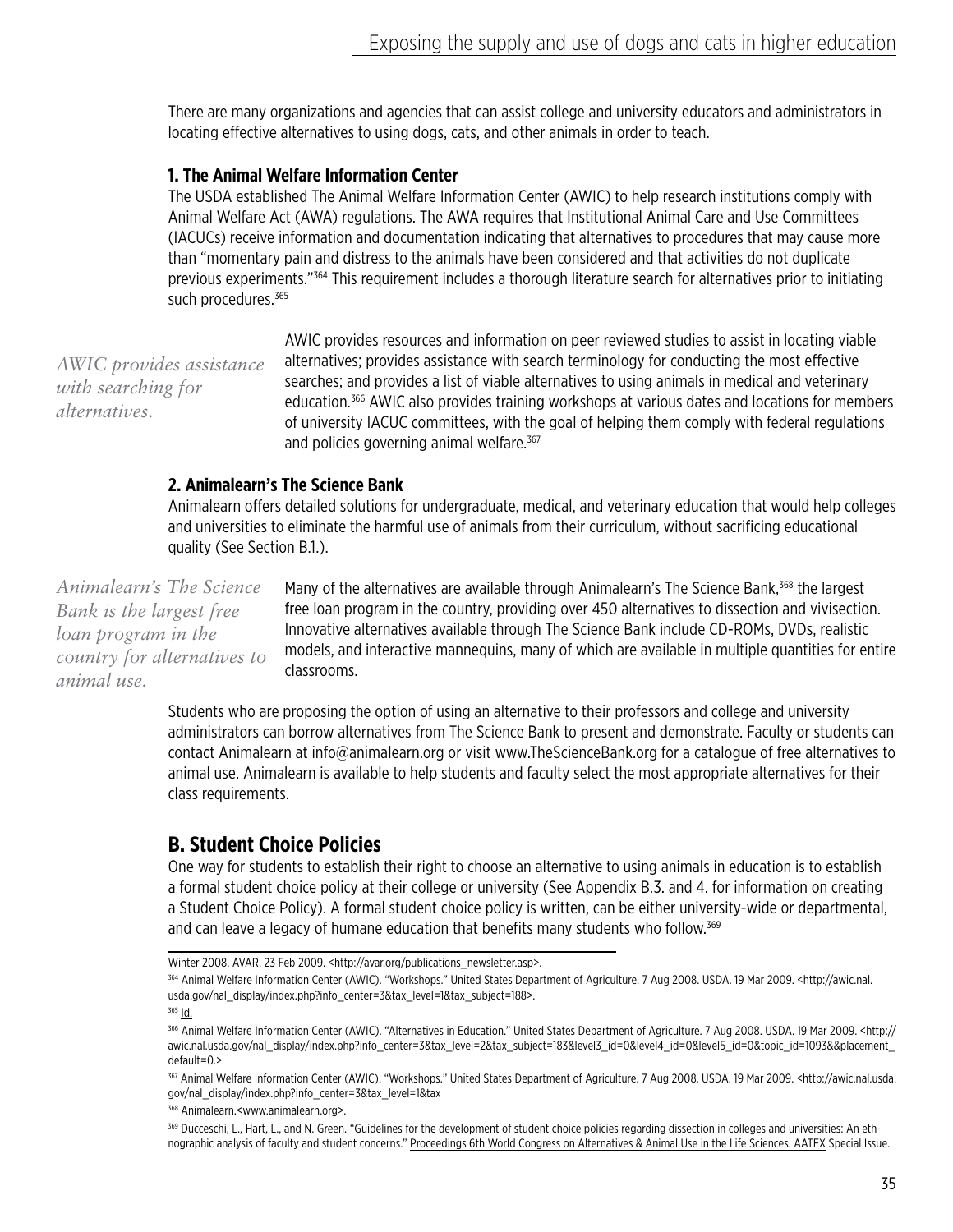There are many organizations and agencies that can assist college and university educators and administrators in locating effective alternatives to using dogs, cats, and other animals in order to teach.

## **1. The Animal Welfare Information Center**

The USDA established The Animal Welfare Information Center (AWIC) to help research institutions comply with Animal Welfare Act (AWA) regulations. The AWA requires that Institutional Animal Care and Use Committees (IACUCs) receive information and documentation indicating that alternatives to procedures that may cause more than "momentary pain and distress to the animals have been considered and that activities do not duplicate previous experiments."364 This requirement includes a thorough literature search for alternatives prior to initiating such procedures.<sup>365</sup>

*AWIC provides assistance with searching for alternatives.*

AWIC provides resources and information on peer reviewed studies to assist in locating viable alternatives; provides assistance with search terminology for conducting the most effective searches; and provides a list of viable alternatives to using animals in medical and veterinary education.<sup>366</sup> AWIC also provides training workshops at various dates and locations for members of university IACUC committees, with the goal of helping them comply with federal regulations and policies governing animal welfare.<sup>367</sup>

# **2. Animalearn's The Science Bank**

Animalearn offers detailed solutions for undergraduate, medical, and veterinary education that would help colleges and universities to eliminate the harmful use of animals from their curriculum, without sacrificing educational quality (See Section B.1.).

*Animalearn's The Science Bank is the largest free loan program in the country for alternatives to animal use.*

Many of the alternatives are available through Animalearn's The Science Bank,<sup>368</sup> the largest free loan program in the country, providing over 450 alternatives to dissection and vivisection. Innovative alternatives available through The Science Bank include CD-ROMs, DVDs, realistic models, and interactive mannequins, many of which are available in multiple quantities for entire classrooms.

Students who are proposing the option of using an alternative to their professors and college and university administrators can borrow alternatives from The Science Bank to present and demonstrate. Faculty or students can contact Animalearn at info@animalearn.org or visit www.TheScienceBank.org for a catalogue of free alternatives to animal use. Animalearn is available to help students and faculty select the most appropriate alternatives for their class requirements.

# **B. Student Choice Policies**

One way for students to establish their right to choose an alternative to using animals in education is to establish a formal student choice policy at their college or university (See Appendix B.3. and 4. for information on creating a Student Choice Policy). A formal student choice policy is written, can be either university-wide or departmental, and can leave a legacy of humane education that benefits many students who follow.<sup>369</sup>

Winter 2008. AVAR. 23 Feb 2009. <http://avar.org/publications\_newsletter.asp>.

<sup>364</sup> Animal Welfare Information Center (AWIC). "Workshops." United States Department of Agriculture. 7 Aug 2008. USDA. 19 Mar 2009. <http://awic.nal. usda.gov/nal\_display/index.php?info\_center=3&tax\_level=1&tax\_subject=188>.

 $365$  <u>Id.</u>

<sup>366</sup> Animal Welfare Information Center (AWIC). "Alternatives in Education." United States Department of Agriculture. 7 Aug 2008. USDA. 19 Mar 2009. <http:// awic.nal.usda.gov/nal\_display/index.php?info\_center=3&tax\_level=2&tax\_subject=183&level3\_id=0&level4\_id=0&level5\_id=0&topic\_id=1093&&placement\_ default=0.>

<sup>367</sup> Animal Welfare Information Center (AWIC). "Workshops." United States Department of Agriculture. 7 Aug 2008. USDA. 19 Mar 2009. <http://awic.nal.usda. gov/nal\_display/index.php?info\_center=3&tax\_level=1&tax

<sup>368</sup> Animalearn.<www.animalearn.org>.

<sup>369</sup> Ducceschi, L., Hart, L., and N. Green. "Guidelines for the development of student choice policies regarding dissection in colleges and universities: An ethnographic analysis of faculty and student concerns." Proceedings 6th World Congress on Alternatives & Animal Use in the Life Sciences. AATEX Special Issue.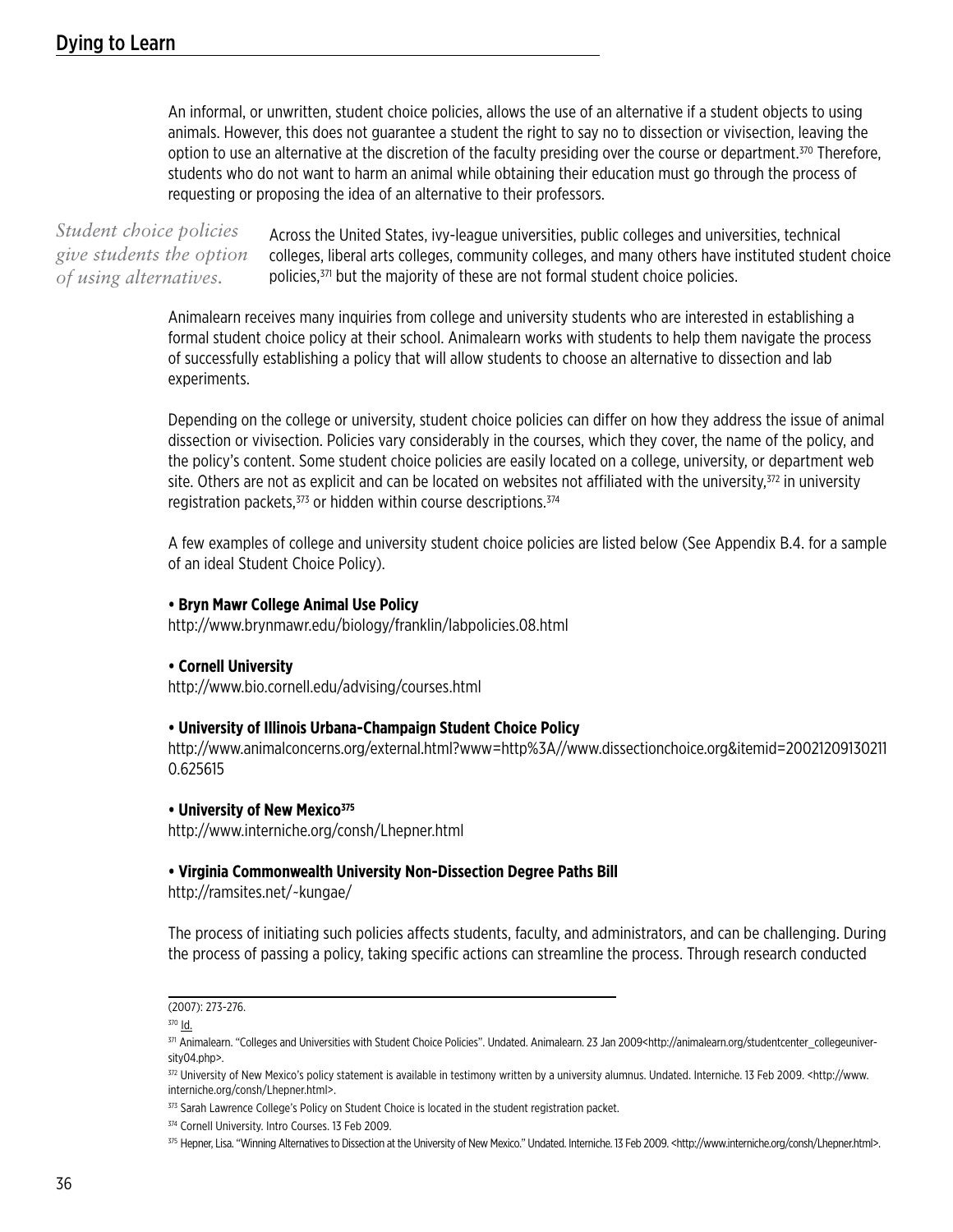An informal, or unwritten, student choice policies, allows the use of an alternative if a student objects to using animals. However, this does not guarantee a student the right to say no to dissection or vivisection, leaving the option to use an alternative at the discretion of the faculty presiding over the course or department.<sup>370</sup> Therefore, students who do not want to harm an animal while obtaining their education must go through the process of requesting or proposing the idea of an alternative to their professors.

Across the United States, ivy-league universities, public colleges and universities, technical colleges, liberal arts colleges, community colleges, and many others have instituted student choice policies,371 but the majority of these are not formal student choice policies. *Student choice policies give students the option of using alternatives.*

> Animalearn receives many inquiries from college and university students who are interested in establishing a formal student choice policy at their school. Animalearn works with students to help them navigate the process of successfully establishing a policy that will allow students to choose an alternative to dissection and lab experiments.

Depending on the college or university, student choice policies can differ on how they address the issue of animal dissection or vivisection. Policies vary considerably in the courses, which they cover, the name of the policy, and the policy's content. Some student choice policies are easily located on a college, university, or department web site. Others are not as explicit and can be located on websites not affiliated with the university, $372$  in university registration packets, 373 or hidden within course descriptions. 374

A few examples of college and university student choice policies are listed below (See Appendix B.4. for a sample of an ideal Student Choice Policy).

#### **• Bryn Mawr College Animal Use Policy**

http://www.brynmawr.edu/biology/franklin/labpolicies.08.html

#### **• Cornell University**

http://www.bio.cornell.edu/advising/courses.html

#### **• University of Illinois Urbana-Champaign Student Choice Policy**

http://www.animalconcerns.org/external.html?www=http%3A//www.dissectionchoice.org&itemid=20021209130211 0.625615

#### **• University of New Mexico<sup>375</sup>**

http://www.interniche.org/consh/Lhepner.html

#### **• Virginia Commonwealth University Non-Dissection Degree Paths Bill**

http://ramsites.net/~kungae/

The process of initiating such policies affects students, faculty, and administrators, and can be challenging. During the process of passing a policy, taking specific actions can streamline the process. Through research conducted

373 Sarah Lawrence College's Policy on Student Choice is located in the student registration packet.

374 Cornell University. Intro Courses. 13 Feb 2009.

<sup>(2007): 273-276.</sup>

<sup>370</sup> Id.

<sup>371</sup> Animalearn. "Colleges and Universities with Student Choice Policies". Undated. Animalearn. 23 Jan 2009<http://animalearn.org/studentcenter\_collegeuniversity04.php>.

<sup>372</sup> University of New Mexico's policy statement is available in testimony written by a university alumnus. Undated. Interniche. 13 Feb 2009. < http://www. interniche.org/consh/Lhepner.html>.

<sup>375</sup> Hepner, Lisa. "Winning Alternatives to Dissection at the University of New Mexico." Undated. Interniche. 13 Feb 2009. <http://www.interniche.org/consh/Lhepner.html>.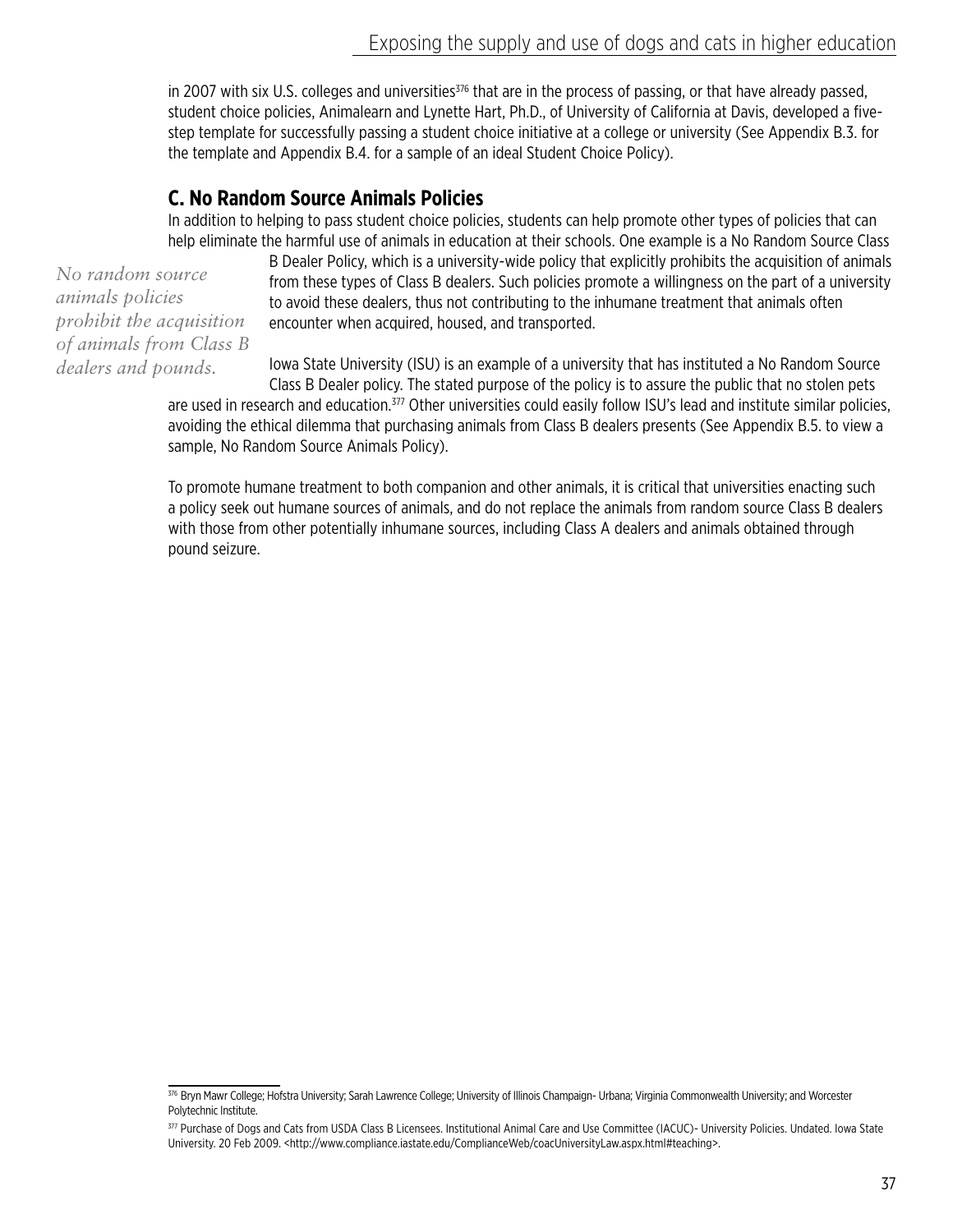in 2007 with six U.S. colleges and universities $376$  that are in the process of passing, or that have already passed, student choice policies, Animalearn and Lynette Hart, Ph.D., of University of California at Davis, developed a fivestep template for successfully passing a student choice initiative at a college or university (See Appendix B.3. for the template and Appendix B.4. for a sample of an ideal Student Choice Policy).

# **C. No Random Source Animals Policies**

In addition to helping to pass student choice policies, students can help promote other types of policies that can help eliminate the harmful use of animals in education at their schools. One example is a No Random Source Class

*No random source animals policies prohibit the acquisition of animals from Class B dealers and pounds.*

B Dealer Policy, which is a university-wide policy that explicitly prohibits the acquisition of animals from these types of Class B dealers. Such policies promote a willingness on the part of a university to avoid these dealers, thus not contributing to the inhumane treatment that animals often encounter when acquired, housed, and transported.

Iowa State University (ISU) is an example of a university that has instituted a No Random Source Class B Dealer policy. The stated purpose of the policy is to assure the public that no stolen pets

are used in research and education.<sup>377</sup> Other universities could easily follow ISU's lead and institute similar policies, avoiding the ethical dilemma that purchasing animals from Class B dealers presents (See Appendix B.5. to view a sample, No Random Source Animals Policy).

To promote humane treatment to both companion and other animals, it is critical that universities enacting such a policy seek out humane sources of animals, and do not replace the animals from random source Class B dealers with those from other potentially inhumane sources, including Class A dealers and animals obtained through pound seizure.

<sup>376</sup> Bryn Mawr College; Hofstra University; Sarah Lawrence College; University of Illinois Champaign- Urbana; Virginia Commonwealth University; and Worcester Polytechnic Institute.

<sup>377</sup> Purchase of Dogs and Cats from USDA Class B Licensees. Institutional Animal Care and Use Committee (IACUC)- University Policies. Undated. Iowa State University. 20 Feb 2009. <http://www.compliance.iastate.edu/ComplianceWeb/coacUniversityLaw.aspx.html#teaching>.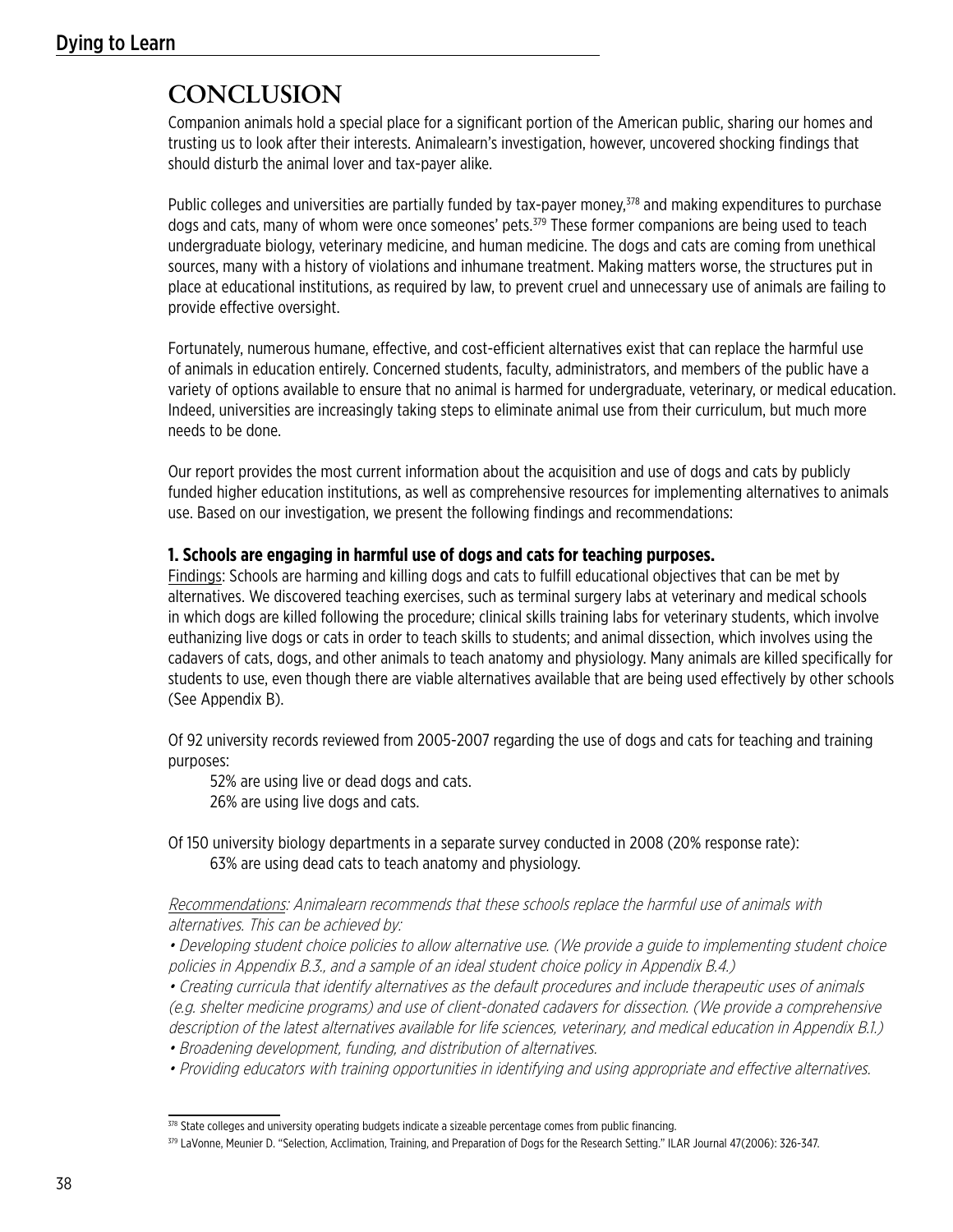# **CONCLUSION**

Companion animals hold a special place for a significant portion of the American public, sharing our homes and trusting us to look after their interests. Animalearn's investigation, however, uncovered shocking findings that should disturb the animal lover and tax-payer alike.

Public colleges and universities are partially funded by tax-payer money,<sup>378</sup> and making expenditures to purchase dogs and cats, many of whom were once someones' pets.<sup>379</sup> These former companions are being used to teach undergraduate biology, veterinary medicine, and human medicine. The dogs and cats are coming from unethical sources, many with a history of violations and inhumane treatment. Making matters worse, the structures put in place at educational institutions, as required by law, to prevent cruel and unnecessary use of animals are failing to provide effective oversight.

Fortunately, numerous humane, effective, and cost-efficient alternatives exist that can replace the harmful use of animals in education entirely. Concerned students, faculty, administrators, and members of the public have a variety of options available to ensure that no animal is harmed for undergraduate, veterinary, or medical education. Indeed, universities are increasingly taking steps to eliminate animal use from their curriculum, but much more needs to be done.

Our report provides the most current information about the acquisition and use of dogs and cats by publicly funded higher education institutions, as well as comprehensive resources for implementing alternatives to animals use. Based on our investigation, we present the following findings and recommendations:

## **1. Schools are engaging in harmful use of dogs and cats for teaching purposes.**

Findings: Schools are harming and killing dogs and cats to fulfill educational objectives that can be met by alternatives. We discovered teaching exercises, such as terminal surgery labs at veterinary and medical schools in which dogs are killed following the procedure; clinical skills training labs for veterinary students, which involve euthanizing live dogs or cats in order to teach skills to students; and animal dissection, which involves using the cadavers of cats, dogs, and other animals to teach anatomy and physiology. Many animals are killed specifically for students to use, even though there are viable alternatives available that are being used effectively by other schools (See Appendix B).

Of 92 university records reviewed from 2005-2007 regarding the use of dogs and cats for teaching and training purposes:

52% are using live or dead dogs and cats. 26% are using live dogs and cats.

Of 150 university biology departments in a separate survey conducted in 2008 (20% response rate): 63% are using dead cats to teach anatomy and physiology.

Recommendations: Animalearn recommends that these schools replace the harmful use of animals with alternatives. This can be achieved by:

• Developing student choice policies to allow alternative use. (We provide a guide to implementing student choice policies in Appendix B.3., and a sample of an ideal student choice policy in Appendix B.4.)

• Creating curricula that identify alternatives as the default procedures and include therapeutic uses of animals (e.g. shelter medicine programs) and use of client-donated cadavers for dissection. (We provide a comprehensive description of the latest alternatives available for life sciences, veterinary, and medical education in Appendix B.1.)

- Broadening development, funding, and distribution of alternatives.
- Providing educators with training opportunities in identifying and using appropriate and effective alternatives.

<sup>378</sup> State colleges and university operating budgets indicate a sizeable percentage comes from public financing.

<sup>379</sup> LaVonne, Meunier D. "Selection, Acclimation, Training, and Preparation of Dogs for the Research Setting." ILAR Journal 47(2006): 326-347.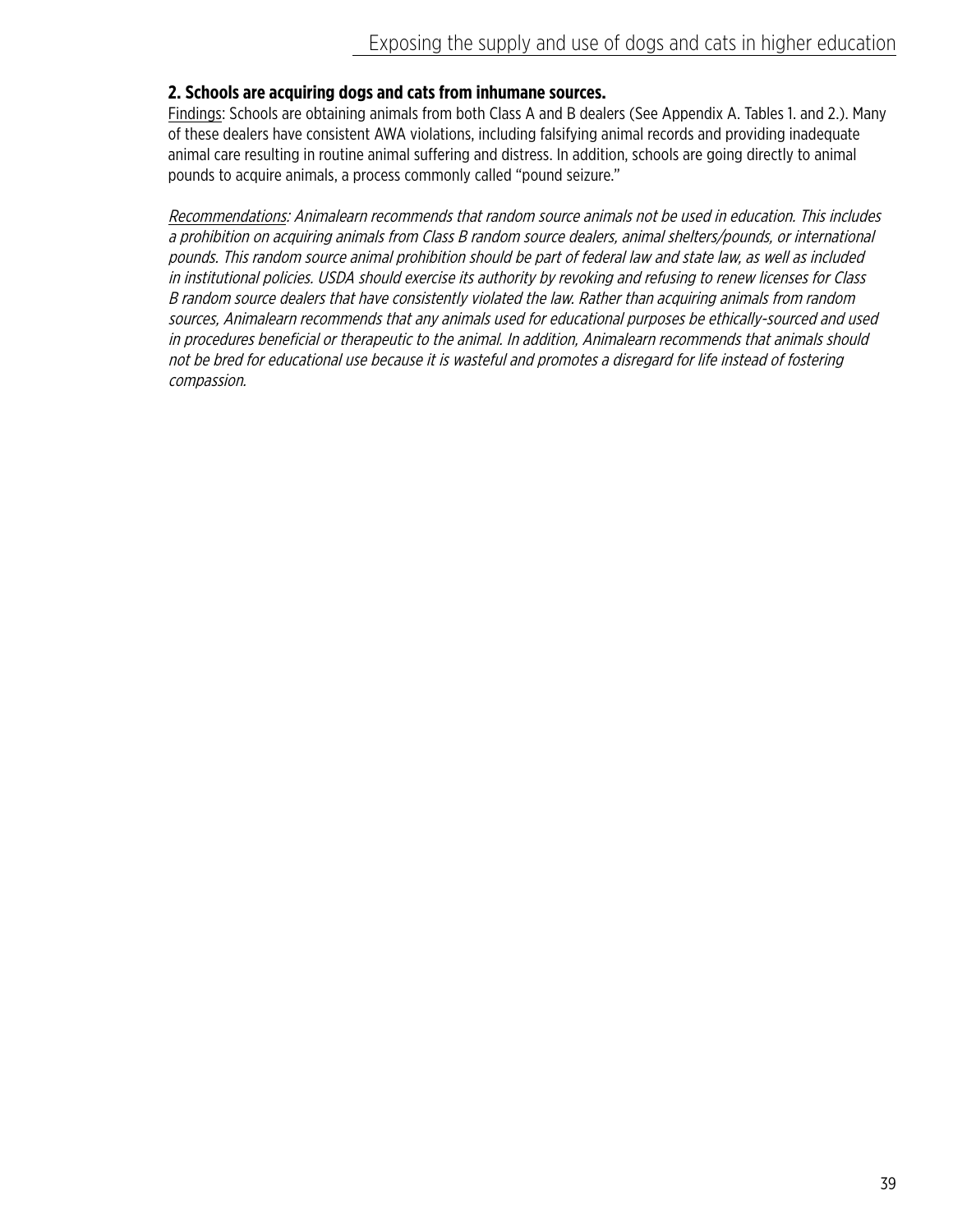# **2. Schools are acquiring dogs and cats from inhumane sources.**

Findings: Schools are obtaining animals from both Class A and B dealers (See Appendix A. Tables 1. and 2.). Many of these dealers have consistent AWA violations, including falsifying animal records and providing inadequate animal care resulting in routine animal suffering and distress. In addition, schools are going directly to animal pounds to acquire animals, a process commonly called "pound seizure."

Recommendations: Animalearn recommends that random source animals not be used in education. This includes a prohibition on acquiring animals from Class B random source dealers, animal shelters/pounds, or international pounds. This random source animal prohibition should be part of federal law and state law, as well as included in institutional policies. USDA should exercise its authority by revoking and refusing to renew licenses for Class B random source dealers that have consistently violated the law. Rather than acquiring animals from random sources, Animalearn recommends that any animals used for educational purposes be ethically-sourced and used in procedures beneficial or therapeutic to the animal. In addition, Animalearn recommends that animals should not be bred for educational use because it is wasteful and promotes a disregard for life instead of fostering compassion.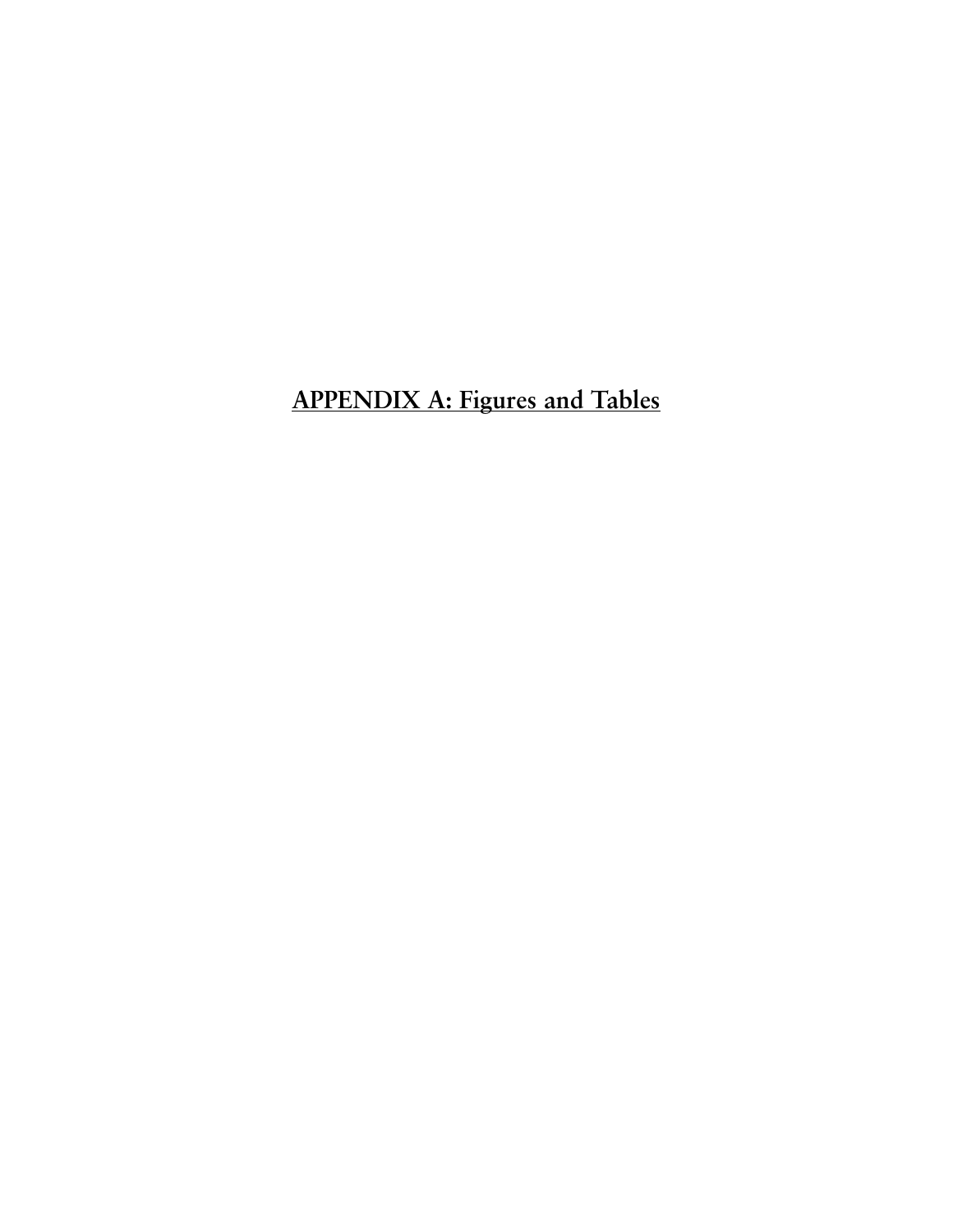**APPENDIX A: Figures and Tables**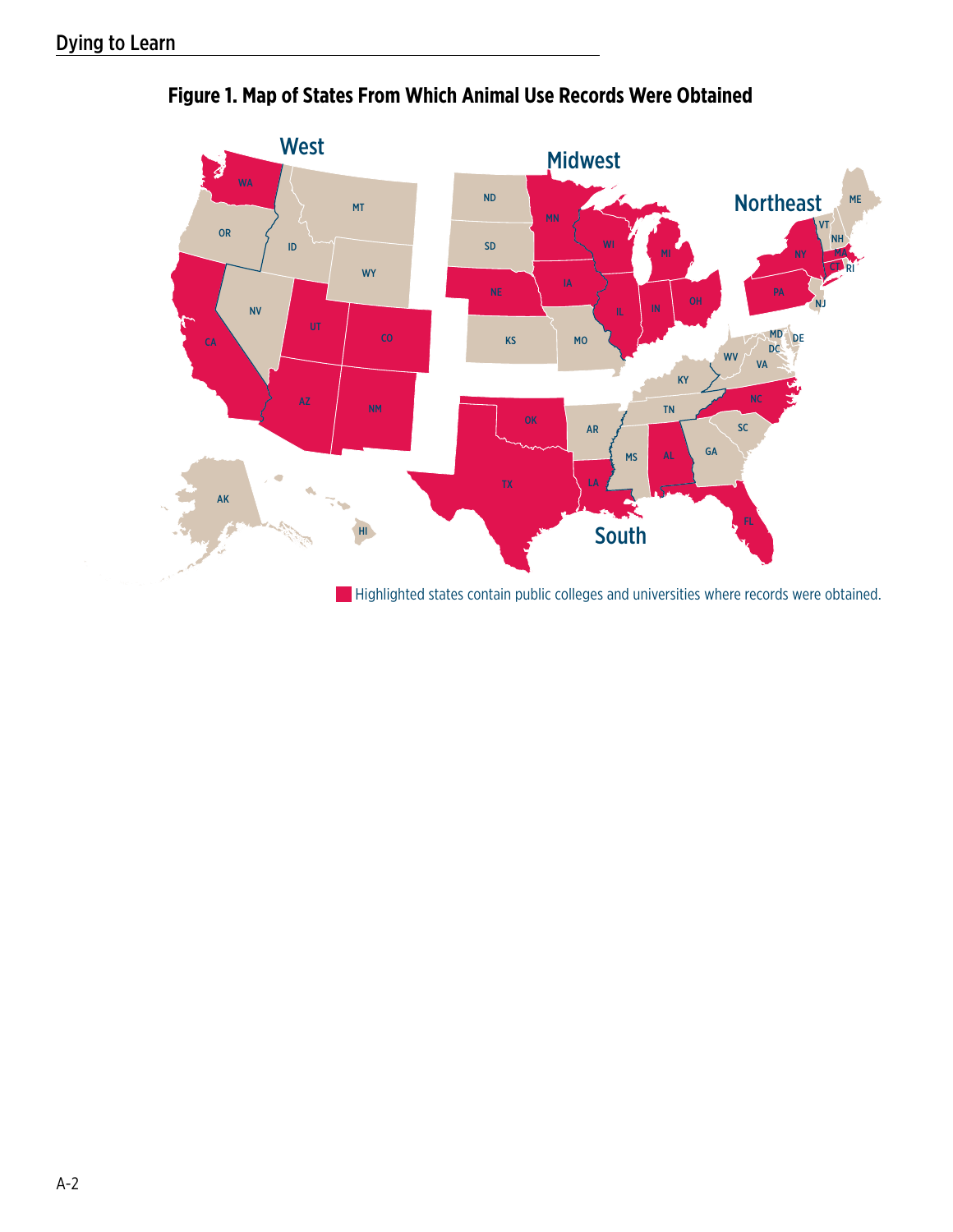

# **Figure 1. Map of States From Which Animal Use Records Were Obtained**

**Highlighted states contain public colleges and universities where records were obtained.**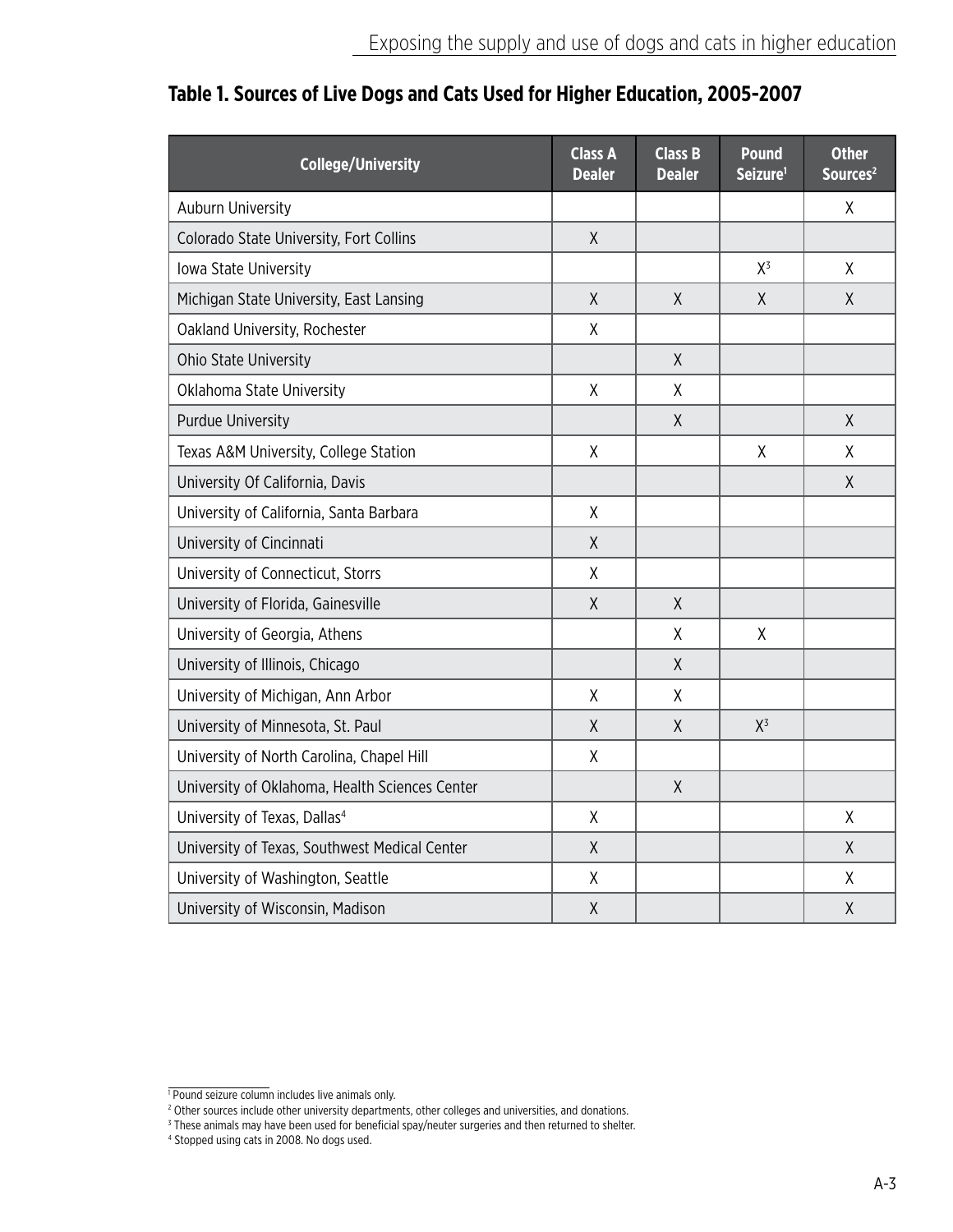| <b>College/University</b>                      | <b>Class A</b><br><b>Dealer</b> | <b>Class B</b><br><b>Dealer</b> | <b>Pound</b><br>Seizure <sup>1</sup> | <b>Other</b><br>Sources <sup>2</sup> |
|------------------------------------------------|---------------------------------|---------------------------------|--------------------------------------|--------------------------------------|
| <b>Auburn University</b>                       |                                 |                                 |                                      | Χ                                    |
| Colorado State University, Fort Collins        | $\mathsf{X}$                    |                                 |                                      |                                      |
| Iowa State University                          |                                 |                                 | $X^3$                                | Χ                                    |
| Michigan State University, East Lansing        | $\sf X$                         | $\sf X$                         | $\sf X$                              | $\sf X$                              |
| Oakland University, Rochester                  | Χ                               |                                 |                                      |                                      |
| Ohio State University                          |                                 | X                               |                                      |                                      |
| Oklahoma State University                      | χ                               | X                               |                                      |                                      |
| <b>Purdue University</b>                       |                                 | $\sf X$                         |                                      | X                                    |
| Texas A&M University, College Station          | X                               |                                 | X                                    | X                                    |
| University Of California, Davis                |                                 |                                 |                                      | Χ                                    |
| University of California, Santa Barbara        | Χ                               |                                 |                                      |                                      |
| University of Cincinnati                       | $\sf X$                         |                                 |                                      |                                      |
| University of Connecticut, Storrs              | Χ                               |                                 |                                      |                                      |
| University of Florida, Gainesville             | $\chi$                          | Χ                               |                                      |                                      |
| University of Georgia, Athens                  |                                 | χ                               | χ                                    |                                      |
| University of Illinois, Chicago                |                                 | $\chi$                          |                                      |                                      |
| University of Michigan, Ann Arbor              | $\sf X$                         | χ                               |                                      |                                      |
| University of Minnesota, St. Paul              | X                               | Χ                               | $X^3$                                |                                      |
| University of North Carolina, Chapel Hill      | $\sf X$                         |                                 |                                      |                                      |
| University of Oklahoma, Health Sciences Center |                                 | $\sf X$                         |                                      |                                      |
| University of Texas, Dallas <sup>4</sup>       | $\mathsf{X}$                    |                                 |                                      | X                                    |
| University of Texas, Southwest Medical Center  | $\chi$                          |                                 |                                      | X                                    |
| University of Washington, Seattle              | Χ                               |                                 |                                      | Χ                                    |
| University of Wisconsin, Madison               | $\sf X$                         |                                 |                                      | Χ                                    |

# **Table 1. Sources of Live Dogs and Cats Used for Higher Education, 2005-2007**

<sup>&</sup>lt;sup>1</sup> Pound seizure column includes live animals only.<br><sup>2</sup> Other sources include other university departments, other colleges and universities, and donations.<br><sup>3</sup> These animals may have been used for beneficial spay/neuter s

<sup>4</sup> Stopped using cats in 2008. No dogs used.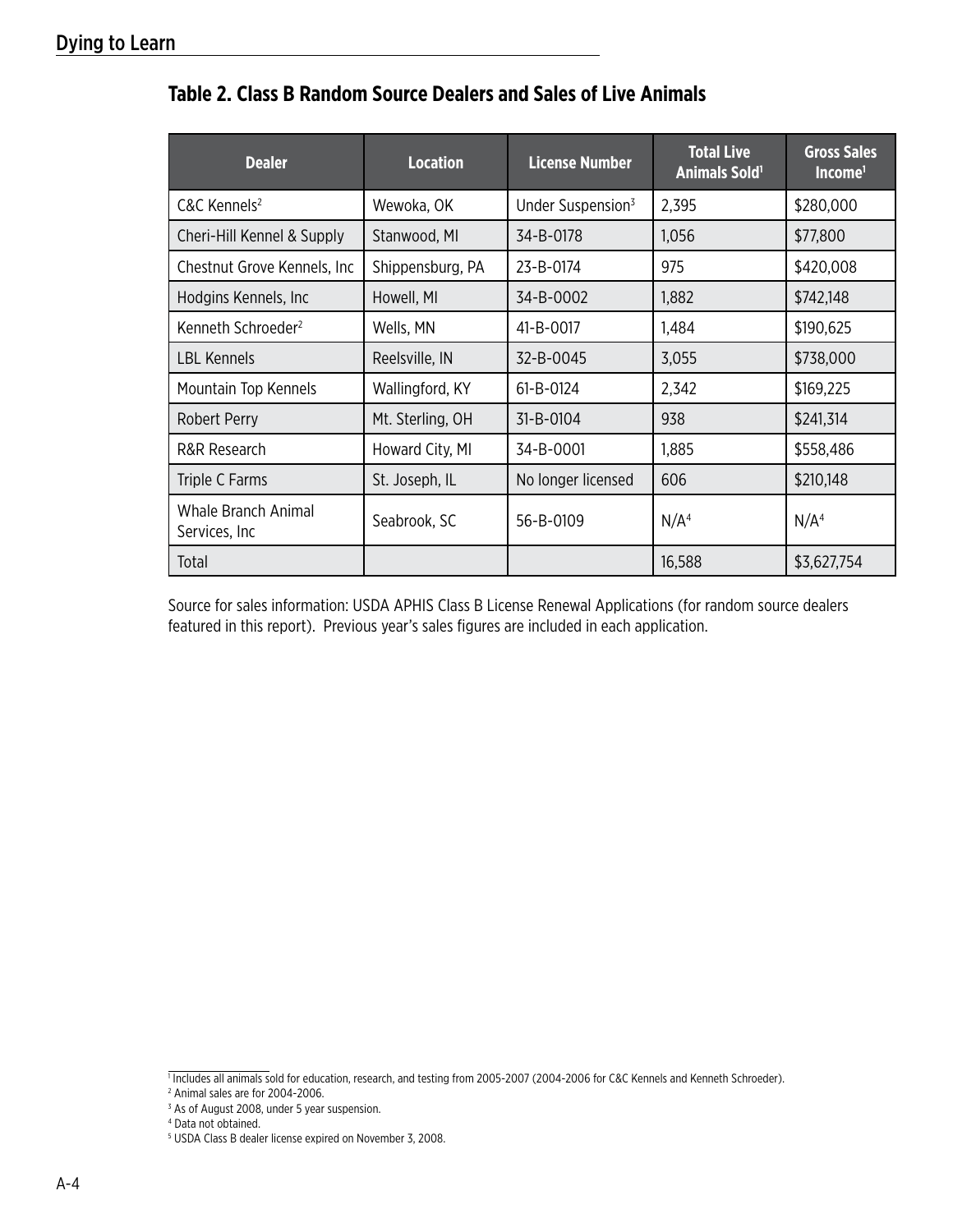| <b>Dealer</b>                         | <b>Location</b>  | <b>License Number</b>         | <b>Total Live</b><br><b>Animals Sold1</b> | <b>Gross Sales</b><br>Income <sup>1</sup> |
|---------------------------------------|------------------|-------------------------------|-------------------------------------------|-------------------------------------------|
| C&C Kennels <sup>2</sup>              | Wewoka, OK       | Under Suspension <sup>3</sup> | 2,395                                     | \$280,000                                 |
| Cheri-Hill Kennel & Supply            | Stanwood, MI     | 34-B-0178                     | 1,056                                     | \$77,800                                  |
| Chestnut Grove Kennels, Inc.          | Shippensburg, PA | 23-B-0174                     | 975                                       | \$420,008                                 |
| Hodgins Kennels, Inc.                 | Howell, MI       | 34-B-0002                     | 1,882                                     | \$742,148                                 |
| Kenneth Schroeder <sup>2</sup>        | Wells, MN        | 41-B-0017                     | 1,484                                     | \$190,625                                 |
| <b>LBL Kennels</b>                    | Reelsville, IN   | 32-B-0045                     | 3,055                                     | \$738,000                                 |
| Mountain Top Kennels                  | Wallingford, KY  | 61-B-0124                     | 2,342                                     | \$169,225                                 |
| <b>Robert Perry</b>                   | Mt. Sterling, OH | 31-B-0104                     | 938                                       | \$241,314                                 |
| R&R Research                          | Howard City, MI  | 34-B-0001                     | 1,885                                     | \$558,486                                 |
| Triple C Farms                        | St. Joseph, IL   | No longer licensed            | 606                                       | \$210,148                                 |
| Whale Branch Animal<br>Services, Inc. | Seabrook, SC     | 56-B-0109                     | N/A <sup>4</sup>                          | N/A <sup>4</sup>                          |
| Total                                 |                  |                               | 16,588                                    | \$3,627,754                               |

# **Table 2. Class B Random Source Dealers and Sales of Live Animals**

Source for sales information: USDA APHIS Class B License Renewal Applications (for random source dealers featured in this report). Previous year's sales figures are included in each application.

Includes all animals sold for education, research, and testing from 2005-2007 (2004-2006 for C&C Kennels and Kenneth Schroeder).

<sup>2</sup> Animal sales are for 2004-2006.

<sup>&</sup>lt;sup>3</sup> As of August 2008, under 5 year suspension.

<sup>4</sup> Data not obtained.

<sup>5</sup> USDA Class B dealer license expired on November 3, 2008.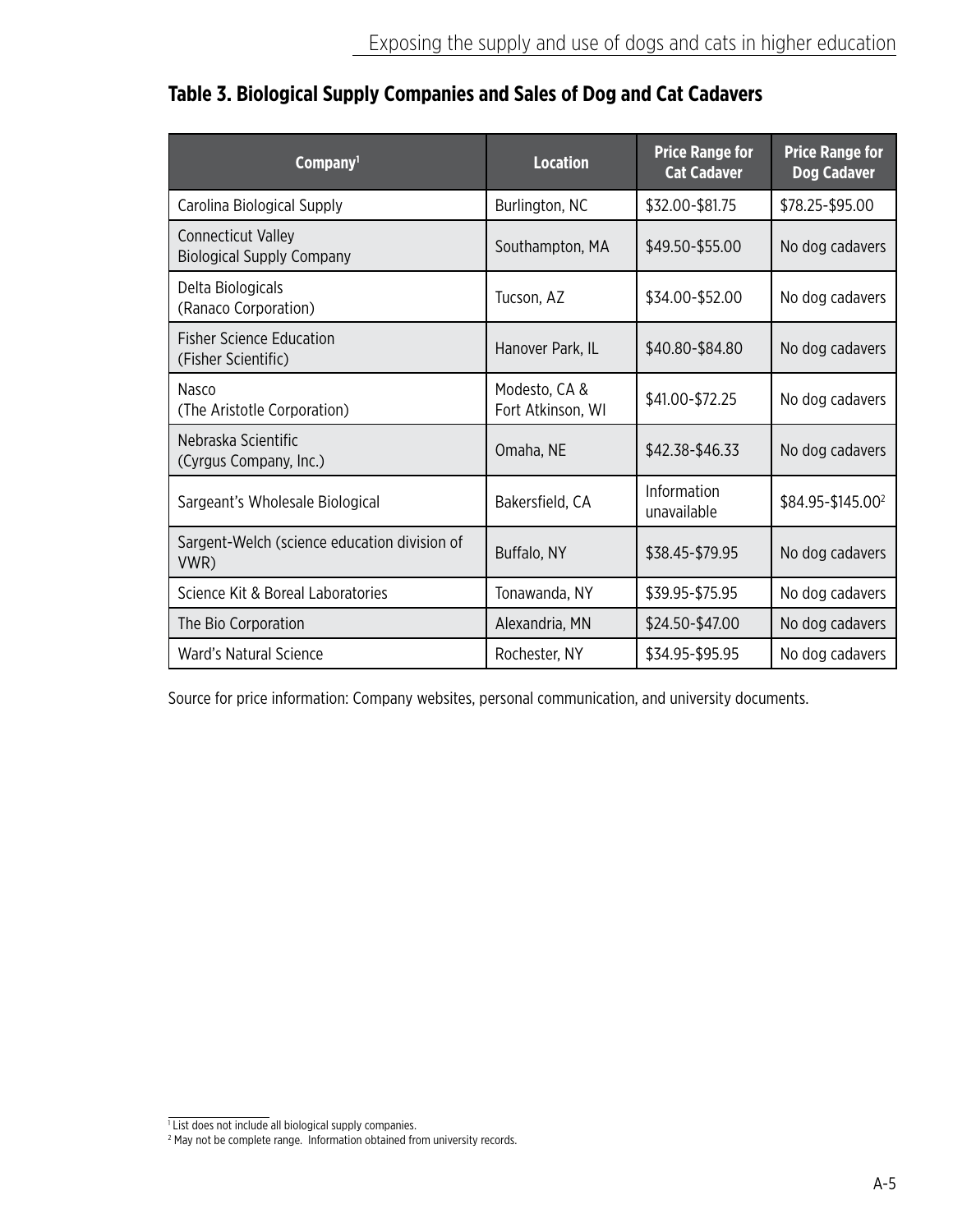| Company <sup>1</sup>                                          | <b>Location</b>                    | <b>Price Range for</b><br><b>Cat Cadaver</b> | <b>Price Range for</b><br><b>Dog Cadaver</b> |
|---------------------------------------------------------------|------------------------------------|----------------------------------------------|----------------------------------------------|
| Carolina Biological Supply                                    | Burlington, NC                     | \$32.00-\$81.75                              | \$78.25-\$95.00                              |
| <b>Connecticut Valley</b><br><b>Biological Supply Company</b> | Southampton, MA                    | \$49.50-\$55.00                              | No dog cadavers                              |
| Delta Biologicals<br>(Ranaco Corporation)                     | Tucson, AZ                         | \$34.00-\$52.00                              | No dog cadavers                              |
| <b>Fisher Science Education</b><br>(Fisher Scientific)        | Hanover Park, IL                   | \$40.80-\$84.80                              | No dog cadavers                              |
| Nasco<br>(The Aristotle Corporation)                          | Modesto, CA &<br>Fort Atkinson, WI | \$41.00-\$72.25                              | No dog cadavers                              |
| Nebraska Scientific<br>(Cyrgus Company, Inc.)                 | Omaha, NE                          | \$42.38-\$46.33                              | No dog cadavers                              |
| Sargeant's Wholesale Biological                               | Bakersfield, CA                    | Information<br>unavailable                   | \$84.95-\$145.00 <sup>2</sup>                |
| Sargent-Welch (science education division of<br>VWR)          | Buffalo, NY                        | \$38.45-\$79.95                              | No dog cadavers                              |
| Science Kit & Boreal Laboratories                             | Tonawanda, NY                      | \$39.95-\$75.95                              | No dog cadavers                              |
| The Bio Corporation                                           | Alexandria, MN                     | \$24.50-\$47.00                              | No dog cadavers                              |
| <b>Ward's Natural Science</b>                                 | Rochester, NY                      | \$34.95-\$95.95                              | No dog cadavers                              |

# **Table 3. Biological Supply Companies and Sales of Dog and Cat Cadavers**

Source for price information: Company websites, personal communication, and university documents.

<sup>&</sup>lt;sup>1</sup> List does not include all biological supply companies.

<sup>&</sup>lt;sup>2</sup> May not be complete range. Information obtained from university records.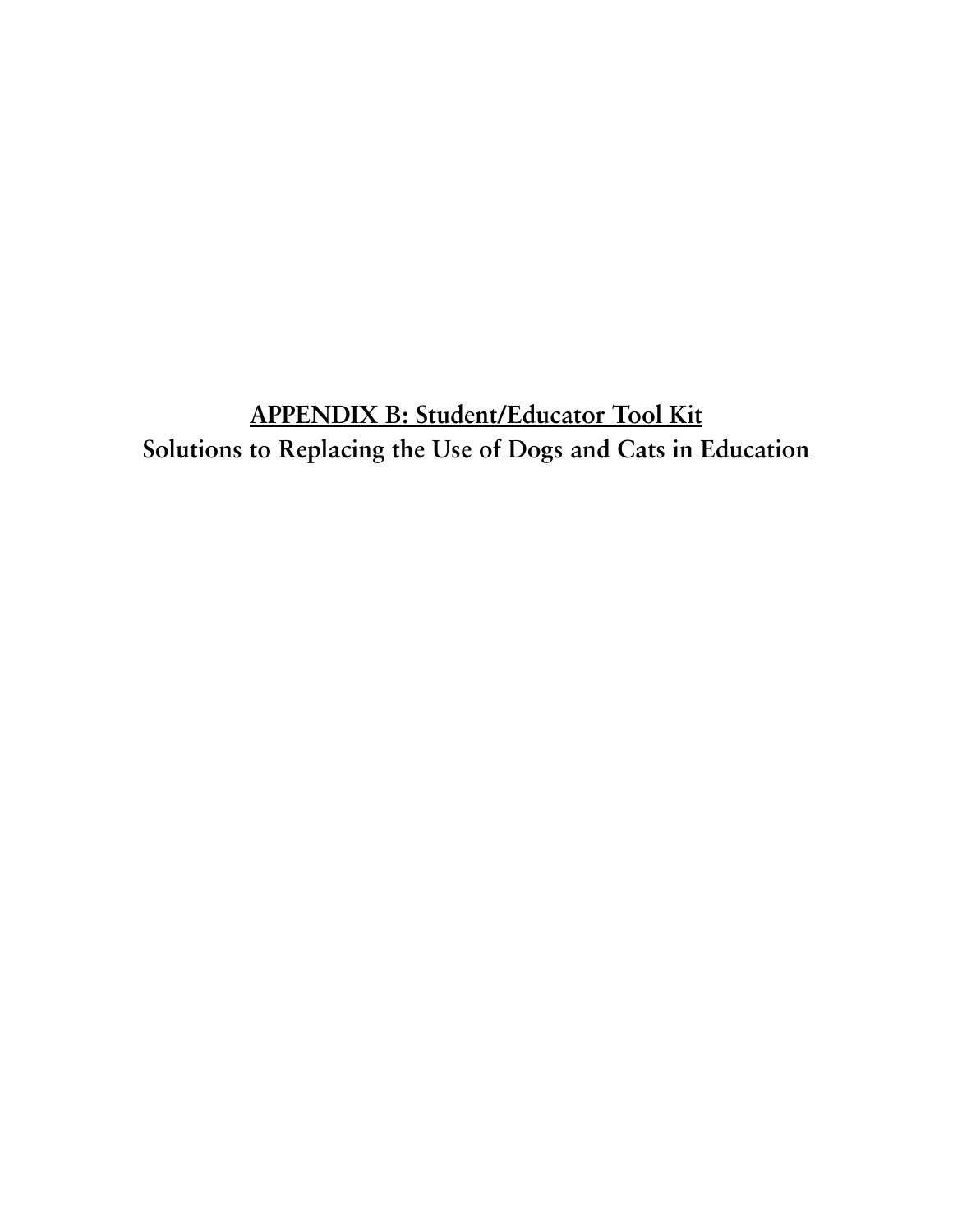**APPENDIX B: Student/Educator Tool Kit Solutions to Replacing the Use of Dogs and Cats in Education**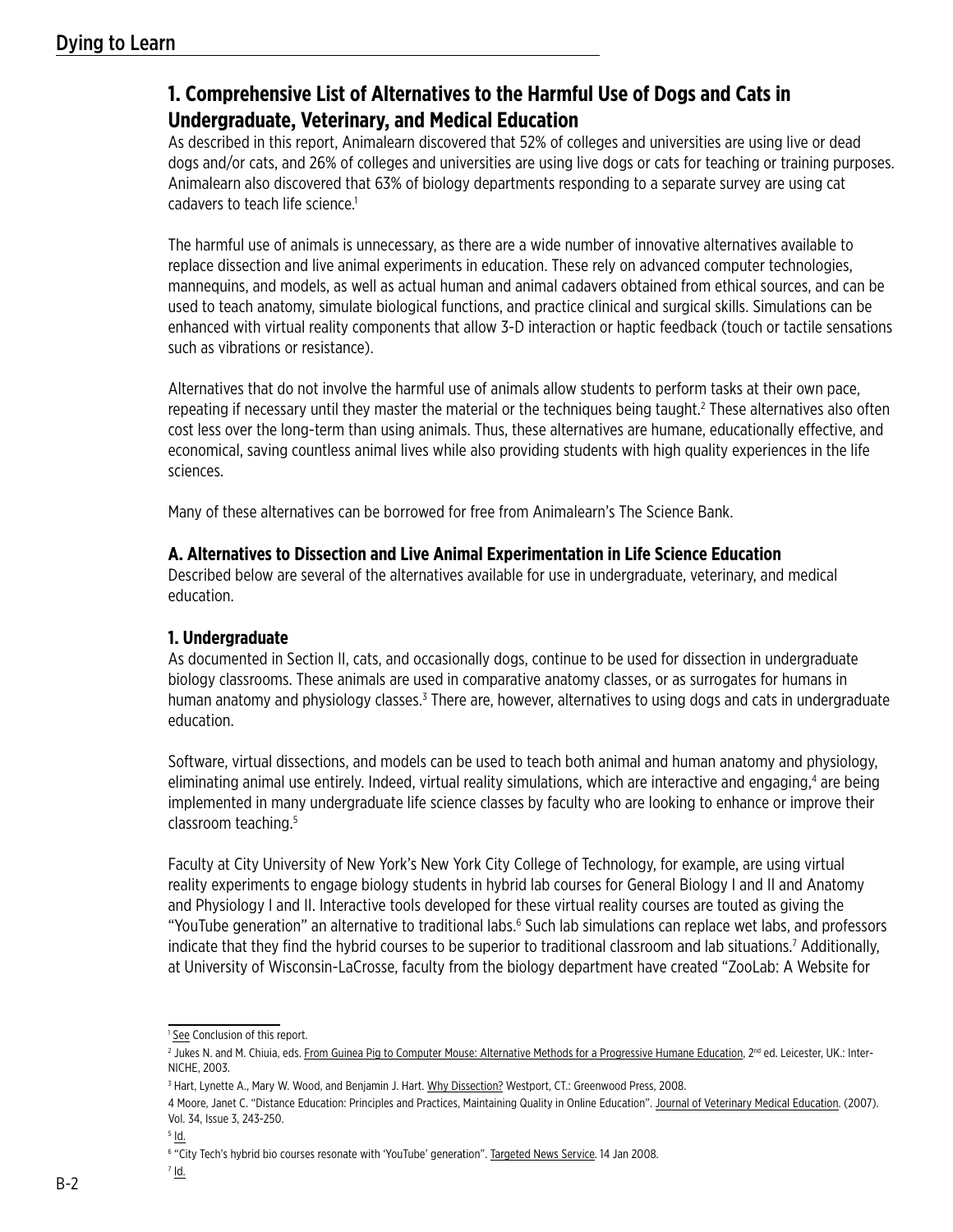# **1. Comprehensive List of Alternatives to the Harmful Use of Dogs and Cats in Undergraduate, Veterinary, and Medical Education**

As described in this report, Animalearn discovered that 52% of colleges and universities are using live or dead dogs and/or cats, and 26% of colleges and universities are using live dogs or cats for teaching or training purposes. Animalearn also discovered that 63% of biology departments responding to a separate survey are using cat cadavers to teach life science.<sup>1</sup>

The harmful use of animals is unnecessary, as there are a wide number of innovative alternatives available to replace dissection and live animal experiments in education. These rely on advanced computer technologies, mannequins, and models, as well as actual human and animal cadavers obtained from ethical sources, and can be used to teach anatomy, simulate biological functions, and practice clinical and surgical skills. Simulations can be enhanced with virtual reality components that allow 3-D interaction or haptic feedback (touch or tactile sensations such as vibrations or resistance).

Alternatives that do not involve the harmful use of animals allow students to perform tasks at their own pace, repeating if necessary until they master the material or the techniques being taught.<sup>2</sup> These alternatives also often cost less over the long-term than using animals. Thus, these alternatives are humane, educationally effective, and economical, saving countless animal lives while also providing students with high quality experiences in the life sciences.

Many of these alternatives can be borrowed for free from Animalearn's The Science Bank.

## **A. Alternatives to Dissection and Live Animal Experimentation in Life Science Education**

Described below are several of the alternatives available for use in undergraduate, veterinary, and medical education.

# **1. Undergraduate**

As documented in Section II, cats, and occasionally dogs, continue to be used for dissection in undergraduate biology classrooms. These animals are used in comparative anatomy classes, or as surrogates for humans in human anatomy and physiology classes.<sup>3</sup> There are, however, alternatives to using dogs and cats in undergraduate education.

Software, virtual dissections, and models can be used to teach both animal and human anatomy and physiology, eliminating animal use entirely. Indeed, virtual reality simulations, which are interactive and engaging,<sup>4</sup> are being implemented in many undergraduate life science classes by faculty who are looking to enhance or improve their classroom teaching.5

Faculty at City University of New York's New York City College of Technology, for example, are using virtual reality experiments to engage biology students in hybrid lab courses for General Biology I and II and Anatomy and Physiology I and II. Interactive tools developed for these virtual reality courses are touted as giving the "YouTube generation" an alternative to traditional labs.<sup>6</sup> Such lab simulations can replace wet labs, and professors indicate that they find the hybrid courses to be superior to traditional classroom and lab situations.<sup>7</sup> Additionally, at University of Wisconsin-LaCrosse, faculty from the biology department have created "ZooLab: A Website for

 $7$   $\underline{\mathsf{Id}}$ .

<sup>&</sup>lt;sup>1</sup> See Conclusion of this report.

<sup>&</sup>lt;sup>2</sup> Jukes N. and M. Chiuia, eds. <u>From Guinea Pig to Computer Mouse: Alternative Methods for a Progressive Humane Education, 2<sup>nd</sup> ed. Leicester, UK.: Inter-</u> NICHE, 2003.

<sup>&</sup>lt;sup>3</sup> Hart, Lynette A., Mary W. Wood, and Benjamin J. Hart. <u>Why Dissection?</u> Westport, CT.: Greenwood Press, 2008.

<sup>4</sup> Moore, Janet C. "Distance Education: Principles and Practices, Maintaining Quality in Online Education". Journal of Veterinary Medical Education. (2007). Vol. 34, Issue 3, 243-250.

 $5$   $\overline{1}$ d.

<sup>&</sup>lt;sup>6</sup> "City Tech's hybrid bio courses resonate with 'YouTube' generation". Targeted News Service. 14 Jan 2008.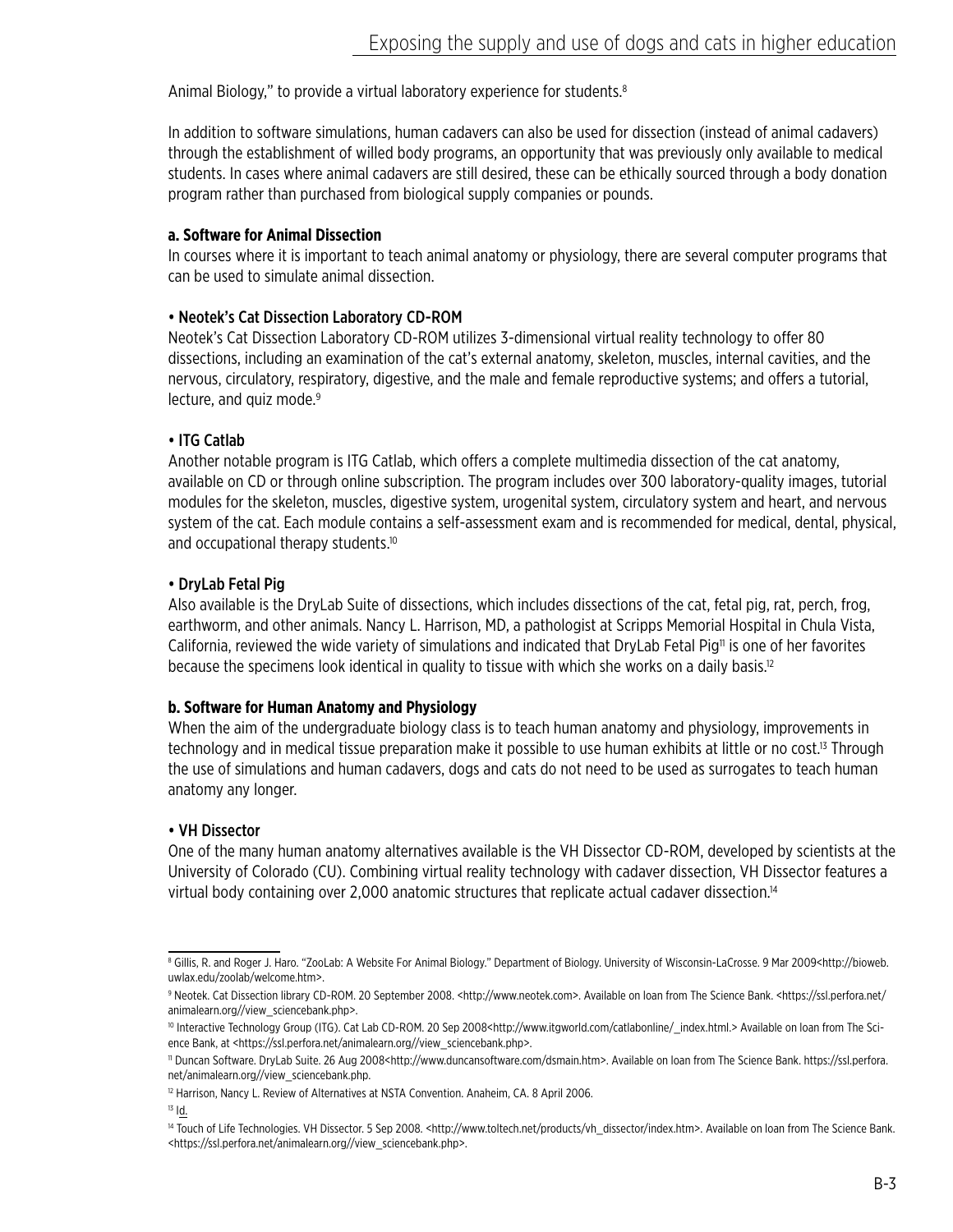Animal Biology," to provide a virtual laboratory experience for students.<sup>8</sup>

In addition to software simulations, human cadavers can also be used for dissection (instead of animal cadavers) through the establishment of willed body programs, an opportunity that was previously only available to medical students. In cases where animal cadavers are still desired, these can be ethically sourced through a body donation program rather than purchased from biological supply companies or pounds.

### **a. Software for Animal Dissection**

In courses where it is important to teach animal anatomy or physiology, there are several computer programs that can be used to simulate animal dissection.

### • Neotek's Cat Dissection Laboratory CD-ROM

Neotek's Cat Dissection Laboratory CD-ROM utilizes 3-dimensional virtual reality technology to offer 80 dissections, including an examination of the cat's external anatomy, skeleton, muscles, internal cavities, and the nervous, circulatory, respiratory, digestive, and the male and female reproductive systems; and offers a tutorial, lecture, and quiz mode.<sup>9</sup>

## • ITG Catlab

Another notable program is ITG Catlab, which offers a complete multimedia dissection of the cat anatomy, available on CD or through online subscription. The program includes over 300 laboratory-quality images, tutorial modules for the skeleton, muscles, digestive system, urogenital system, circulatory system and heart, and nervous system of the cat. Each module contains a self-assessment exam and is recommended for medical, dental, physical, and occupational therapy students.<sup>10</sup>

### • DryLab Fetal Pig

Also available is the DryLab Suite of dissections, which includes dissections of the cat, fetal pig, rat, perch, frog, earthworm, and other animals. Nancy L. Harrison, MD, a pathologist at Scripps Memorial Hospital in Chula Vista, California, reviewed the wide variety of simulations and indicated that DryLab Fetal Pig<sup>11</sup> is one of her favorites because the specimens look identical in quality to tissue with which she works on a daily basis.<sup>12</sup>

#### **b. Software for Human Anatomy and Physiology**

When the aim of the undergraduate biology class is to teach human anatomy and physiology, improvements in technology and in medical tissue preparation make it possible to use human exhibits at little or no cost.<sup>13</sup> Through the use of simulations and human cadavers, dogs and cats do not need to be used as surrogates to teach human anatomy any longer.

## • VH Dissector

One of the many human anatomy alternatives available is the VH Dissector CD-ROM, developed by scientists at the University of Colorado (CU). Combining virtual reality technology with cadaver dissection, VH Dissector features a virtual body containing over 2,000 anatomic structures that replicate actual cadaver dissection.14

13 Id.

<sup>&</sup>lt;sup>8</sup> Gillis, R. and Roger J. Haro. "ZooLab: A Website For Animal Biology." Department of Biology. University of Wisconsin-LaCrosse. 9 Mar 2009<http://bioweb. uwlax.edu/zoolab/welcome.htm>.

<sup>9</sup> Neotek. Cat Dissection library CD-ROM. 20 September 2008. <http://www.neotek.com>. Available on loan from The Science Bank. <https://ssl.perfora.net/ animalearn.org//view\_sciencebank.php>.

<sup>&</sup>lt;sup>10</sup> Interactive Technology Group (ITG). Cat Lab CD-ROM. 20 Sep 2008<http://www.itgworld.com/catlabonline/\_index.html.> Available on loan from The Science Bank, at <https://ssl.perfora.net/animalearn.org//view\_sciencebank.php>.

<sup>11</sup> Duncan Software. DryLab Suite. 26 Aug 2008<http://www.duncansoftware.com/dsmain.htm>. Available on loan from The Science Bank. https://ssl.perfora. net/animalearn.org//view\_sciencebank.php.

<sup>&</sup>lt;sup>12</sup> Harrison, Nancy L. Review of Alternatives at NSTA Convention. Anaheim, CA. 8 April 2006.

<sup>14</sup> Touch of Life Technologies. VH Dissector. 5 Sep 2008. <http://www.toltech.net/products/vh\_dissector/index.htm>. Available on loan from The Science Bank. <https://ssl.perfora.net/animalearn.org//view\_sciencebank.php>.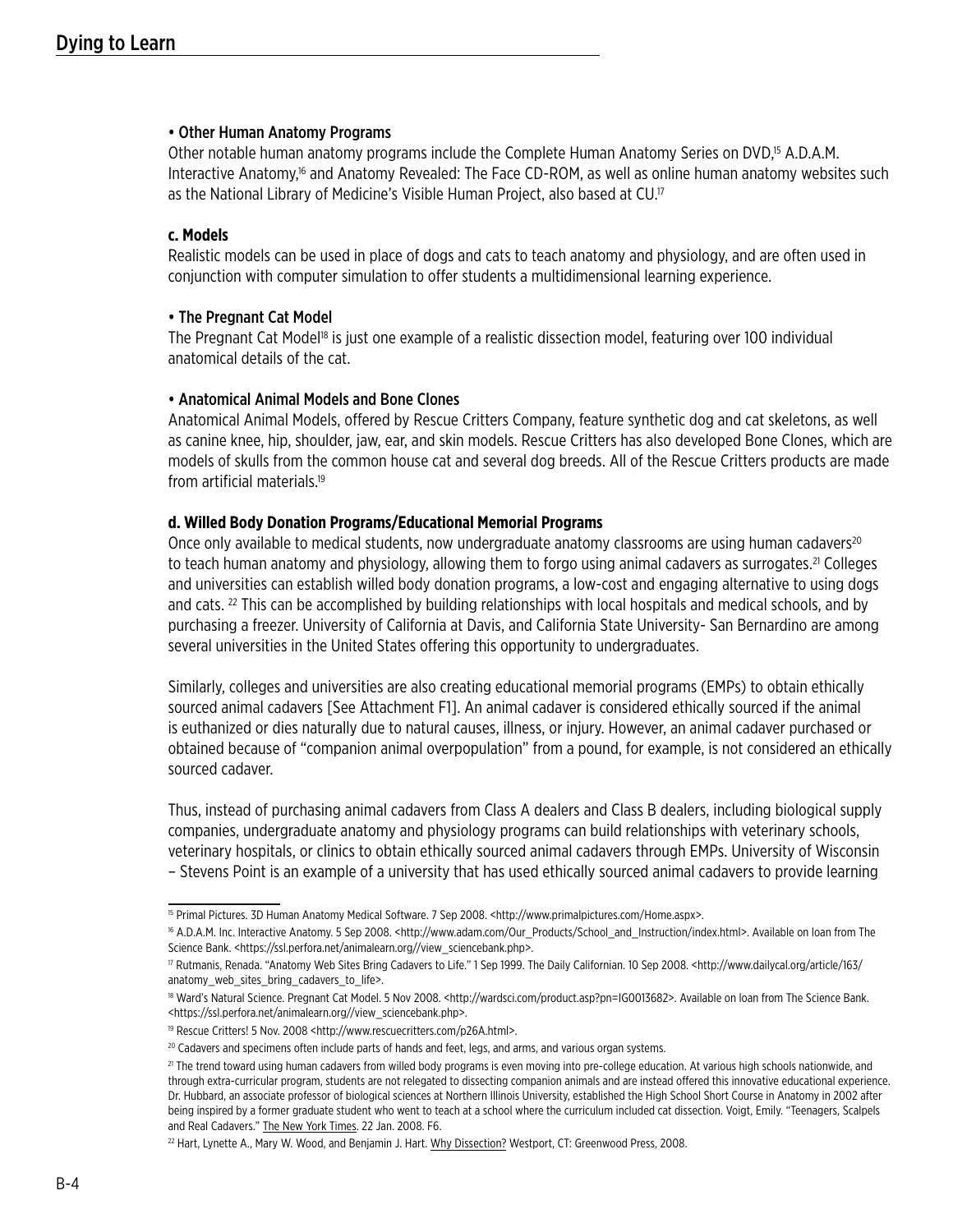#### • Other Human Anatomy Programs

Other notable human anatomy programs include the Complete Human Anatomy Series on DVD,<sup>15</sup> A.D.A.M. Interactive Anatomy,16 and Anatomy Revealed: The Face CD-ROM, as well as online human anatomy websites such as the National Library of Medicine's Visible Human Project, also based at CU.<sup>17</sup>

### **c. Models**

Realistic models can be used in place of dogs and cats to teach anatomy and physiology, and are often used in conjunction with computer simulation to offer students a multidimensional learning experience.

### • The Pregnant Cat Model

The Pregnant Cat Model<sup>18</sup> is just one example of a realistic dissection model, featuring over 100 individual anatomical details of the cat.

### • Anatomical Animal Models and Bone Clones

Anatomical Animal Models, offered by Rescue Critters Company, feature synthetic dog and cat skeletons, as well as canine knee, hip, shoulder, jaw, ear, and skin models. Rescue Critters has also developed Bone Clones, which are models of skulls from the common house cat and several dog breeds. All of the Rescue Critters products are made from artificial materials.19

### **d. Willed Body Donation Programs/Educational Memorial Programs**

Once only available to medical students, now undergraduate anatomy classrooms are using human cadavers<sup>20</sup> to teach human anatomy and physiology, allowing them to forgo using animal cadavers as surrogates.<sup>21</sup> Colleges and universities can establish willed body donation programs, a low-cost and engaging alternative to using dogs and cats. 22 This can be accomplished by building relationships with local hospitals and medical schools, and by purchasing a freezer. University of California at Davis, and California State University- San Bernardino are among several universities in the United States offering this opportunity to undergraduates.

Similarly, colleges and universities are also creating educational memorial programs (EMPs) to obtain ethically sourced animal cadavers [See Attachment F1]. An animal cadaver is considered ethically sourced if the animal is euthanized or dies naturally due to natural causes, illness, or injury. However, an animal cadaver purchased or obtained because of "companion animal overpopulation" from a pound, for example, is not considered an ethically sourced cadaver.

Thus, instead of purchasing animal cadavers from Class A dealers and Class B dealers, including biological supply companies, undergraduate anatomy and physiology programs can build relationships with veterinary schools, veterinary hospitals, or clinics to obtain ethically sourced animal cadavers through EMPs. University of Wisconsin – Stevens Point is an example of a university that has used ethically sourced animal cadavers to provide learning

<sup>15</sup> Primal Pictures. 3D Human Anatomy Medical Software. 7 Sep 2008. <http://www.primalpictures.com/Home.aspx>.

<sup>16</sup> A.D.A.M. Inc. Interactive Anatomy. 5 Sep 2008. <http://www.adam.com/Our\_Products/School\_and\_Instruction/index.html>. Available on loan from The Science Bank. <https://ssl.perfora.net/animalearn.org//view\_sciencebank.php>.

<sup>&</sup>lt;sup>17</sup> Rutmanis, Renada. "Anatomy Web Sites Bring Cadavers to Life." 1 Sep 1999. The Daily Californian. 10 Sep 2008. <http://www.dailycal.org/article/163/ anatomy web sites bring cadavers to life>.

<sup>18</sup> Ward's Natural Science. Pregnant Cat Model. 5 Nov 2008. <http://wardsci.com/product.asp?pn=IG0013682>. Available on loan from The Science Bank. <https://ssl.perfora.net/animalearn.org//view\_sciencebank.php>.

<sup>&</sup>lt;sup>19</sup> Rescue Critters! 5 Nov. 2008 <http://www.rescuecritters.com/p26A.html>.

<sup>&</sup>lt;sup>20</sup> Cadavers and specimens often include parts of hands and feet, legs, and arms, and various organ systems.

<sup>&</sup>lt;sup>21</sup> The trend toward using human cadavers from willed body programs is even moving into pre-college education. At various high schools nationwide, and through extra-curricular program, students are not relegated to dissecting companion animals and are instead offered this innovative educational experience. Dr. Hubbard, an associate professor of biological sciences at Northern Illinois University, established the High School Short Course in Anatomy in 2002 after being inspired by a former graduate student who went to teach at a school where the curriculum included cat dissection. Voigt, Emily. "Teenagers, Scalpels and Real Cadavers." The New York Times. 22 Jan. 2008. F6.

<sup>&</sup>lt;sup>22</sup> Hart, Lynette A., Mary W. Wood, and Benjamin J. Hart. Why Dissection? Westport, CT: Greenwood Press, 2008.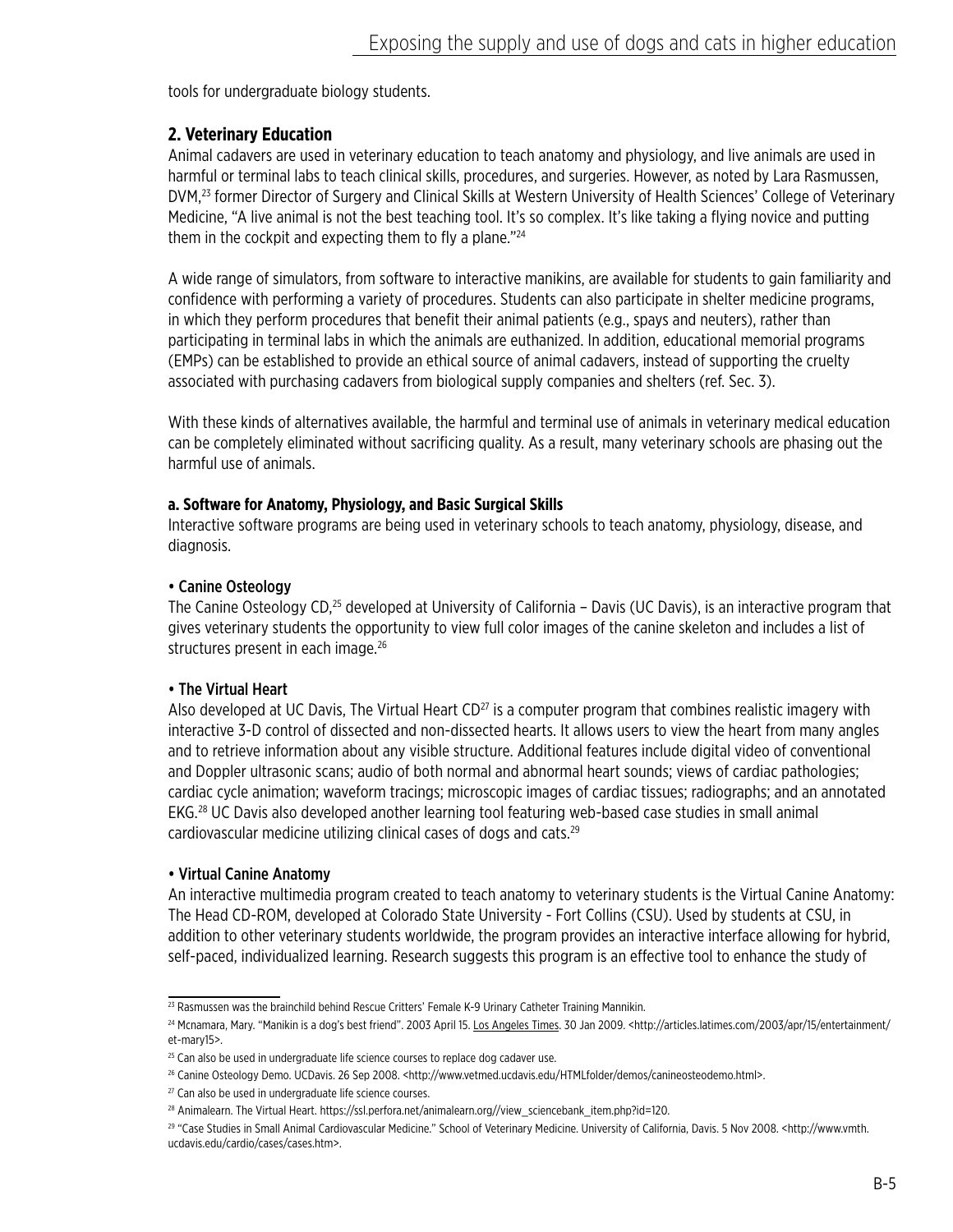tools for undergraduate biology students.

# **2. Veterinary Education**

Animal cadavers are used in veterinary education to teach anatomy and physiology, and live animals are used in harmful or terminal labs to teach clinical skills, procedures, and surgeries. However, as noted by Lara Rasmussen, DVM,<sup>23</sup> former Director of Surgery and Clinical Skills at Western University of Health Sciences' College of Veterinary Medicine, "A live animal is not the best teaching tool. It's so complex. It's like taking a flying novice and putting them in the cockpit and expecting them to fly a plane."<sup>24</sup>

A wide range of simulators, from software to interactive manikins, are available for students to gain familiarity and confidence with performing a variety of procedures. Students can also participate in shelter medicine programs, in which they perform procedures that benefit their animal patients (e.g., spays and neuters), rather than participating in terminal labs in which the animals are euthanized. In addition, educational memorial programs (EMPs) can be established to provide an ethical source of animal cadavers, instead of supporting the cruelty associated with purchasing cadavers from biological supply companies and shelters (ref. Sec. 3).

With these kinds of alternatives available, the harmful and terminal use of animals in veterinary medical education can be completely eliminated without sacrificing quality. As a result, many veterinary schools are phasing out the harmful use of animals.

### **a. Software for Anatomy, Physiology, and Basic Surgical Skills**

Interactive software programs are being used in veterinary schools to teach anatomy, physiology, disease, and diagnosis.

### • Canine Osteology

The Canine Osteology CD,<sup>25</sup> developed at University of California – Davis (UC Davis), is an interactive program that gives veterinary students the opportunity to view full color images of the canine skeleton and includes a list of structures present in each image.<sup>26</sup>

## • The Virtual Heart

Also developed at UC Davis, The Virtual Heart  $CD^{27}$  is a computer program that combines realistic imagery with interactive 3-D control of dissected and non-dissected hearts. It allows users to view the heart from many angles and to retrieve information about any visible structure. Additional features include digital video of conventional and Doppler ultrasonic scans; audio of both normal and abnormal heart sounds; views of cardiac pathologies; cardiac cycle animation; waveform tracings; microscopic images of cardiac tissues; radiographs; and an annotated EKG.28 UC Davis also developed another learning tool featuring web-based case studies in small animal cardiovascular medicine utilizing clinical cases of dogs and cats.29

## • Virtual Canine Anatomy

An interactive multimedia program created to teach anatomy to veterinary students is the Virtual Canine Anatomy: The Head CD-ROM, developed at Colorado State University - Fort Collins (CSU). Used by students at CSU, in addition to other veterinary students worldwide, the program provides an interactive interface allowing for hybrid, self-paced, individualized learning. Research suggests this program is an effective tool to enhance the study of

<sup>&</sup>lt;sup>23</sup> Rasmussen was the brainchild behind Rescue Critters' Female K-9 Urinary Catheter Training Mannikin.

<sup>&</sup>lt;sup>24</sup> Mcnamara, Mary. "Manikin is a dog's best friend". 2003 April 15. Los Angeles Times. 30 Jan 2009. <http://articles.latimes.com/2003/apr/15/entertainment/ et-mary15>.

<sup>&</sup>lt;sup>25</sup> Can also be used in undergraduate life science courses to replace dog cadaver use.

<sup>&</sup>lt;sup>26</sup> Canine Osteology Demo. UCDavis. 26 Sep 2008. <http://www.vetmed.ucdavis.edu/HTMLfolder/demos/canineosteodemo.html>.

 $27$  Can also be used in undergraduate life science courses.

<sup>28</sup> Animalearn. The Virtual Heart. https://ssl.perfora.net/animalearn.org//view\_sciencebank\_item.php?id=120.

<sup>29 &</sup>quot;Case Studies in Small Animal Cardiovascular Medicine." School of Veterinary Medicine. University of California, Davis. 5 Nov 2008. <http://www.vmth. ucdavis.edu/cardio/cases/cases.htm>.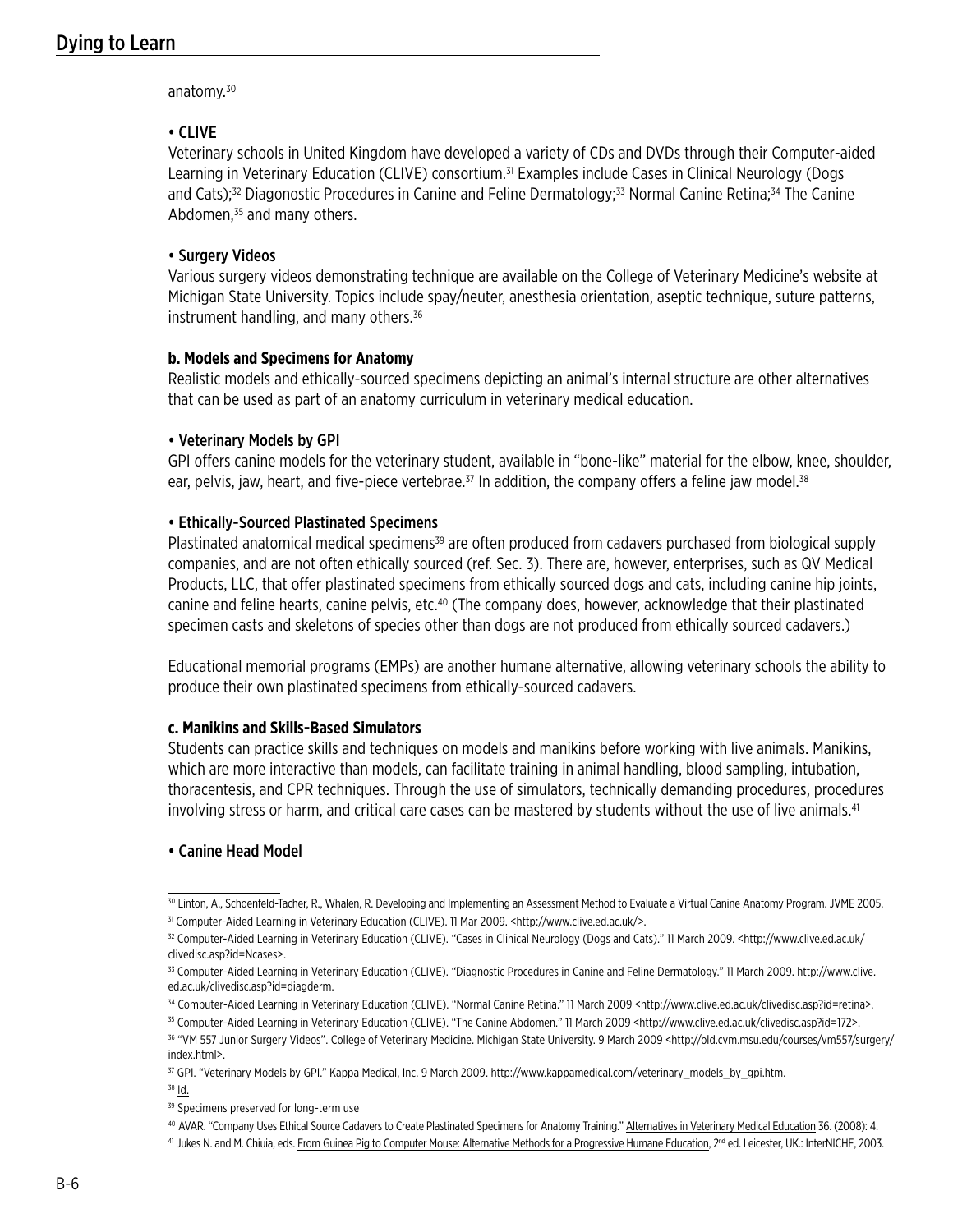anatomy.<sup>30</sup>

### • CLIVE

Veterinary schools in United Kingdom have developed a variety of CDs and DVDs through their Computer-aided Learning in Veterinary Education (CLIVE) consortium.<sup>31</sup> Examples include Cases in Clinical Neurology (Dogs and Cats);<sup>32</sup> Diagonostic Procedures in Canine and Feline Dermatology;<sup>33</sup> Normal Canine Retina;<sup>34</sup> The Canine Abdomen, $35$  and many others.

### • Surgery Videos

Various surgery videos demonstrating technique are available on the College of Veterinary Medicine's website at Michigan State University. Topics include spay/neuter, anesthesia orientation, aseptic technique, suture patterns, instrument handling, and many others.<sup>36</sup>

### **b. Models and Specimens for Anatomy**

Realistic models and ethically-sourced specimens depicting an animal's internal structure are other alternatives that can be used as part of an anatomy curriculum in veterinary medical education.

### • Veterinary Models by GPI

GPI offers canine models for the veterinary student, available in "bone-like" material for the elbow, knee, shoulder, ear, pelvis, jaw, heart, and five-piece vertebrae.<sup>37</sup> In addition, the company offers a feline jaw model.<sup>38</sup>

### • Ethically-Sourced Plastinated Specimens

Plastinated anatomical medical specimens<sup>39</sup> are often produced from cadavers purchased from biological supply companies, and are not often ethically sourced (ref. Sec. 3). There are, however, enterprises, such as QV Medical Products, LLC, that offer plastinated specimens from ethically sourced dogs and cats, including canine hip joints, canine and feline hearts, canine pelvis, etc.40 (The company does, however, acknowledge that their plastinated specimen casts and skeletons of species other than dogs are not produced from ethically sourced cadavers.)

Educational memorial programs (EMPs) are another humane alternative, allowing veterinary schools the ability to produce their own plastinated specimens from ethically-sourced cadavers.

## **c. Manikins and Skills-Based Simulators**

Students can practice skills and techniques on models and manikins before working with live animals. Manikins, which are more interactive than models, can facilitate training in animal handling, blood sampling, intubation, thoracentesis, and CPR techniques. Through the use of simulators, technically demanding procedures, procedures involving stress or harm, and critical care cases can be mastered by students without the use of live animals.<sup>41</sup>

## • Canine Head Model

<sup>38</sup> Id.

<sup>&</sup>lt;sup>30</sup> Linton, A., Schoenfeld-Tacher, R., Whalen, R. Developing and Implementing an Assessment Method to Evaluate a Virtual Canine Anatomy Program. JVME 2005. <sup>31</sup> Computer-Aided Learning in Veterinary Education (CLIVE). 11 Mar 2009. <http://www.clive.ed.ac.uk/>.

<sup>32</sup> Computer-Aided Learning in Veterinary Education (CLIVE). "Cases in Clinical Neurology (Dogs and Cats)." 11 March 2009. <http://www.clive.ed.ac.uk/ clivedisc.asp?id=Ncases>.

<sup>33</sup> Computer-Aided Learning in Veterinary Education (CLIVE). "Diagnostic Procedures in Canine and Feline Dermatology." 11 March 2009. http://www.clive. ed.ac.uk/clivedisc.asp?id=diagderm.

<sup>34</sup> Computer-Aided Learning in Veterinary Education (CLIVE). "Normal Canine Retina." 11 March 2009 <http://www.clive.ed.ac.uk/clivedisc.asp?id=retina>.

<sup>&</sup>lt;sup>35</sup> Computer-Aided Learning in Veterinary Education (CLIVE). "The Canine Abdomen." 11 March 2009 <http://www.clive.ed.ac.uk/clivedisc.asp?id=172>. 36 "VM 557 Junior Surgery Videos". College of Veterinary Medicine. Michigan State University. 9 March 2009 <http://old.cvm.msu.edu/courses/vm557/surgery/ index.html>.

<sup>&</sup>lt;sup>37</sup> GPI. "Veterinary Models by GPI." Kappa Medical, Inc. 9 March 2009. http://www.kappamedical.com/veterinary\_models\_by\_gpi.htm.

<sup>&</sup>lt;sup>39</sup> Specimens preserved for long-term use

<sup>40</sup> AVAR. "Company Uses Ethical Source Cadavers to Create Plastinated Specimens for Anatomy Training." Alternatives in Veterinary Medical Education 36. (2008): 4.

<sup>41</sup> Jukes N. and M. Chiuia, eds. From Guinea Pig to Computer Mouse: Alternative Methods for a Progressive Humane Education, 2<sup>nd</sup> ed. Leicester, UK.: InterNICHE, 2003.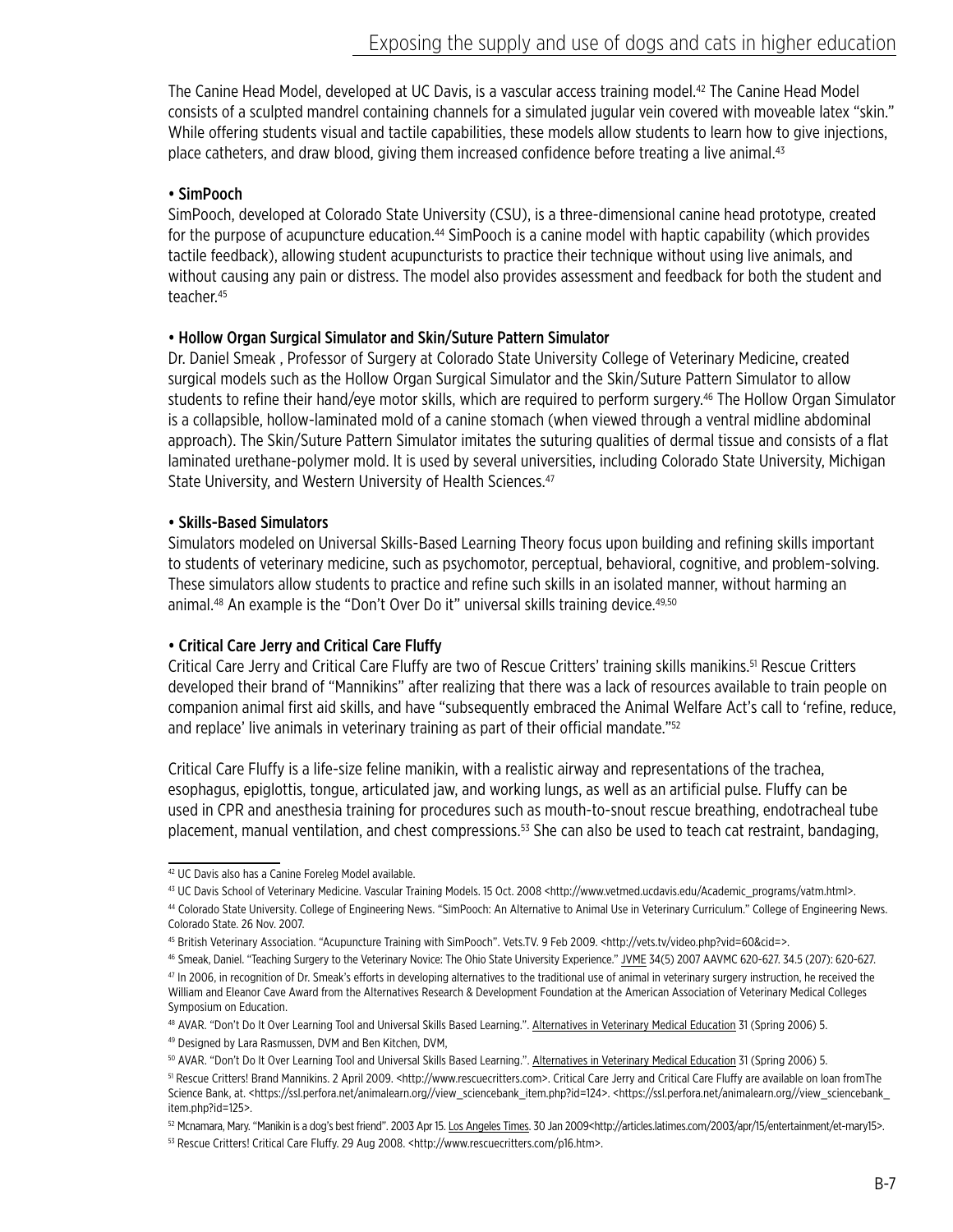The Canine Head Model, developed at UC Davis, is a vascular access training model.<sup>42</sup> The Canine Head Model consists of a sculpted mandrel containing channels for a simulated jugular vein covered with moveable latex "skin." While offering students visual and tactile capabilities, these models allow students to learn how to give injections, place catheters, and draw blood, giving them increased confidence before treating a live animal.<sup>43</sup>

## • SimPooch

SimPooch, developed at Colorado State University (CSU), is a three-dimensional canine head prototype, created for the purpose of acupuncture education.<sup>44</sup> SimPooch is a canine model with haptic capability (which provides tactile feedback), allowing student acupuncturists to practice their technique without using live animals, and without causing any pain or distress. The model also provides assessment and feedback for both the student and teacher.45

## • Hollow Organ Surgical Simulator and Skin/Suture Pattern Simulator

Dr. Daniel Smeak , Professor of Surgery at Colorado State University College of Veterinary Medicine, created surgical models such as the Hollow Organ Surgical Simulator and the Skin/Suture Pattern Simulator to allow students to refine their hand/eye motor skills, which are required to perform surgery.46 The Hollow Organ Simulator is a collapsible, hollow-laminated mold of a canine stomach (when viewed through a ventral midline abdominal approach). The Skin/Suture Pattern Simulator imitates the suturing qualities of dermal tissue and consists of a flat laminated urethane-polymer mold. It is used by several universities, including Colorado State University, Michigan State University, and Western University of Health Sciences.<sup>47</sup>

## • Skills-Based Simulators

Simulators modeled on Universal Skills-Based Learning Theory focus upon building and refining skills important to students of veterinary medicine, such as psychomotor, perceptual, behavioral, cognitive, and problem-solving. These simulators allow students to practice and refine such skills in an isolated manner, without harming an animal.<sup>48</sup> An example is the "Don't Over Do it" universal skills training device.<sup>49,50</sup>

# • Critical Care Jerry and Critical Care Fluffy

Critical Care Jerry and Critical Care Fluffy are two of Rescue Critters' training skills manikins.<sup>51</sup> Rescue Critters developed their brand of "Mannikins" after realizing that there was a lack of resources available to train people on companion animal first aid skills, and have "subsequently embraced the Animal Welfare Act's call to 'refine, reduce, and replace' live animals in veterinary training as part of their official mandate."<sup>52</sup>

Critical Care Fluffy is a life-size feline manikin, with a realistic airway and representations of the trachea, esophagus, epiglottis, tongue, articulated jaw, and working lungs, as well as an artificial pulse. Fluffy can be used in CPR and anesthesia training for procedures such as mouth-to-snout rescue breathing, endotracheal tube placement, manual ventilation, and chest compressions.<sup>53</sup> She can also be used to teach cat restraint, bandaging,

<sup>42</sup> UC Davis also has a Canine Foreleg Model available.

<sup>43</sup> UC Davis School of Veterinary Medicine. Vascular Training Models. 15 Oct. 2008 <http://www.vetmed.ucdavis.edu/Academic\_programs/vatm.html>.

<sup>44</sup> Colorado State University. College of Engineering News. "SimPooch: An Alternative to Animal Use in Veterinary Curriculum." College of Engineering News. Colorado State. 26 Nov. 2007.

<sup>45</sup> British Veterinary Association. "Acupuncture Training with SimPooch". Vets.TV. 9 Feb 2009. <http://vets.tv/video.php?vid=60&cid=>.

<sup>46</sup> Smeak, Daniel. "Teaching Surgery to the Veterinary Novice: The Ohio State University Experience." JVME 34(5) 2007 AAVMC 620-627. 34.5 (207): 620-627.

<sup>47</sup> In 2006, in recognition of Dr. Smeak's efforts in developing alternatives to the traditional use of animal in veterinary surgery instruction, he received the William and Eleanor Cave Award from the Alternatives Research & Development Foundation at the American Association of Veterinary Medical Colleges Symposium on Education.

<sup>48</sup> AVAR. "Don't Do It Over Learning Tool and Universal Skills Based Learning.". Alternatives in Veterinary Medical Education 31 (Spring 2006) 5.

<sup>49</sup> Designed by Lara Rasmussen, DVM and Ben Kitchen, DVM,

<sup>50</sup> AVAR. "Don't Do It Over Learning Tool and Universal Skills Based Learning.". Alternatives in Veterinary Medical Education 31 (Spring 2006) 5.

<sup>51</sup> Rescue Critters! Brand Mannikins. 2 April 2009. <http://www.rescuecritters.com>. Critical Care Jerry and Critical Care Fluffy are available on loan fromThe Science Bank, at. <https://ssl.perfora.net/animalearn.org//view\_sciencebank\_item.php?id=124>. <https://ssl.perfora.net/animalearn.org//view\_sciencebank\_ item.php?id=125>.

<sup>52</sup> Mcnamara, Mary. "Manikin is a dog's best friend". 2003 Apr 15. Los Angeles Times. 30 Jan 2009<http://articles.latimes.com/2003/apr/15/entertainment/et-mary15>.

<sup>53</sup> Rescue Critters! Critical Care Fluffy. 29 Aug 2008. <http://www.rescuecritters.com/p16.htm>.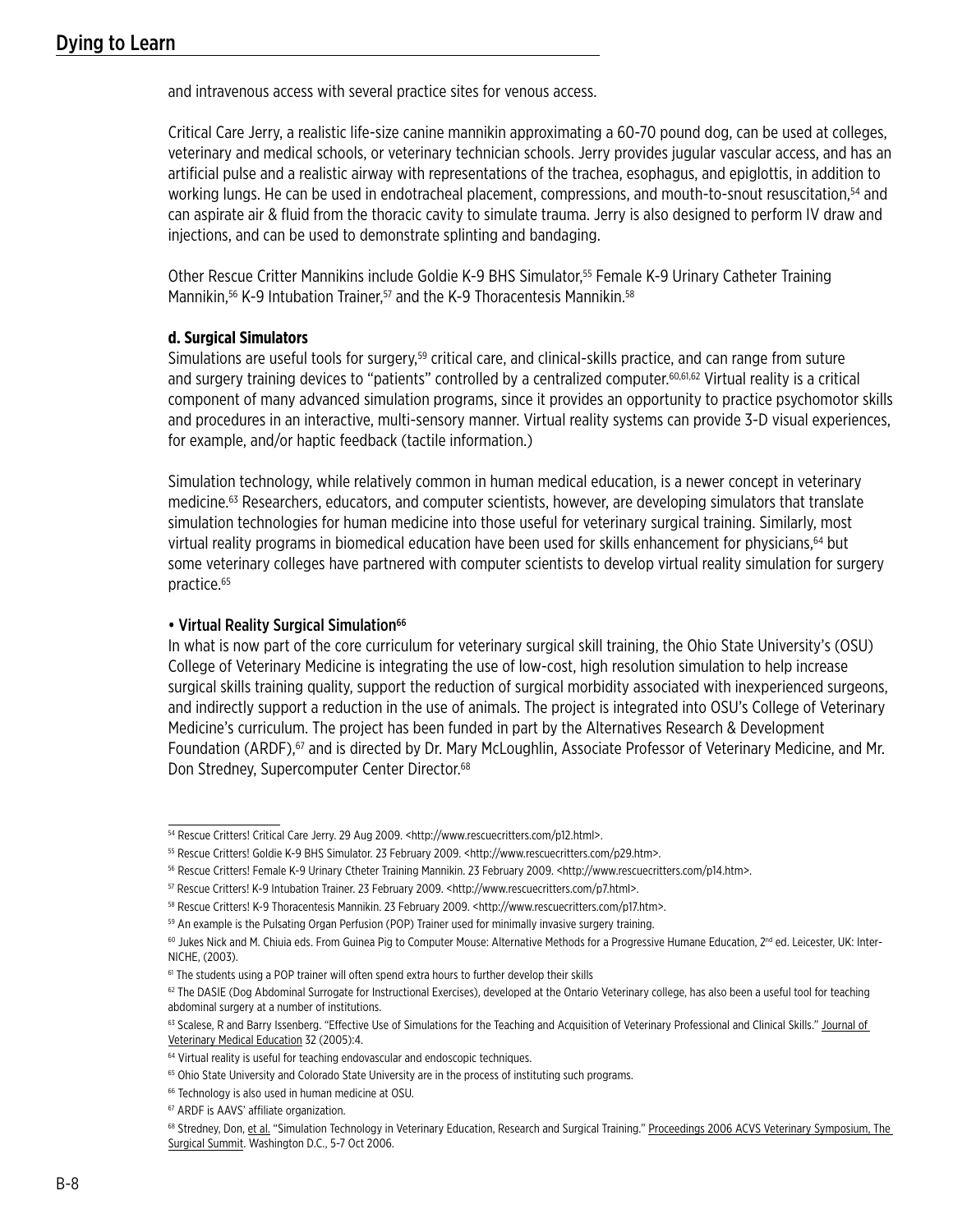and intravenous access with several practice sites for venous access.

Critical Care Jerry, a realistic life-size canine mannikin approximating a 60-70 pound dog, can be used at colleges, veterinary and medical schools, or veterinary technician schools. Jerry provides jugular vascular access, and has an artificial pulse and a realistic airway with representations of the trachea, esophagus, and epiglottis, in addition to working lungs. He can be used in endotracheal placement, compressions, and mouth-to-snout resuscitation,<sup>54</sup> and can aspirate air & fluid from the thoracic cavity to simulate trauma. Jerry is also designed to perform IV draw and injections, and can be used to demonstrate splinting and bandaging.

Other Rescue Critter Mannikins include Goldie K-9 BHS Simulator,55 Female K-9 Urinary Catheter Training Mannikin,<sup>56</sup> K-9 Intubation Trainer,<sup>57</sup> and the K-9 Thoracentesis Mannikin.<sup>58</sup>

#### **d. Surgical Simulators**

Simulations are useful tools for surgery,<sup>59</sup> critical care, and clinical-skills practice, and can range from suture and surgery training devices to "patients" controlled by a centralized computer.60,61,62 Virtual reality is a critical component of many advanced simulation programs, since it provides an opportunity to practice psychomotor skills and procedures in an interactive, multi-sensory manner. Virtual reality systems can provide 3-D visual experiences, for example, and/or haptic feedback (tactile information.)

Simulation technology, while relatively common in human medical education, is a newer concept in veterinary medicine.<sup>63</sup> Researchers, educators, and computer scientists, however, are developing simulators that translate simulation technologies for human medicine into those useful for veterinary surgical training. Similarly, most virtual reality programs in biomedical education have been used for skills enhancement for physicians,<sup>64</sup> but some veterinary colleges have partnered with computer scientists to develop virtual reality simulation for surgery practice.65

### • Virtual Reality Surgical Simulation<sup>66</sup>

In what is now part of the core curriculum for veterinary surgical skill training, the Ohio State University's (OSU) College of Veterinary Medicine is integrating the use of low-cost, high resolution simulation to help increase surgical skills training quality, support the reduction of surgical morbidity associated with inexperienced surgeons, and indirectly support a reduction in the use of animals. The project is integrated into OSU's College of Veterinary Medicine's curriculum. The project has been funded in part by the Alternatives Research & Development Foundation (ARDF),<sup>67</sup> and is directed by Dr. Mary McLoughlin, Associate Professor of Veterinary Medicine, and Mr. Don Stredney, Supercomputer Center Director.<sup>68</sup>

<sup>54</sup> Rescue Critters! Critical Care Jerry. 29 Aug 2009. <http://www.rescuecritters.com/p12.html>.

<sup>55</sup> Rescue Critters! Goldie K-9 BHS Simulator. 23 February 2009. <http://www.rescuecritters.com/p29.htm>.

<sup>56</sup> Rescue Critters! Female K-9 Urinary Ctheter Training Mannikin. 23 February 2009. <http://www.rescuecritters.com/p14.htm>.

<sup>57</sup> Rescue Critters! K-9 Intubation Trainer. 23 February 2009. <http://www.rescuecritters.com/p7.html>.

<sup>58</sup> Rescue Critters! K-9 Thoracentesis Mannikin. 23 February 2009. <http://www.rescuecritters.com/p17.htm>.

<sup>&</sup>lt;sup>59</sup> An example is the Pulsating Organ Perfusion (POP) Trainer used for minimally invasive surgery training.

<sup>60</sup> Jukes Nick and M. Chiuia eds. From Guinea Pig to Computer Mouse: Alternative Methods for a Progressive Humane Education, 2<sup>nd</sup> ed. Leicester, UK: Inter-NICHE, (2003).

<sup>&</sup>lt;sup>61</sup> The students using a POP trainer will often spend extra hours to further develop their skills

<sup>62</sup> The DASIE (Dog Abdominal Surrogate for Instructional Exercises), developed at the Ontario Veterinary college, has also been a useful tool for teaching abdominal surgery at a number of institutions.

<sup>63</sup> Scalese, R and Barry Issenberg. "Effective Use of Simulations for the Teaching and Acquisition of Veterinary Professional and Clinical Skills." Journal of Veterinary Medical Education 32 (2005):4.

<sup>&</sup>lt;sup>64</sup> Virtual reality is useful for teaching endovascular and endoscopic techniques.

<sup>&</sup>lt;sup>65</sup> Ohio State University and Colorado State University are in the process of instituting such programs.

<sup>&</sup>lt;sup>66</sup> Technology is also used in human medicine at OSU.

<sup>67</sup> ARDF is AAVS' affiliate organization.

<sup>68</sup> Stredney, Don, et al. "Simulation Technology in Veterinary Education, Research and Surgical Training." Proceedings 2006 ACVS Veterinary Symposium, The Surgical Summit. Washington D.C., 5-7 Oct 2006.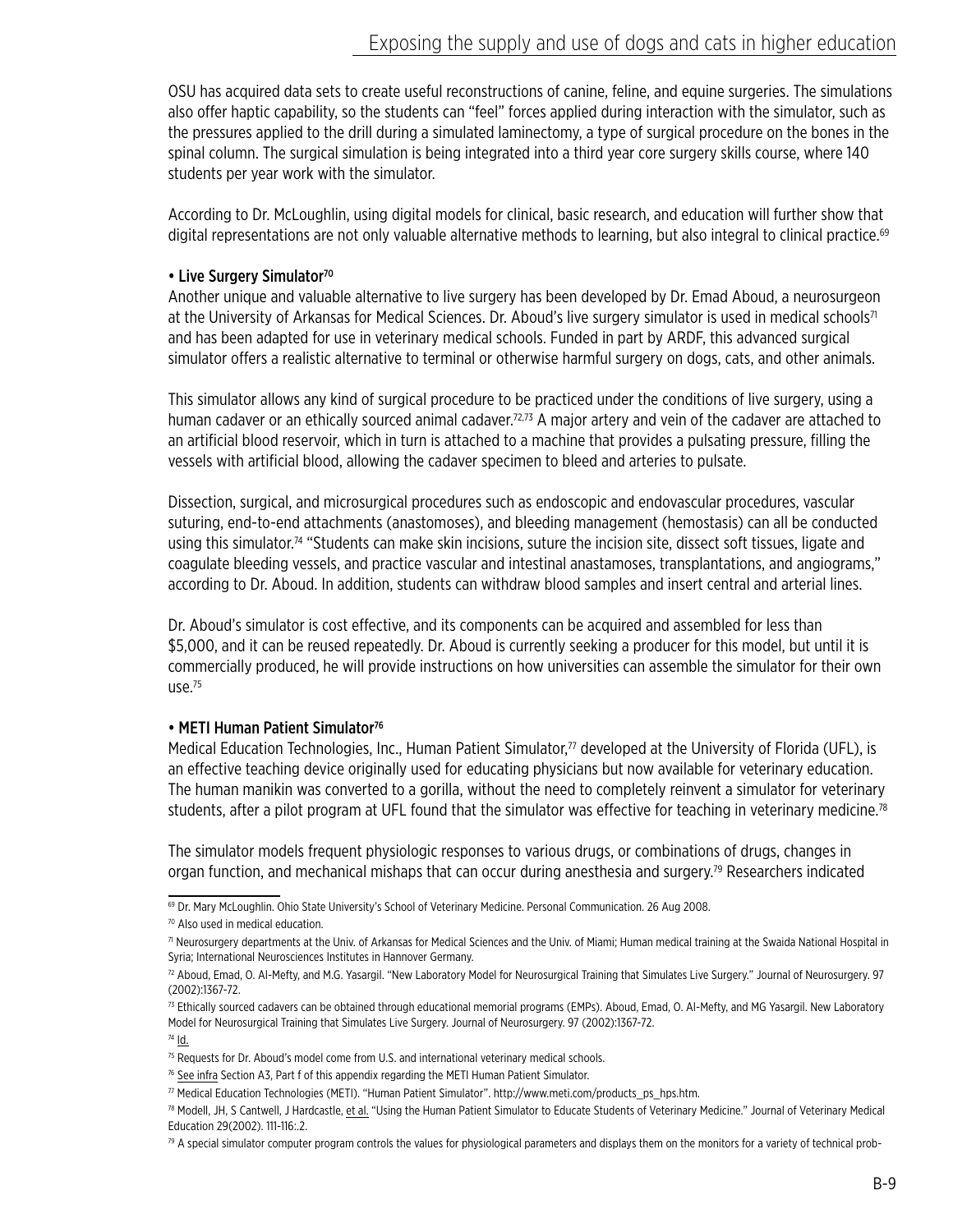OSU has acquired data sets to create useful reconstructions of canine, feline, and equine surgeries. The simulations also offer haptic capability, so the students can "feel" forces applied during interaction with the simulator, such as the pressures applied to the drill during a simulated laminectomy, a type of surgical procedure on the bones in the spinal column. The surgical simulation is being integrated into a third year core surgery skills course, where 140 students per year work with the simulator.

According to Dr. McLoughlin, using digital models for clinical, basic research, and education will further show that digital representations are not only valuable alternative methods to learning, but also integral to clinical practice.<sup>69</sup>

## • Live Surgery Simulator<sup>70</sup>

Another unique and valuable alternative to live surgery has been developed by Dr. Emad Aboud, a neurosurgeon at the University of Arkansas for Medical Sciences. Dr. Aboud's live surgery simulator is used in medical schools<sup>71</sup> and has been adapted for use in veterinary medical schools. Funded in part by ARDF, this advanced surgical simulator offers a realistic alternative to terminal or otherwise harmful surgery on dogs, cats, and other animals.

This simulator allows any kind of surgical procedure to be practiced under the conditions of live surgery, using a human cadaver or an ethically sourced animal cadaver.<sup>72,73</sup> A major artery and vein of the cadaver are attached to an artificial blood reservoir, which in turn is attached to a machine that provides a pulsating pressure, filling the vessels with artificial blood, allowing the cadaver specimen to bleed and arteries to pulsate.

Dissection, surgical, and microsurgical procedures such as endoscopic and endovascular procedures, vascular suturing, end-to-end attachments (anastomoses), and bleeding management (hemostasis) can all be conducted using this simulator.<sup>74</sup> "Students can make skin incisions, suture the incision site, dissect soft tissues, ligate and coagulate bleeding vessels, and practice vascular and intestinal anastamoses, transplantations, and angiograms," according to Dr. Aboud. In addition, students can withdraw blood samples and insert central and arterial lines.

Dr. Aboud's simulator is cost effective, and its components can be acquired and assembled for less than \$5,000, and it can be reused repeatedly. Dr. Aboud is currently seeking a producer for this model, but until it is commercially produced, he will provide instructions on how universities can assemble the simulator for their own use. $75$ 

## • METI Human Patient Simulator<sup>76</sup>

Medical Education Technologies, Inc., Human Patient Simulator,<sup>77</sup> developed at the University of Florida (UFL), is an effective teaching device originally used for educating physicians but now available for veterinary education. The human manikin was converted to a gorilla, without the need to completely reinvent a simulator for veterinary students, after a pilot program at UFL found that the simulator was effective for teaching in veterinary medicine.<sup>78</sup>

The simulator models frequent physiologic responses to various drugs, or combinations of drugs, changes in organ function, and mechanical mishaps that can occur during anesthesia and surgery.<sup>79</sup> Researchers indicated

69 Dr. Mary McLoughlin. Ohio State University's School of Veterinary Medicine. Personal Communication. 26 Aug 2008.

<sup>70</sup> Also used in medical education.

<sup>&</sup>lt;sup>71</sup> Neurosurgery departments at the Univ. of Arkansas for Medical Sciences and the Univ. of Miami; Human medical training at the Swaida National Hospital in Syria; International Neurosciences Institutes in Hannover Germany.

<sup>72</sup> Aboud, Emad, O. Al-Mefty, and M.G. Yasargil. "New Laboratory Model for Neurosurgical Training that Simulates Live Surgery." Journal of Neurosurgery. 97 (2002):1367-72.

<sup>73</sup> Ethically sourced cadavers can be obtained through educational memorial programs (EMPs). Aboud, Emad, O. Al-Mefty, and MG Yasargil. New Laboratory Model for Neurosurgical Training that Simulates Live Surgery. Journal of Neurosurgery. 97 (2002):1367-72.

 $74$   $\underline{\mathsf{Id}}$ .

<sup>75</sup> Requests for Dr. Aboud's model come from U.S. and international veterinary medical schools.

<sup>76</sup> See infra Section A3, Part f of this appendix regarding the METI Human Patient Simulator.

<sup>77</sup> Medical Education Technologies (METI). "Human Patient Simulator". http://www.meti.com/products\_ps\_hps.htm.

<sup>78</sup> Modell, JH, S Cantwell, J Hardcastle, et al. "Using the Human Patient Simulator to Educate Students of Veterinary Medicine." Journal of Veterinary Medical Education 29(2002). 111-116:.2.

<sup>79</sup> A special simulator computer program controls the values for physiological parameters and displays them on the monitors for a variety of technical prob-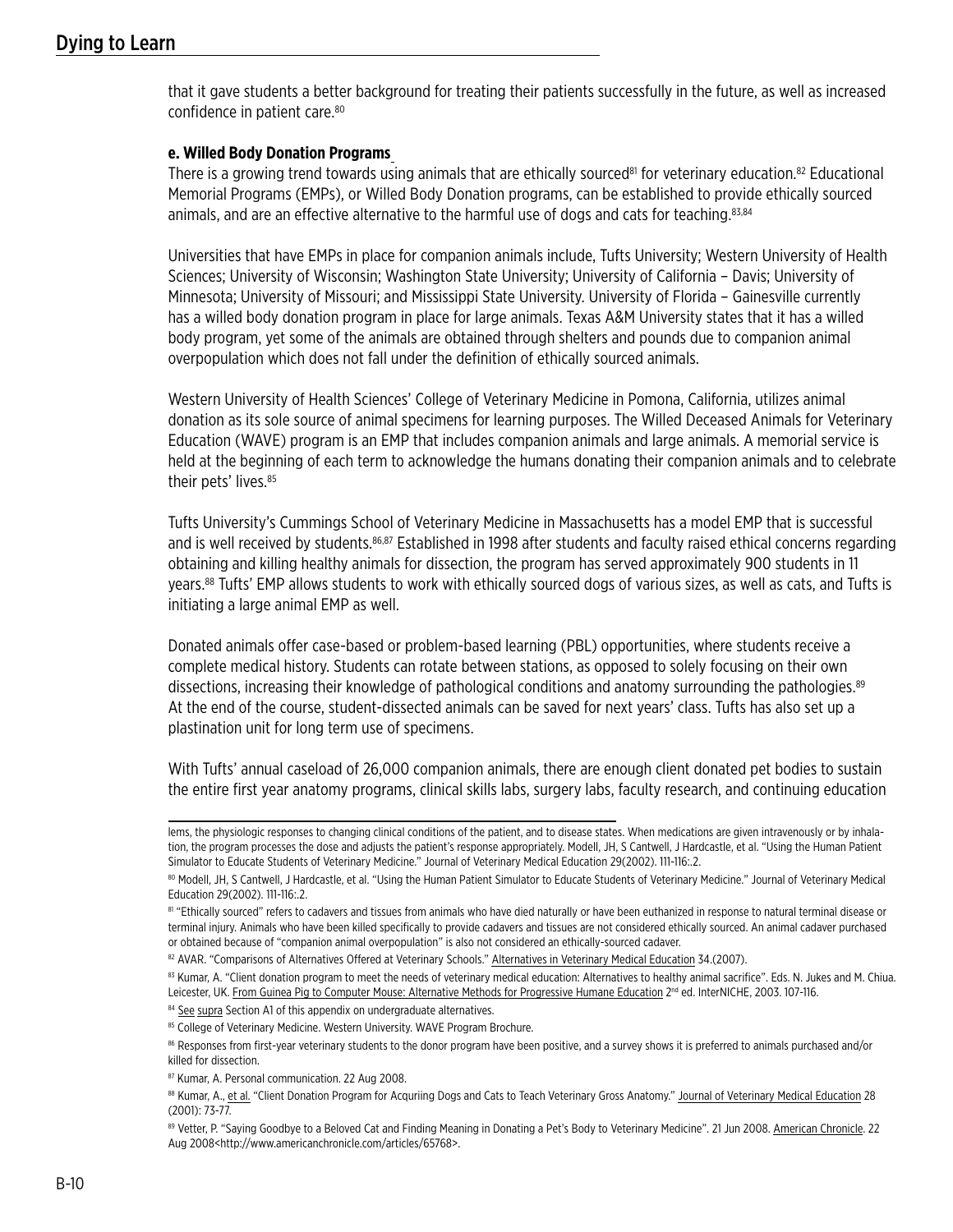that it gave students a better background for treating their patients successfully in the future, as well as increased confidence in patient care.<sup>80</sup>

#### **e. Willed Body Donation Programs**

There is a growing trend towards using animals that are ethically sourced<sup>81</sup> for veterinary education.<sup>82</sup> Educational Memorial Programs (EMPs), or Willed Body Donation programs, can be established to provide ethically sourced animals, and are an effective alternative to the harmful use of dogs and cats for teaching.<sup>83,84</sup>

Universities that have EMPs in place for companion animals include, Tufts University; Western University of Health Sciences; University of Wisconsin; Washington State University; University of California – Davis; University of Minnesota; University of Missouri; and Mississippi State University. University of Florida – Gainesville currently has a willed body donation program in place for large animals. Texas A&M University states that it has a willed body program, yet some of the animals are obtained through shelters and pounds due to companion animal overpopulation which does not fall under the definition of ethically sourced animals.

Western University of Health Sciences' College of Veterinary Medicine in Pomona, California, utilizes animal donation as its sole source of animal specimens for learning purposes. The Willed Deceased Animals for Veterinary Education (WAVE) program is an EMP that includes companion animals and large animals. A memorial service is held at the beginning of each term to acknowledge the humans donating their companion animals and to celebrate their pets' lives.<sup>85</sup>

Tufts University's Cummings School of Veterinary Medicine in Massachusetts has a model EMP that is successful and is well received by students.<sup>86,87</sup> Established in 1998 after students and faculty raised ethical concerns regarding obtaining and killing healthy animals for dissection, the program has served approximately 900 students in 11 years.88 Tufts' EMP allows students to work with ethically sourced dogs of various sizes, as well as cats, and Tufts is initiating a large animal EMP as well.

Donated animals offer case-based or problem-based learning (PBL) opportunities, where students receive a complete medical history. Students can rotate between stations, as opposed to solely focusing on their own dissections, increasing their knowledge of pathological conditions and anatomy surrounding the pathologies.<sup>89</sup> At the end of the course, student-dissected animals can be saved for next years' class. Tufts has also set up a plastination unit for long term use of specimens.

With Tufts' annual caseload of 26,000 companion animals, there are enough client donated pet bodies to sustain the entire first year anatomy programs, clinical skills labs, surgery labs, faculty research, and continuing education

84 See supra Section A1 of this appendix on undergraduate alternatives.

lems, the physiologic responses to changing clinical conditions of the patient, and to disease states. When medications are given intravenously or by inhalation, the program processes the dose and adjusts the patient's response appropriately. Modell, JH, S Cantwell, J Hardcastle, et al. "Using the Human Patient Simulator to Educate Students of Veterinary Medicine." Journal of Veterinary Medical Education 29(2002). 111-116:.2.

<sup>80</sup> Modell, JH, S Cantwell, J Hardcastle, et al. "Using the Human Patient Simulator to Educate Students of Veterinary Medicine." Journal of Veterinary Medical Education 29(2002). 111-116:.2.

<sup>81 &</sup>quot;Ethically sourced" refers to cadavers and tissues from animals who have died naturally or have been euthanized in response to natural terminal disease or terminal injury. Animals who have been killed specifically to provide cadavers and tissues are not considered ethically sourced. An animal cadaver purchased or obtained because of "companion animal overpopulation" is also not considered an ethically-sourced cadaver.

<sup>82</sup> AVAR. "Comparisons of Alternatives Offered at Veterinary Schools." Alternatives in Veterinary Medical Education 34.(2007).

<sup>83</sup> Kumar, A. "Client donation program to meet the needs of veterinary medical education: Alternatives to healthy animal sacrifice". Eds. N. Jukes and M. Chiua. Leicester, UK. From Guinea Pig to Computer Mouse: Alternative Methods for Progressive Humane Education 2<sup>nd</sup> ed. InterNICHE, 2003. 107-116.

<sup>85</sup> College of Veterinary Medicine. Western University. WAVE Program Brochure.

<sup>86</sup> Responses from first-year veterinary students to the donor program have been positive, and a survey shows it is preferred to animals purchased and/or killed for dissection.

<sup>87</sup> Kumar, A. Personal communication. 22 Aug 2008.

<sup>88</sup> Kumar, A., et al. "Client Donation Program for Acquriing Dogs and Cats to Teach Veterinary Gross Anatomy." Journal of Veterinary Medical Education 28 (2001): 73-77.

<sup>89</sup> Vetter, P. "Saying Goodbye to a Beloved Cat and Finding Meaning in Donating a Pet's Body to Veterinary Medicine". 21 Jun 2008. American Chronicle. 22 Aug 2008<http://www.americanchronicle.com/articles/65768>.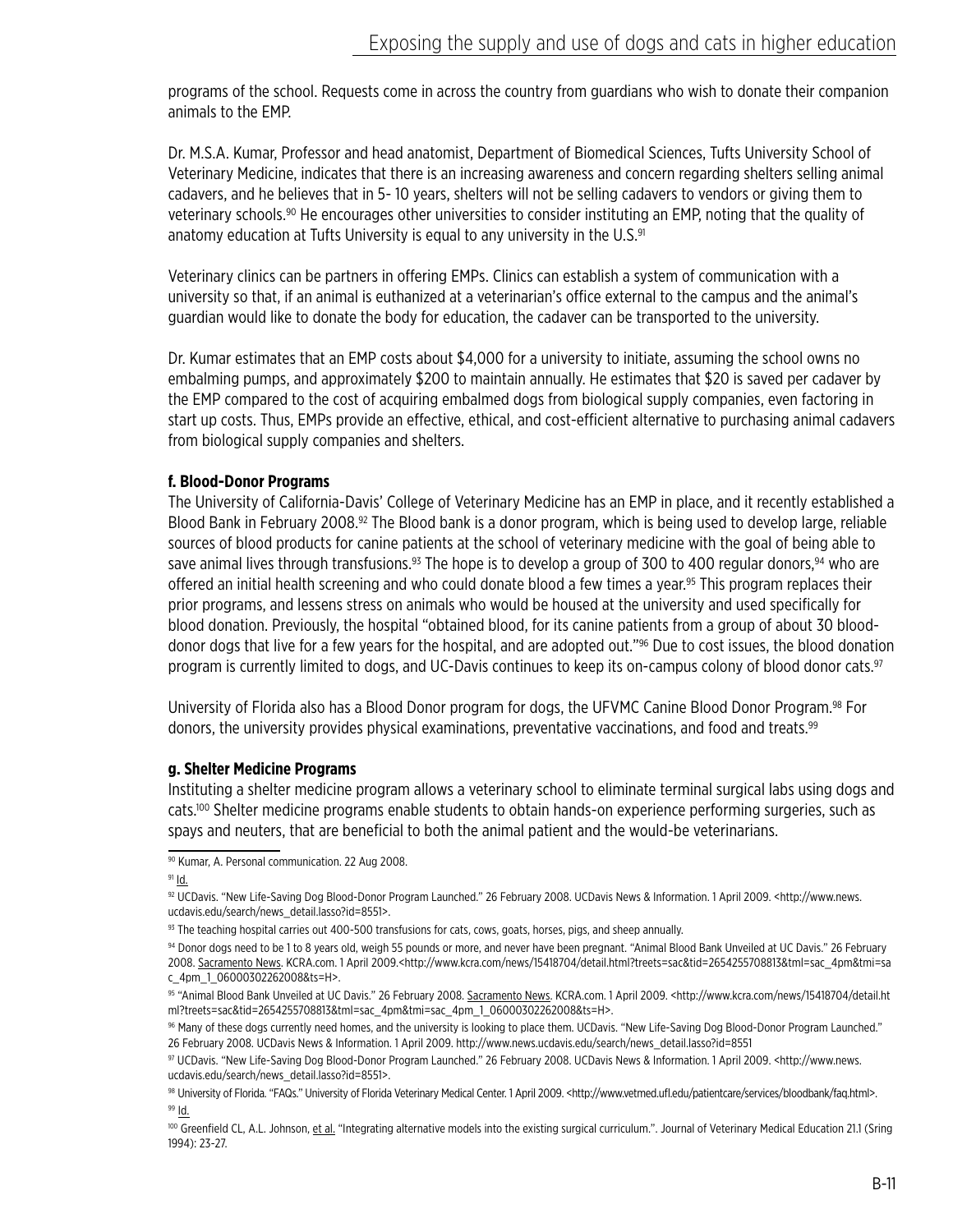programs of the school. Requests come in across the country from guardians who wish to donate their companion animals to the EMP.

Dr. M.S.A. Kumar, Professor and head anatomist, Department of Biomedical Sciences, Tufts University School of Veterinary Medicine, indicates that there is an increasing awareness and concern regarding shelters selling animal cadavers, and he believes that in 5- 10 years, shelters will not be selling cadavers to vendors or giving them to veterinary schools.90 He encourages other universities to consider instituting an EMP, noting that the quality of anatomy education at Tufts University is equal to any university in the U.S.<sup>91</sup>

Veterinary clinics can be partners in offering EMPs. Clinics can establish a system of communication with a university so that, if an animal is euthanized at a veterinarian's office external to the campus and the animal's guardian would like to donate the body for education, the cadaver can be transported to the university.

Dr. Kumar estimates that an EMP costs about \$4,000 for a university to initiate, assuming the school owns no embalming pumps, and approximately \$200 to maintain annually. He estimates that \$20 is saved per cadaver by the EMP compared to the cost of acquiring embalmed dogs from biological supply companies, even factoring in start up costs. Thus, EMPs provide an effective, ethical, and cost-efficient alternative to purchasing animal cadavers from biological supply companies and shelters.

## **f. Blood-Donor Programs**

The University of California-Davis' College of Veterinary Medicine has an EMP in place, and it recently established a Blood Bank in February 2008.<sup>92</sup> The Blood bank is a donor program, which is being used to develop large, reliable sources of blood products for canine patients at the school of veterinary medicine with the goal of being able to save animal lives through transfusions.<sup>93</sup> The hope is to develop a group of 300 to 400 regular donors,<sup>94</sup> who are offered an initial health screening and who could donate blood a few times a year.<sup>95</sup> This program replaces their prior programs, and lessens stress on animals who would be housed at the university and used specifically for blood donation. Previously, the hospital "obtained blood, for its canine patients from a group of about 30 blooddonor dogs that live for a few years for the hospital, and are adopted out."96 Due to cost issues, the blood donation program is currently limited to dogs, and UC-Davis continues to keep its on-campus colony of blood donor cats.<sup>97</sup>

University of Florida also has a Blood Donor program for dogs, the UFVMC Canine Blood Donor Program.98 For donors, the university provides physical examinations, preventative vaccinations, and food and treats.<sup>99</sup>

#### **g. Shelter Medicine Programs**

Instituting a shelter medicine program allows a veterinary school to eliminate terminal surgical labs using dogs and cats.100 Shelter medicine programs enable students to obtain hands-on experience performing surgeries, such as spays and neuters, that are beneficial to both the animal patient and the would-be veterinarians.

 $91$  Id.

<sup>90</sup> Kumar, A. Personal communication. 22 Aug 2008.

<sup>92</sup> UCDavis. "New Life-Saving Dog Blood-Donor Program Launched." 26 February 2008. UCDavis News & Information. 1 April 2009. <http://www.news. ucdavis.edu/search/news\_detail.lasso?id=8551>.

 $93$  The teaching hospital carries out 400-500 transfusions for cats, cows, goats, horses, pigs, and sheep annually.

<sup>94</sup> Donor dogs need to be 1 to 8 years old, weigh 55 pounds or more, and never have been pregnant. "Animal Blood Bank Unveiled at UC Davis." 26 February 2008. Sacramento News. KCRA.com. 1 April 2009.<http://www.kcra.com/news/15418704/detail.html?treets=sac&tid=2654255708813&tml=sac\_4pm&tmi=sa c\_4pm\_1\_06000302262008&ts=H>.

<sup>95 &</sup>quot;Animal Blood Bank Unveiled at UC Davis." 26 February 2008. Sacramento News. KCRA.com. 1 April 2009. <http://www.kcra.com/news/15418704/detail.ht ml?treets=sac&tid=2654255708813&tml=sac\_4pm&tmi=sac\_4pm\_1\_06000302262008&ts=H>.

<sup>96</sup> Many of these dogs currently need homes, and the university is looking to place them. UCDavis. "New Life-Saving Dog Blood-Donor Program Launched." 26 February 2008. UCDavis News & Information. 1 April 2009. http://www.news.ucdavis.edu/search/news\_detail.lasso?id=8551

<sup>97</sup> UCDavis. "New Life-Saving Dog Blood-Donor Program Launched." 26 February 2008. UCDavis News & Information. 1 April 2009. <http://www.news. ucdavis.edu/search/news\_detail.lasso?id=8551>.

<sup>98</sup> University of Florida. "FAQs." University of Florida Veterinary Medical Center. 1 April 2009. <http://www.vetmed.ufl.edu/patientcare/services/bloodbank/faq.html>. <sup>99</sup> Id.

<sup>&</sup>lt;sup>100</sup> Greenfield CL, A.L. Johnson, et al. "Integrating alternative models into the existing surgical curriculum.". Journal of Veterinary Medical Education 21.1 (Sring 1994): 23-27.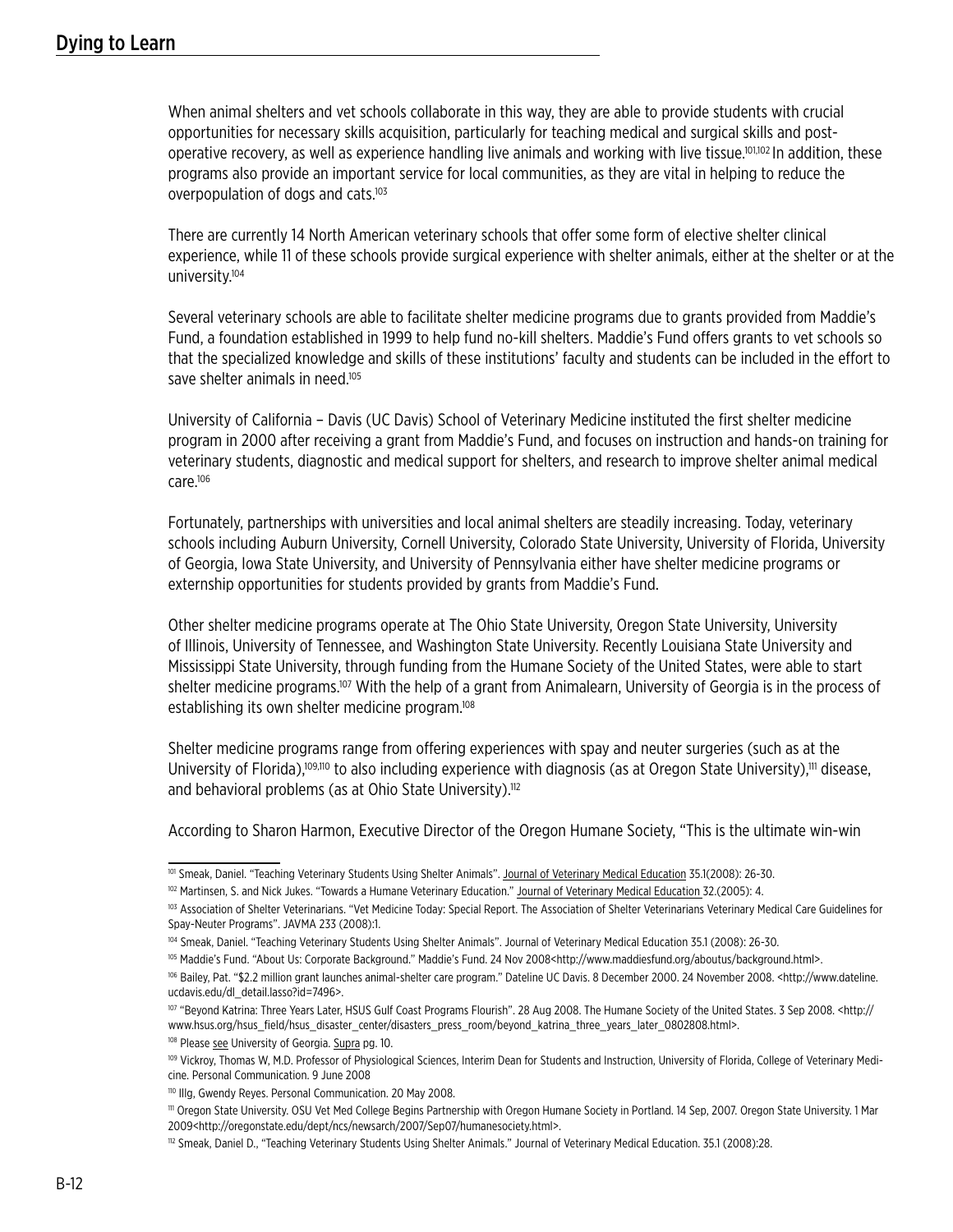When animal shelters and vet schools collaborate in this way, they are able to provide students with crucial opportunities for necessary skills acquisition, particularly for teaching medical and surgical skills and postoperative recovery, as well as experience handling live animals and working with live tissue.101,102 In addition, these programs also provide an important service for local communities, as they are vital in helping to reduce the overpopulation of dogs and cats.<sup>103</sup>

There are currently 14 North American veterinary schools that offer some form of elective shelter clinical experience, while 11 of these schools provide surgical experience with shelter animals, either at the shelter or at the university.104

Several veterinary schools are able to facilitate shelter medicine programs due to grants provided from Maddie's Fund, a foundation established in 1999 to help fund no-kill shelters. Maddie's Fund offers grants to vet schools so that the specialized knowledge and skills of these institutions' faculty and students can be included in the effort to save shelter animals in need.<sup>105</sup>

University of California – Davis (UC Davis) School of Veterinary Medicine instituted the first shelter medicine program in 2000 after receiving a grant from Maddie's Fund, and focuses on instruction and hands-on training for veterinary students, diagnostic and medical support for shelters, and research to improve shelter animal medical care.106

Fortunately, partnerships with universities and local animal shelters are steadily increasing. Today, veterinary schools including Auburn University, Cornell University, Colorado State University, University of Florida, University of Georgia, Iowa State University, and University of Pennsylvania either have shelter medicine programs or externship opportunities for students provided by grants from Maddie's Fund.

Other shelter medicine programs operate at The Ohio State University, Oregon State University, University of Illinois, University of Tennessee, and Washington State University. Recently Louisiana State University and Mississippi State University, through funding from the Humane Society of the United States, were able to start shelter medicine programs.<sup>107</sup> With the help of a grant from Animalearn, University of Georgia is in the process of establishing its own shelter medicine program.<sup>108</sup>

Shelter medicine programs range from offering experiences with spay and neuter surgeries (such as at the University of Florida),<sup>109,110</sup> to also including experience with diagnosis (as at Oregon State University),<sup>111</sup> disease, and behavioral problems (as at Ohio State University).<sup>112</sup>

According to Sharon Harmon, Executive Director of the Oregon Humane Society, "This is the ultimate win-win

<sup>101</sup> Smeak, Daniel. "Teaching Veterinary Students Using Shelter Animals". Journal of Veterinary Medical Education 35.1(2008): 26-30.

<sup>102</sup> Martinsen, S. and Nick Jukes. "Towards a Humane Veterinary Education." Journal of Veterinary Medical Education 32.(2005): 4.

<sup>103</sup> Association of Shelter Veterinarians. "Vet Medicine Today: Special Report. The Association of Shelter Veterinarians Veterinary Medical Care Guidelines for Spay-Neuter Programs". JAVMA 233 (2008):1.

<sup>104</sup> Smeak, Daniel. "Teaching Veterinary Students Using Shelter Animals". Journal of Veterinary Medical Education 35.1 (2008): 26-30.

<sup>105</sup> Maddie's Fund. "About Us: Corporate Background." Maddie's Fund. 24 Nov 2008<http://www.maddiesfund.org/aboutus/background.html>.

<sup>106</sup> Bailey, Pat. "\$2.2 million grant launches animal-shelter care program." Dateline UC Davis. 8 December 2000. 24 November 2008. <http://www.dateline. ucdavis.edu/dl\_detail.lasso?id=7496>.

<sup>107 &</sup>quot;Beyond Katrina: Three Years Later, HSUS Gulf Coast Programs Flourish". 28 Aug 2008. The Humane Society of the United States. 3 Sep 2008. < http:// www.hsus.org/hsus\_field/hsus\_disaster\_center/disasters\_press\_room/beyond\_katrina\_three\_years\_later\_0802808.html>.

<sup>&</sup>lt;sup>108</sup> Please see University of Georgia. Supra pg. 10.

<sup>&</sup>lt;sup>109</sup> Vickroy, Thomas W, M.D. Professor of Physiological Sciences, Interim Dean for Students and Instruction, University of Florida, College of Veterinary Medicine. Personal Communication. 9 June 2008

<sup>110</sup> Illg, Gwendy Reyes. Personal Communication. 20 May 2008.

<sup>111</sup> Oregon State University. OSU Vet Med College Begins Partnership with Oregon Humane Society in Portland. 14 Sep, 2007. Oregon State University. 1 Mar 2009<http://oregonstate.edu/dept/ncs/newsarch/2007/Sep07/humanesociety.html>.

<sup>112</sup> Smeak, Daniel D., "Teaching Veterinary Students Using Shelter Animals." Journal of Veterinary Medical Education. 35.1 (2008):28.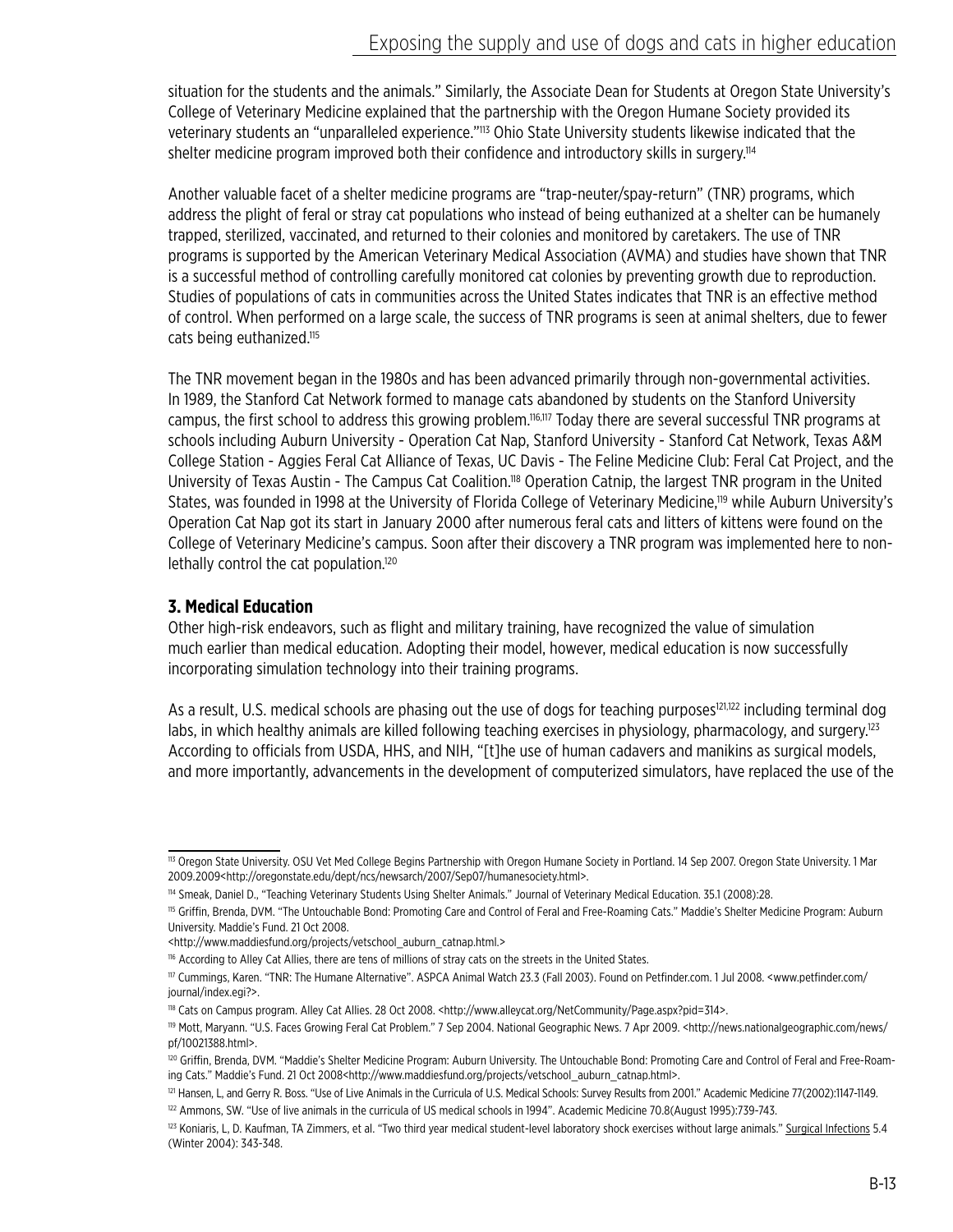situation for the students and the animals." Similarly, the Associate Dean for Students at Oregon State University's College of Veterinary Medicine explained that the partnership with the Oregon Humane Society provided its veterinary students an "unparalleled experience."<sup>113</sup> Ohio State University students likewise indicated that the shelter medicine program improved both their confidence and introductory skills in surgery.<sup>114</sup>

Another valuable facet of a shelter medicine programs are "trap-neuter/spay-return" (TNR) programs, which address the plight of feral or stray cat populations who instead of being euthanized at a shelter can be humanely trapped, sterilized, vaccinated, and returned to their colonies and monitored by caretakers. The use of TNR programs is supported by the American Veterinary Medical Association (AVMA) and studies have shown that TNR is a successful method of controlling carefully monitored cat colonies by preventing growth due to reproduction. Studies of populations of cats in communities across the United States indicates that TNR is an effective method of control. When performed on a large scale, the success of TNR programs is seen at animal shelters, due to fewer cats being euthanized.<sup>115</sup>

The TNR movement began in the 1980s and has been advanced primarily through non-governmental activities. In 1989, the Stanford Cat Network formed to manage cats abandoned by students on the Stanford University campus, the first school to address this growing problem.116,117 Today there are several successful TNR programs at schools including Auburn University - Operation Cat Nap, Stanford University - Stanford Cat Network, Texas A&M College Station - Aggies Feral Cat Alliance of Texas, UC Davis - The Feline Medicine Club: Feral Cat Project, and the University of Texas Austin - The Campus Cat Coalition.118 Operation Catnip, the largest TNR program in the United States, was founded in 1998 at the University of Florida College of Veterinary Medicine,<sup>119</sup> while Auburn University's Operation Cat Nap got its start in January 2000 after numerous feral cats and litters of kittens were found on the College of Veterinary Medicine's campus. Soon after their discovery a TNR program was implemented here to nonlethally control the cat population.<sup>120</sup>

# **3. Medical Education**

Other high-risk endeavors, such as flight and military training, have recognized the value of simulation much earlier than medical education. Adopting their model, however, medical education is now successfully incorporating simulation technology into their training programs.

As a result, U.S. medical schools are phasing out the use of dogs for teaching purposes<sup>121,122</sup> including terminal dog labs, in which healthy animals are killed following teaching exercises in physiology, pharmacology, and surgery.<sup>123</sup> According to officials from USDA, HHS, and NIH, "[t]he use of human cadavers and manikins as surgical models, and more importantly, advancements in the development of computerized simulators, have replaced the use of the

<sup>113</sup> Oregon State University. OSU Vet Med College Begins Partnership with Oregon Humane Society in Portland. 14 Sep 2007. Oregon State University. 1 Mar 2009.2009<http://oregonstate.edu/dept/ncs/newsarch/2007/Sep07/humanesociety.html>.

<sup>114</sup> Smeak, Daniel D., "Teaching Veterinary Students Using Shelter Animals." Journal of Veterinary Medical Education. 35.1 (2008):28.

<sup>115</sup> Griffin, Brenda, DVM. "The Untouchable Bond: Promoting Care and Control of Feral and Free-Roaming Cats." Maddie's Shelter Medicine Program: Auburn University. Maddie's Fund. 21 Oct 2008.

<sup>&</sup>lt;http://www.maddiesfund.org/projects/vetschool\_auburn\_catnap.html.>

<sup>116</sup> According to Alley Cat Allies, there are tens of millions of stray cats on the streets in the United States.

<sup>117</sup> Cummings, Karen. "TNR: The Humane Alternative". ASPCA Animal Watch 23.3 (Fall 2003). Found on Petfinder.com. 1 Jul 2008. <www.petfinder.com/ journal/index.egi?>.

<sup>118</sup> Cats on Campus program. Alley Cat Allies. 28 Oct 2008. <http://www.alleycat.org/NetCommunity/Page.aspx?pid=314>.

<sup>119</sup> Mott, Maryann. "U.S. Faces Growing Feral Cat Problem." 7 Sep 2004. National Geographic News. 7 Apr 2009. <http://news.nationalgeographic.com/news/ pf/10021388.html>.

<sup>&</sup>lt;sup>120</sup> Griffin, Brenda, DVM. "Maddie's Shelter Medicine Program: Auburn University. The Untouchable Bond: Promoting Care and Control of Feral and Free-Roaming Cats." Maddie's Fund. 21 Oct 2008<http://www.maddiesfund.org/projects/vetschool\_auburn\_catnap.html>.

<sup>&</sup>lt;sup>121</sup> Hansen, L, and Gerry R. Boss. "Use of Live Animals in the Curricula of U.S. Medical Schools: Survey Results from 2001." Academic Medicine 77(2002):1147-1149.

<sup>&</sup>lt;sup>122</sup> Ammons, SW. "Use of live animals in the curricula of US medical schools in 1994". Academic Medicine 70.8(August 1995):739-743.

<sup>&</sup>lt;sup>123</sup> Koniaris, L, D. Kaufman, TA Zimmers, et al. "Two third year medical student-level laboratory shock exercises without large animals." Surgical Infections 5.4 (Winter 2004): 343-348.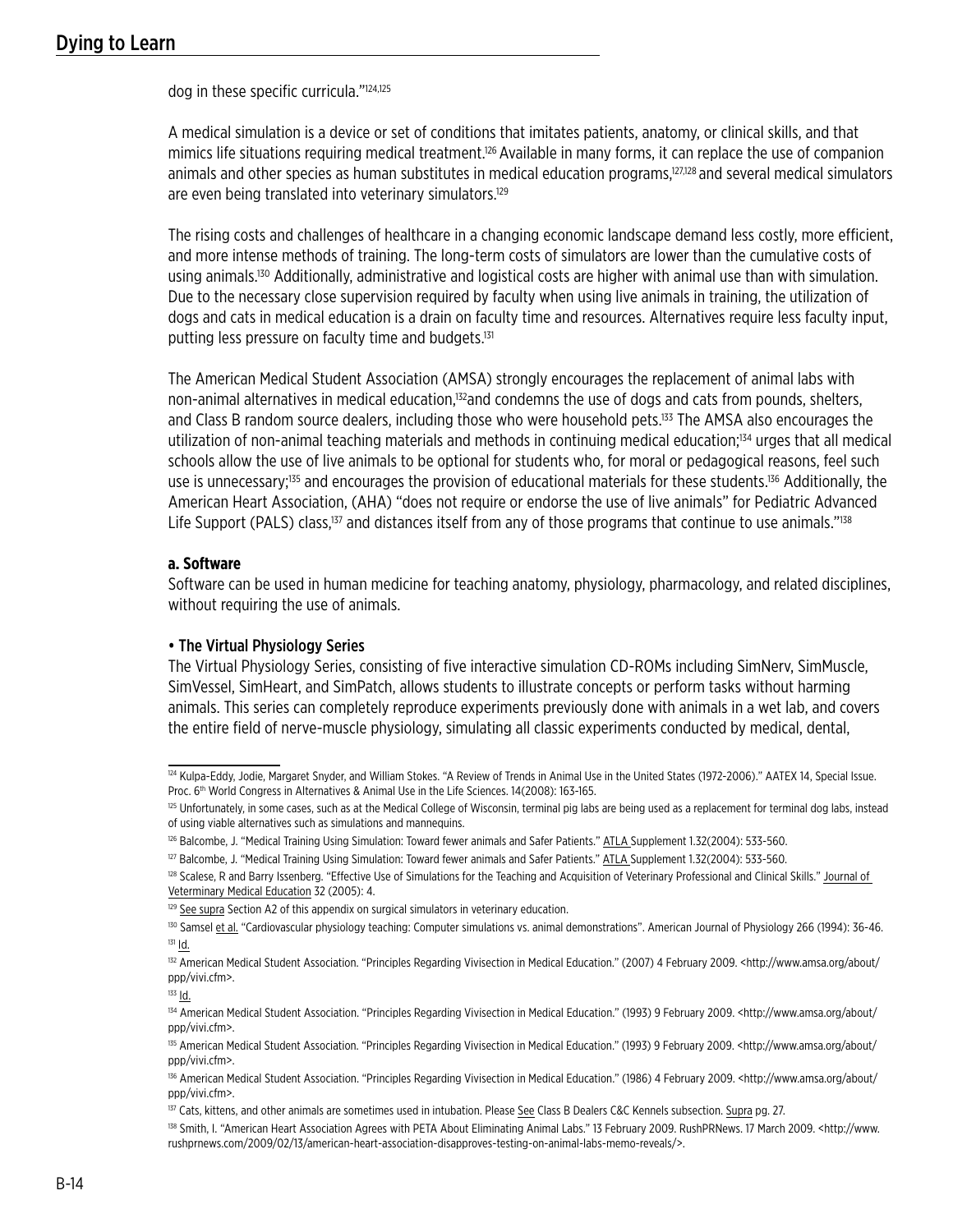dog in these specific curricula."124,125

A medical simulation is a device or set of conditions that imitates patients, anatomy, or clinical skills, and that mimics life situations requiring medical treatment.<sup>126</sup> Available in many forms, it can replace the use of companion animals and other species as human substitutes in medical education programs,<sup>127,128</sup> and several medical simulators are even being translated into veterinary simulators.<sup>129</sup>

The rising costs and challenges of healthcare in a changing economic landscape demand less costly, more efficient, and more intense methods of training. The long-term costs of simulators are lower than the cumulative costs of using animals.<sup>130</sup> Additionally, administrative and logistical costs are higher with animal use than with simulation. Due to the necessary close supervision required by faculty when using live animals in training, the utilization of dogs and cats in medical education is a drain on faculty time and resources. Alternatives require less faculty input, putting less pressure on faculty time and budgets.<sup>131</sup>

The American Medical Student Association (AMSA) strongly encourages the replacement of animal labs with non-animal alternatives in medical education,<sup>132</sup>and condemns the use of dogs and cats from pounds, shelters, and Class B random source dealers, including those who were household pets.<sup>133</sup> The AMSA also encourages the utilization of non-animal teaching materials and methods in continuing medical education;134 urges that all medical schools allow the use of live animals to be optional for students who, for moral or pedagogical reasons, feel such use is unnecessary;<sup>135</sup> and encourages the provision of educational materials for these students.<sup>136</sup> Additionally, the American Heart Association, (AHA) "does not require or endorse the use of live animals" for Pediatric Advanced Life Support (PALS) class,<sup>137</sup> and distances itself from any of those programs that continue to use animals."<sup>138</sup>

#### **a. Software**

Software can be used in human medicine for teaching anatomy, physiology, pharmacology, and related disciplines, without requiring the use of animals.

#### • The Virtual Physiology Series

The Virtual Physiology Series, consisting of five interactive simulation CD-ROMs including SimNerv, SimMuscle, SimVessel, SimHeart, and SimPatch, allows students to illustrate concepts or perform tasks without harming animals. This series can completely reproduce experiments previously done with animals in a wet lab, and covers the entire field of nerve-muscle physiology, simulating all classic experiments conducted by medical, dental,

<sup>&</sup>lt;sup>124</sup> Kulpa-Eddy, Jodie, Margaret Snyder, and William Stokes. "A Review of Trends in Animal Use in the United States (1972-2006)." AATEX 14, Special Issue. Proc. 6<sup>th</sup> World Congress in Alternatives & Animal Use in the Life Sciences. 14(2008): 163-165.

<sup>&</sup>lt;sup>125</sup> Unfortunately, in some cases, such as at the Medical College of Wisconsin, terminal pig labs are being used as a replacement for terminal dog labs, instead of using viable alternatives such as simulations and mannequins.

<sup>&</sup>lt;sup>126</sup> Balcombe, J. "Medical Training Using Simulation: Toward fewer animals and Safer Patients." ATLA Supplement 1.32(2004): 533-560.

<sup>&</sup>lt;sup>127</sup> Balcombe, J. "Medical Training Using Simulation: Toward fewer animals and Safer Patients." ATLA Supplement 1.32(2004): 533-560.

<sup>&</sup>lt;sup>128</sup> Scalese, R and Barry Issenberg. "Effective Use of Simulations for the Teaching and Acquisition of Veterinary Professional and Clinical Skills." Journal of Veterminary Medical Education 32 (2005): 4.

 $129$  See supra Section A2 of this appendix on surgical simulators in veterinary education.

<sup>&</sup>lt;sup>130</sup> Samsel et al. "Cardiovascular physiology teaching: Computer simulations vs. animal demonstrations". American Journal of Physiology 266 (1994): 36-46. <sup>131</sup> Id.

<sup>132</sup> American Medical Student Association. "Principles Regarding Vivisection in Medical Education." (2007) 4 February 2009. <http://www.amsa.org/about/ ppp/vivi.cfm>.

<sup>133</sup> Id.

<sup>134</sup> American Medical Student Association. "Principles Regarding Vivisection in Medical Education." (1993) 9 February 2009. <http://www.amsa.org/about/ ppp/vivi.cfm>.

<sup>135</sup> American Medical Student Association. "Principles Regarding Vivisection in Medical Education." (1993) 9 February 2009. <http://www.amsa.org/about/ ppp/vivi.cfm>.

<sup>136</sup> American Medical Student Association. "Principles Regarding Vivisection in Medical Education." (1986) 4 February 2009. <http://www.amsa.org/about/ ppp/vivi.cfm>.

<sup>&</sup>lt;sup>137</sup> Cats, kittens, and other animals are sometimes used in intubation. Please See Class B Dealers C&C Kennels subsection. Supra pg. 27.

<sup>138</sup> Smith, I. "American Heart Association Agrees with PETA About Eliminating Animal Labs." 13 February 2009. RushPRNews. 17 March 2009. < http://www. rushprnews.com/2009/02/13/american-heart-association-disapproves-testing-on-animal-labs-memo-reveals/>.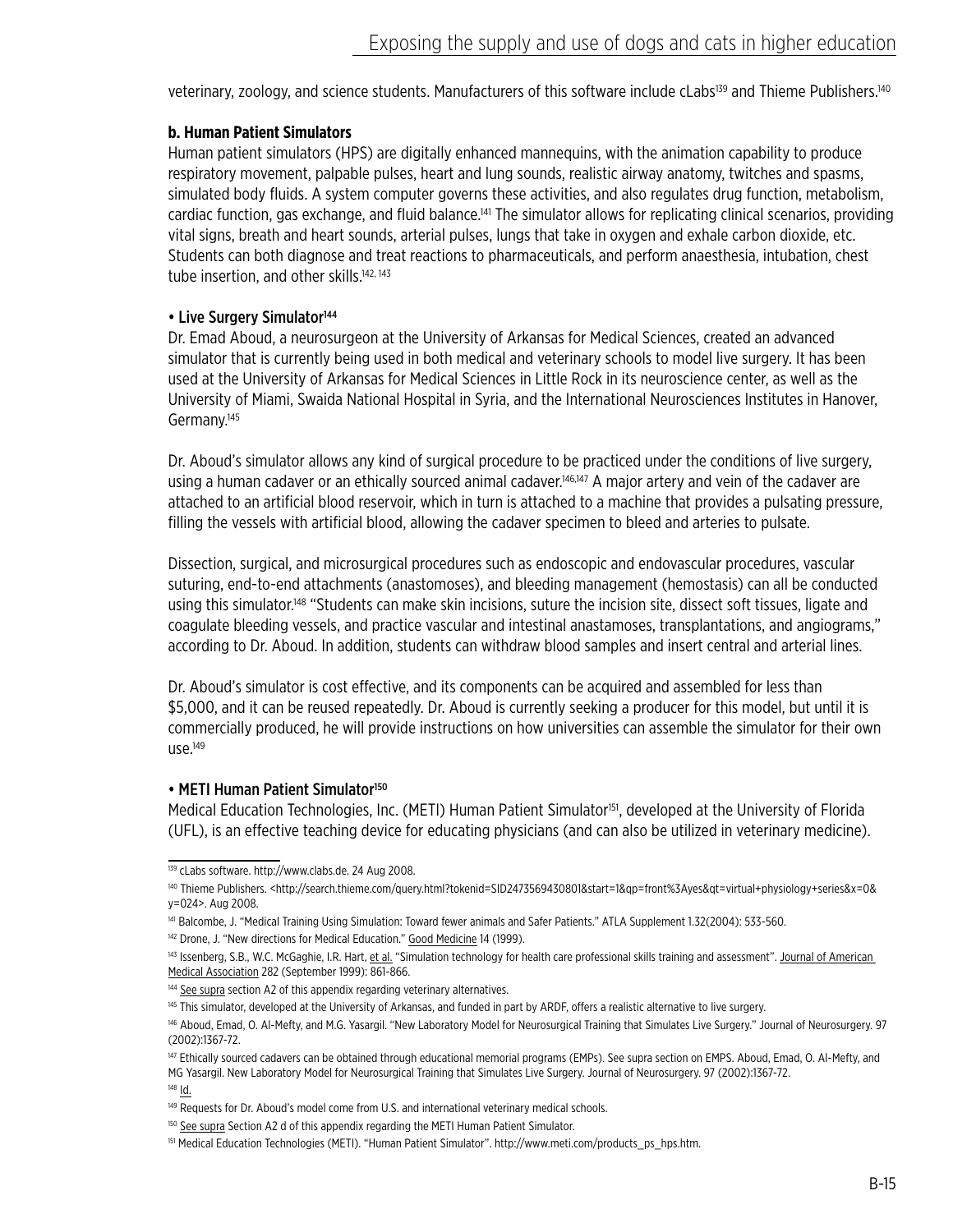veterinary, zoology, and science students. Manufacturers of this software include cLabs<sup>139</sup> and Thieme Publishers.<sup>140</sup>

### **b. Human Patient Simulators**

Human patient simulators (HPS) are digitally enhanced mannequins, with the animation capability to produce respiratory movement, palpable pulses, heart and lung sounds, realistic airway anatomy, twitches and spasms, simulated body fluids. A system computer governs these activities, and also regulates drug function, metabolism, cardiac function, gas exchange, and fluid balance.141 The simulator allows for replicating clinical scenarios, providing vital signs, breath and heart sounds, arterial pulses, lungs that take in oxygen and exhale carbon dioxide, etc. Students can both diagnose and treat reactions to pharmaceuticals, and perform anaesthesia, intubation, chest tube insertion, and other skills.<sup>142, 143</sup>

## • Live Surgery Simulator<sup>144</sup>

Dr. Emad Aboud, a neurosurgeon at the University of Arkansas for Medical Sciences, created an advanced simulator that is currently being used in both medical and veterinary schools to model live surgery. It has been used at the University of Arkansas for Medical Sciences in Little Rock in its neuroscience center, as well as the University of Miami, Swaida National Hospital in Syria, and the International Neurosciences Institutes in Hanover, Germany.<sup>145</sup>

Dr. Aboud's simulator allows any kind of surgical procedure to be practiced under the conditions of live surgery, using a human cadaver or an ethically sourced animal cadaver.<sup>146,147</sup> A major artery and vein of the cadaver are attached to an artificial blood reservoir, which in turn is attached to a machine that provides a pulsating pressure, filling the vessels with artificial blood, allowing the cadaver specimen to bleed and arteries to pulsate.

Dissection, surgical, and microsurgical procedures such as endoscopic and endovascular procedures, vascular suturing, end-to-end attachments (anastomoses), and bleeding management (hemostasis) can all be conducted using this simulator.<sup>148</sup> "Students can make skin incisions, suture the incision site, dissect soft tissues, ligate and coagulate bleeding vessels, and practice vascular and intestinal anastamoses, transplantations, and angiograms," according to Dr. Aboud. In addition, students can withdraw blood samples and insert central and arterial lines.

Dr. Aboud's simulator is cost effective, and its components can be acquired and assembled for less than \$5,000, and it can be reused repeatedly. Dr. Aboud is currently seeking a producer for this model, but until it is commercially produced, he will provide instructions on how universities can assemble the simulator for their own  $use.<sup>149</sup>$ 

#### • METI Human Patient Simulator<sup>150</sup>

Medical Education Technologies, Inc. (METI) Human Patient Simulator<sup>151</sup>, developed at the University of Florida (UFL), is an effective teaching device for educating physicians (and can also be utilized in veterinary medicine).

<sup>139</sup> cLabs software. http://www.clabs.de. 24 Aug 2008.

<sup>140</sup> Thieme Publishers. <http://search.thieme.com/query.html?tokenid=SID2473569430801&start=1&qp=front%3Ayes&qt=virtual+physiology+series&x=0& y=024>. Aug 2008.

<sup>141</sup> Balcombe, J. "Medical Training Using Simulation: Toward fewer animals and Safer Patients." ATLA Supplement 1.32(2004): 533-560.

<sup>142</sup> Drone, J. "New directions for Medical Education." Good Medicine 14 (1999).

<sup>143</sup> Issenberg, S.B., W.C. McGaghie, I.R. Hart, et al. "Simulation technology for health care professional skills training and assessment". Journal of American Medical Association 282 (September 1999): 861-866.

<sup>144</sup> See supra section A2 of this appendix regarding veterinary alternatives.

<sup>145</sup> This simulator, developed at the University of Arkansas, and funded in part by ARDF, offers a realistic alternative to live surgery.

<sup>146</sup> Aboud, Emad, O. Al-Mefty, and M.G. Yasargil. "New Laboratory Model for Neurosurgical Training that Simulates Live Surgery." Journal of Neurosurgery. 97 (2002):1367-72.

<sup>&</sup>lt;sup>147</sup> Ethically sourced cadavers can be obtained through educational memorial programs (EMPs). See supra section on EMPS. Aboud, Emad, O. Al-Mefty, and MG Yasargil. New Laboratory Model for Neurosurgical Training that Simulates Live Surgery. Journal of Neurosurgery. 97 (2002):1367-72. <sup>148</sup> Id.

<sup>149</sup> Requests for Dr. Aboud's model come from U.S. and international veterinary medical schools.

<sup>&</sup>lt;sup>150</sup> See supra Section A2 d of this appendix regarding the METI Human Patient Simulator.

<sup>&</sup>lt;sup>151</sup> Medical Education Technologies (METI). "Human Patient Simulator". http://www.meti.com/products\_ps\_hps.htm.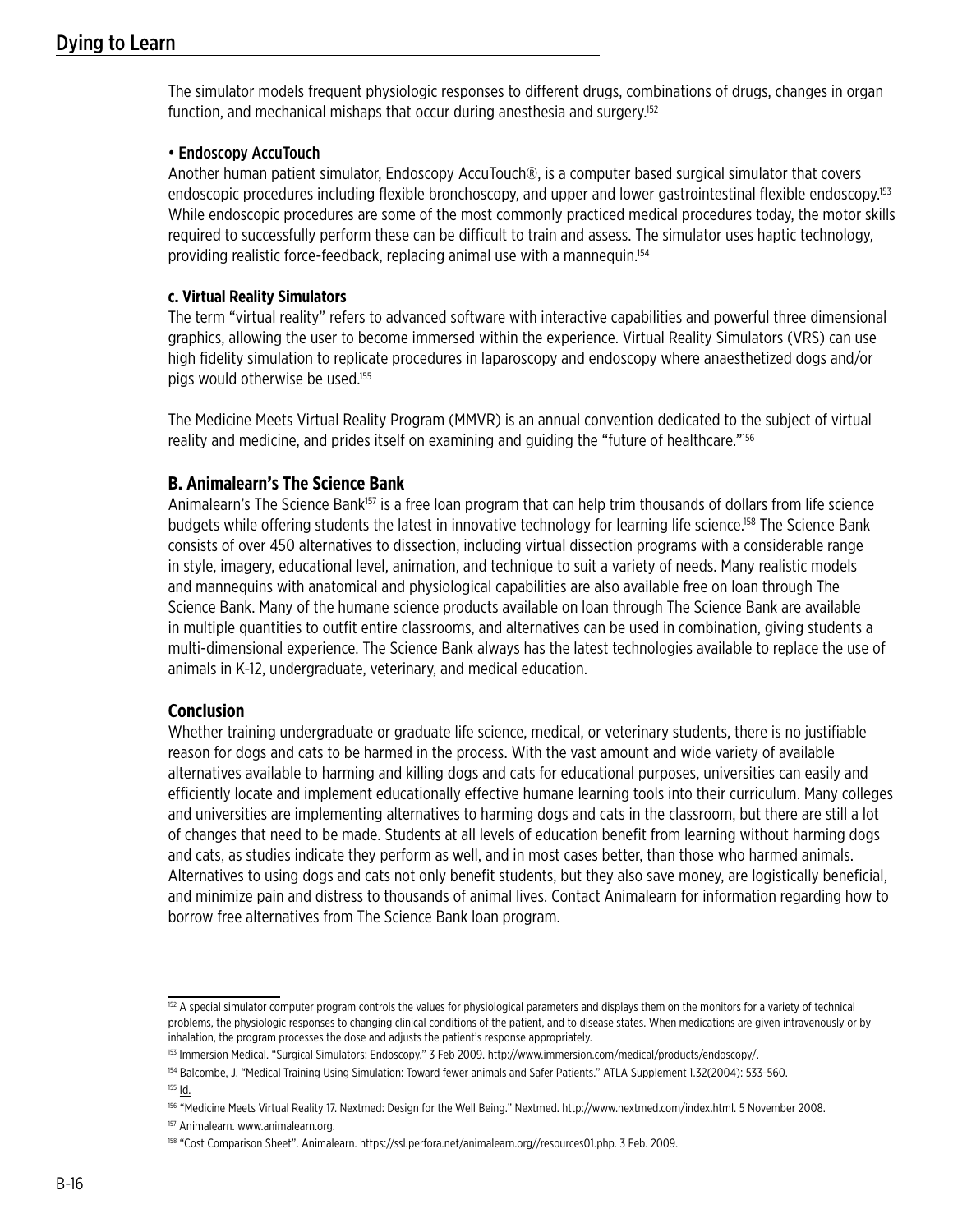The simulator models frequent physiologic responses to different drugs, combinations of drugs, changes in organ function, and mechanical mishaps that occur during anesthesia and surgery.<sup>152</sup>

## • Endoscopy AccuTouch

Another human patient simulator, Endoscopy AccuTouch®, is a computer based surgical simulator that covers endoscopic procedures including flexible bronchoscopy, and upper and lower gastrointestinal flexible endoscopy.<sup>153</sup> While endoscopic procedures are some of the most commonly practiced medical procedures today, the motor skills required to successfully perform these can be difficult to train and assess. The simulator uses haptic technology, providing realistic force-feedback, replacing animal use with a mannequin.154

### **c. Virtual Reality Simulators**

The term "virtual reality" refers to advanced software with interactive capabilities and powerful three dimensional graphics, allowing the user to become immersed within the experience. Virtual Reality Simulators (VRS) can use high fidelity simulation to replicate procedures in laparoscopy and endoscopy where anaesthetized dogs and/or pigs would otherwise be used.155

The Medicine Meets Virtual Reality Program (MMVR) is an annual convention dedicated to the subject of virtual reality and medicine, and prides itself on examining and guiding the "future of healthcare."156

# **B. Animalearn's The Science Bank**

Animalearn's The Science Bank<sup>157</sup> is a free loan program that can help trim thousands of dollars from life science budgets while offering students the latest in innovative technology for learning life science.<sup>158</sup> The Science Bank consists of over 450 alternatives to dissection, including virtual dissection programs with a considerable range in style, imagery, educational level, animation, and technique to suit a variety of needs. Many realistic models and mannequins with anatomical and physiological capabilities are also available free on loan through The Science Bank. Many of the humane science products available on loan through The Science Bank are available in multiple quantities to outfit entire classrooms, and alternatives can be used in combination, giving students a multi-dimensional experience. The Science Bank always has the latest technologies available to replace the use of animals in K-12, undergraduate, veterinary, and medical education.

## **Conclusion**

Whether training undergraduate or graduate life science, medical, or veterinary students, there is no justifiable reason for dogs and cats to be harmed in the process. With the vast amount and wide variety of available alternatives available to harming and killing dogs and cats for educational purposes, universities can easily and efficiently locate and implement educationally effective humane learning tools into their curriculum. Many colleges and universities are implementing alternatives to harming dogs and cats in the classroom, but there are still a lot of changes that need to be made. Students at all levels of education benefit from learning without harming dogs and cats, as studies indicate they perform as well, and in most cases better, than those who harmed animals. Alternatives to using dogs and cats not only benefit students, but they also save money, are logistically beneficial, and minimize pain and distress to thousands of animal lives. Contact Animalearn for information regarding how to borrow free alternatives from The Science Bank loan program.

<sup>&</sup>lt;sup>152</sup> A special simulator computer program controls the values for physiological parameters and displays them on the monitors for a variety of technical problems, the physiologic responses to changing clinical conditions of the patient, and to disease states. When medications are given intravenously or by inhalation, the program processes the dose and adjusts the patient's response appropriately.

<sup>153</sup> Immersion Medical. "Surgical Simulators: Endoscopy." 3 Feb 2009. http://www.immersion.com/medical/products/endoscopy/.

<sup>154</sup> Balcombe, J. "Medical Training Using Simulation: Toward fewer animals and Safer Patients." ATLA Supplement 1.32(2004): 533-560. <sup>155</sup> Id.

<sup>156 &</sup>quot;Medicine Meets Virtual Reality 17. Nextmed: Design for the Well Being." Nextmed. http://www.nextmed.com/index.html. 5 November 2008.

<sup>&</sup>lt;sup>157</sup> Animalearn. www.animalearn.org.

<sup>158 &</sup>quot;Cost Comparison Sheet". Animalearn. https://ssl.perfora.net/animalearn.org//resources01.php. 3 Feb. 2009.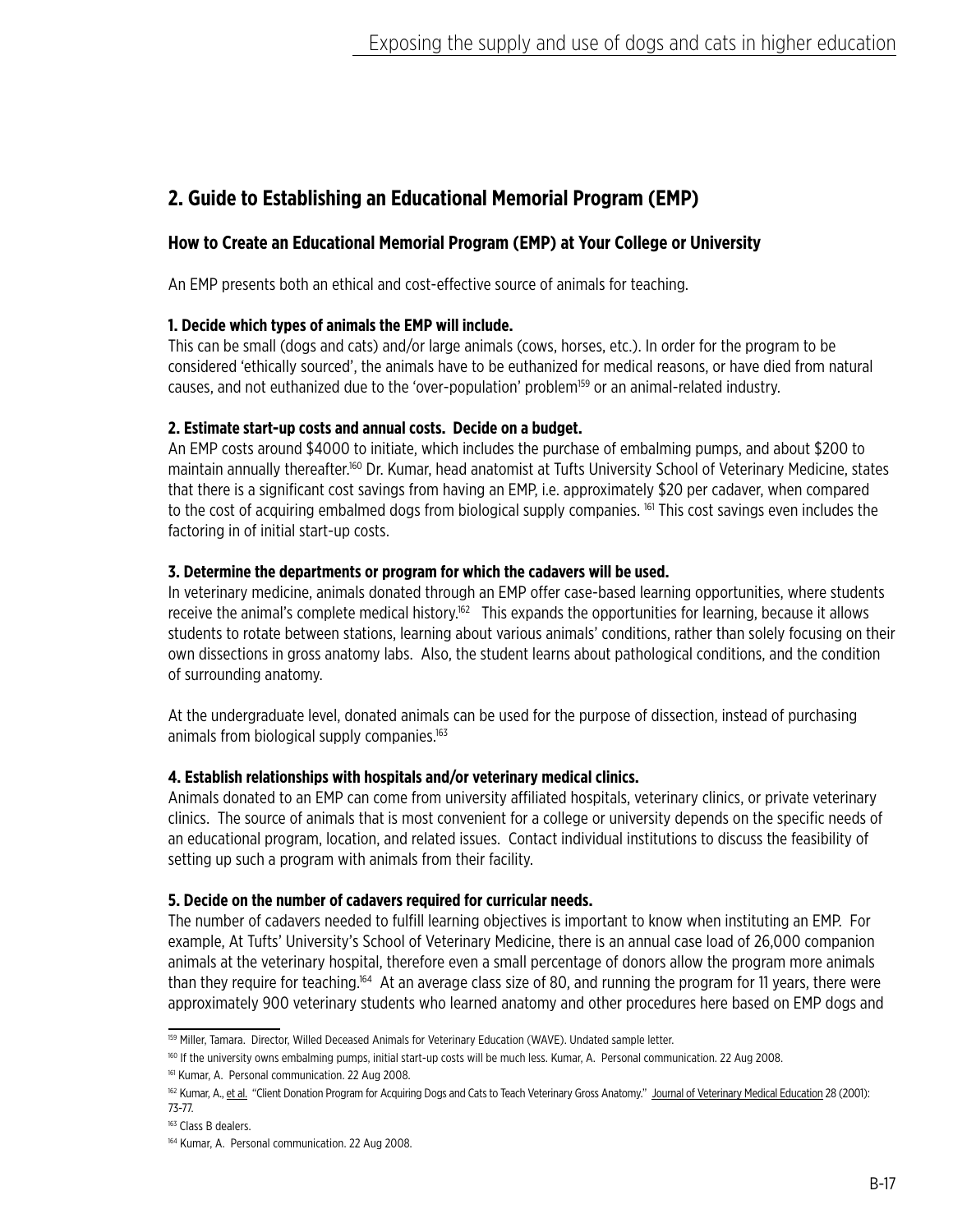# **2. Guide to Establishing an Educational Memorial Program (EMP)**

# **How to Create an Educational Memorial Program (EMP) at Your College or University**

An EMP presents both an ethical and cost-effective source of animals for teaching.

## **1. Decide which types of animals the EMP will include.**

This can be small (dogs and cats) and/or large animals (cows, horses, etc.). In order for the program to be considered 'ethically sourced', the animals have to be euthanized for medical reasons, or have died from natural causes, and not euthanized due to the 'over-population' problem<sup>159</sup> or an animal-related industry.

## **2. Estimate start-up costs and annual costs. Decide on a budget.**

An EMP costs around \$4000 to initiate, which includes the purchase of embalming pumps, and about \$200 to maintain annually thereafter.160 Dr. Kumar, head anatomist at Tufts University School of Veterinary Medicine, states that there is a significant cost savings from having an EMP, i.e. approximately \$20 per cadaver, when compared to the cost of acquiring embalmed dogs from biological supply companies. <sup>161</sup> This cost savings even includes the factoring in of initial start-up costs.

## **3. Determine the departments or program for which the cadavers will be used.**

In veterinary medicine, animals donated through an EMP offer case-based learning opportunities, where students receive the animal's complete medical history.<sup>162</sup> This expands the opportunities for learning, because it allows students to rotate between stations, learning about various animals' conditions, rather than solely focusing on their own dissections in gross anatomy labs. Also, the student learns about pathological conditions, and the condition of surrounding anatomy.

At the undergraduate level, donated animals can be used for the purpose of dissection, instead of purchasing animals from biological supply companies.<sup>163</sup>

# **4. Establish relationships with hospitals and/or veterinary medical clinics.**

Animals donated to an EMP can come from university affiliated hospitals, veterinary clinics, or private veterinary clinics. The source of animals that is most convenient for a college or university depends on the specific needs of an educational program, location, and related issues. Contact individual institutions to discuss the feasibility of setting up such a program with animals from their facility.

## **5. Decide on the number of cadavers required for curricular needs.**

The number of cadavers needed to fulfill learning objectives is important to know when instituting an EMP. For example, At Tufts' University's School of Veterinary Medicine, there is an annual case load of 26,000 companion animals at the veterinary hospital, therefore even a small percentage of donors allow the program more animals than they require for teaching.<sup>164</sup> At an average class size of 80, and running the program for 11 years, there were approximately 900 veterinary students who learned anatomy and other procedures here based on EMP dogs and

<sup>159</sup> Miller, Tamara. Director, Willed Deceased Animals for Veterinary Education (WAVE). Undated sample letter.

<sup>160</sup> If the university owns embalming pumps, initial start-up costs will be much less. Kumar, A. Personal communication. 22 Aug 2008.

<sup>161</sup> Kumar, A. Personal communication. 22 Aug 2008.

<sup>162</sup> Kumar, A., et al. "Client Donation Program for Acquiring Dogs and Cats to Teach Veterinary Gross Anatomy." Journal of Veterinary Medical Education 28 (2001): 73-77.

<sup>&</sup>lt;sup>163</sup> Class B dealers.

<sup>164</sup> Kumar, A. Personal communication. 22 Aug 2008.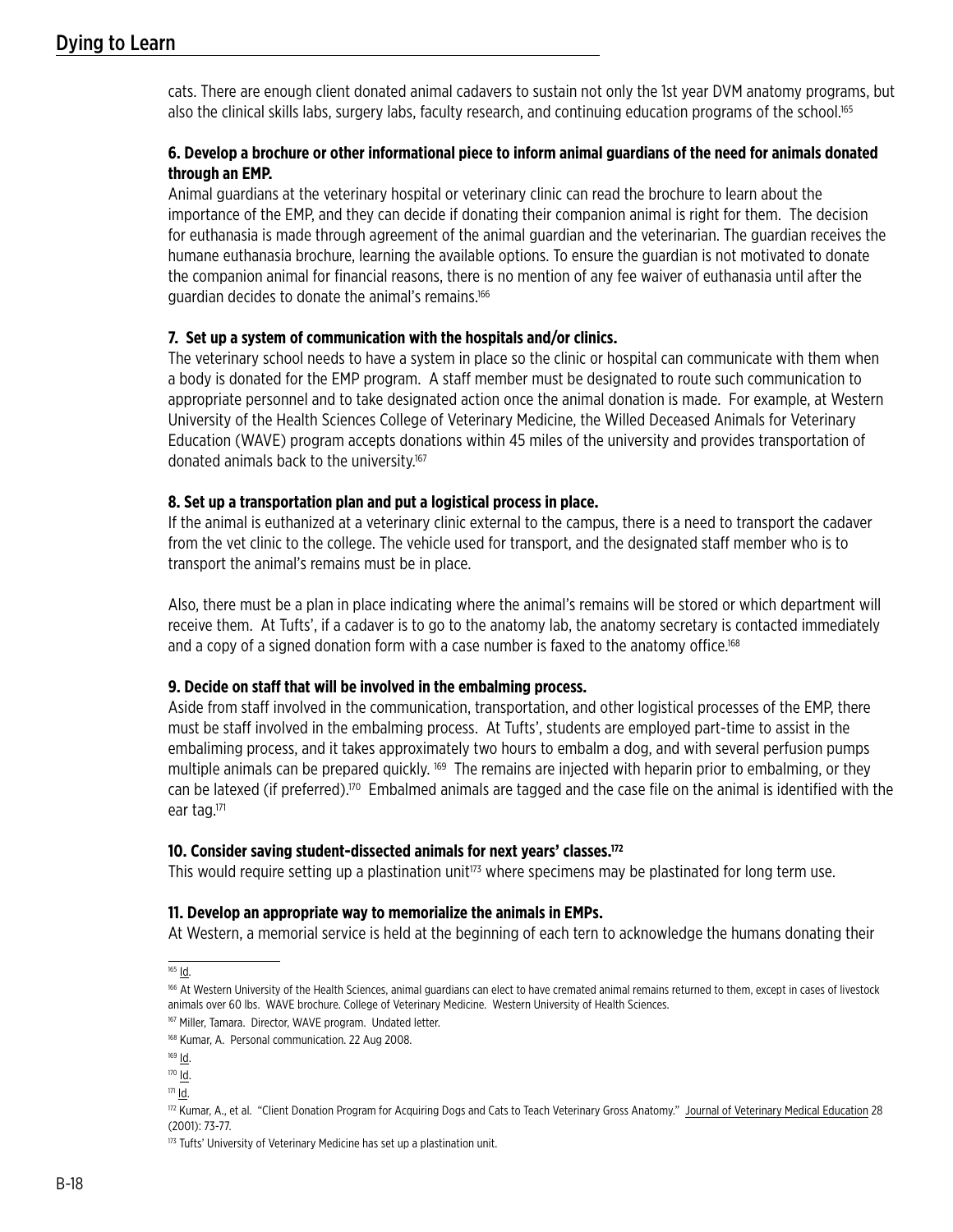cats. There are enough client donated animal cadavers to sustain not only the 1st year DVM anatomy programs, but also the clinical skills labs, surgery labs, faculty research, and continuing education programs of the school.165

## **6. Develop a brochure or other informational piece to inform animal guardians of the need for animals donated through an EMP.**

Animal guardians at the veterinary hospital or veterinary clinic can read the brochure to learn about the importance of the EMP, and they can decide if donating their companion animal is right for them. The decision for euthanasia is made through agreement of the animal guardian and the veterinarian. The guardian receives the humane euthanasia brochure, learning the available options. To ensure the guardian is not motivated to donate the companion animal for financial reasons, there is no mention of any fee waiver of euthanasia until after the guardian decides to donate the animal's remains.166

### **7. Set up a system of communication with the hospitals and/or clinics.**

The veterinary school needs to have a system in place so the clinic or hospital can communicate with them when a body is donated for the EMP program. A staff member must be designated to route such communication to appropriate personnel and to take designated action once the animal donation is made. For example, at Western University of the Health Sciences College of Veterinary Medicine, the Willed Deceased Animals for Veterinary Education (WAVE) program accepts donations within 45 miles of the university and provides transportation of donated animals back to the university.<sup>167</sup>

### **8. Set up a transportation plan and put a logistical process in place.**

If the animal is euthanized at a veterinary clinic external to the campus, there is a need to transport the cadaver from the vet clinic to the college. The vehicle used for transport, and the designated staff member who is to transport the animal's remains must be in place.

Also, there must be a plan in place indicating where the animal's remains will be stored or which department will receive them. At Tufts', if a cadaver is to go to the anatomy lab, the anatomy secretary is contacted immediately and a copy of a signed donation form with a case number is faxed to the anatomy office.<sup>168</sup>

## **9. Decide on staff that will be involved in the embalming process.**

Aside from staff involved in the communication, transportation, and other logistical processes of the EMP, there must be staff involved in the embalming process. At Tufts', students are employed part-time to assist in the embaliming process, and it takes approximately two hours to embalm a dog, and with several perfusion pumps multiple animals can be prepared quickly. <sup>169</sup> The remains are injected with heparin prior to embalming, or they can be latexed (if preferred).170 Embalmed animals are tagged and the case file on the animal is identified with the ear tag.<sup>171</sup>

#### **10. Consider saving student-dissected animals for next years' classes.172**

This would require setting up a plastination unit<sup>173</sup> where specimens may be plastinated for long term use.

#### **11. Develop an appropriate way to memorialize the animals in EMPs.**

At Western, a memorial service is held at the beginning of each tern to acknowledge the humans donating their

 $\overline{165}$  Id.

<sup>&</sup>lt;sup>166</sup> At Western University of the Health Sciences, animal guardians can elect to have cremated animal remains returned to them, except in cases of livestock animals over 60 lbs. WAVE brochure. College of Veterinary Medicine. Western University of Health Sciences.

<sup>167</sup> Miller, Tamara. Director, WAVE program. Undated letter.

<sup>168</sup> Kumar, A. Personal communication. 22 Aug 2008.

<sup>169</sup> Id.

<sup>170</sup> Id.

 $171 \underline{Id}$ .

<sup>172</sup> Kumar, A., et al. "Client Donation Program for Acquiring Dogs and Cats to Teach Veterinary Gross Anatomy." Journal of Veterinary Medical Education 28 (2001): 73-77.

<sup>173</sup> Tufts' University of Veterinary Medicine has set up a plastination unit.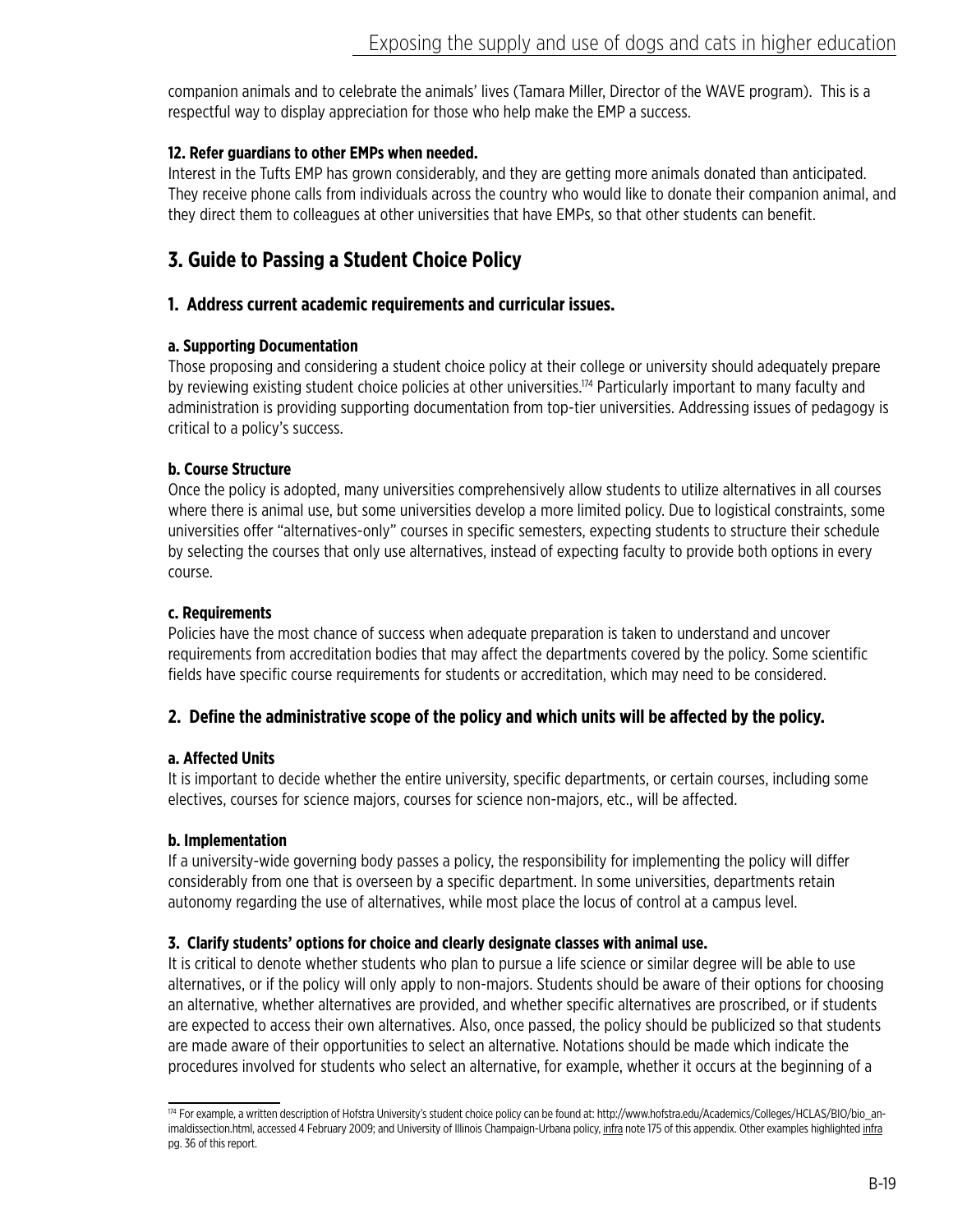companion animals and to celebrate the animals' lives (Tamara Miller, Director of the WAVE program). This is a respectful way to display appreciation for those who help make the EMP a success.

# **12. Refer guardians to other EMPs when needed.**

Interest in the Tufts EMP has grown considerably, and they are getting more animals donated than anticipated. They receive phone calls from individuals across the country who would like to donate their companion animal, and they direct them to colleagues at other universities that have EMPs, so that other students can benefit.

# **3. Guide to Passing a Student Choice Policy**

## **1. Address current academic requirements and curricular issues.**

## **a. Supporting Documentation**

Those proposing and considering a student choice policy at their college or university should adequately prepare by reviewing existing student choice policies at other universities.<sup>174</sup> Particularly important to many faculty and administration is providing supporting documentation from top-tier universities. Addressing issues of pedagogy is critical to a policy's success.

## **b. Course Structure**

Once the policy is adopted, many universities comprehensively allow students to utilize alternatives in all courses where there is animal use, but some universities develop a more limited policy. Due to logistical constraints, some universities offer "alternatives-only" courses in specific semesters, expecting students to structure their schedule by selecting the courses that only use alternatives, instead of expecting faculty to provide both options in every course.

## **c. Requirements**

Policies have the most chance of success when adequate preparation is taken to understand and uncover requirements from accreditation bodies that may affect the departments covered by the policy. Some scientific fields have specific course requirements for students or accreditation, which may need to be considered.

# **2. Define the administrative scope of the policy and which units will be affected by the policy.**

# **a. Affected Units**

It is important to decide whether the entire university, specific departments, or certain courses, including some electives, courses for science majors, courses for science non-majors, etc., will be affected.

## **b. Implementation**

If a university-wide governing body passes a policy, the responsibility for implementing the policy will differ considerably from one that is overseen by a specific department. In some universities, departments retain autonomy regarding the use of alternatives, while most place the locus of control at a campus level.

## **3. Clarify students' options for choice and clearly designate classes with animal use.**

It is critical to denote whether students who plan to pursue a life science or similar degree will be able to use alternatives, or if the policy will only apply to non-majors. Students should be aware of their options for choosing an alternative, whether alternatives are provided, and whether specific alternatives are proscribed, or if students are expected to access their own alternatives. Also, once passed, the policy should be publicized so that students are made aware of their opportunities to select an alternative. Notations should be made which indicate the procedures involved for students who select an alternative, for example, whether it occurs at the beginning of a

<sup>174</sup> For example, a written description of Hofstra University's student choice policy can be found at: http://www.hofstra.edu/Academics/Colleges/HCLAS/BIO/bio\_animaldissection.html, accessed 4 February 2009; and University of Illinois Champaign-Urbana policy, infra note 175 of this appendix. Other examples highlighted infra pg. 36 of this report.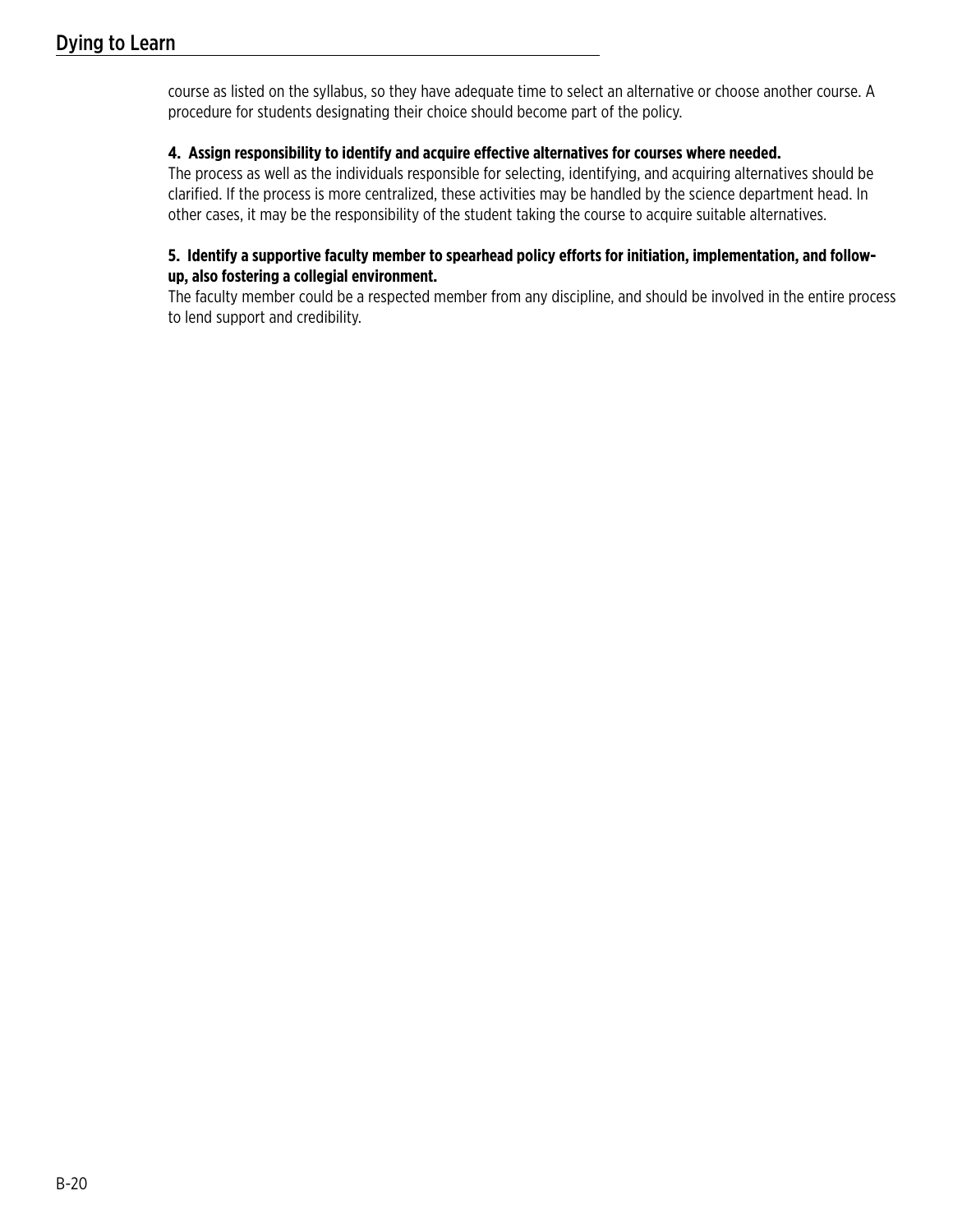course as listed on the syllabus, so they have adequate time to select an alternative or choose another course. A procedure for students designating their choice should become part of the policy.

## **4. Assign responsibility to identify and acquire effective alternatives for courses where needed.**

The process as well as the individuals responsible for selecting, identifying, and acquiring alternatives should be clarified. If the process is more centralized, these activities may be handled by the science department head. In other cases, it may be the responsibility of the student taking the course to acquire suitable alternatives.

## **5. Identify a supportive faculty member to spearhead policy efforts for initiation, implementation, and followup, also fostering a collegial environment.**

The faculty member could be a respected member from any discipline, and should be involved in the entire process to lend support and credibility.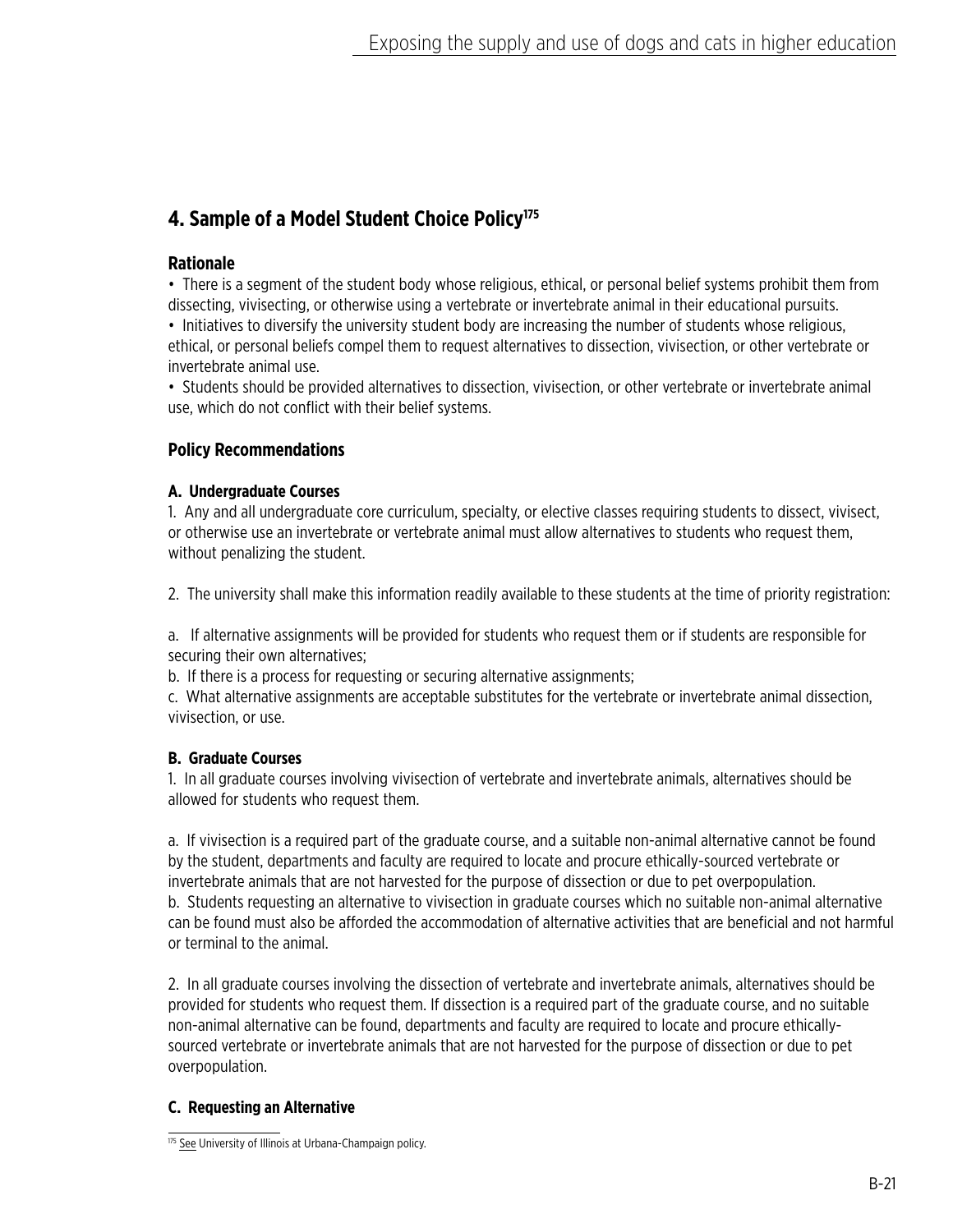# **4. Sample of a Model Student Choice Policy175**

# **Rationale**

• There is a segment of the student body whose religious, ethical, or personal belief systems prohibit them from dissecting, vivisecting, or otherwise using a vertebrate or invertebrate animal in their educational pursuits.

• Initiatives to diversify the university student body are increasing the number of students whose religious, ethical, or personal beliefs compel them to request alternatives to dissection, vivisection, or other vertebrate or invertebrate animal use.

• Students should be provided alternatives to dissection, vivisection, or other vertebrate or invertebrate animal use, which do not conflict with their belief systems.

# **Policy Recommendations**

# **A. Undergraduate Courses**

1. Any and all undergraduate core curriculum, specialty, or elective classes requiring students to dissect, vivisect, or otherwise use an invertebrate or vertebrate animal must allow alternatives to students who request them, without penalizing the student.

2. The university shall make this information readily available to these students at the time of priority registration:

a. If alternative assignments will be provided for students who request them or if students are responsible for securing their own alternatives;

b. If there is a process for requesting or securing alternative assignments;

c. What alternative assignments are acceptable substitutes for the vertebrate or invertebrate animal dissection, vivisection, or use.

# **B. Graduate Courses**

1. In all graduate courses involving vivisection of vertebrate and invertebrate animals, alternatives should be allowed for students who request them.

a. If vivisection is a required part of the graduate course, and a suitable non-animal alternative cannot be found by the student, departments and faculty are required to locate and procure ethically-sourced vertebrate or invertebrate animals that are not harvested for the purpose of dissection or due to pet overpopulation. b. Students requesting an alternative to vivisection in graduate courses which no suitable non-animal alternative can be found must also be afforded the accommodation of alternative activities that are beneficial and not harmful or terminal to the animal.

2. In all graduate courses involving the dissection of vertebrate and invertebrate animals, alternatives should be provided for students who request them. If dissection is a required part of the graduate course, and no suitable non-animal alternative can be found, departments and faculty are required to locate and procure ethicallysourced vertebrate or invertebrate animals that are not harvested for the purpose of dissection or due to pet overpopulation.

# **C. Requesting an Alternative**

<sup>175</sup> See University of Illinois at Urbana-Champaign policy.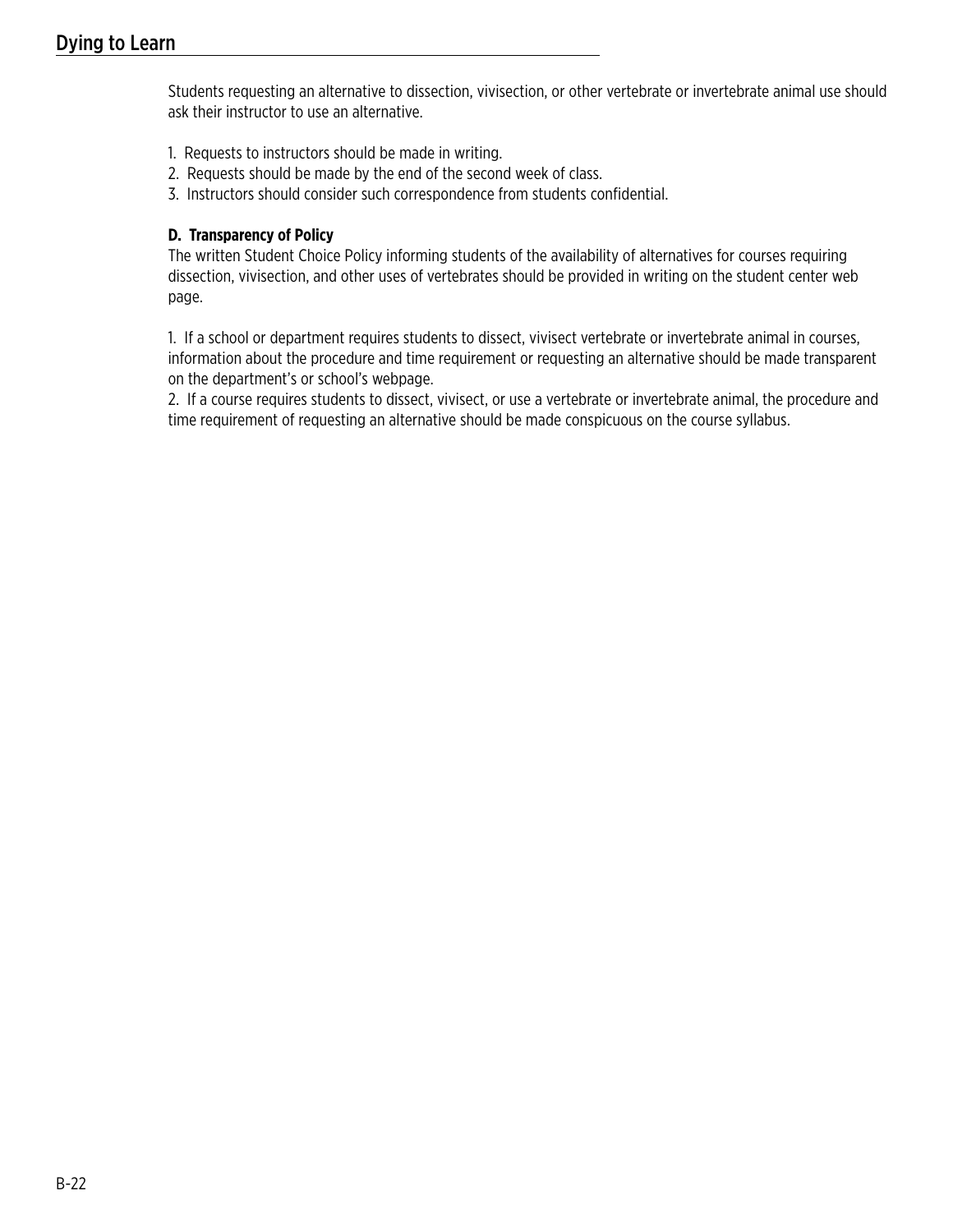Students requesting an alternative to dissection, vivisection, or other vertebrate or invertebrate animal use should ask their instructor to use an alternative.

- 1. Requests to instructors should be made in writing.
- 2. Requests should be made by the end of the second week of class.
- 3. Instructors should consider such correspondence from students confidential.

## **D. Transparency of Policy**

The written Student Choice Policy informing students of the availability of alternatives for courses requiring dissection, vivisection, and other uses of vertebrates should be provided in writing on the student center web page.

1. If a school or department requires students to dissect, vivisect vertebrate or invertebrate animal in courses, information about the procedure and time requirement or requesting an alternative should be made transparent on the department's or school's webpage.

2. If a course requires students to dissect, vivisect, or use a vertebrate or invertebrate animal, the procedure and time requirement of requesting an alternative should be made conspicuous on the course syllabus.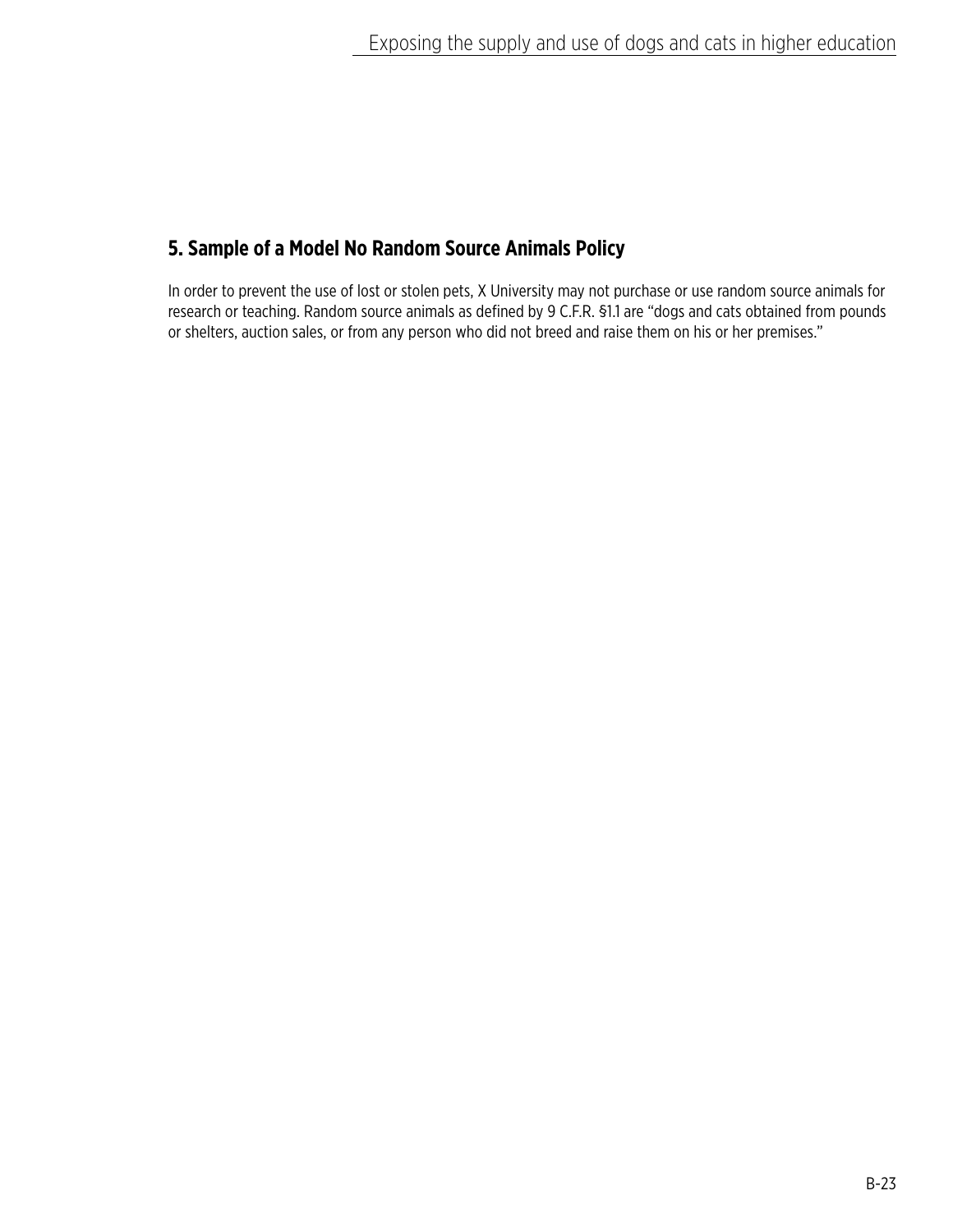# **5. Sample of a Model No Random Source Animals Policy**

In order to prevent the use of lost or stolen pets, X University may not purchase or use random source animals for research or teaching. Random source animals as defined by 9 C.F.R. §1.1 are "dogs and cats obtained from pounds or shelters, auction sales, or from any person who did not breed and raise them on his or her premises."